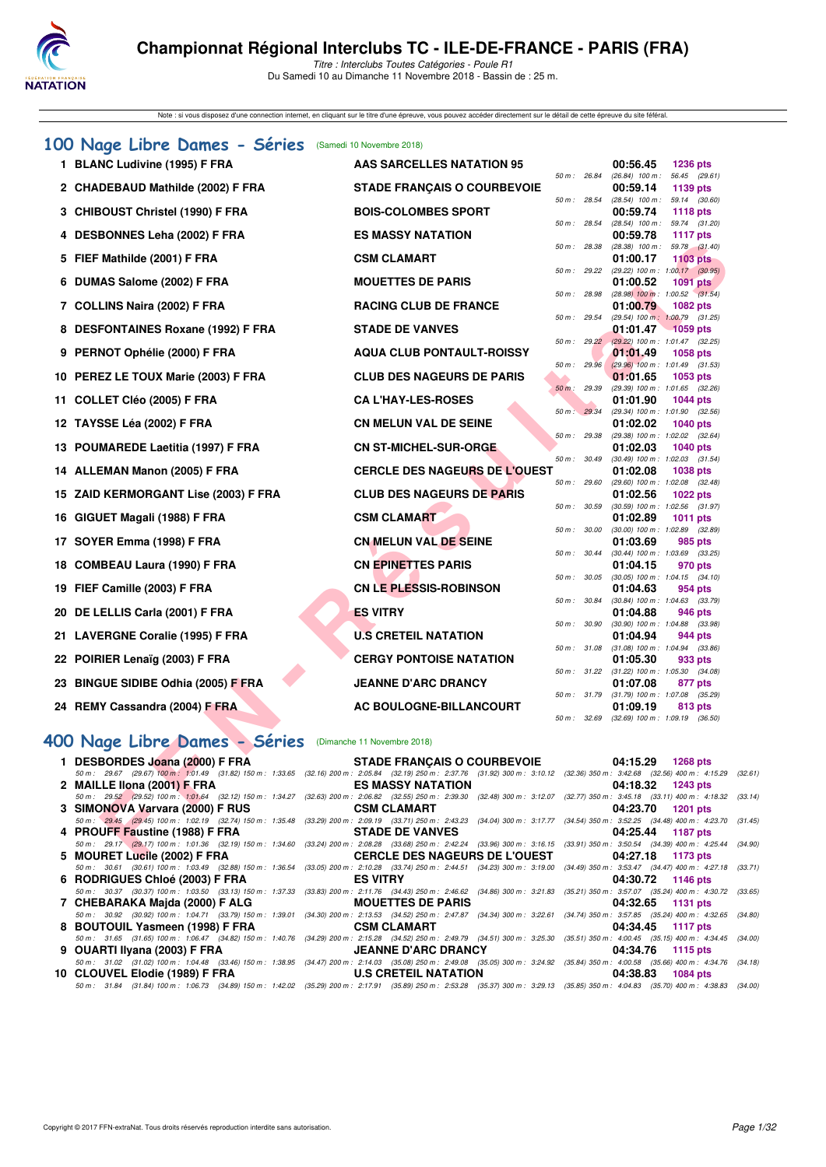

Note : si vous disposez d'une connection internet, en cliquant sur le titre d'une épreuve, vous pouvez accéder directement sur le détail de cette épreuve du site féféral.

| 100 Nage Libre Dames - Séries                                                                                                                                                                                          | (Samedi 10 Novembre 2018)            |                  |                                                                    |
|------------------------------------------------------------------------------------------------------------------------------------------------------------------------------------------------------------------------|--------------------------------------|------------------|--------------------------------------------------------------------|
| 1 BLANC Ludivine (1995) F FRA                                                                                                                                                                                          | <b>AAS SARCELLES NATATION 95</b>     |                  | 00:56.45<br><b>1236 pts</b>                                        |
| 2 CHADEBAUD Mathilde (2002) F FRA                                                                                                                                                                                      | <b>STADE FRANÇAIS O COURBEVOIE</b>   | 50 m : 26.84     | (26.84) 100 m: 56.45 (29.61)<br>00:59.14<br>1139 pts               |
| 3 CHIBOUST Christel (1990) F FRA                                                                                                                                                                                       | <b>BOIS-COLOMBES SPORT</b>           | 50 m : 28.54     | $(28.54)$ 100 m : 59.14 $(30.60)$<br>00:59.74<br><b>1118 pts</b>   |
| 4 DESBONNES Leha (2002) F FRA                                                                                                                                                                                          | <b>ES MASSY NATATION</b>             | 50 m: 28.54      | (28.54) 100 m: 59.74 (31.20)<br>00:59.78<br><b>1117 pts</b>        |
| 5 FIEF Mathilde (2001) F FRA                                                                                                                                                                                           | <b>CSM CLAMART</b>                   | 50 m: 28.38      | $(28.38)$ 100 m : 59.78 $(31.40)$<br>01:00.17<br><b>1103 pts</b>   |
| 6 DUMAS Salome (2002) F FRA                                                                                                                                                                                            | <b>MOUETTES DE PARIS</b>             | 50 m : 29.22     | (29.22) 100 m : 1:00.17 (30.95)<br><b>1091 pts</b><br>01:00.52     |
|                                                                                                                                                                                                                        |                                      | 50 m: 28.98      | $(28.98)$ 100 m : 1:00.52 $(31.54)$                                |
| 7 COLLINS Naira (2002) F FRA                                                                                                                                                                                           | <b>RACING CLUB DE FRANCE</b>         | 50 m : 29.54     | 01:00.79<br>1082 pts<br>(29.54) 100 m: 1:00.79 (31.25)             |
| 8 DESFONTAINES Roxane (1992) F FRA                                                                                                                                                                                     | <b>STADE DE VANVES</b>               | 50 m: 29.22      | 01:01.47<br>$-1059$ pts<br>$(29.22)$ 100 m : 1:01.47 $(32.25)$     |
| 9 PERNOT Ophélie (2000) F FRA                                                                                                                                                                                          | <b>AQUA CLUB PONTAULT-ROISSY</b>     |                  | 01:01.49<br><b>1058 pts</b>                                        |
| 10 PEREZ LE TOUX Marie (2003) F FRA                                                                                                                                                                                    | <b>CLUB DES NAGEURS DE PARIS</b>     | 50 m : 29.96     | $(29.96)$ 100 m : 1:01.49 $(31.53)$<br>01:01.65<br>1053 pts        |
|                                                                                                                                                                                                                        | <b>CA L'HAY-LES-ROSES</b>            | 50 m : 29.39     | (29.39) 100 m: 1:01.65 (32.26)                                     |
| 11 COLLET Cléo (2005) F FRA                                                                                                                                                                                            |                                      | 50 m : 29.34     | 01:01.90<br><b>1044 pts</b><br>(29.34) 100 m: 1:01.90 (32.56)      |
| 12 TAYSSE Léa (2002) F FRA                                                                                                                                                                                             | <b>CN MELUN VAL DE SEINE</b>         | 50 m : 29.38     | 01:02.02<br>1040 pts<br>(29.38) 100 m: 1:02.02 (32.64)             |
| 13 POUMAREDE Laetitia (1997) F FRA                                                                                                                                                                                     | <b>CN ST-MICHEL-SUR-ORGE</b>         |                  | 01:02.03<br>1040 pts                                               |
| 14 ALLEMAN Manon (2005) F FRA                                                                                                                                                                                          | <b>CERCLE DES NAGEURS DE L'OUEST</b> | 50 m : 30.49     | $(30.49)$ 100 m : 1:02.03 $(31.54)$<br>01:02.08<br><b>1038 pts</b> |
| 15 ZAID KERMORGANT Lise (2003) F FRA                                                                                                                                                                                   | <b>CLUB DES NAGEURS DE PARIS</b>     | 50 m: 29.60      | (29.60) 100 m: 1:02.08 (32.48)<br>01:02.56<br><b>1022 pts</b>      |
| 16 GIGUET Magali (1988) F FRA                                                                                                                                                                                          | <b>CSM CLAMART</b>                   | 50 m: 30.59      | $(30.59)$ 100 m : 1:02.56 $(31.97)$<br>01:02.89<br><b>1011 pts</b> |
| 17 SOYER Emma (1998) F FRA                                                                                                                                                                                             | <b>CN MELUN VAL DE SEINE</b>         | 50 m : 30.00     | $(30.00)$ 100 m : 1:02.89 $(32.89)$<br>01:03.69<br>985 pts         |
| 18 COMBEAU Laura (1990) F FRA                                                                                                                                                                                          | <b>CN EPINETTES PARIS</b>            | 50 m : 30.44     | $(30.44)$ 100 m : 1:03.69 $(33.25)$                                |
|                                                                                                                                                                                                                        |                                      | 50 m: 30.05      | 01:04.15<br>970 pts<br>$(30.05)$ 100 m : 1:04.15 $(34.10)$         |
| 19 FIEF Camille (2003) F FRA                                                                                                                                                                                           | <b>CN LE PLESSIS-ROBINSON</b>        | 50 m : 30.84     | 01:04.63<br>954 pts<br>(30.84) 100 m : 1:04.63 (33.79)             |
| 20 DE LELLIS Carla (2001) F FRA                                                                                                                                                                                        | <b>ES VITRY</b>                      |                  | 01:04.88<br>946 pts                                                |
| 21 LAVERGNE Coralie (1995) F FRA                                                                                                                                                                                       | <b>U.S CRETEIL NATATION</b>          | 50 m : 30.90     | (30.90) 100 m: 1:04.88 (33.98)<br>01:04.94<br>944 pts              |
|                                                                                                                                                                                                                        | <b>CERGY PONTOISE NATATION</b>       | 50 m: 31.08      | $(31.08)$ 100 m : 1:04.94 $(33.86)$<br>01:05.30<br>933 pts         |
| 22 POIRIER Lenaïg (2003) F FRA                                                                                                                                                                                         |                                      | 50 m : 31.22     | $(31.22)$ 100 m : 1:05.30 $(34.08)$                                |
| 23 BINGUE SIDIBE Odhia (2005) F FRA                                                                                                                                                                                    | <b>JEANNE D'ARC DRANCY</b>           | $50 m$ : $31.79$ | 01:07.08<br>877 pts<br>(31.79) 100 m: 1:07.08 (35.29)              |
| 24 REMY Cassandra (2004) F FRA                                                                                                                                                                                         | AC BOULOGNE-BILLANCOURT              |                  | 01:09.19<br>813 pts                                                |
|                                                                                                                                                                                                                        |                                      | 50 m : 32.69     | $(32.69)$ 100 m : 1:09.19 $(36.50)$                                |
| 400 Nage Libre Dames - Séries                                                                                                                                                                                          | (Dimanche 11 Novembre 2018)          |                  |                                                                    |
| 1 DESBORDES Joana (2000) F FRA<br>50 m: 29.67 (29.67) 100 m: 1:01.49 (31.82) 150 m: 1:33.65 (32.16) 200 m: 2:05.84 (32.19) 250 m: 2:37.76 (31.92) 300 m: 3:10.12 (32.36) 350 m: 3:42.68 (32.56) 400 m: 4:15.29         | <b>STADE FRANÇAIS O COURBEVOIE</b>   |                  | 04:15.29<br><b>1268 pts</b><br>(3)                                 |
| 2 MAILLE Ilona (2001) F FRA                                                                                                                                                                                            | <b>ES MASSY NATATION</b>             |                  | 04:18.32<br><b>1243 pts</b>                                        |
| 50 m: 29.52 (29.52) 100 m: 1:01.64 (32.12) 150 m: 1:34.27 (32.63) 200 m: 2:06.82 (32.55) 250 m: 2:39.30 (32.48) 300 m: 3:12.07 (32.77) 350 m: 3:45.18 (33.11) 400 m: 4:18.32 (3:<br>3 SIMONOVA Varvara (2000) F RUS    | <b>CSM CLAMART</b>                   |                  | 04:23.70<br><b>1201 pts</b>                                        |
| 50 m: 29.45 (29.45) 100 m: 1:02.19 (32.74) 150 m: 1:35.48 (33.29) 200 m: 2:09.19 (33.71) 250 m: 2:43.23 (34.04) 300 m: 3:17.77 (34.54) 350 m: 3:52.25 (34.48) 400 m: 4:23.70 (3                                        |                                      |                  |                                                                    |
| 4 PROUFF Faustine (1988) F FRA<br>50 m: 29.17 (29.17) 100 m: 1:01.36 (32.19) 150 m: 1:34.60 (33.24) 200 m: 2:08.28 (33.68) 250 m: 2:42.24 (33.96) 300 m: 3:16.15 (33.91) 350 m: 3:50.54 (34.39) 400 m: 4:25.44 (34.99) | <b>STADE DE VANVES</b>               |                  | 04:25.44<br><b>1187 pts</b>                                        |
| 5 MOURET Lucile (2002) F FRA                                                                                                                                                                                           | <b>CERCLE DES NAGEURS DE L'OUEST</b> |                  | 04:27.18 1173 pts                                                  |

# **[400 Nage Libre Dames - Séries](http://www.ffnatation.fr/webffn/resultats.php?idact=nat&go=epr&idcpt=56389&idepr=4)** (Dimanche 11 Novembre 2018)

| 1 DESBORDES Joana (2000) F FRA STADE FRANÇAIS O COURBEVOIE 04:15.29 1268 pts      |                          |                                                                                                                                                                                      |
|-----------------------------------------------------------------------------------|--------------------------|--------------------------------------------------------------------------------------------------------------------------------------------------------------------------------------|
|                                                                                   |                          | 50 m: 29.67 (29.67) 100 m: 1:01.49 (31.82) 150 m: 1:33.65 (32.16) 200 m: 2:05.84 (32.19) 250 m: 2:37.76 (31.92) 300 m: 3:10.12 (32.36) 350 m: 3:42.68 (32.56) 400 m: 4:15.29 (32.61) |
| 2 MAILLE Ilona (2001) F FRA                                                       | <b>ES MASSY NATATION</b> | 04:18.32 1243 pts                                                                                                                                                                    |
|                                                                                   |                          | 50 m: 29.52 (29.52) 100 m: 1:01.64 (32.12) 150 m: 1:34.27 (32.63) 200 m: 2:06.82 (32.55) 250 m: 2:39.30 (32.48) 300 m: 3:12.07 (32.77) 350 m: 3:45.18 (33.11) 400 m: 4:18.32 (33.14) |
| 3 SIMONOVA Varvara (2000) F RUS CSM CLAMART                                       |                          | 04:23.70 1201 pts                                                                                                                                                                    |
|                                                                                   |                          | 50 m: 29.45 (29.45) 100 m: 1:02.19 (32.74) 150 m: 1:35.48 (33.29) 200 m: 2:09.19 (33.71) 250 m: 2:43.23 (34.04) 300 m: 3:17.77 (34.54) 350 m: 3:52.25 (34.48) 400 m: 4:23.70 (31.45) |
| 4 PROUFF Faustine (1988) F FRA STADE DE VANVES 604:25.44 1187 pts                 |                          |                                                                                                                                                                                      |
|                                                                                   |                          | 50 m: 29.17 (29.17) 100 m: 1:01.36 (32.19) 150 m: 1:34.60 (33.24) 200 m: 2:08.28 (33.68) 250 m: 2:42.24 (33.96) 300 m: 3:16.15 (33.91) 350 m: 3:50.54 (34.39) 400 m: 4:25.44 (34.90) |
| 5 MOURET Lucile (2002) F FRA CERCLE DES NAGEURS DE L'OUEST 04:27.18 1173 pts      |                          |                                                                                                                                                                                      |
|                                                                                   |                          | 50 m: 30.61 (30.61) 100 m: 1:03.49 (32.88) 150 m: 1:36.54 (33.05) 200 m: 2:10.28 (33.74) 250 m: 2:44.51 (34.23) 300 m: 3:19.00 (34.49) 350 m: 3:53.47 (34.47) 400 m: 4:27.18 (33.71) |
|                                                                                   |                          |                                                                                                                                                                                      |
|                                                                                   |                          | 50 m: 30.37 (30.37) 100 m: 1:03.50 (33.13) 150 m: 1:37.33 (33.83) 200 m: 2:11.76 (34.43) 250 m: 2:46.62 (34.86) 300 m: 3:21.83 (35.21) 350 m: 3:57.07 (35.24) 400 m: 4:30.72 (33.65) |
| 7 CHEBARAKA Majda (2000) FALG MOUETTES DE PARIS 60 194:32.65 1131 pts             |                          |                                                                                                                                                                                      |
|                                                                                   |                          | 50 m: 30.92 (30.92) 100 m: 1:04.71 (33.79) 150 m: 1:39.01 (34.30) 200 m: 2:13.53 (34.52) 250 m: 2:47.87 (34.34) 300 m: 3:22.61 (34.74) 350 m: 3:57.85 (35.24) 400 m: 4:32.65 (34.80) |
| 8 BOUTOUIL Yasmeen (1998) F FRA CSM CLAMART COM COMERCIAL O4:34.45 1117 pts       |                          |                                                                                                                                                                                      |
|                                                                                   |                          | 50 m: 31.65 (31.65) 100 m: 1:06.47 (34.82) 150 m: 1:40.76 (34.29) 200 m: 2:15.28 (34.52) 250 m: 2:49.79 (34.51) 300 m: 3:25.30 (35.51) 350 m: 4:00.45 (35.15) 400 m: 4:34.45 (34.00) |
| 9 OUARTI Ilyana (2003) F FRA US JEANNE D'ARC DRANCY 64:34.76 1115 pts             |                          |                                                                                                                                                                                      |
|                                                                                   |                          | 50 m: 31.02 (31.02) 100 m: 1:04.48 (33.46) 150 m: 1:38.95 (34.47) 200 m: 2:14.03 (35.08) 250 m: 2:49.08 (35.05) 300 m: 3:24.92 (35.84) 350 m: 4:00.58 (35.66) 400 m: 4:34.76 (34.18) |
| 10 CLOUVEL Elodie (1989) F FRA <b>1988</b> U.S CRETEIL NATATION 04:38.83 1084 pts |                          |                                                                                                                                                                                      |
|                                                                                   |                          | 50 m: 31.84 (31.84) 100 m: 1:06.73 (34.89) 150 m: 1:42.02 (35.29) 200 m: 2:17.91 (35.89) 250 m: 2:53.28 (35.37) 300 m: 3:29.13 (35.85) 350 m: 4:04.83 (35.70) 400 m: 4:38.83 (34.00) |
|                                                                                   |                          |                                                                                                                                                                                      |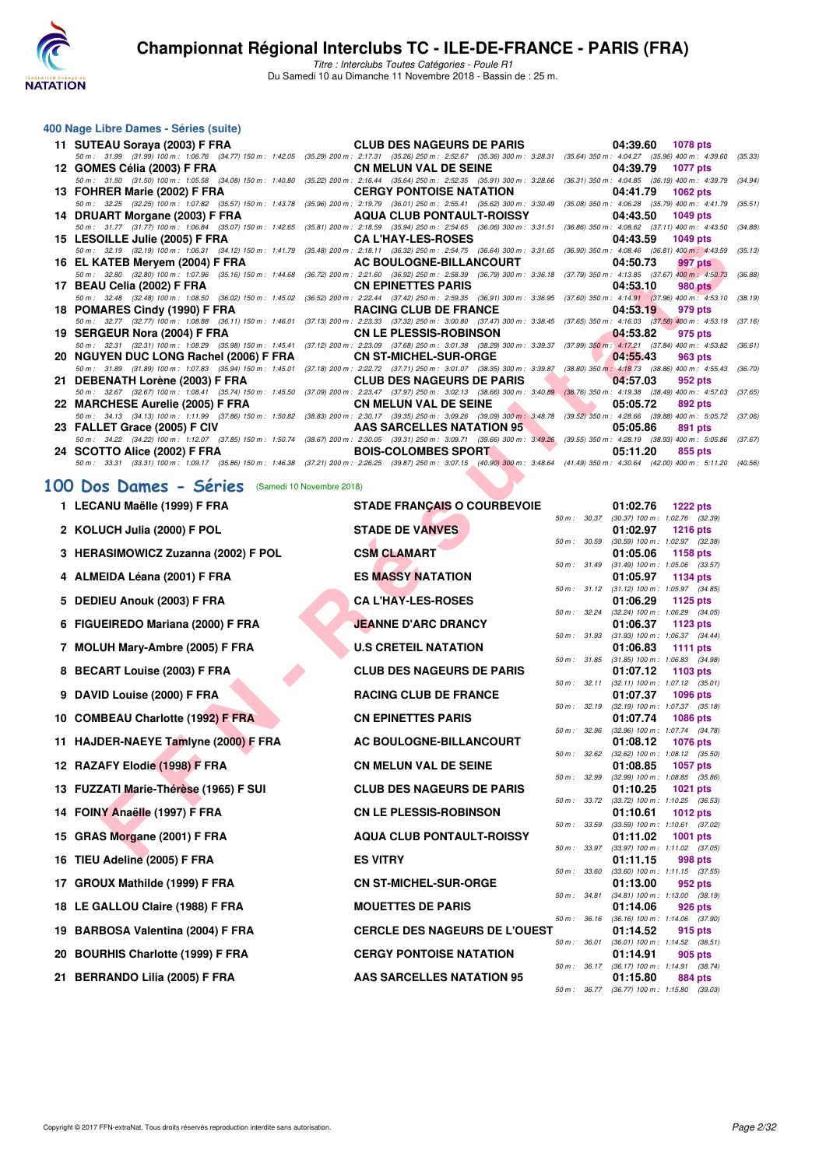

Titre : Interclubs Toutes Catégories - Poule R1 Du Samedi 10 au Dimanche 11 Novembre 2018 - Bassin de : 25 m.

#### **400 Nage Libre Dames - Séries (suite)**

| 11 SUTEAU Soraya (2003) F FRA          | <b>CLUB DES NAGEURS DE PARIS</b>                                                                                                                                                     | 04:39.60<br>1078 pts        |
|----------------------------------------|--------------------------------------------------------------------------------------------------------------------------------------------------------------------------------------|-----------------------------|
|                                        | 50 m: 31.99 (31.99) 100 m: 1:06.76 (34.77) 150 m: 1:42.05 (35.29) 200 m: 2:17.31 (35.26) 250 m: 2:52.67 (35.36) 300 m: 3:28.31 (35.64) 350 m: 4:04.27 (35.96) 400 m: 4:39.60         | (35.33)                     |
| 12 GOMES Célia (2003) F FRA            | <b>CN MELUN VAL DE SEINE</b>                                                                                                                                                         | 04:39.79<br><b>1077 pts</b> |
|                                        | 50 m: 31.50 (31.50) 100 m: 1:05.58 (34.08) 150 m: 1:40.80 (35.22) 200 m: 2:16.44 (35.64) 250 m: 2:52.35 (35.91) 300 m: 3:28.66 (36.31) 350 m: 4:04.85 (36.19) 400 m: 4:39.79         | (34.94)                     |
| 13 FOHRER Marie (2002) F FRA           | <b>CERGY PONTOISE NATATION</b>                                                                                                                                                       | 04:41.79<br>1062 pts        |
|                                        | 50 m : 32.25 (32.25) 100 m : 1:07.82 (35.57) 150 m : 1:43.78 (35.96) 200 m : 2:19.79 (36.01) 250 m : 2:55.41 (35.62) 300 m : 3:30.49 (35.08) 350 m : 4:06.28 (35.79) 400 m : 4:41.79 | (35.51)                     |
| 14 DRUART Morgane (2003) F FRA         | <b>AQUA CLUB PONTAULT-ROISSY</b>                                                                                                                                                     | 04:43.50<br><b>1049 pts</b> |
|                                        | 50 m: 31.77 (31.77) 100 m: 1:06.84 (35.07) 150 m: 1:42.65 (35.81) 200 m: 2:18.59 (35.94) 250 m: 2:54.65 (36.06) 300 m: 3:31.51 (36.86) 350 m: 4:08.62 (37.11) 400 m: 4:43.50         | (34.88)                     |
| 15 LESOILLE Julie (2005) F FRA         | <b>CAL'HAY-LES-ROSES</b>                                                                                                                                                             | 04:43.59<br><b>1049 pts</b> |
|                                        | 50 m: 32.19 (32.19) 100 m: 1:06.31 (34.12) 150 m: 1:41.79 (35.48) 200 m: 2:18.11 (36.32) 250 m: 2:54.75 (36.64) 300 m: 3:31.65 (36.90) 350 m: 4:08.46 (36.81) 400 m: 4:43.59         | (35.13)                     |
| 16 EL KATEB Meryem (2004) F FRA        | <b>AC BOULOGNE-BILLANCOURT</b>                                                                                                                                                       | 04:50.73<br>997 pts         |
|                                        | 50 m: 32.80 (32.80) 100 m: 1:07.96 (35.16) 150 m: 1:44.68 (36.72) 200 m: 2:21.60 (36.92) 250 m: 2:58.39 (36.79) 300 m: 3:36.18 (37.79) 350 m: 4:13.85 (37.67) 400 m: 4:50.73         | (36.88)                     |
| 17 BEAU Celia (2002) F FRA             | <b>CN EPINETTES PARIS</b>                                                                                                                                                            | 04:53.10<br>980 pts         |
|                                        | 50 m : 32.48 (32.48) 100 m : 1:08.50 (36.02) 150 m : 1:45.02 (36.52) 200 m : 2:22.44 (37.42) 250 m : 2:59.35 (36.91) 300 m : 3:36.95 (37.60) 350 m : 4:14.91 (37.96) 400 m : 4:53.10 | (38.19)                     |
| 18 POMARES Cindy (1990) F FRA          | RACING CLUB DE FRANCE                                                                                                                                                                | 04:53.19<br>979 pts         |
|                                        | 50 m: 32.77 (32.77) 100 m: 1:08.88 (36.11) 150 m: 1:46.01 (37.13) 200 m: 2:23.33 (37.32) 250 m: 3:00.80 (37.47) 300 m: 3:38.45 (37.65) 350 m: 4:16.03 (37.58) 400 m: 4:53.19         | (37.16)                     |
| 19 SERGEUR Nora (2004) F FRA           | CN LE PLESSIS-ROBINSON                                                                                                                                                               | 04:53.82<br>975 pts         |
|                                        | 50 m: 32.31 (32.31) 100 m: 1:08.29 (35.98) 150 m: 1:45.41 (37.12) 200 m: 2:23.09 (37.68) 250 m: 3:01.38 (38.29) 300 m: 3:39.37 (37.99) 350 m: 4:17.21 (37.84) 400 m: 4:53.82         | (36.61)                     |
| 20 NGUYEN DUC LONG Rachel (2006) F FRA | <b>CN ST-MICHEL-SUR-ORGE</b>                                                                                                                                                         | 04:55.43<br>963 pts         |
|                                        | 50 m: 31.89 (31.89) 100 m: 1:07.83 (35.94) 150 m: 1:45.01 (37.18) 200 m: 2:22.72 (37.71) 250 m: 3:01.07 (38.35) 300 m: 3:39.87 (38.80) 350 m: 4:18.73 (38.86) 400 m: 4:55.43         | (36.70)                     |
| 21 DEBENATH Lorène (2003) F FRA        | <b>CLUB DES NAGEURS DE PARIS</b>                                                                                                                                                     | 04:57.03<br>952 pts         |
|                                        | 50 m: 32.67 (32.67) 100 m: 1:08.41 (35.74) 150 m: 1:45.50 (37.09) 200 m: 2:23.47 (37.97) 250 m: 3:02.13 (38.66) 300 m: 3:40.89 (38.76) 350 m: 4:19.38 (38.49) 400 m: 4:57.03         | (37.65)                     |
| 22 MARCHESE Aurelie (2005) F FRA       | <b>CN MELUN VAL DE SEINE</b>                                                                                                                                                         | 05:05.72<br>892 pts         |
|                                        | 50 m: 34.13 (34.13) 100 m: 1:11.99 (37.86) 150 m: 1:50.82 (38.83) 200 m: 2:30.17 (39.35) 250 m: 3:09.26 (39.09) 300 m: 3:48.78 (39.52) 350 m: 4:28.66 (39.88) 400 m: 5:05.72         | (37.06)                     |
| 23 FALLET Grace (2005) F CIV           | <b>AAS SARCELLES NATATION 95</b>                                                                                                                                                     | 05:05.86<br>891 pts         |
|                                        | 50 m: 34.22 (34.22) 100 m: 1:12.07 (37.85) 150 m: 1:50.74 (38.67) 200 m: 2:30.05 (39.31) 250 m: 3:09.71 (39.66) 300 m: 3:49.26 (39.55) 350 m: 4:28.19 (38.93) 400 m: 5:05.86         | (37.67)                     |
| 24 SCOTTO Alice (2002) F FRA           | <b>BOIS-COLOMBES SPORT AND RESISTING CONSTRUCTION OF A STATE OF A STATE OF A STATE OF A STATE OF A STATE OF A ST</b>                                                                 | 05:11.20<br>855 pts         |
|                                        | 50 m: 33.31 (33.31) 100 m: 1:09.17 (35.86) 150 m: 1:46.38 (37.21) 200 m: 2:26.25 (39.87) 250 m: 3:07.15 (40.90) 300 m: 3:48.64 (41.49) 350 m: 4:30.64 (42.00) 400 m: 5:11.20 (40.56) |                             |
|                                        |                                                                                                                                                                                      |                             |

# **[100 Dos Dames - Séries](http://www.ffnatation.fr/webffn/resultats.php?idact=nat&go=epr&idcpt=56389&idepr=12)** (Samedi 10 Novembre 2018)

| <b>IN LEADILLE JUILT (2003) FITTA</b>                                                                                                                                                                                    | <u>UA LIIAI-LEJ-NUJEJ</u>                                                                                                                                      |              |              | U4.43.35                                               | בוע כ <del>ד</del> טו |         |  |
|--------------------------------------------------------------------------------------------------------------------------------------------------------------------------------------------------------------------------|----------------------------------------------------------------------------------------------------------------------------------------------------------------|--------------|--------------|--------------------------------------------------------|-----------------------|---------|--|
| 50 m: 32.19 (32.19) 100 m: 1:06.31 (34.12) 150 m: 1:41.79 (35.48) 200 m: 2:18.11 (36.32) 250 m: 2:54.75 (36.64) 300 m: 3:31.65 (36.90) 350 m: 4:08.46 (36.81) 400 m: 4:43.59 (3.<br>16 EL KATEB Meryem (2004) F FRA      | AC BOULOGNE-BILLANCOURT                                                                                                                                        |              |              | 04:50.73                                               |                       | 997 pts |  |
| 50 m : 32.80 (32.80) 100 m : 1:07.96 (35.16) 150 m : 1:44.68 (36.72) 200 m : 2:21.60 (36.92) 250 m : 2:58.39 (36.79) 300 m : 3:36.18 (37.79) 350 m : 4:13.85 (37.67) 400 m : 4:50.73 (31<br>17 BEAU Celia (2002) F FRA   | <b>CN EPINETTES PARIS</b>                                                                                                                                      |              |              | 04:53.10                                               |                       | 980 pts |  |
| 50 m : 32.48 (32.48) 100 m : 1:08.50 (36.02) 150 m : 1:45.02 (36.52) 200 m : 2:22.44 (37.42) 250 m : 2:59.35 (36.91) 300 m : 3:36.95 (37.60) 350 m : 4:14.91 (37.96) 400 m : 4:53.10 (3<br>18 POMARES Cindy (1990) F FRA | <b>RACING CLUB DE FRANCE</b>                                                                                                                                   |              |              | 04:53.19                                               |                       | 979 pts |  |
| 50 m: 32.77 (32.77) 100 m: 1:08.88 (36.11) 150 m: 1:46.01                                                                                                                                                                | (37.13) 200 m : 2:23.33 (37.32) 250 m : 3:00.80 (37.47) 300 m : 3:38.45 (37.65) 350 m : 4:16.03 (37.58) 400 m : 4:53.19 (3                                     |              |              |                                                        |                       |         |  |
| 19 SERGEUR Nora (2004) F FRA<br>50 m: 32.31 (32.31) 100 m: 1:08.29 (35.98) 150 m: 1:45.41                                                                                                                                | <b>CN LE PLESSIS-ROBINSON</b><br>(37.12) 200 m : 2:23.09 (37.68) 250 m : 3:01.38 (38.29) 300 m : 3:39.37 (37.99) 350 m : 4:17.21 (37.84) 400 m : 4:53.82 (30   |              |              | 04:53.82                                               |                       | 975 pts |  |
| 20 NGUYEN DUC LONG Rachel (2006) F FRA<br>50 m: 31.89 (31.89) 100 m: 1:07.83 (35.94) 150 m: 1:45.01                                                                                                                      | <b>CN ST-MICHEL-SUR-ORGE</b><br>(37.18) 200 m : 2:22.72 (37.71) 250 m : 3:01.07 (38.35) 300 m : 3:39.87 (38.80) 350 m : 4:18.73 (38.86) 400 m : 4:55.43 (3     |              |              | 04:55.43                                               |                       | 963 pts |  |
| 21 DEBENATH Lorène (2003) F FRA                                                                                                                                                                                          | <b>CLUB DES NAGEURS DE PARIS</b>                                                                                                                               |              |              | 04:57.03                                               |                       | 952 pts |  |
| 50 m: 32.67 (32.67) 100 m: 1:08.41 (35.74) 150 m: 1:45.50<br>22 MARCHESE Aurelie (2005) F FRA                                                                                                                            | (37.09) 200 m : 2:23.47 (37.97) 250 m : 3:02.13 (38.66) 300 m : 3:40.89 (38.76) 350 m : 4:19.38 (38.49) 400 m : 4:57.03 (3<br><b>CN MELUN VAL DE SEINE</b>     |              |              | 05:05.72                                               |                       | 892 pts |  |
| 50 m: 34.13 (34.13) 100 m: 1:11.99 (37.86) 150 m: 1:50.82<br>23 FALLET Grace (2005) F CIV                                                                                                                                | (38.83) 200 m : 2:30.17 (39.35) 250 m : 3:09.26 (39.09) 300 m : 3:48.78 (39.52) 350 m : 4:28.66 (39.88) 400 m : 5:05.72 (3<br><b>AAS SARCELLES NATATION 95</b> |              |              | 05:05.86                                               |                       | 891 pts |  |
| 50 m: 34.22 (34.22) 100 m: 1:12.07 (37.85) 150 m: 1:50.74 (38.67) 200 m: 2:30.05 (39.31) 250 m: 3:09.71 (39.66) 300 m: 3:49.26 (39.55) 350 m: 4:28.19 (38.93) 400 m: 5:05.86 (3<br>24 SCOTTO Alice (2002) F FRA          | <b>BOIS-COLOMBES SPORT</b>                                                                                                                                     |              |              | 05:11.20                                               |                       | 855 pts |  |
| 50 m : 33.31 (33.31) 100 m : 1:09.17 (35.86) 150 m : 1:46.38 (37.21) 200 m : 2:26.25 (39.87) 250 m : 3:07.15 (40.90) 300 m : 3:48.64 (41.49) 350 m : 4:30.64 (42.00) 400 m : 5:11.20 (4                                  |                                                                                                                                                                |              |              |                                                        |                       |         |  |
| 00 Dos Dames - Séries (Samedi 10 Novembre 2018)                                                                                                                                                                          |                                                                                                                                                                |              |              |                                                        |                       |         |  |
| 1 LECANU Maëlle (1999) F FRA                                                                                                                                                                                             | <b>STADE FRANÇAIS O COURBEVOIE</b>                                                                                                                             |              |              | 01:02.76                                               | 1222 pts              |         |  |
| 2 KOLUCH Julia (2000) F POL                                                                                                                                                                                              | <b>STADE DE VANVES</b>                                                                                                                                         | 50 m : 30.37 |              | $(30.37)$ 100 m : 1:02.76 $(32.39)$<br>01:02.97        | <b>1216 pts</b>       |         |  |
| 3 HERASIMOWICZ Zuzanna (2002) F POL                                                                                                                                                                                      | <b>CSM CLAMART</b>                                                                                                                                             | 50 m : 30.59 |              | $(30.59)$ 100 m : 1:02.97 $(32.38)$<br>01:05.06        | 1158 pts              |         |  |
|                                                                                                                                                                                                                          |                                                                                                                                                                |              |              | 50 m: 31.49 (31.49) 100 m: 1:05.06 (33.57)             |                       |         |  |
| 4 ALMEIDA Léana (2001) F FRA                                                                                                                                                                                             | <b>ES MASSY NATATION</b>                                                                                                                                       |              |              | 01:05.97<br>50 m: 31.12 (31.12) 100 m: 1:05.97 (34.85) | 1134 pts              |         |  |
| 5 DEDIEU Anouk (2003) F FRA                                                                                                                                                                                              | <b>CA L'HAY-LES-ROSES</b>                                                                                                                                      |              |              | 01:06.29<br>50 m: 32.24 (32.24) 100 m: 1:06.29 (34.05) | 1125 $p$ ts           |         |  |
| 6 FIGUEIREDO Mariana (2000) F FRA                                                                                                                                                                                        | <b>JEANNE D'ARC DRANCY</b>                                                                                                                                     |              |              | 01:06.37                                               | 1123 $pts$            |         |  |
| 7 MOLUH Mary-Ambre (2005) F FRA                                                                                                                                                                                          | <b>U.S CRETEIL NATATION</b>                                                                                                                                    |              |              | 50 m: 31.93 (31.93) 100 m: 1:06.37 (34.44)<br>01:06.83 | <b>1111 pts</b>       |         |  |
| 8 BECART Louise (2003) F FRA                                                                                                                                                                                             | <b>CLUB DES NAGEURS DE PARIS</b>                                                                                                                               |              |              | 50 m: 31.85 (31.85) 100 m: 1:06.83 (34.98)<br>01:07.12 | 1103 pts              |         |  |
| 9 DAVID Louise (2000) F FRA                                                                                                                                                                                              | <b>RACING CLUB DE FRANCE</b>                                                                                                                                   |              |              | 50 m: 32.11 (32.11) 100 m: 1:07.12 (35.01)<br>01:07.37 | 1096 pts              |         |  |
|                                                                                                                                                                                                                          |                                                                                                                                                                |              |              | 50 m: 32.19 (32.19) 100 m: 1:07.37 (35.18)             |                       |         |  |
| 10 COMBEAU Charlotte (1992) F FRA                                                                                                                                                                                        | <b>CN EPINETTES PARIS</b>                                                                                                                                      |              |              | 01:07.74<br>50 m: 32.96 (32.96) 100 m: 1:07.74 (34.78) | 1086 pts              |         |  |
| 11 HAJDER-NAEYE Tamlyne (2000) F FRA                                                                                                                                                                                     | AC BOULOGNE-BILLANCOURT                                                                                                                                        | 50 m: 32.62  |              | 01:08.12<br>$(32.62)$ 100 m : 1:08.12 $(35.50)$        | 1076 pts              |         |  |
| 12 RAZAFY Elodie (1998) F FRA                                                                                                                                                                                            | <b>CN MELUN VAL DE SEINE</b>                                                                                                                                   | 50 m : 32.99 |              | 01:08.85<br>$(32.99)$ 100 m : 1:08.85 $(35.86)$        | 1057 pts              |         |  |
| 13 FUZZATI Marie-Thérèse (1965) F SUI                                                                                                                                                                                    | <b>CLUB DES NAGEURS DE PARIS</b>                                                                                                                               |              |              | 01:10.25                                               | 1021 pts              |         |  |
| 14 FOINY Anaëlle (1997) F FRA                                                                                                                                                                                            | <b>CN LE PLESSIS-ROBINSON</b>                                                                                                                                  |              |              | 50 m: 33.72 (33.72) 100 m: 1:10.25 (36.53)<br>01:10.61 | 1012 $pts$            |         |  |
| 15 GRAS Morgane (2001) F FRA                                                                                                                                                                                             | <b>AQUA CLUB PONTAULT-ROISSY</b>                                                                                                                               |              |              | 50 m: 33.59 (33.59) 100 m: 1:10.61 (37.02)<br>01:11.02 | 1001 pts              |         |  |
|                                                                                                                                                                                                                          | <b>ES VITRY</b>                                                                                                                                                |              |              | 50 m: 33.97 (33.97) 100 m: 1:11.02 (37.05)<br>01:11.15 |                       |         |  |
| 16 TIEU Adeline (2005) F FRA                                                                                                                                                                                             |                                                                                                                                                                |              |              | 50 m: 33.60 (33.60) 100 m: 1:11.15 (37.55)             |                       | 998 pts |  |
| 17 GROUX Mathilde (1999) F FRA                                                                                                                                                                                           | <b>CN ST-MICHEL-SUR-ORGE</b>                                                                                                                                   | 50 m : 34.81 |              | 01:13.00<br>$(34.81)$ 100 m : 1:13.00 $(38.19)$        |                       | 952 pts |  |
| 18 LE GALLOU Claire (1988) F FRA                                                                                                                                                                                         | <b>MOUETTES DE PARIS</b>                                                                                                                                       |              |              | 01:14.06<br>50 m: 36.16 (36.16) 100 m: 1:14.06 (37.90) |                       | 926 pts |  |
| 19 BARBOSA Valentina (2004) F FRA                                                                                                                                                                                        | <b>CERCLE DES NAGEURS DE L'OUEST</b>                                                                                                                           |              |              | 01:14.52                                               |                       | 915 pts |  |
| 20 BOURHIS Charlotte (1999) F FRA                                                                                                                                                                                        | <b>CERGY PONTOISE NATATION</b>                                                                                                                                 |              | 50 m : 36.01 | $(36.01)$ 100 m : 1:14.52 $(38.51)$<br>01:14.91        |                       | 905 pts |  |
| 21 BERRANDO Lilia (2005) F FRA                                                                                                                                                                                           | <b>AAS SARCELLES NATATION 95</b>                                                                                                                               |              |              | 50 m: 36.17 (36.17) 100 m: 1:14.91 (38.74)<br>01:15.80 |                       | 884 pts |  |
|                                                                                                                                                                                                                          |                                                                                                                                                                |              |              | 50 m: 36.77 (36.77) 100 m: 1:15.80 (39.03)             |                       |         |  |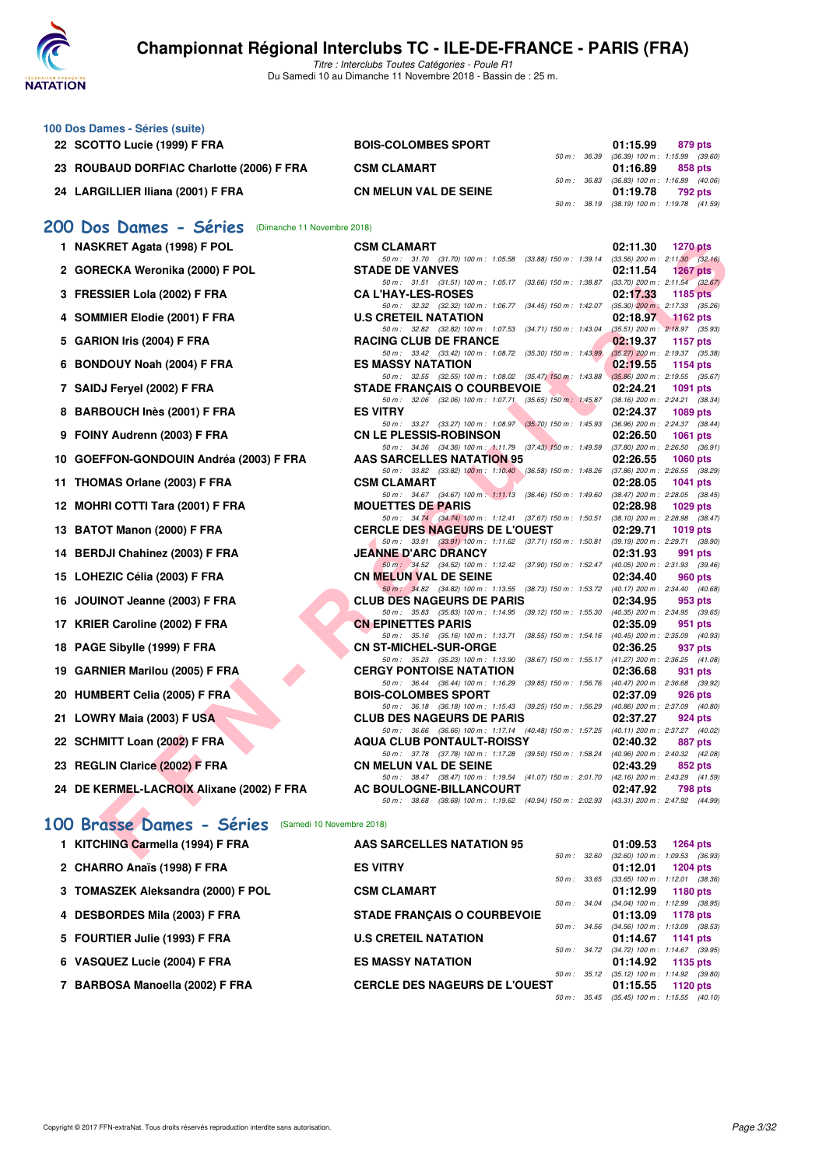

| 100 Dos Dames - Séries (suite)                        |                                                                                                                                  |                                                             |
|-------------------------------------------------------|----------------------------------------------------------------------------------------------------------------------------------|-------------------------------------------------------------|
| 22 SCOTTO Lucie (1999) F FRA                          | <b>BOIS-COLOMBES SPORT</b>                                                                                                       | 01:15.99<br>879 pts                                         |
| 23 ROUBAUD DORFIAC Charlotte (2006) F FRA             | 50 m : 36.39<br><b>CSM CLAMART</b>                                                                                               | $(36.39)$ 100 m : 1:15.99 $(39.60)$<br>01:16.89<br>858 pts  |
|                                                       | 50 m : 36.83                                                                                                                     | $(36.83)$ 100 m : 1:16.89 $(40.06)$                         |
| 24 LARGILLIER Iliana (2001) F FRA                     | <b>CN MELUN VAL DE SEINE</b>                                                                                                     | 01:19.78<br>792 pts                                         |
|                                                       | 50 m : 38.19                                                                                                                     | $(38.19)$ 100 m : 1:19.78 $(41.59)$                         |
| 200 Dos Dames - Séries<br>(Dimanche 11 Novembre 2018) |                                                                                                                                  |                                                             |
| 1 NASKRET Agata (1998) F POL                          | <b>CSM CLAMART</b>                                                                                                               | 02:11.30<br><b>1270 pts</b>                                 |
|                                                       | 50 m: 31.70 (31.70) 100 m: 1:05.58 (33.88) 150 m: 1:39.14 (33.56) 200 m: 2:11.30 (32.16)                                         |                                                             |
| 2 GORECKA Weronika (2000) F POL                       | <b>STADE DE VANVES</b>                                                                                                           | 02:11.54<br>1267 $pts$                                      |
| 3 FRESSIER Lola (2002) F FRA                          | 50 m: 31.51 (31.51) 100 m: 1:05.17 (33.66) 150 m: 1:38.87 (33.70) 200 m: 2:11.54 (32.67)<br><b>CA L'HAY-LES-ROSES</b>            | 02:17.33<br>1185 pts                                        |
|                                                       | 50 m: 32.32 (32.32) 100 m: 1:06.77 (34.45) 150 m: 1:42.07 (35.30) 200 m: 2:17.33 (35.26)                                         |                                                             |
| 4 SOMMIER Elodie (2001) F FRA                         | <b>U.S CRETEIL NATATION</b>                                                                                                      | 02:18.97<br>$\sim$ 1162 pts                                 |
| 5 GARION Iris (2004) F FRA                            | 50 m: 32.82 (32.82) 100 m: 1:07.53 (34.71) 150 m: 1:43.04 (35.51) 200 m: 2:18.97 (35.93)<br>RACING CLUB DE FRANCE                | 02:19.37<br>1157 pts                                        |
|                                                       | 50 m: 33.42 (33.42) 100 m: 1:08.72 (35.30) 150 m: 1:43.99 (35.27) 200 m: 2:19.37 (35.38)                                         |                                                             |
| 6 BONDOUY Noah (2004) F FRA                           | <b>ES MASSY NATATION</b>                                                                                                         | 02:19.55<br>1154 pts                                        |
| 7 SAIDJ Feryel (2002) F FRA                           | 50 m: 32.55 (32.55) 100 m: 1:08.02 (35.47) 150 m: 1:43.88 (35.86) 200 m: 2:19.55 (35.67)<br><b>STADE FRANÇAIS O COURBEVOIE</b>   | 02:24.21<br>1091 pts                                        |
|                                                       | 50 m: 32.06 (32.06) 100 m: 1:07.71 (35.65) 150 m: 1:45.87 (38.16) 200 m: 2:24.21 (38.34)                                         |                                                             |
| 8 BARBOUCH Inès (2001) F FRA                          | <b>ES VITRY</b>                                                                                                                  | 02:24.37<br>1089 pts                                        |
| 9 FOINY Audrenn (2003) F FRA                          | 50 m: 33.27 (33.27) 100 m: 1:08.97 (35.70) 150 m: 1:45.93 (36.96) 200 m: 2:24.37 (38.44)<br><b>CN LE PLESSIS-ROBINSON</b>        | 02:26.50<br>1061 pts                                        |
|                                                       | 50 m: 34.36 (34.36) 100 m: 1:11.79 (37.43) 150 m: 1:49.59 (37.80) 200 m: 2:26.50 (36.91)                                         |                                                             |
| 10 GOEFFON-GONDOUIN Andréa (2003) F FRA               | <b>AAS SARCELLES NATATION 95</b>                                                                                                 | 02:26.55<br>1060 pts                                        |
|                                                       | 50 m: 33.82 (33.82) 100 m: 1:10.40 (36.58) 150 m: 1:48.26 (37.86) 200 m: 2:26.55 (38.29)                                         |                                                             |
| 11 THOMAS Orlane (2003) F FRA                         | <b>CSM CLAMART</b><br>50 m : 34.67 (34.67) 100 m : 1:11.13 (36.46) 150 m : 1:49.60                                               | 02:28.05<br>1041 pts<br>$(38.47)$ 200 m : 2:28.05 $(38.45)$ |
| 12 MOHRI COTTI Tara (2001) F FRA                      | <b>MOUETTES DE PARIS</b>                                                                                                         | 02:28.98<br>$1029$ pts                                      |
|                                                       | 50 m: 34.74 (34.74) 100 m: 1:12.41 (37.67) 150 m: 1:50.51 (38.10) 200 m: 2:28.98 (38.47)                                         |                                                             |
| 13 BATOT Manon (2000) F FRA                           | <b>CERCLE DES NAGEURS DE L'OUEST</b><br>50 m: 33.91 (33.91) 100 m: 1:11.62 (37.71) 150 m: 1:50.81 (39.19) 200 m: 2:29.71 (38.90) | 02:29.71<br>1019 pts                                        |
| 14 BERDJI Chahinez (2003) F FRA                       | <b>JEANNE D'ARC DRANCY</b>                                                                                                       | 02:31.93<br>991 pts                                         |
|                                                       | 50 m: 34.52 (34.52) 100 m: 1:12.42 (37.90) 150 m: 1:52.47 (40.05) 200 m: 2:31.93 (39.46)                                         |                                                             |
| 15 LOHEZIC Célia (2003) F FRA                         | <b>CN MELUN VAL DE SEINE</b><br>50 m : 34.82 (34.82) 100 m : 1:13.55 (38.73) 150 m : 1:53.72 (40.17) 200 m : 2:34.40 (40.68)     | 02:34.40<br>960 pts                                         |
| 16 JOUINOT Jeanne (2003) F FRA                        | <b>CLUB DES NAGEURS DE PARIS</b>                                                                                                 | 02:34.95<br>953 pts                                         |
|                                                       | 50 m: 35.83 (35.83) 100 m: 1:14.95 (39.12) 150 m: 1:55.30 (40.35) 200 m: 2:34.95 (39.65)                                         |                                                             |
| 17 KRIER Caroline (2002) F FRA                        | <b>CN EPINETTES PARIS</b><br>50 m: 35.16 (35.16) 100 m: 1:13.71 (38.55) 150 m: 1:54.16 (40.45) 200 m: 2:35.09 (40.93)            | 02:35.09<br>951 pts                                         |
| 18 PAGE Sibylle (1999) F FRA                          | <b>CN ST-MICHEL-SUR-ORGE</b>                                                                                                     | 02:36.25<br>937 pts                                         |
|                                                       | 50 m: 35.23 (35.23) 100 m: 1:13.90 (38.67) 150 m: 1:55.17 (41.27) 200 m: 2:36.25 (41.08)                                         |                                                             |
| 19 GARNIER Marilou (2005) F FRA                       | <b>CERGY PONTOISE NATATION</b>                                                                                                   | 02:36.68<br>931 pts                                         |
| 20 HUMBERT Celia (2005) F FRA                         | 50 m: 36.44 (36.44) 100 m: 1:16.29 (39.85) 150 m: 1:56.76 (40.47) 200 m: 2:36.68 (39.92)<br><b>BOIS-COLOMBES SPORT</b>           | 02:37.09<br>926 pts                                         |
|                                                       | 50 m : 36.18 (36.18) 100 m : 1:15.43 (39.25) 150 m : 1:56.29 (40.86) 200 m : 2:37.09 (40.80)                                     |                                                             |
| 21 LOWRY Maia (2003) F USA                            | <b>CLUB DES NAGEURS DE PARIS</b>                                                                                                 | 02:37.27<br>924 pts                                         |
| 22 SCHMITT Loan (2002) F FRA                          | 50 m: 36.66 (36.66) 100 m: 1:17.14 (40.48) 150 m: 1:57.25 (40.11) 200 m: 2:37.27 (40.02)<br>AQUA CLUB PONTAULT-ROISSY            | 02:40.32<br>887 pts                                         |
|                                                       | 50 m : 37.78 (37.78) 100 m : 1:17.28 (39.50) 150 m : 1:58.24                                                                     | $(40.96)$ 200 m : 2:40.32 $(42.08)$                         |
| 23 REGLIN Clarice (2002) F FRA                        | <b>CN MELUN VAL DE SEINE</b>                                                                                                     | 02:43.29<br>852 pts                                         |
| 24 DE KERMEL-LACROIX Alixane (2002) F FRA             | 50 m: 38.47 (38.47) 100 m: 1:19.54 (41.07) 150 m: 2:01.70 (42.16) 200 m: 2:43.29 (41.59)<br><b>AC BOULOGNE-BILLANCOURT</b>       | 02:47.92<br>798 pts                                         |
|                                                       | 50 m: 38.68 (38.68) 100 m: 1:19.62 (40.94) 150 m: 2:02.93 (43.31) 200 m: 2:47.92 (44.99)                                         |                                                             |
|                                                       |                                                                                                                                  |                                                             |
| 100 Brasse Dames - Séries                             | (Samedi 10 Novembre 2018)                                                                                                        |                                                             |
| 1 KITCHING Carmella (1994) F FRA                      | AAS SARCELLES NATATION 95                                                                                                        | 01:09.53<br><b>1264 pts</b>                                 |
|                                                       |                                                                                                                                  | 50 m : 32.60 (32.60) 100 m : 1:09.53 (36.93)                |

| 1 KITCHING Carmella (1994) F FRA   | AAS SARCELLES NATATION 95            |              |              | 01:09.53                                     | <b>1264 pts</b> |  |
|------------------------------------|--------------------------------------|--------------|--------------|----------------------------------------------|-----------------|--|
|                                    |                                      |              |              | 50 m : 32.60 (32.60) 100 m : 1:09.53 (36.93) |                 |  |
| 2 CHARRO Anaïs (1998) F FRA        | <b>ES VITRY</b>                      |              |              | 01:12.01                                     | <b>1204 pts</b> |  |
|                                    |                                      |              |              | 50 m: 33.65 (33.65) 100 m: 1:12.01 (38.36)   |                 |  |
| 3 TOMASZEK Aleksandra (2000) F POL | <b>CSM CLAMART</b>                   |              |              | 01:12.99                                     | 1180 pts        |  |
|                                    |                                      |              |              | 50 m: 34.04 (34.04) 100 m: 1:12.99 (38.95)   |                 |  |
| 4 DESBORDES Mila (2003) F FRA      | <b>STADE FRANCAIS O COURBEVOIE</b>   |              |              | 01:13.09                                     | 1178 pts        |  |
|                                    |                                      |              |              | 50 m: 34.56 (34.56) 100 m: 1:13.09 (38.53)   |                 |  |
| 5 FOURTIER Julie (1993) F FRA      | <b>U.S CRETEIL NATATION</b>          |              |              | $01:14.67$ 1141 pts                          |                 |  |
|                                    |                                      |              |              | 50 m: 34.72 (34.72) 100 m: 1:14.67 (39.95)   |                 |  |
| 6 VASQUEZ Lucie (2004) F FRA       | <b>ES MASSY NATATION</b>             |              |              | $01:14.92$ 1135 pts                          |                 |  |
|                                    |                                      |              | 50 m : 35.12 | $(35.12)$ 100 m : 1:14.92 $(39.80)$          |                 |  |
| 7 BARBOSA Manoella (2002) F FRA    | <b>CERCLE DES NAGEURS DE L'OUEST</b> |              |              | $01:15.55$ 1120 pts                          |                 |  |
|                                    |                                      | 50 m : 35.45 |              | $(35.45)$ 100 m : 1:15.55 $(40.10)$          |                 |  |
|                                    |                                      |              |              |                                              |                 |  |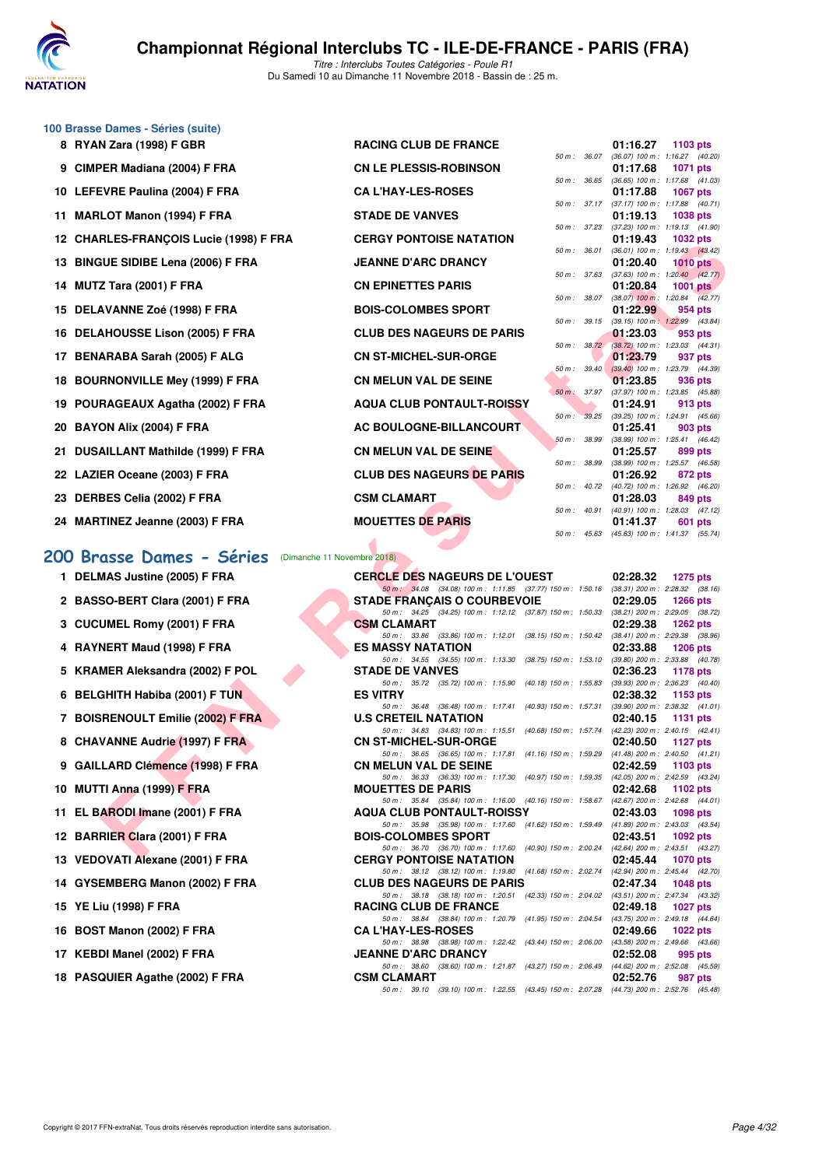

#### **100 Brasse Dames - Séries (suite)**

|    | 8 RYAN Zara (1998) F GBR               |
|----|----------------------------------------|
|    | 9 CIMPER Madiana (2004) F FRA          |
|    | 10 LEFEVRE Paulina (2004) F FRA        |
|    | 11 MARLOT Manon (1994) F FRA           |
|    | 12 CHARLES-FRANCOIS Lucie (1998) F FRA |
|    | 13 BINGUE SIDIBE Lena (2006) F FRA     |
|    | 14 MUTZ Tara (2001) F FRA              |
|    | 15 DELAVANNE Zoé (1998) F FRA          |
|    | 16 DELAHOUSSE Lison (2005) F FRA       |
|    | 17 BENARABA Sarah (2005) F ALG         |
|    | 18 BOURNONVILLE Mey (1999) F FRA       |
| 19 | POURAGEAUX Agatha (2002) F FRA         |
|    | 20 BAYON Alix (2004) F FRA             |
|    | 21 DUSAILLANT Mathilde (1999) F FRA    |
|    | 22 LAZIER Oceane (2003) F FRA          |
|    | 23 DERBES Celia (2002) F FRA           |
|    | 24 MARTINEZ Jeanne (2003) F FRA        |
|    |                                        |

| <b>U Brasse Dames - Series (Suite)</b> |                                  |                  |                                                          |                 |                |
|----------------------------------------|----------------------------------|------------------|----------------------------------------------------------|-----------------|----------------|
| 8 RYAN Zara (1998) F GBR               | <b>RACING CLUB DE FRANCE</b>     |                  | 01:16.27                                                 | 1103 $pts$      |                |
|                                        |                                  |                  | 50 m: 36.07 (36.07) 100 m: 1:16.27 (40.20)               |                 |                |
| 9 CIMPER Madiana (2004) F FRA          | <b>CN LE PLESSIS-ROBINSON</b>    |                  | 01:17.68<br>50 m: 36.65 (36.65) 100 m: 1:17.68 (41.03)   | <b>1071 pts</b> |                |
| 10 LEFEVRE Paulina (2004) F FRA        | <b>CA L'HAY-LES-ROSES</b>        |                  | 01:17.88                                                 | 1067 pts        |                |
|                                        |                                  |                  | 50 m: 37.17 (37.17) 100 m: 1:17.88 (40.71)               |                 |                |
| 11 MARLOT Manon (1994) F FRA           | <b>STADE DE VANVES</b>           |                  | 01:19.13                                                 | 1038 pts        |                |
|                                        |                                  |                  | 50 m: 37.23 (37.23) 100 m: 1:19.13 (41.90)               |                 |                |
| 12 CHARLES-FRANÇOIS Lucie (1998) F FRA | <b>CERGY PONTOISE NATATION</b>   |                  | $01:19.43$ 1032 pts                                      |                 |                |
| 13 BINGUE SIDIBE Lena (2006) F FRA     | <b>JEANNE D'ARC DRANCY</b>       |                  | 50 m: 36.01 (36.01) 100 m: 1:19.43 (43.42)<br>01:20.40   | $1010$ pts      |                |
|                                        |                                  |                  | 50 m: 37.63 (37.63) 100 m: 1:20.40 (42.77)               |                 |                |
| 14 MUTZ Tara (2001) F FRA              | <b>CN EPINETTES PARIS</b>        |                  | 01:20.84                                                 | 1001 pts        |                |
|                                        |                                  |                  | 50 m: 38.07 (38.07) 100 m: 1:20.84 (42.77)               |                 |                |
| 15 DELAVANNE Zoé (1998) F FRA          | <b>BOIS-COLOMBES SPORT</b>       |                  | 01:22.99                                                 |                 | 954 pts        |
| 16 DELAHOUSSE Lison (2005) F FRA       | <b>CLUB DES NAGEURS DE PARIS</b> |                  | 50 m: 39.15 (39.15) 100 m: 1:22.99 (43.84)<br>01:23.03   |                 | 953 pts        |
|                                        |                                  |                  | 50 m: 38.72 (38.72) 100 m: 1:23.03 (44.31)               |                 |                |
| 17 BENARABA Sarah (2005) F ALG         | <b>CN ST-MICHEL-SUR-ORGE</b>     |                  | 01:23.79                                                 |                 | 937 pts        |
|                                        |                                  |                  | 50 m: 39.40 (39.40) 100 m: 1:23.79 (44.39)               |                 |                |
| 18 BOURNONVILLE Mey (1999) F FRA       | <b>CN MELUN VAL DE SEINE</b>     |                  | 01:23.85                                                 |                 | 936 pts        |
|                                        |                                  |                  | 50 m: 37.97 (37.97) 100 m: 1:23.85 (45.88)               |                 |                |
| 19 POURAGEAUX Agatha (2002) F FRA      | <b>AQUA CLUB PONTAULT-ROISSY</b> |                  | 01:24.91<br>50 m : 39.25 (39.25) 100 m : 1:24.91 (45.66) |                 | <b>913 pts</b> |
| 20 BAYON Alix (2004) F FRA             | AC BOULOGNE-BILLANCOURT          |                  | 01:25.41                                                 |                 | <b>903 pts</b> |
|                                        |                                  | 50 m : 38.99     | $(38.99)$ 100 m : 1:25.41 $(46.42)$                      |                 |                |
| 21 DUSAILLANT Mathilde (1999) F FRA    | <b>CN MELUN VAL DE SEINE</b>     |                  | 01:25.57                                                 |                 | 899 pts        |
|                                        |                                  |                  | 50 m : 38.99 (38.99) 100 m : 1:25.57 (46.58)             |                 |                |
| 22 LAZIER Oceane (2003) F FRA          | <b>CLUB DES NAGEURS DE PARIS</b> |                  | 01:26.92<br>50 m: 40.72 (40.72) 100 m: 1:26.92 (46.20)   |                 | 872 pts        |
| 23 DERBES Celia (2002) F FRA           | <b>CSM CLAMART</b>               |                  | 01:28.03                                                 |                 | 849 pts        |
|                                        |                                  | $50 m$ : $40.91$ | $(40.91)$ 100 m : 1:28.03 $(47.12)$                      |                 |                |
| 24 MARTINEZ Jeanne (2003) F FRA        | <b>MOUETTES DE PARIS</b>         |                  | 01:41.37                                                 |                 | <b>601 pts</b> |

#### **[200 Brasse Dames - Séries](http://www.ffnatation.fr/webffn/resultats.php?idact=nat&go=epr&idcpt=56389&idepr=23)** (Dimanche 11 Novembre 2018)

- **1 DELMAS Justine (2005) F FRA**
- 2 BASSO-BERT Clara (2001) F FRA
- **3 CUCUMEL Romy (2001) F FRA**
- **4 RAYNERT Maud (1998) F FRA**
- 5 KRAMER Aleksandra (2002) F POL
- 
- 
- 
- **9 GAILLARD Clémence (1998) F FRA**
- 
- 
- **12 BARRIER Clara (2001) F FRA**
- **13 VEDOVATI Alexane (2001) F FRA**
- 
- **15 YE Liu (1998) F FRA RACING CLUB DE FRANCE 02:49.18 1027 pts**
- **16 BOST Manon (2002) F FRA**
- 
- 18 PASQUIER Agathe (2002) F FRA

| <b>IZ CHARLES-FRANÇOIS LUCIE (1990) F FRA</b>           | <u>VENUT FUNTUIJE INATATIUN</u>                                                                                                    |              | U I . I J.4J | ⊥ບວ∠ µເຣ                                          |
|---------------------------------------------------------|------------------------------------------------------------------------------------------------------------------------------------|--------------|--------------|---------------------------------------------------|
| 13 BINGUE SIDIBE Lena (2006) F FRA                      | <b>JEANNE D'ARC DRANCY</b>                                                                                                         | 50 m : 36.01 | 01:20.40     | $(36.01)$ 100 m : 1:19.43 $(43.42)$<br>$1010$ pts |
| 14 MUTZ Tara (2001) F FRA                               | <b>CN EPINETTES PARIS</b>                                                                                                          | 50 m : 37.63 | 01:20.84     | $(37.63)$ 100 m : 1:20.40 $(42.77)$<br>1001 $pts$ |
| 15 DELAVANNE Zoé (1998) F FRA                           | <b>BOIS-COLOMBES SPORT</b>                                                                                                         | 50 m : 38.07 | 01:22.99     | $(38.07)$ 100 m : 1:20.84 $(42.77)$<br>954 pts    |
| 16 DELAHOUSSE Lison (2005) F FRA                        | <b>CLUB DES NAGEURS DE PARIS</b>                                                                                                   | 50 m : 39.15 | 01:23.03     | $(39.15)$ 100 m : 1:22.99 $(43.84)$<br>953 pts    |
|                                                         |                                                                                                                                    | 50 m: 38.72  |              | (38.72) 100 m : 1:23.03 (44.31)                   |
| 17 BENARABA Sarah (2005) F ALG                          | <b>CN ST-MICHEL-SUR-ORGE</b>                                                                                                       | 50 m: 39.40  | 01:23.79     | 937 pts<br>$(39.40)$ 100 m : 1:23.79 $(44.39)$    |
| 18 BOURNONVILLE Mey (1999) F FRA                        | <b>CN MELUN VAL DE SEINE</b>                                                                                                       | 50 m : 37.97 | 01:23.85     | 936 pts<br>$(37.97)$ 100 m : 1:23.85 $(45.88)$    |
| 19 POURAGEAUX Agatha (2002) F FRA                       | <b>AQUA CLUB PONTAULT-ROISSY</b>                                                                                                   | 50 m : 39.25 | 01:24.91     | 913 pts<br>$(39.25)$ 100 m : 1:24.91 $(45.66)$    |
| 20 BAYON Alix (2004) F FRA                              | AC BOULOGNE-BILLANCOURT                                                                                                            |              | 01:25.41     | 903 pts                                           |
| 21 DUSAILLANT Mathilde (1999) F FRA                     | <b>CN MELUN VAL DE SEINE</b>                                                                                                       | 50 m : 38.99 | 01:25.57     | (38.99) 100 m: 1:25.41 (46.42)<br>899 pts         |
| 22 LAZIER Oceane (2003) F FRA                           | <b>CLUB DES NAGEURS DE PARIS</b>                                                                                                   | 50 m : 38.99 | 01:26.92     | (38.99) 100 m : 1:25.57 (46.58)<br>872 pts        |
|                                                         |                                                                                                                                    | 50 m : 40.72 |              | (40.72) 100 m : 1:26.92 (46.20)                   |
| 23 DERBES Celia (2002) F FRA                            | <b>CSM CLAMART</b>                                                                                                                 | 50 m : 40.91 | 01:28.03     | 849 pts<br>$(40.91)$ 100 m : 1:28.03 $(47.12)$    |
| 24 MARTINEZ Jeanne (2003) F FRA                         | <b>MOUETTES DE PARIS</b>                                                                                                           |              | 01:41.37     | 601 pts                                           |
|                                                         |                                                                                                                                    | 50 m: 45.63  |              | $(45.63)$ 100 m : 1:41.37 $(55.74)$               |
| 00 Brasse Dames - Séries<br>(Dimanche 11 Novembre 2018) |                                                                                                                                    |              |              |                                                   |
| 1 DELMAS Justine (2005) F FRA                           | <b>CERCLE DES NAGEURS DE L'OUEST</b>                                                                                               |              | 02:28.32     | 1275 pts                                          |
| 2 BASSO-BERT Clara (2001) F FRA                         | 50 m : 34.08 (34.08) 100 m : 1:11.85 (37.77) 150 m : 1:50.16 (38.31) 200 m : 2:28.32 (38.16)<br><b>STADE FRANÇAIS O COURBEVOIE</b> |              | 02:29.05     | <b>1266 pts</b>                                   |
|                                                         | 50 m: 34.25 (34.25) 100 m: 1:12.12 (37.87) 150 m: 1:50.33 (38.21) 200 m: 2:29.05 (38.72)                                           |              |              |                                                   |
| 3 CUCUMEL Romy (2001) F FRA                             | <b>CSM CLAMART</b><br>50 m: 33.86 (33.86) 100 m: 1:12.01 (38.15) 150 m: 1:50.42 (38.41) 200 m: 2:29.38 (38.96)                     |              | 02:29.38     | <b>1262 pts</b>                                   |
| 4 RAYNERT Maud (1998) F FRA                             | <b>ES MASSY NATATION</b>                                                                                                           |              | 02:33.88     | <b>1206 pts</b>                                   |
| 5 KRAMER Aleksandra (2002) F POL                        | 50 m: 34.55 (34.55) 100 m: 1:13.30 (38.75) 150 m: 1:53.10<br><b>STADE DE VANVES</b>                                                |              | 02:36.23     | (39.80) 200 m : 2:33.88 (40.78)<br>1178 pts       |
| 6 BELGHITH Habiba (2001) F TUN                          | 50 m : 35.72 (35.72) 100 m : 1:15.90 (40.18) 150 m : 1:55.83<br><b>ES VITRY</b>                                                    |              | 02:38.32     | $(39.93)$ 200 m : 2:36.23 $(40.40)$<br>1153 pts   |
|                                                         | 50 m: 36.48 (36.48) 100 m: 1:17.41 (40.93) 150 m: 1:57.31 (39.90) 200 m: 2:38.32 (41.01)                                           |              |              |                                                   |
| 7 BOISRENOULT Emilie (2002) F FRA                       | <b>U.S CRETEIL NATATION</b><br>50 m : 34.83 (34.83) 100 m : 1:15.51 (40.68) 150 m : 1:57.74                                        |              | 02:40.15     | 1131 pts<br>$(42.23)$ 200 m : 2:40.15 $(42.41)$   |
| 8 CHAVANNE Audrie (1997) F FRA                          | <b>CN ST-MICHEL-SUR-ORGE</b>                                                                                                       |              | 02:40.50     | <b>1127 pts</b>                                   |
| 9 GAILLARD Clémence (1998) F FRA                        | 50 m : 36.65 (36.65) 100 m : 1:17.81 (41.16) 150 m : 1:59.29<br><b>CN MELUN VAL DE SEINE</b>                                       |              | 02:42.59     | $(41.48)$ 200 m : 2:40.50 $(41.21)$<br>1103 $pts$ |
|                                                         | 50 m : 36.33 (36.33) 100 m : 1:17.30 (40.97) 150 m : 1:59.35 (42.05) 200 m : 2:42.59 (43.24)                                       |              |              |                                                   |
| 10 MUTTI Anna (1999) F FRA                              | <b>MOUETTES DE PARIS</b><br>50 m: 35.84 (35.84) 100 m: 1:16.00 (40.16) 150 m: 1:58.67 (42.67) 200 m: 2:42.68 (44.01)               |              | 02:42.68     | 1102 pts                                          |
| 11 EL BARODI Imane (2001) F FRA                         | <b>AQUA CLUB PONTAULT-ROISSY</b>                                                                                                   |              | 02:43.03     | 1098 pts                                          |
| 12 BARRIER Clara (2001) F FRA                           | 50 m: 35.98 (35.98) 100 m: 1:17.60 (41.62) 150 m: 1:59.49 (41.89) 200 m: 2:43.03 (43.54)<br><b>BOIS-COLOMBES SPORT</b>             |              | 02:43.51     | 1092 pts                                          |
| 13 VEDOVATI Alexane (2001) F FRA                        | 50 m: 36.70 (36.70) 100 m: 1:17.60 (40.90) 150 m: 2:00.24 (42.64) 200 m: 2:43.51 (43.27)<br><b>CERGY PONTOISE NATATION</b>         |              | 02:45.44     | 1070 pts                                          |
|                                                         | 50 m: 38.12 (38.12) 100 m: 1:19.80 (41.68) 150 m: 2:02.74 (42.94) 200 m: 2:45.44 (42.70)                                           |              |              |                                                   |
| 14 GYSEMBERG Manon (2002) F FRA                         | <b>CLUB DES NAGEURS DE PARIS</b><br>50 m: 38.18 (38.18) 100 m: 1:20.51 (42.33) 150 m: 2:04.02 (43.51) 200 m: 2:47.34 (43.32)       |              | 02:47.34     | <b>1048 pts</b>                                   |
| 15 YE Liu (1998) F FRA                                  | <b>RACING CLUB DE FRANCE</b>                                                                                                       |              | 02:49.18     | <b>1027 pts</b>                                   |
| 16 BOST Manon (2002) F FRA                              | 50 m: 38.84 (38.84) 100 m: 1:20.79 (41.95) 150 m: 2:04.54 (43.75) 200 m: 2:49.18 (44.64)<br><b>CA L'HAY-LES-ROSES</b>              |              | 02:49.66     | <b>1022 pts</b>                                   |
| 17 KEBDI Manel (2002) F FRA                             | 50 m: 38.98 (38.98) 100 m: 1:22.42 (43.44) 150 m: 2:06.00 (43.58) 200 m: 2:49.66 (43.66)<br><b>JEANNE D'ARC DRANCY</b>             |              | 02:52.08     | 995 pts                                           |
|                                                         | 50 m: 38.60 (38.60) 100 m: 1:21.87 (43.27) 150 m: 2:06.49 (44.62) 200 m: 2:52.08 (45.59)                                           |              |              |                                                   |
| 18 PASQUIER Agathe (2002) F FRA                         | <b>CSM CLAMART</b><br>50 m: 39.10 (39.10) 100 m: 1:22.55 (43.45) 150 m: 2:07.28 (44.73) 200 m: 2:52.76 (45.48)                     |              | 02:52.76     | 987 pts                                           |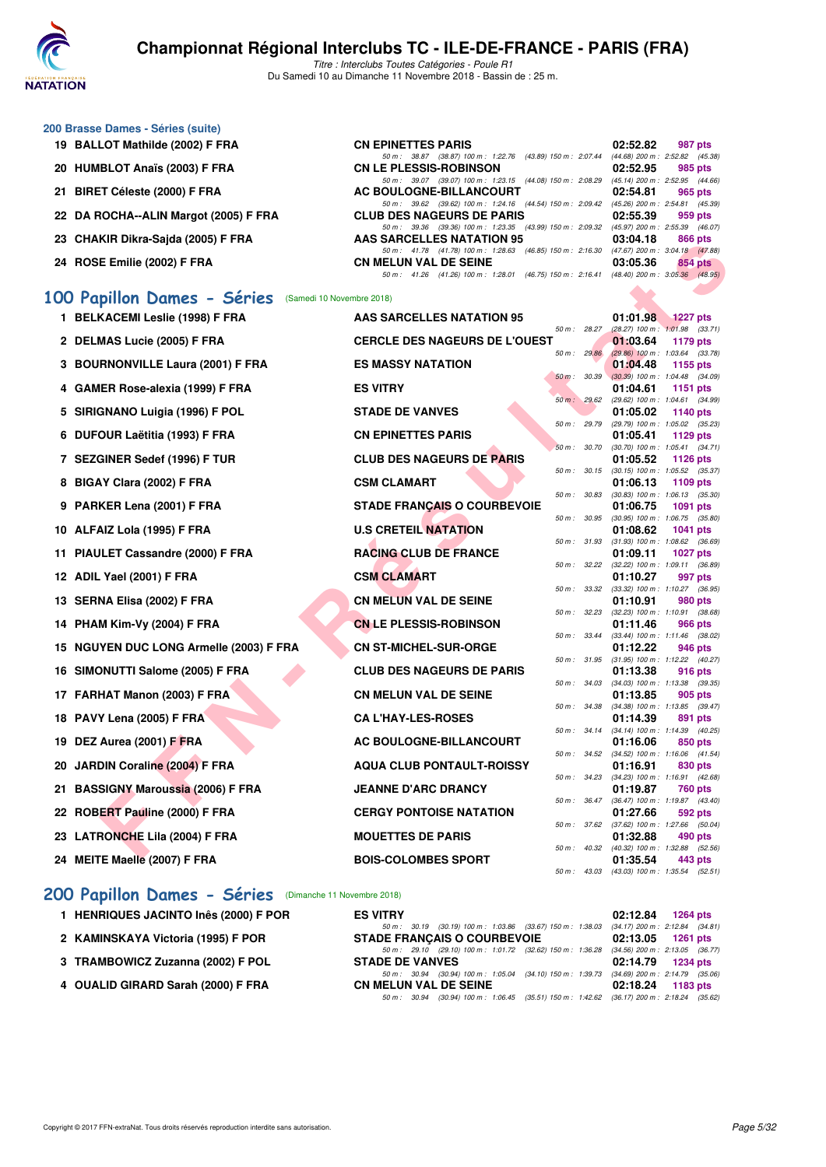

Titre : Interclubs Toutes Catégories - Poule R1 Du Samedi 10 au Dimanche 11 Novembre 2018 - Bassin de : 25 m.

| 200 Brasse Dames - Séries (suite)     |                                                                      |          |                                     |
|---------------------------------------|----------------------------------------------------------------------|----------|-------------------------------------|
| 19 BALLOT Mathilde (2002) F FRA       | <b>CN EPINETTES PARIS</b>                                            | 02:52.82 | 987 pts                             |
|                                       | 50 m: 38.87 (38.87) 100 m: 1:22.76 (43.89) 150 m: 2:07.44            |          | $(44.68)$ 200 m : 2:52.82 $(45.38)$ |
| 20 HUMBLOT Anaïs (2003) F FRA         | <b>CN LE PLESSIS-ROBINSON</b>                                        | 02:52.95 | 985 pts                             |
|                                       | 50 m: 39.07 (39.07) 100 m: 1:23.15 (44.08) 150 m: 2:08.29            |          | $(45.14)$ 200 m : 2:52.95 $(44.66)$ |
| 21 BIRET Céleste (2000) F FRA         | AC BOULOGNE-BILLANCOURT                                              | 02:54.81 | 965 pts                             |
|                                       | 50 m: 39.62 (39.62) 100 m: 1:24.16 (44.54) 150 m: 2:09.42            |          | $(45.26)$ 200 m : 2:54.81 $(45.39)$ |
| 22 DA ROCHA--ALIN Margot (2005) F FRA | <b>CLUB DES NAGEURS DE PARIS</b>                                     | 02:55.39 | 959 pts                             |
|                                       | 50 m: 39.36 (39.36) 100 m: 1:23.35 (43.99) 150 m: 2:09.32            |          | $(45.97)$ 200 m : 2:55.39 $(46.07)$ |
| 23 CHAKIR Dikra-Sajda (2005) F FRA    | AAS SARCELLES NATATION 95                                            | 03:04.18 | 866 pts                             |
|                                       | 50 m: 41.78 (41.78) 100 m: 1:28.63 (46.85) 150 m: 2:16.30            |          | $(47.67)$ 200 m : 3:04.18 $(47.88)$ |
| 24 ROSE Emilie (2002) F FRA           | <b>CN MELUN VAL DE SEINE</b>                                         | 03:05.36 | 854 pts                             |
|                                       | $(46.75)$ 150 m : 2:16.41<br>(41.26) 100 m : 1:28.01<br>50 m : 41.26 |          | $(48.40)$ 200 m : 3:05.36 $(48.95)$ |
|                                       |                                                                      |          |                                     |

#### **[100 Papillon Dames - Séries](http://www.ffnatation.fr/webffn/resultats.php?idact=nat&go=epr&idcpt=56389&idepr=32)** (Samedi 10 Novembre 2018)

| 23 - VIIANIN DINIA JAJUA (2003) F FNA                | AAS SANGELLES NATATION 93                                                                                                |              | 03.04.10                                        |                 | <b>OUU PIS</b> |
|------------------------------------------------------|--------------------------------------------------------------------------------------------------------------------------|--------------|-------------------------------------------------|-----------------|----------------|
|                                                      | 50 m: 41.78 (41.78) 100 m: 1:28.63 (46.85) 150 m: 2:16.30 (47.67) 200 m: 3:04.18 (47.88)                                 |              |                                                 |                 |                |
| 24 ROSE Emilie (2002) F FRA                          | <b>CN MELUN VAL DE SEINE</b><br>50 m: 41.26 (41.26) 100 m: 1:28.01 (46.75) 150 m: 2:16.41 (48.40) 200 m: 3:05.36 (48.95) |              | 03:05.36                                        |                 | 854 pts        |
|                                                      |                                                                                                                          |              |                                                 |                 |                |
| 00 Papillon Dames - Séries (Samedi 10 Novembre 2018) |                                                                                                                          |              |                                                 |                 |                |
| 1 BELKACEMI Leslie (1998) F FRA                      | AAS SARCELLES NATATION 95                                                                                                |              | 01:01.98                                        | 1227 pts        |                |
|                                                      |                                                                                                                          | 50 m: 28.27  | $(28.27)$ 100 m : 1:01.98 $(33.71)$             |                 |                |
| 2 DELMAS Lucie (2005) F FRA                          | <b>CERCLE DES NAGEURS DE L'OUEST</b>                                                                                     |              | 01:03.64                                        | 1179 pts        |                |
| 3 BOURNONVILLE Laura (2001) F FRA                    | <b>ES MASSY NATATION</b>                                                                                                 | 50 m: 29.86  | $(29.86)$ 100 m : 1:03.64 $(33.78)$<br>01:04.48 | 1155 pts        |                |
|                                                      |                                                                                                                          | 50 m : 30.39 | $(30.39)$ 100 m : 1:04.48 $(34.09)$             |                 |                |
| 4 GAMER Rose-alexia (1999) F FRA                     | <b>ES VITRY</b>                                                                                                          |              | 01:04.61                                        | 1151 pts        |                |
|                                                      |                                                                                                                          | 50 m: 29.62  | (29.62) 100 m: 1:04.61 (34.99)                  |                 |                |
| 5 SIRIGNANO Luigia (1996) F POL                      | <b>STADE DE VANVES</b>                                                                                                   | 50 m : 29.79 | 01:05.02<br>(29.79) 100 m : 1:05.02 (35.23)     | <b>1140 pts</b> |                |
| 6 DUFOUR Laëtitia (1993) F FRA                       | <b>CN EPINETTES PARIS</b>                                                                                                |              | 01:05.41                                        | 1129 pts        |                |
|                                                      |                                                                                                                          | 50 m : 30.70 | (30.70) 100 m: 1:05.41 (34.71)                  |                 |                |
| 7 SEZGINER Sedef (1996) F TUR                        | <b>CLUB DES NAGEURS DE PARIS</b>                                                                                         |              | 01:05.52                                        | <b>1126 pts</b> |                |
| 8 BIGAY Clara (2002) F FRA                           | <b>CSM CLAMART</b>                                                                                                       | 50 m : 30.15 | $(30.15)$ 100 m : 1:05.52 $(35.37)$<br>01:06.13 | 1109 pts        |                |
|                                                      |                                                                                                                          | 50 m : 30.83 | $(30.83)$ 100 m : 1:06.13 $(35.30)$             |                 |                |
| 9 PARKER Lena (2001) F FRA                           | <b>STADE FRANÇAIS O COURBEVOIE</b>                                                                                       |              | 01:06.75                                        | 1091 pts        |                |
|                                                      |                                                                                                                          | 50 m : 30.95 | $(30.95)$ 100 m : 1:06.75 $(35.80)$             |                 |                |
| 10 ALFAIZ Lola (1995) F FRA                          | <b>U.S CRETEIL NATATION</b>                                                                                              | 50 m : 31.93 | 01:08.62<br>$(31.93)$ 100 m : 1:08.62 $(36.69)$ | 1041 pts        |                |
| 11 PIAULET Cassandre (2000) F FRA                    | <b>RACING CLUB DE FRANCE</b>                                                                                             |              | 01:09.11                                        | 1027 pts        |                |
|                                                      |                                                                                                                          | 50 m: 32.22  | $(32.22)$ 100 m : 1:09.11 $(36.89)$             |                 |                |
| 12 ADIL Yael (2001) F FRA                            | <b>CSM CLAMART</b>                                                                                                       | 50 m : 33.32 | 01:10.27                                        |                 | 997 pts        |
| 13 SERNA Elisa (2002) F FRA                          | <b>CN MELUN VAL DE SEINE</b>                                                                                             |              | (33.32) 100 m: 1:10.27 (36.95)<br>01:10.91      |                 | 980 pts        |
|                                                      |                                                                                                                          | 50 m: 32.23  | $(32.23)$ 100 m : 1:10.91 $(38.68)$             |                 |                |
| 14 PHAM Kim-Vy (2004) F FRA                          | <b>CN LE PLESSIS-ROBINSON</b>                                                                                            |              | 01:11.46                                        |                 | 966 pts        |
| 15 NGUYEN DUC LONG Armelle (2003) F FRA              | <b>CN ST-MICHEL-SUR-ORGE</b>                                                                                             | 50 m: 33.44  | (33.44) 100 m: 1:11.46 (38.02)<br>01:12.22      |                 | 946 pts        |
|                                                      |                                                                                                                          | 50 m : 31.95 | $(31.95)$ 100 m : 1:12.22 $(40.27)$             |                 |                |
| 16 SIMONUTTI Salome (2005) F FRA                     | <b>CLUB DES NAGEURS DE PARIS</b>                                                                                         |              | 01:13.38                                        |                 | 916 pts        |
|                                                      |                                                                                                                          | 50 m : 34.03 | $(34.03)$ 100 m : 1:13.38 $(39.35)$             |                 |                |
| 17 FARHAT Manon (2003) F FRA                         | <b>CN MELUN VAL DE SEINE</b>                                                                                             | 50 m : 34.38 | 01:13.85<br>$(34.38)$ 100 m : 1:13.85 $(39.47)$ |                 | 905 pts        |
| 18 PAVY Lena (2005) F FRA                            | <b>CA L'HAY-LES-ROSES</b>                                                                                                |              | 01:14.39                                        |                 | 891 pts        |
|                                                      |                                                                                                                          | 50 m: 34.14  | $(34.14)$ 100 m : 1:14.39 $(40.25)$             |                 |                |
| 19 DEZ Aurea (2001) F FRA                            | AC BOULOGNE-BILLANCOURT                                                                                                  |              | 01:16.06                                        |                 | 850 pts        |
| 20 JARDIN Coraline (2004) F FRA                      | <b>AQUA CLUB PONTAULT-ROISSY</b>                                                                                         | 50 m : 34.52 | $(34.52)$ 100 m : 1:16.06 $(41.54)$<br>01:16.91 |                 | 830 pts        |
|                                                      |                                                                                                                          | 50 m : 34.23 | $(34.23)$ 100 m : 1:16.91 $(42.68)$             |                 |                |
| 21 BASSIGNY Maroussia (2006) F FRA                   | <b>JEANNE D'ARC DRANCY</b>                                                                                               |              | 01:19.87                                        |                 | 760 pts        |
|                                                      |                                                                                                                          | 50 m: 36.47  | (36.47) 100 m: 1:19.87 (43.40)                  |                 |                |
| 22 ROBERT Pauline (2000) F FRA                       | <b>CERGY PONTOISE NATATION</b>                                                                                           | 50 m : 37.62 | 01:27.66<br>$(37.62)$ 100 m : 1:27.66 $(50.04)$ |                 | 592 pts        |
| 23 LATRONCHE Lila (2004) F FRA                       | <b>MOUETTES DE PARIS</b>                                                                                                 |              | 01:32.88                                        |                 | 490 pts        |
|                                                      |                                                                                                                          |              | 50 m : 40.32 (40.32) 100 m : 1:32.88            |                 | (52.56)        |
| 24 MEITE Maelle (2007) F FRA                         | <b>BOIS-COLOMBES SPORT</b>                                                                                               |              | 01:35.54                                        |                 | 443 pts        |
|                                                      |                                                                                                                          | 50 m : 43.03 | (43.03) 100 m: 1:35.54 (52.51)                  |                 |                |

# **200 Papillon Dames - Séries** (Dimanche 11 Novembre 2018)<br>1 HENRIQUES JACINTO Inês (2000) F POR ES VITRY

| 1 HENRIQUES JACINTO Inês (2000) F POR | <b>ES VITRY</b>                                                                          | $02:12.84$ 1264 pts |
|---------------------------------------|------------------------------------------------------------------------------------------|---------------------|
|                                       | 50 m: 30.19 (30.19) 100 m: 1:03.86 (33.67) 150 m: 1:38.03 (34.17) 200 m: 2:12.84 (34.81) |                     |
| 2 KAMINSKAYA Victoria (1995) F POR    | <b>STADE FRANCAIS O COURBEVOIE</b>                                                       | 02:13.05 1261 pts   |
|                                       | 50 m: 29.10 (29.10) 100 m: 1:01.72 (32.62) 150 m: 1:36.28 (34.56) 200 m: 2:13.05 (36.77) |                     |
| 3 TRAMBOWICZ Zuzanna (2002) F POL     | <b>STADE DE VANVES</b>                                                                   | 02:14.79 1234 pts   |
|                                       | 50 m: 30.94 (30.94) 100 m: 1:05.04 (34.10) 150 m: 1:39.73 (34.69) 200 m: 2:14.79 (35.06) |                     |
| 4 OUALID GIRARD Sarah (2000) F FRA    | <b>CN MELUN VAL DE SEINE</b>                                                             | $02:18.24$ 1183 pts |
|                                       | 50 m: 30.94 (30.94) 100 m: 1:06.45 (35.51) 150 m: 1:42.62 (36.17) 200 m: 2:18.24 (35.62) |                     |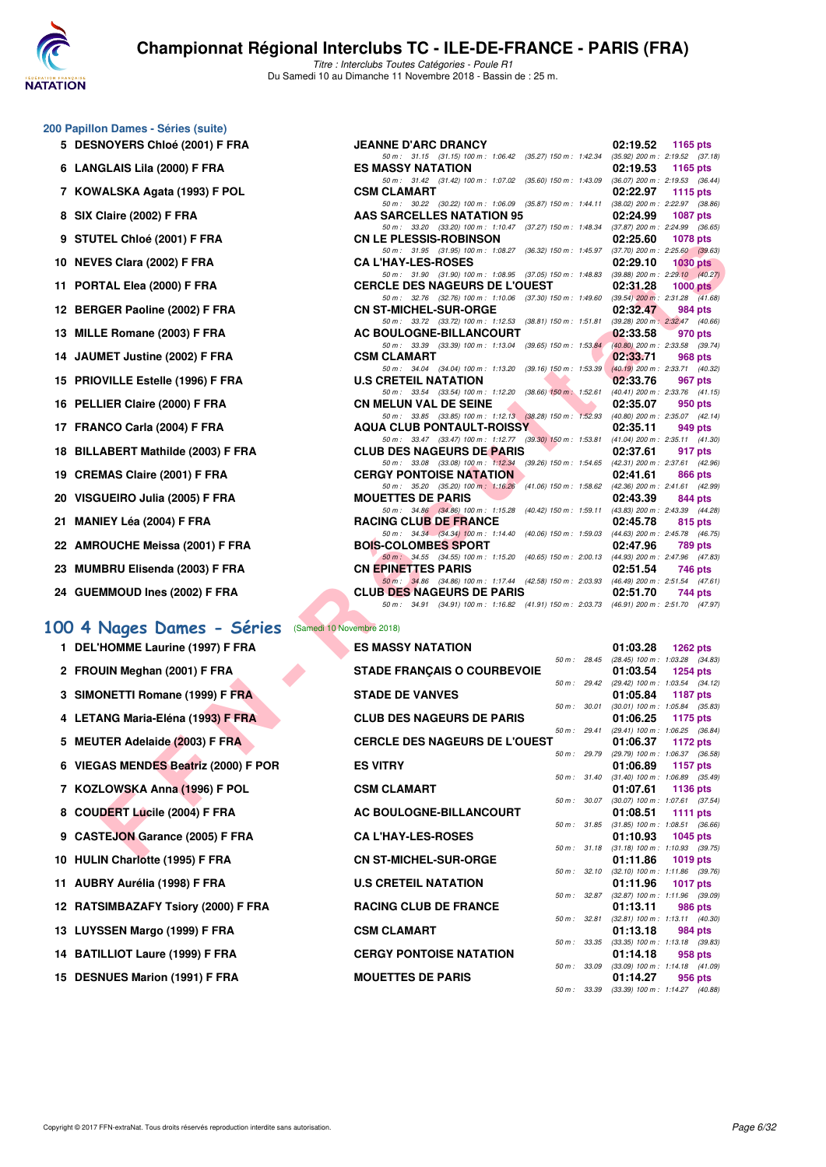

Titre : Interclubs Toutes Catégories - Poule R1 Du Samedi 10 au Dimanche 11 Novembre 2018 - Bassin de : 25 m.

#### **200 Papillon Dames - Séries (suite)**

- **5 DESNOYERS Chloé (2001) F FRA**
- **6 LANGLAIS Lila (2000) F FRA**
- **7 KOWALSKA Agata (1993) F POL**
- **8 SIX Claire (2002) F FRA**
- **9 STUTEL Chloé (2001) F FRA**
- **10 NEVES Clara (2002) F FRA**
- **11 PORTAL Elea (2000) F FRA**
- 12 BERGER Paoline (2002) F FRA
- **13 MILLE Romane (2003) F FRA**
- 14 JAUMET Justine (2002) F FRA
- **15 PRIOVILLE Estelle (1996) F FRA**
- **16 PELLIER Claire (2000) F FRA**
- 17 FRANCO Carla (2004) F FRA
- **18 BILLABERT Mathilde (2003) F FRA**
- 19 CREMAS Claire (2001) F FRA
- 20 VISGUEIRO Julia (2005) F FRA
- **21 MANIEY Léa (2004) F FRA RACING CLUB DE FRANCE 02:45.78 815 pts**
- 22 AMROUCHE Meissa (2001) F FRA
- 23 MUMBRU Elisenda (2003) F FRA
- 24 GUEMMOUD Ines (2002) F FRA

#### **[100 4 Nages Dames - Séries](http://www.ffnatation.fr/webffn/resultats.php?idact=nat&go=epr&idcpt=56389&idepr=40)** (Samedi 10 Novembre 2018)

- 1 DEL'HOMME Laurine (1997) F FRA **ES MASSY NATATION** 61:03.28
- 2 FROUIN Meghan (2001) F FRA
- **3 SIMONETTI Romane (1999) F FRA**
- **4 LETANG Maria-Eléna (1993) F FRA CLUB DES NAGEURS DE PARIS 01:06.25 1175 pts**
- **5 MEUTER Adelaide (2003) F FRA**
- **6 VIEGAS MENDES Beatriz (2000) F POR**
- **7 KOZLOWSKA Anna (1996) F POL**
- 8 COUDERT Lucile (2004) F FRA
- **9 CASTEJON Garance (2005) F FRA**
- **10 HULIN Charlotte (1995) F FRA**
- 11 AUBRY Aurélia (1998) F FRA
- **12 RATSIMBAZAFY Tsiory (2000) F FRA**
- **13 LUYSSEN Margo (1999) F FRA**
- 14 BATILLIOT Laure (1999) F FRA
- 15 DESNUES Marion (1991) F FRA

| $\mu$ , Danies – Oches (Suite)                 |                                                                                                                              |                                                                      |
|------------------------------------------------|------------------------------------------------------------------------------------------------------------------------------|----------------------------------------------------------------------|
| <b>NOYERS Chloé (2001) F FRA</b>               | <b>JEANNE D'ARC DRANCY</b>                                                                                                   | 02:19.52 1165 pts                                                    |
| GLAIS Lila (2000) F FRA                        | 50 m: 31.15 (31.15) 100 m: 1:06.42 (35.27) 150 m: 1:42.34 (35.92) 200 m: 2:19.52 (37.18)<br><b>ES MASSY NATATION</b>         | 02:19.53<br>1165 pts                                                 |
|                                                | 50 m: 31.42 (31.42) 100 m: 1:07.02 (35.60) 150 m: 1:43.09 (36.07) 200 m: 2:19.53 (36.44)                                     |                                                                      |
| /ALSKA Agata (1993) F POL                      | <b>CSM CLAMART</b>                                                                                                           | 02:22.97<br>1115 pts                                                 |
| Claire (2002) F FRA                            | 50 m: 30.22 (30.22) 100 m: 1:06.09 (35.87) 150 m: 1:44.11 (38.02) 200 m: 2:22.97 (38.86)<br><b>AAS SARCELLES NATATION 95</b> | 02:24.99                                                             |
|                                                | 50 m: 33.20 (33.20) 100 m: 1:10.47 (37.27) 150 m: 1:48.34 (37.87) 200 m: 2:24.99 (36.65)                                     | <b>1087 pts</b>                                                      |
| TEL Chloé (2001) F FRA                         | <b>CN LE PLESSIS-ROBINSON</b>                                                                                                | 02:25.60<br>1078 pts                                                 |
| ES Clara (2002) F FRA                          | 50 m: 31.95 (31.95) 100 m: 1:08.27 (36.32) 150 m: 1:45.97 (37.70) 200 m: 2:25.60 (39.63)<br><b>CA L'HAY-LES-ROSES</b>        | 02:29.10<br>1030 pts                                                 |
|                                                | 50 m: 31.90 (31.90) 100 m: 1:08.95 (37.05) 150 m: 1:48.83 (39.88) 200 m: 2:29.10 (40.27)                                     |                                                                      |
| TAL Elea (2000) F FRA                          | <b>CERCLE DES NAGEURS DE L'OUEST</b>                                                                                         | 02:31.28<br>$1000$ pts                                               |
| <b>GER Paoline (2002) F FRA</b>                | 50 m: 32.76 (32.76) 100 m: 1:10.06 (37.30) 150 m: 1:49.60 (39.54) 200 m: 2:31.28 (41.68)<br><b>CN ST-MICHEL-SUR-ORGE</b>     | 02:32.47<br>984 pts                                                  |
|                                                | 50 m: 33.72 (33.72) 100 m: 1:12.53 (38.81) 150 m: 1:51.81 (39.28) 200 m: 2:32.47 (40.66)                                     |                                                                      |
| E Romane (2003) F FRA.                         | AC BOULOGNE-BILLANCOURT                                                                                                      | 02:33.58<br>970 pts                                                  |
| MET Justine (2002) F FRA                       | 50 m: 33.39 (33.39) 100 m: 1:13.04 (39.65) 150 m: 1:53.84 (40.80) 200 m: 2:33.58 (39.74)<br><b>CSM CLAMART</b>               | 02:33.71<br>968 pts                                                  |
|                                                | 50 m: 34.04 (34.04) 100 m: 1:13.20 (39.16) 150 m: 1:53.39 (40.19) 200 m: 2:33.71 (40.32)                                     |                                                                      |
| )VILLE Estelle (1996) F FRA                    | <b>U.S CRETEIL NATATION</b>                                                                                                  | 02:33.76<br>967 pts                                                  |
| LIER Claire (2000) F FRA                       | 50 m: 33.54 (33.54) 100 m: 1:12.20 (38.66) 150 m: 1:52.61 (40.41) 200 m: 2:33.76 (41.15)<br><b>CN MELUN VAL DE SEINE</b>     | 02:35.07<br>950 pts                                                  |
|                                                | 50 m: 33.85 (33.85) 100 m: 1:12.13 (38.28) 150 m: 1:52.93 (40.80) 200 m: 2:35.07 (42.14)                                     |                                                                      |
| NCO Carla (2004) F FRA                         | <b>AQUA CLUB PONTAULT-ROISSY</b>                                                                                             | 02:35.11<br>949 pts                                                  |
| ABERT Mathilde (2003) F FRA                    | 50 m: 33.47 (33.47) 100 m: 1:12.77 (39.30) 150 m: 1:53.81 (41.04) 200 m: 2:35.11 (41.30)<br><b>CLUB DES NAGEURS DE PARIS</b> | 02:37.61<br>917 pts                                                  |
|                                                | 50 m: 33.08 (33.08) 100 m: 1:12.34 (39.26) 150 m: 1:54.65 (42.31) 200 m: 2:37.61 (42.96)                                     |                                                                      |
| <b>MAS Claire (2001) F FRA</b>                 | <b>CERGY PONTOISE NATATION</b><br>50 m: 35.20 (35.20) 100 m: 1:16.26 (41.06) 150 m: 1:58.62 (42.36) 200 m: 2:41.61 (42.99)   | 02:41.61<br>866 pts                                                  |
| <b>iUEIRO Julia (2005) F FRA</b>               | <b>MOUETTES DE PARIS</b>                                                                                                     | 02:43.39<br>844 pts                                                  |
|                                                | 50 m: 34.86 (34.86) 100 m: 1:15.28 (40.42) 150 m: 1:59.11 (43.83) 200 m: 2:43.39 (44.28)                                     |                                                                      |
| IEY Léa (2004) F FRA                           | <b>RACING CLUB DE FRANCE</b><br>50 m: 34.34 (34.34) 100 m: 1:14.40 (40.06) 150 m: 1:59.03 (44.63) 200 m: 2:45.78 (46.75)     | 02:45.78<br>815 pts                                                  |
| OUCHE Meissa (2001) F FRA                      | <b>BOIS-COLOMBES SPORT</b>                                                                                                   | 02:47.96<br><b>789 pts</b>                                           |
|                                                | 50 m: 34.55 (34.55) 100 m: 1:15.20 (40.65) 150 m: 2:00.13 (44.93) 200 m: 2:47.96 (47.83)                                     |                                                                      |
| IBRU Elisenda (2003) F FRA                     | <b>CN EPINETTES PARIS</b><br>50 m: 34.86 (34.86) 100 m: 1:17.44 (42.58) 150 m: 2:03.93 (46.49) 200 m: 2:51.54 (47.61)        | 02:51.54<br>746 pts                                                  |
| MMOUD Ines (2002) F FRA                        | <b>CLUB DES NAGEURS DE PARIS</b>                                                                                             | 02:51.70<br>744 pts                                                  |
|                                                | 50 m: 34.91 (34.91) 100 m: 1:16.82 (41.91) 150 m: 2:03.73 (46.91) 200 m: 2:51.70 (47.97)                                     |                                                                      |
| Nages Dames - Séries (Samedi 10 Novembre 2018) |                                                                                                                              |                                                                      |
| <b>HOMME Laurine (1997) F FRA</b>              | <b>ES MASSY NATATION</b>                                                                                                     | 01:03.28<br>1262 pts                                                 |
|                                                |                                                                                                                              | 50 m : 28.45 (28.45) 100 m : 1:03.28 (34.83)                         |
| UIN Meghan (2001) F FRA                        | <b>STADE FRANÇAIS O COURBEVOIE</b>                                                                                           | 01:03.54<br>1254 pts                                                 |
| <b>DNETTI Romane (1999) F FRA</b>              | <b>STADE DE VANVES</b>                                                                                                       | 50 m : 29.42 (29.42) 100 m : 1:03.54 (34.12)<br>01:05.84<br>1187 pts |
|                                                |                                                                                                                              | 50 m : 30.01 (30.01) 100 m : 1:05.84 (35.83)                         |
| ANG Maria-Eléna (1993) F FRA                   | <b>CLUB DES NAGEURS DE PARIS</b>                                                                                             | 01:06.25<br><b>1175 pts</b>                                          |
| TER Adelaide (2003) F FRA                      | <b>CERCLE DES NAGEURS DE L'OUEST</b>                                                                                         | 50 m: 29.41 (29.41) 100 m: 1:06.25 (36.84)<br>01:06.37<br>1172 pts   |
|                                                |                                                                                                                              | 50 m : 29.79 (29.79) 100 m : 1:06.37 (36.58)                         |
| <b>AS MENDES Beatriz (2000) F POR</b>          | <b>ES VITRY</b>                                                                                                              | 01:06.89<br>1157 pts                                                 |
| LOWSKA Anna (1996) F POL                       | <b>CSM CLAMART</b>                                                                                                           | 50 m: 31.40 (31.40) 100 m: 1:06.89 (35.49)<br>01:07.61<br>1136 pts   |
|                                                |                                                                                                                              | 50 m: 30.07 (30.07) 100 m: 1:07.61 (37.54)                           |
| DERT Lucile (2004) F FRA                       | AC BOULOGNE-BILLANCOURT                                                                                                      | 01:08.51<br>1111 pts                                                 |
| TEJON Garance (2005) F FRA                     | <b>CA L'HAY-LES-ROSES</b>                                                                                                    | 50 m : 31.85 (31.85) 100 m : 1:08.51 (36.66)<br>01:10.93<br>1045 pts |
|                                                |                                                                                                                              | 50 m: 31.18 (31.18) 100 m: 1:10.93 (39.75)                           |
| IN Charletta (100E) E EDA                      | ON OT MIOUEL CUB OBOE                                                                                                        | $0.4 - 4.4 - 0.0$<br>$-4040 + 4$                                     |

| ES MASSY NATATION                    |                |                  | UI:U3.28 1202 DIS                                               |  |
|--------------------------------------|----------------|------------------|-----------------------------------------------------------------|--|
|                                      |                | $50 m$ : 28.45   | (28.45) 100 m : 1:03.28 (34.83)                                 |  |
| <b>STADE FRANCAIS O COURBEVOIE</b>   |                |                  | 01:03.54 1254 pts                                               |  |
|                                      |                | 50 m : 29.42     | (29.42) 100 m: 1:03.54 (34.12)                                  |  |
| <b>STADE DE VANVES</b>               |                |                  | 01:05.84 1187 pts                                               |  |
|                                      | $50 m$ :       | 30.01            | $(30.01)$ 100 m : 1:05.84 $(35.83)$                             |  |
| <b>CLUB DES NAGEURS DE PARIS</b>     |                | $50 m$ : 29.41   | 01:06.25 1175 pts<br>(29.41) 100 m: 1:06.25 (36.84)             |  |
| <b>CERCLE DES NAGEURS DE L'OUEST</b> |                |                  | 01:06.37 1172 pts                                               |  |
|                                      |                |                  | 50 m : 29.79 (29.79) 100 m : 1:06.37 (36.58)                    |  |
| <b>ES VITRY</b>                      |                |                  | 01:06.89 1157 pts                                               |  |
|                                      |                |                  | 50 m: 31.40 (31.40) 100 m: 1:06.89 (35.49)                      |  |
| <b>CSM CLAMART</b>                   |                |                  | 01:07.61 1136 pts                                               |  |
|                                      |                | $50 m$ : $30.07$ | $(30.07)$ 100 m : 1:07.61 $(37.54)$                             |  |
| AC BOULOGNE-BILLANCOURT              |                |                  | 01:08.51 1111 pts                                               |  |
|                                      |                | 50 m : 31.85     | $(31.85)$ 100 m : 1:08.51 $(36.66)$                             |  |
| <b>CAL'HAY-LES-ROSES</b>             |                |                  | 01:10.93 1045 pts                                               |  |
| <b>CN ST-MICHEL-SUR-ORGE</b>         |                |                  | 50 m: 31.18 (31.18) 100 m: 1:10.93 (39.75)                      |  |
|                                      |                |                  | 01:11.86 1019 pts<br>50 m: 32.10 (32.10) 100 m: 1:11.86 (39.76) |  |
| <b>U.S CRETEIL NATATION</b>          |                |                  | 01:11.96 1017 pts                                               |  |
|                                      | 50 m: 32.87    |                  | (32.87) 100 m: 1:11.96 (39.09)                                  |  |
| <b>RACING CLUB DE FRANCE</b>         |                |                  | 01:13.11 986 pts                                                |  |
|                                      | $50 m$ :       | 32.81            | $(32.81)$ 100 m : 1:13.11 $(40.30)$                             |  |
| <b>CSM CLAMART</b>                   |                |                  | 01:13.18 984 pts                                                |  |
|                                      | $50 m$ : 33.35 |                  | $(33.35)$ 100 m : 1:13.18 $(39.83)$                             |  |
| <b>CERGY PONTOISE NATATION</b>       |                |                  | $01:14.18$ 958 pts                                              |  |
|                                      | $50 m$ :       | 33.09            | $(33.09)$ 100 m : 1:14.18 $(41.09)$                             |  |
| <b>MOUETTES DE PARIS</b>             |                |                  | 01:14.27 956 pts                                                |  |
|                                      |                | 50 m : 33.39     | (33.39) 100 m: 1:14.27 (40.88)                                  |  |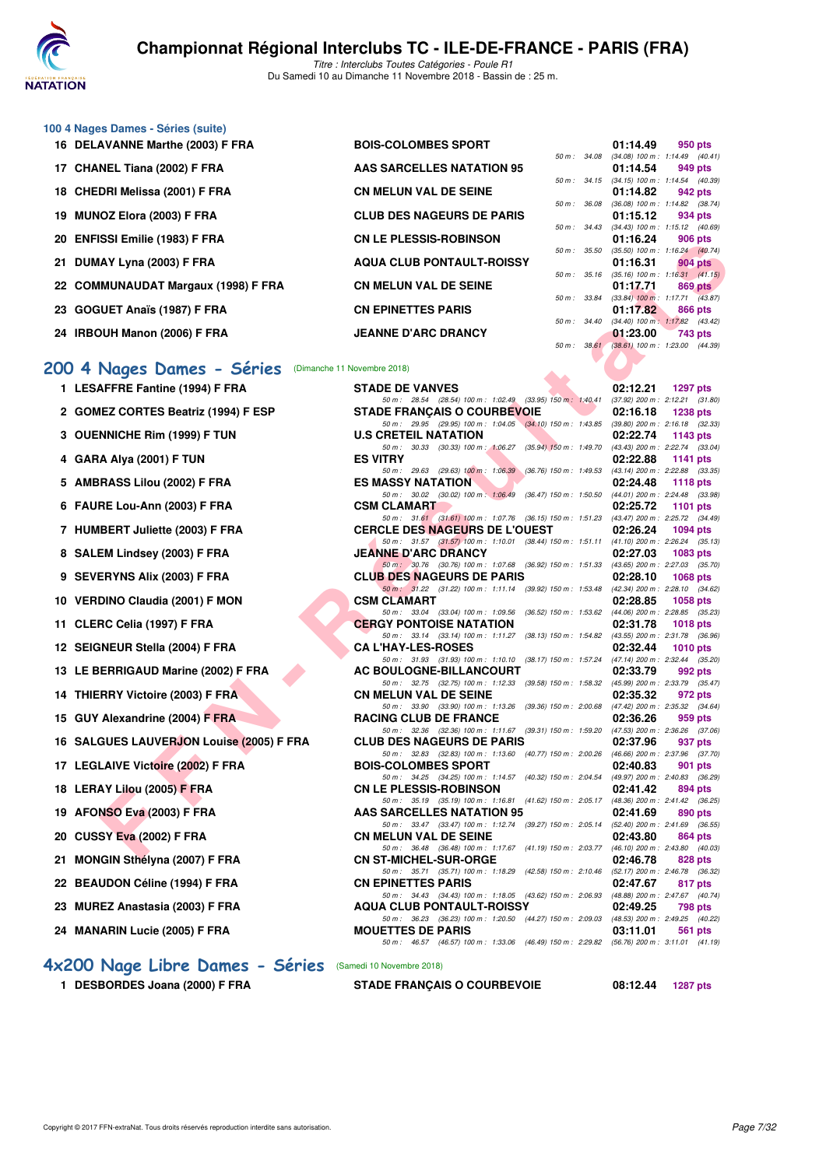

|  | 100 4 Nages Dames - Séries (suite) |  |
|--|------------------------------------|--|
|--|------------------------------------|--|

- **16 DELAVANNE Marthe (2003) F FRA** BOIS-COLOMBES SPORT 01:14.49 **050 pts**<br>*50 m : 34.08 (34.08)* 100 m : 1:14.49 *(40.4)*
- **17 CHANEL Tiana (2002) F FRA AAS SARCELLES NATATION 95 01:14.54 949 pts**
- 18 CHEDRI Melissa (2001) F FRA **CN MELUN VAL DE SEINE**
- **19 MUNOZ Elora (2003) F FRA CLUB DES NAGEURS DE PARIS 01:15.12 934 pts**
- **20 ENFISSI Emilie (1983) F FRA CN LE PLESSIS-ROBINSON 01:16.24 91:16.24 91:16.24 91:16.24 91:16.24 91:16.24**
- **21 DUMAY Lyna (2003) F FRA AQUA CLUB PONTAULT-ROISSY 01:16.31 904 pts**
- **22 COMMUNAUDAT Margaux (1998) F FRA** CN MELUN VAL DE SEINE 01:17.71 **869 pts**<br> **22 COMMUNAUDAT Margaux (1998) F FRA**
- **23 GOGUET Anaïs (1987) F FRA CN EPINETTES PARIS 01:17.82 866 pts**
- **24 IRBOUH Manon (2006) F FRA JEANNE D'ARC DRANCY 01:23.00 743 pts**

#### **[200 4 Nages Dames - Séries](http://www.ffnatation.fr/webffn/resultats.php?idact=nat&go=epr&idcpt=56389&idepr=41) ©imanche 11 Novembre 200 4 Nages Dames - Séries**

| ZU ENFIGOI EINING (1900) F FRA                        | UN LE FLEJJIJ-NUDINJUN                                                                                                       |              | 01.IO.Z <del>T</del> | ่ 500 มเร                                              |
|-------------------------------------------------------|------------------------------------------------------------------------------------------------------------------------------|--------------|----------------------|--------------------------------------------------------|
| 21 DUMAY Lyna (2003) F FRA                            | <b>AQUA CLUB PONTAULT-ROISSY</b>                                                                                             |              | 01:16.31             | 50 m: 35.50 (35.50) 100 m: 1:16.24 (40.74)<br>904 pts  |
| 22 COMMUNAUDAT Margaux (1998) F FRA                   | <b>CN MELUN VAL DE SEINE</b>                                                                                                 |              | 01:17.71             | 50 m: 35.16 (35.16) 100 m: 1:16.31 (41.15)<br>869 pts  |
|                                                       |                                                                                                                              |              |                      | 50 m : 33.84 (33.84) 100 m : 1:17.71 (43.87)           |
| 23 GOGUET Anaïs (1987) F FRA                          | <b>CN EPINETTES PARIS</b>                                                                                                    |              | 01:17.82             | 866 pts                                                |
| 24 IRBOUH Manon (2006) F FRA                          | <b>JEANNE D'ARC DRANCY</b>                                                                                                   | 50 m : 34.40 | 01:23.00             | $(34.40)$ 100 m : 1:17.82 $(43.42)$<br>743 pts         |
|                                                       |                                                                                                                              |              |                      | 50 m: 38.61 (38.61) 100 m: 1:23.00 (44.39)             |
|                                                       |                                                                                                                              |              |                      |                                                        |
| 00 4 Nages Dames - Séries (Dimanche 11 Novembre 2018) |                                                                                                                              |              |                      |                                                        |
| 1 LESAFFRE Fantine (1994) F FRA                       | <b>STADE DE VANVES</b>                                                                                                       |              | 02:12.21             | <b>1297 pts</b>                                        |
| 2 GOMEZ CORTES Beatriz (1994) F ESP                   | 50 m: 28.54 (28.54) 100 m: 1:02.49 (33.95) 150 m: 1:40.41<br><b>STADE FRANÇAIS O COURBEVOIE</b>                              |              | 02:16.18             | $(37.92)$ 200 m : 2:12.21 $(31.80)$<br><b>1238 pts</b> |
|                                                       | 50 m: 29.95 (29.95) 100 m: 1:04.05 (34.10) 150 m: 1:43.85 (39.80) 200 m: 2:16.18 (32.33)                                     |              |                      |                                                        |
| 3 OUENNICHE Rim (1999) F TUN                          | <b>U.S CRETEIL NATATION</b>                                                                                                  |              | 02:22.74             | 1143 pts                                               |
|                                                       | 50 m: 30.33 (30.33) 100 m: 1:06.27 (35.94) 150 m: 1:49.70 (43.43) 200 m: 2:22.74 (33.04)<br><b>ES VITRY</b>                  |              |                      |                                                        |
| 4 GARA Alya (2001) F TUN                              | 50 m: 29.63 (29.63) 100 m: 1:06.39 (36.76) 150 m: 1:49.53 (43.14) 200 m: 2:22.88 (33.35)                                     |              | 02:22.88             | <b>1141 pts</b>                                        |
| 5 AMBRASS Lilou (2002) F FRA                          | <b>ES MASSY NATATION</b>                                                                                                     |              | 02:24.48             | <b>1118 pts</b>                                        |
|                                                       | 50 m: 30.02 (30.02) 100 m: 1:06.49 (36.47) 150 m: 1:50.50 (44.01) 200 m: 2:24.48 (33.98)                                     |              |                      |                                                        |
| 6 FAURE Lou-Ann (2003) F FRA                          | <b>CSM CLAMART</b><br>50 m: 31.61 (31.61) 100 m: 1:07.76 (36.15) 150 m: 1:51.23 (43.47) 200 m: 2:25.72 (34.49)               |              | 02:25.72             | <b>1101 pts</b>                                        |
| 7 HUMBERT Juliette (2003) F FRA                       | <b>CERCLE DES NAGEURS DE L'OUEST</b>                                                                                         |              | 02:26.24             | <b>1094 pts</b>                                        |
|                                                       | 50 m: 31.57 (31.57) 100 m: 1:10.01 (38.44) 150 m: 1:51.11 (41.10) 200 m: 2:26.24 (35.13)                                     |              |                      |                                                        |
| 8 SALEM Lindsey (2003) F FRA                          | <b>JEANNE D'ARC DRANCY</b>                                                                                                   |              | 02:27.03             | 1083 pts                                               |
| 9 SEVERYNS Alix (2003) F FRA                          | 50 m: 30.76 (30.76) 100 m: 1:07.68 (36.92) 150 m: 1:51.33 (43.65) 200 m: 2:27.03 (35.70)<br><b>CLUB DES NAGEURS DE PARIS</b> |              | 02:28.10             | <b>1068 pts</b>                                        |
|                                                       | 50 m: 31.22 (31.22) 100 m: 1:11.14 (39.92) 150 m: 1:53.48 (42.34) 200 m: 2:28.10 (34.62)                                     |              |                      |                                                        |
| 10 VERDINO Claudia (2001) F MON                       | <b>CSM CLAMART</b>                                                                                                           |              | 02:28.85             | 1058 pts                                               |
| 11 CLERC Celia (1997) F FRA                           | 50 m: 33.04 (33.04) 100 m: 1:09.56 (36.52) 150 m: 1:53.62 (44.06) 200 m: 2:28.85 (35.23)<br><b>CERGY PONTOISE NATATION</b>   |              | 02:31.78             | <b>1018 pts</b>                                        |
|                                                       | 50 m: 33.14 (33.14) 100 m: 1:11.27 (38.13) 150 m: 1:54.82 (43.55) 200 m: 2:31.78 (36.96)                                     |              |                      |                                                        |
| 12 SEIGNEUR Stella (2004) F FRA                       | <b>CA L'HAY-LES-ROSES</b>                                                                                                    |              | 02:32.44             | 1010 $pts$                                             |
| 13 LE BERRIGAUD Marine (2002) F FRA                   | 50 m: 31.93 (31.93) 100 m: 1:10.10 (38.17) 150 m: 1:57.24 (47.14) 200 m: 2:32.44 (35.20)<br>AC BOULOGNE-BILLANCOURT          |              | 02:33.79             | 992 pts                                                |
|                                                       | 50 m: 32.75 (32.75) 100 m: 1:12.33 (39.58) 150 m: 1:58.32 (45.99) 200 m: 2:33.79 (35.47)                                     |              |                      |                                                        |
| 14 THIERRY Victoire (2003) F FRA                      | <b>CN MELUN VAL DE SEINE</b>                                                                                                 |              | 02:35.32             | 972 pts                                                |
| 15 GUY Alexandrine (2004) F FRA                       | 50 m: 33.90 (33.90) 100 m: 1:13.26 (39.36) 150 m: 2:00.68 (47.42) 200 m: 2:35.32 (34.64)<br><b>RACING CLUB DE FRANCE</b>     |              | 02:36.26             | 959 pts                                                |
|                                                       | 50 m: 32.36 (32.36) 100 m: 1:11.67 (39.31) 150 m: 1:59.20 (47.53) 200 m: 2:36.26 (37.06)                                     |              |                      |                                                        |
| 16 SALGUES LAUVERJON Louise (2005) F FRA              | <b>CLUB DES NAGEURS DE PARIS</b>                                                                                             |              | 02:37.96             | 937 pts                                                |
|                                                       | 50 m: 32.83 (32.83) 100 m: 1:13.60 (40.77) 150 m: 2:00.26 (46.66) 200 m: 2:37.96 (37.70)<br><b>BOIS-COLOMBES SPORT</b>       |              |                      |                                                        |
| 17 LEGLAIVE Victoire (2002) F FRA                     | 50 m: 34.25 (34.25) 100 m: 1:14.57 (40.32) 150 m: 2:04.54 (49.97) 200 m: 2:40.83 (36.29)                                     |              | 02:40.83             | 901 pts                                                |
| 18 LERAY Lilou (2005) F FRA                           | <b>CN LE PLESSIS-ROBINSON</b>                                                                                                |              | 02:41.42             | 894 pts                                                |
|                                                       | 50 m: 35.19 (35.19) 100 m: 1:16.81 (41.62) 150 m: 2:05.17 (48.36) 200 m: 2:41.42 (36.25)<br><b>AAS SARCELLES NATATION 95</b> |              |                      |                                                        |
| 19 AFONSO Eva (2003) F FRA                            | 50 m: 33.47 (33.47) 100 m: 1:12.74 (39.27) 150 m: 2:05.14 (52.40) 200 m: 2:41.69 (36.55)                                     |              | 02:41.69             | 890 pts                                                |
| 20 CUSSY Eva (2002) F FRA                             | <b>CN MELUN VAL DE SEINE</b>                                                                                                 |              | 02:43.80             | 864 pts                                                |
|                                                       | 50 m: 36.48 (36.48) 100 m: 1:17.67 (41.19) 150 m: 2:03.77 (46.10) 200 m: 2:43.80 (40.03)                                     |              |                      |                                                        |
| 21 MONGIN Sthélyna (2007) F FRA                       | <b>CN ST-MICHEL-SUR-ORGE</b><br>50 m: 35.71 (35.71) 100 m: 1:18.29 (42.58) 150 m: 2:10.46 (52.17) 200 m: 2:46.78 (36.32)     |              | 02:46.78             | 828 pts                                                |
| 22 BEAUDON Céline (1994) F FRA                        | <b>CN EPINETTES PARIS</b>                                                                                                    |              | 02:47.67             | 817 pts                                                |
|                                                       | 50 m: 34.43 (34.43) 100 m: 1:18.05 (43.62) 150 m: 2:06.93 (48.88) 200 m: 2:47.67 (40.74)                                     |              |                      |                                                        |
| 23 MUREZ Anastasia (2003) F FRA                       | <b>AQUA CLUB PONTAULT-ROISSY</b><br>50 m: 36.23 (36.23) 100 m: 1:20.50 (44.27) 150 m: 2:09.03 (48.53) 200 m: 2:49.25 (40.22) |              | 02:49.25             | <b>798 pts</b>                                         |
| 24 MANARIN Lucie (2005) F FRA                         | <b>MOUETTES DE PARIS</b>                                                                                                     |              | 03:11.01             | 561 pts                                                |
|                                                       | 50 m: 46.57 (46.57) 100 m: 1:33.06 (46.49) 150 m: 2:29.82 (56.76) 200 m: 3:11.01 (41.19)                                     |              |                      |                                                        |

**[4x200 Nage Libre Dames - Séries](http://www.ffnatation.fr/webffn/resultats.php?idact=nat&go=epr&idcpt=56389&idepr=44)** (Samedi 10 Novembre 2018)

**1 DESBORDES Joana (2000) F FRA STADE FRANÇAIS O COURBEVOIE 08:12.44 1287 pts**

 $(34.08)$  100 m : 1:14.49  $(40.41)$ 

50 m : 34.15 (34.15) 100 m : 1:14.54 (40.39)<br>**01:14.82** 942 pts

50 m : 36.08 (36.08) 100 m : 1:14.82 (38.74)

50 m : 34.43 (34.43)  $100 \text{ m}$  : 1:15.12 (40.69)<br>**01:16.24** 906 pts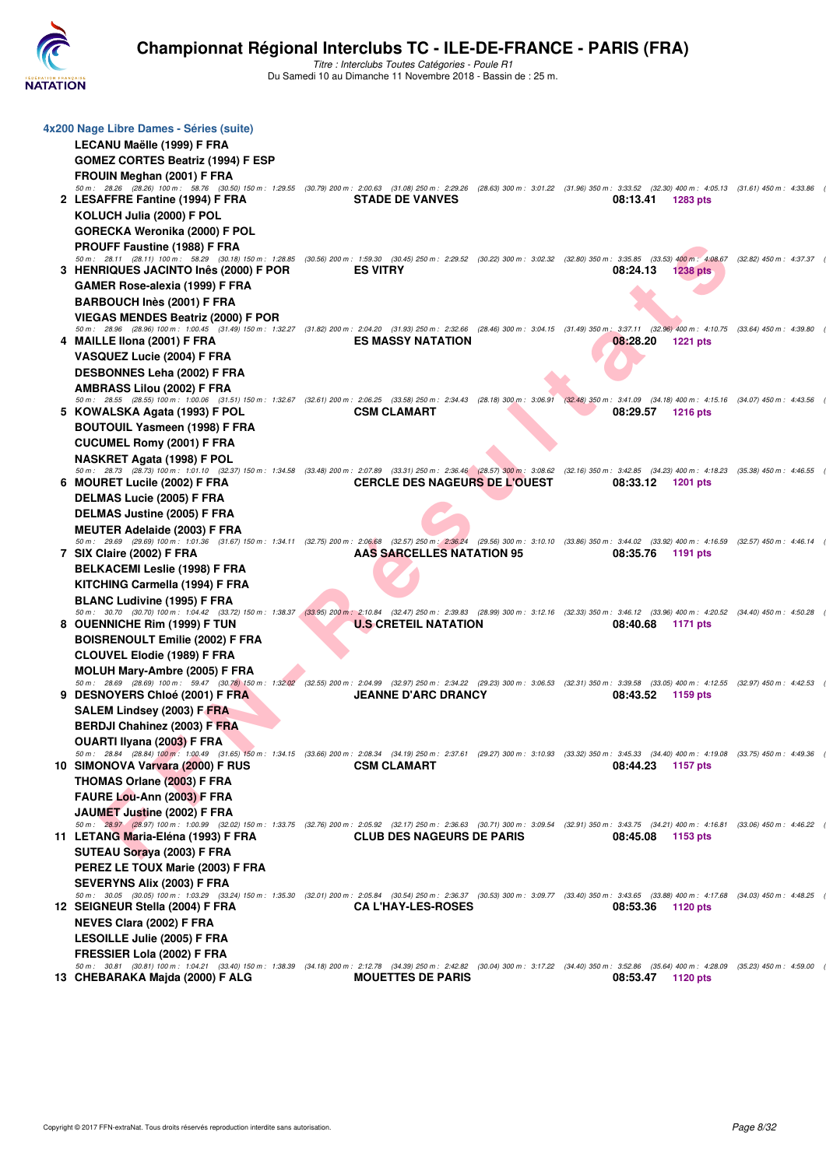

| 4x200 Nage Libre Dames - Séries (suite)                                                                                                                                                                                                                  |                                      |          |                 |  |
|----------------------------------------------------------------------------------------------------------------------------------------------------------------------------------------------------------------------------------------------------------|--------------------------------------|----------|-----------------|--|
| LECANU Maëlle (1999) F FRA                                                                                                                                                                                                                               |                                      |          |                 |  |
| <b>GOMEZ CORTES Beatriz (1994) F ESP</b>                                                                                                                                                                                                                 |                                      |          |                 |  |
| FROUIN Meghan (2001) F FRA<br>50 m: 28.26 (28.26) 100 m: 58.76 (30.50) 150 m: 1:29.55 (30.79) 200 m: 2:00.63 (31.08) 250 m: 2:29.26 (28.63) 300 m: 3:01.22 (31.96) 350 m: 3:33.52 (32.30) 400 m: 4:05.13 (31.61) 450 m: 4:33.86                          |                                      |          |                 |  |
| 2 LESAFFRE Fantine (1994) F FRA                                                                                                                                                                                                                          | <b>STADE DE VANVES</b>               | 08:13.41 | 1283 pts        |  |
| KOLUCH Julia (2000) F POL                                                                                                                                                                                                                                |                                      |          |                 |  |
| GORECKA Weronika (2000) F POL                                                                                                                                                                                                                            |                                      |          |                 |  |
| PROUFF Faustine (1988) F FRA                                                                                                                                                                                                                             |                                      |          |                 |  |
| 50 m: 28.11 (28.11) 100 m: 58.29 (30.18) 150 m: 1:28.85 (30.56) 200 m: 1:59.30 (30.45) 250 m: 2:29.52 (30.22) 300 m: 3:02.32 (32.80) 350 m: 3:35.85 (33.53) 400 m: 4:08.67 (32.82) 450 m: 4:37.37<br>3 HENRIQUES JACINTO Inês (2000) F POR               | <b>ES VITRY</b>                      | 08:24.13 | <b>1238 pts</b> |  |
| GAMER Rose-alexia (1999) F FRA                                                                                                                                                                                                                           |                                      |          |                 |  |
| BARBOUCH Inès (2001) F FRA                                                                                                                                                                                                                               |                                      |          |                 |  |
| <b>VIEGAS MENDES Beatriz (2000) F POR</b>                                                                                                                                                                                                                |                                      |          |                 |  |
| 50 m: 28.96 (28.96) 100 m: 1:00.45 (31.49) 150 m: 1:32.27 (31.82) 200 m: 2:04.20 (31.93) 250 m: 2:32.66 (28.46) 300 m: 3:04.15 (31.49) 350 m: 3:37.11 (32.96) 400 m: 4:10.75 (33.64) 450 m: 4:39.80                                                      |                                      |          |                 |  |
| 4 MAILLE IIona (2001) F FRA                                                                                                                                                                                                                              | <b>ES MASSY NATATION</b>             | 08:28.20 | <b>1221 pts</b> |  |
| VASQUEZ Lucie (2004) F FRA                                                                                                                                                                                                                               |                                      |          |                 |  |
| <b>DESBONNES Leha (2002) F FRA</b><br><b>AMBRASS Lilou (2002) F FRA</b>                                                                                                                                                                                  |                                      |          |                 |  |
| 50 m: 28.55 (28.55) 100 m: 1:00.06 (31.51) 150 m: 1:32.67 (32.61) 200 m: 2:06.25 (33.58) 250 m: 2:34.43 (28.18) 300 m: 3:06.91 (32.48) 350 m: 3:41.09 (34.18) 400 m: 4:15.16 (34.07) 450 m: 4:43.56                                                      |                                      |          |                 |  |
| 5 KOWALSKA Agata (1993) F POL                                                                                                                                                                                                                            | <b>CSM CLAMART</b>                   | 08:29.57 | <b>1216 pts</b> |  |
| BOUTOUIL Yasmeen (1998) F FRA                                                                                                                                                                                                                            |                                      |          |                 |  |
| <b>CUCUMEL Romy (2001) F FRA</b>                                                                                                                                                                                                                         |                                      |          |                 |  |
| NASKRET Agata (1998) F POL<br>50 m: 28.73 (28.73) 100 m: 1:01.10 (32.37) 150 m: 1:34.58 (33.48) 200 m: 2:07.89 (33.31) 250 m: 2:36.46 (28.57) 300 m: 3:08.62 (32.16) 350 m: 3:42.85 (34.23) 400 m: 4:18.23 (35.38) 450 m: 4:46.55                        |                                      |          |                 |  |
| 6 MOURET Lucile (2002) F FRA                                                                                                                                                                                                                             | <b>CERCLE DES NAGEURS DE L'OUEST</b> | 08:33.12 | 1201 pts        |  |
| <b>DELMAS Lucie (2005) F FRA</b>                                                                                                                                                                                                                         |                                      |          |                 |  |
| <b>DELMAS Justine (2005) F FRA</b>                                                                                                                                                                                                                       |                                      |          |                 |  |
| MEUTER Adelaide (2003) F FRA                                                                                                                                                                                                                             |                                      |          |                 |  |
| 50 m: 29.69 (29.69) 100 m: 1:01.36 (31.67) 150 m: 1:34.11 (32.75) 200 m: 2:06.68 (32.57) 250 m: 2:36.24 (29.56) 300 m: 3:10.10 (33.86) 350 m: 3:44.02 (33.92) 400 m: 4:16.59 (32.57) 450 m: 4:46.14<br>7 SIX Claire (2002) F FRA                         | <b>AAS SARCELLES NATATION 95</b>     | 08:35.76 | 1191 pts        |  |
| <b>BELKACEMI Leslie (1998) F FRA</b>                                                                                                                                                                                                                     |                                      |          |                 |  |
| KITCHING Carmella (1994) F FRA                                                                                                                                                                                                                           |                                      |          |                 |  |
| <b>BLANC Ludivine (1995) F FRA</b>                                                                                                                                                                                                                       |                                      |          |                 |  |
| 50 m: 30.70 (30.70) 100 m: 1:04.42 (33.72) 150 m: 1:38.37 (33.95) 200 m: 2:10.84 (32.47) 250 m: 2:39.83 (28.99) 300 m: 3:12.16 (32.33) 350 m: 3:46.12 (33.96) 400 m: 4:20.52 (34.40) 450 m: 4:50.28                                                      |                                      |          |                 |  |
| 8 OUENNICHE Rim (1999) F TUN                                                                                                                                                                                                                             | <b>U.S CRETEIL NATATION</b>          | 08:40.68 | 1171 pts        |  |
| <b>BOISRENOULT Emilie (2002) F FRA</b>                                                                                                                                                                                                                   |                                      |          |                 |  |
| <b>CLOUVEL Elodie (1989) F FRA</b>                                                                                                                                                                                                                       |                                      |          |                 |  |
| <b>MOLUH Mary-Ambre (2005) F FRA</b><br>50 m: 28.69 (28.69) 100 m: 59.47 (30.78) 150 m: 1:32.02 (32.55) 200 m: 2:04.99 (32.87) 250 m: 2:34.22 (29.23) 300 m: 3:06.53 (32.31) 350 m: 3:39.58 (33.05) 400 m: 4:12.55 (32.97) 450 m: 4:42.53                |                                      |          |                 |  |
| 9 DESNOYERS Chloé (2001) F FRA                                                                                                                                                                                                                           | <b>JEANNE D'ARC DRANCY</b>           | 08:43.52 | 1159 pts        |  |
| SALEM Lindsey (2003) F FRA                                                                                                                                                                                                                               |                                      |          |                 |  |
| <b>BERDJI Chahinez (2003) F FRA</b>                                                                                                                                                                                                                      |                                      |          |                 |  |
| OUARTI Ilyana (2003) F FRA                                                                                                                                                                                                                               |                                      |          |                 |  |
| 50 m: 28.84 (28.84) 100 m: 1:00.49 (31.65) 150 m: 1:34.15 (33.66) 200 m: 2:08.34 (34.19) 250 m: 2:37.61 (29.27) 300 m: 3:10.93 (33.32) 350 m: 3:45.33 (34.40) 400 m: 4:19.08 (33.75) 450 m: 4:49.36<br>10 SIMONOVA Varvara (2000) F RUS                  | <b>CSM CLAMART</b>                   | 08:44.23 | 1157 pts        |  |
|                                                                                                                                                                                                                                                          |                                      |          |                 |  |
| THOMAS Orlane (2003) F FRA                                                                                                                                                                                                                               |                                      |          |                 |  |
| FAURE Lou-Ann (2003) F FRA                                                                                                                                                                                                                               |                                      |          |                 |  |
| JAUMET Justine (2002) F FRA                                                                                                                                                                                                                              |                                      |          |                 |  |
| 50 m: 28.97 (28.97) 100 m: 1:00.99 (32.02) 150 m: 1:33.75 (32.76) 200 m: 2:05.92 (32.17) 250 m: 2:36.63 (30.71) 300 m: 3:09.54 (32.91) 350 m: 3:43.75 (34.21) 400 m: 4:16.81 (33.06) 450 m: 4:46.22                                                      |                                      |          |                 |  |
| 11 LETANG Maria-Eléna (1993) F FRA                                                                                                                                                                                                                       | <b>CLUB DES NAGEURS DE PARIS</b>     | 08:45.08 | 1153 pts        |  |
| SUTEAU Soraya (2003) F FRA                                                                                                                                                                                                                               |                                      |          |                 |  |
| PEREZ LE TOUX Marie (2003) F FRA                                                                                                                                                                                                                         |                                      |          |                 |  |
| SEVERYNS Alix (2003) F FRA<br>50 m: 30.05 (30.05) 100 m: 1:03.29 (33.24) 150 m: 1:35.30 (32.01) 200 m: 2:05.84 (30.54) 250 m: 2:36.37 (30.53) 300 m: 3:09.77 (33.40) 350 m: 3:43.65 (33.88) 400 m: 4:17.68 (34.03) 450 m: 4:17.68 (34.03) 450 m: 4:48.25 |                                      |          |                 |  |
| 12 SEIGNEUR Stella (2004) F FRA                                                                                                                                                                                                                          | <b>CA L'HAY-LES-ROSES</b>            | 08:53.36 | 1120 pts        |  |
| <b>NEVES Clara (2002) F FRA</b>                                                                                                                                                                                                                          |                                      |          |                 |  |
| <b>LESOILLE Julie (2005) F FRA</b>                                                                                                                                                                                                                       |                                      |          |                 |  |
| FRESSIER Lola (2002) F FRA<br>50 m : 30.81 (30.81) 100 m : 1:04.21 (33.40) 150 m : 1:38.39 (34.18) 200 m : 2:12.78 (34.39) 250 m : 2:42.82 (30.04) 300 m : 3:17.22 (34.40) 350 m : 3:52.86 (35.64) 400 m : 4:28.09 (35.23) 450 m : 4:28.09               |                                      |          |                 |  |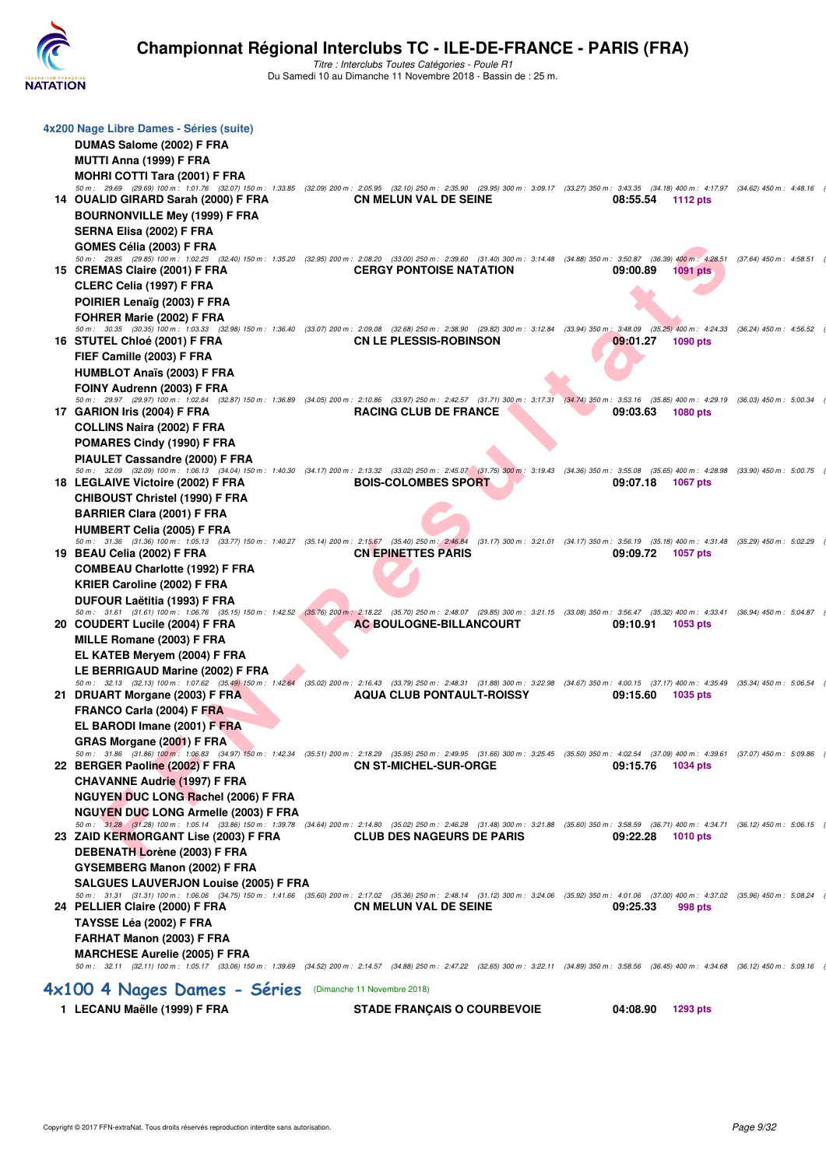

| 1 LECANU Maëlle (1999) F FRA                                                                                                                                                                                                               | <b>STADE FRANÇAIS O COURBEVOIE</b> |  | 04:08.90 | <b>1293 pts</b> |  |
|--------------------------------------------------------------------------------------------------------------------------------------------------------------------------------------------------------------------------------------------|------------------------------------|--|----------|-----------------|--|
| 4×100 4 Nages Dames - Séries (Dimanche 11 Novembre 2018)                                                                                                                                                                                   |                                    |  |          |                 |  |
| 50 m: 32.11 (32.11) 100 m: 1:05.17 (33.06) 150 m: 1:39.69 (34.52) 200 m: 2:14.57 (34.88) 250 m: 2:47.22 (32.65) 300 m: 3:22.11 (34.89) 350 m: 3:58.56 (36.45) 400 m: 4:34.68 (36.12) 450 m: 5:09.16                                        |                                    |  |          |                 |  |
| FARHAT Manon (2003) F FRA<br><b>MARCHESE Aurelie (2005) F FRA</b>                                                                                                                                                                          |                                    |  |          |                 |  |
| TAYSSE Léa (2002) F FRA                                                                                                                                                                                                                    |                                    |  |          |                 |  |
| 24 PELLIER Claire (2000) F FRA                                                                                                                                                                                                             | <b>CN MELUN VAL DE SEINE</b>       |  | 09:25.33 | 998 pts         |  |
| 50 m: 31.31 (31.31) 100 m: 1:06.06 (34.75) 150 m: 1:41.66 (35.60) 200 m: 2:17.02 (35.36) 250 m: 2:48.14 (31.12) 300 m: 3:24.06 (35.92) 350 m: 4:01.06 (37.00) 400 m: 4:37.02 (35.96) 450 m: 5:08.24                                        |                                    |  |          |                 |  |
| <b>SALGUES LAUVERJON Louise (2005) F FRA</b>                                                                                                                                                                                               |                                    |  |          |                 |  |
| DEBENATH Lorène (2003) F FRA<br>GYSEMBERG Manon (2002) F FRA                                                                                                                                                                               |                                    |  |          |                 |  |
| 23 ZAID KERMORGANT Lise (2003) F FRA                                                                                                                                                                                                       | <b>CLUB DES NAGEURS DE PARIS</b>   |  | 09:22.28 | <b>1010 pts</b> |  |
| 50 m: 31.28 (31.28) 100 m: 1:05.14 (33.86) 150 m: 1:39.78 (34.64) 200 m: 2:14.80 (35.02) 250 m: 2:46.28 (31.48) 300 m: 3:21.88 (35.60) 350 m: 3:58.59 (36.71) 400 m: 4:34.71 (36.12) 450 m: 5:06.15                                        |                                    |  |          |                 |  |
| NGUYEN DUC LONG Armelle (2003) F FRA                                                                                                                                                                                                       |                                    |  |          |                 |  |
| <b>NGUYEN DUC LONG Rachel (2006) F FRA</b>                                                                                                                                                                                                 |                                    |  |          |                 |  |
| <b>CHAVANNE Audrie (1997) F FRA</b>                                                                                                                                                                                                        |                                    |  |          |                 |  |
| 50 m: 31.86 (31.86) 100 m: 1:06.83 (34.97) 150 m: 1:42.34 (35.51) 200 m: 2:18.29 (35.95) 250 m: 2:49.95 (31.66) 300 m: 3:25.45 (35.50) 350 m: 4:02.54 (37.09) 400 m: 4:39.61 (37.07) 450 m: 5:09.86<br>22 BERGER Paoline (2002) F FRA      | <b>CN ST-MICHEL-SUR-ORGE</b>       |  | 09:15.76 | 1034 pts        |  |
| GRAS Morgane (2001) F FRA                                                                                                                                                                                                                  |                                    |  |          |                 |  |
| EL BARODI Imane (2001) F FRA                                                                                                                                                                                                               |                                    |  |          |                 |  |
| <b>FRANCO Carla (2004) F FRA</b>                                                                                                                                                                                                           |                                    |  |          |                 |  |
| 50 m: 32.13 (32.13) 100 m: 1:07.62 (35.49) 150 m: 1:42.64 (35.02) 200 m: 2:16.43 (33.79) 250 m: 2:48.31 (31.88) 300 m: 3:22.98 (34.67) 350 m: 4:00.15 (37.17) 400 m: 4:35.49 (35.34) 450 m: 5:06.54<br>21 DRUART Morgane (2003) F FRA      | <b>AQUA CLUB PONTAULT-ROISSY</b>   |  | 09:15.60 | 1035 pts        |  |
| LE BERRIGAUD Marine (2002) F FRA                                                                                                                                                                                                           |                                    |  |          |                 |  |
| EL KATEB Meryem (2004) F FRA                                                                                                                                                                                                               |                                    |  |          |                 |  |
| MILLE Romane (2003) F FRA                                                                                                                                                                                                                  |                                    |  |          |                 |  |
| 50 m: 31.61 (31.61) 100 m: 1:06.76 (35.15) 150 m: 1:42.52 (35.76) 200 m: 2:18.22 (35.70) 250 m: 2:48.07 (29.85) 300 m: 3:21.15 (33.08) 350 m: 3:56.47 (35.32) 400 m: 4:33.41 (36.94) 450 m: 5:04.87<br>20 COUDERT Lucile (2004) F FRA      | AC BOULOGNE-BILLANCOURT            |  | 09:10.91 | 1053 pts        |  |
| DUFOUR Laëtitia (1993) F FRA                                                                                                                                                                                                               |                                    |  |          |                 |  |
| <b>KRIER Caroline (2002) F FRA</b>                                                                                                                                                                                                         |                                    |  |          |                 |  |
| 19 BEAU Celia (2002) F FRA<br><b>COMBEAU Charlotte (1992) F FRA</b>                                                                                                                                                                        | <b>CN EPINETTES PARIS</b>          |  | 09:09.72 | <b>1057 pts</b> |  |
| 50 m: 31.36 (31.36) 100 m: 1:05.13 (33.77) 150 m: 1:40.27 (35.14) 200 m: 2:15.67 (35.40) 250 m: 2:46,84 (31.17) 300 m: 3:21.01 (34.17) 350 m: 3:56.19 (35.18) 400 m: 4:31.48 (35.29) 450 m: 5:02.29                                        |                                    |  |          |                 |  |
| <b>HUMBERT Celia (2005) F FRA</b>                                                                                                                                                                                                          |                                    |  |          |                 |  |
| <b>BARRIER Clara (2001) F FRA</b>                                                                                                                                                                                                          |                                    |  |          |                 |  |
| 18 LEGLAIVE Victoire (2002) F FRA<br><b>CHIBOUST Christel (1990) F FRA</b>                                                                                                                                                                 | <b>BOIS-COLOMBES SPORT</b>         |  | 09:07.18 | <b>1067 pts</b> |  |
| 50 m: 32.09 (32.09) 100 m: 1:06.13 (34.04) 150 m: 1:40.30 (34.17) 200 m: 2:13.32 (33.02) 250 m: 2:45.07 (31.75) 300 m: 3:19.43 (34.36) 350 m: 3:55.08 (35.65) 400 m: 4:28.98 (33.90) 450 m: 5:00.75                                        |                                    |  |          |                 |  |
| PIAULET Cassandre (2000) F FRA                                                                                                                                                                                                             |                                    |  |          |                 |  |
| POMARES Cindy (1990) F FRA                                                                                                                                                                                                                 |                                    |  |          |                 |  |
| <b>COLLINS Naira (2002) F FRA</b>                                                                                                                                                                                                          |                                    |  |          |                 |  |
| 50 m: 29.97 (29.97) 100 m: 1:02.84 (32.87) 150 m: 1:36.89 (34.05) 200 m: 2:10.86 (33.97) 250 m: 2:42.57 (31.71) 300 m: 3:17.31 (34.74) 350 m: 3:53.16 (35.85) 400 m: 4:29.19 (36.03) 450 m: 4:29.19<br>17 GARION Iris (2004) F FRA         | <b>RACING CLUB DE FRANCE</b>       |  | 09:03.63 | <b>1080 pts</b> |  |
| FOINY Audrenn (2003) F FRA                                                                                                                                                                                                                 |                                    |  |          |                 |  |
| <b>HUMBLOT Anaïs (2003) F FRA</b>                                                                                                                                                                                                          |                                    |  |          |                 |  |
| FIEF Camille (2003) F FRA                                                                                                                                                                                                                  |                                    |  |          |                 |  |
| 50 m: 30.35 (30.35) 100 m: 1:03.33 (32.98) 150 m: 1:36.40 (33.07) 200 m: 2:09.08 (32.68) 250 m: 2:38.90 (29.82) 300 m: 3:12.84 (33.94) 350 m: 3:48.09 (35.25) 400 m: 4:24.33 (36.24) 450 m: 4:56.52<br>16 STUTEL Chloé (2001) F FRA        | <b>CN LE PLESSIS-ROBINSON</b>      |  | 09:01.27 | <b>1090 pts</b> |  |
| FOHRER Marie (2002) F FRA                                                                                                                                                                                                                  |                                    |  |          |                 |  |
| POIRIER Lenaïg (2003) F FRA                                                                                                                                                                                                                |                                    |  |          |                 |  |
| CLERC Celia (1997) F FRA                                                                                                                                                                                                                   |                                    |  |          |                 |  |
| 50 m: 29.85 (29.85) 100 m: 1:02.25 (32.40) 150 m: 1:35.20 (32.95) 200 m: 2:08.20 (33.00) 250 m: 2:39.60 (31.40) 300 m: 3:14.48 (34.88) 350 m: 3:50.87 (36.39) 400 m: 4:28.51 (37.64) 450 m: 4:58.51<br>15 CREMAS Claire (2001) F FRA       | <b>CERGY PONTOISE NATATION</b>     |  | 09:00.89 | <b>1091 pts</b> |  |
| GOMES Célia (2003) F FRA                                                                                                                                                                                                                   |                                    |  |          |                 |  |
| SERNA Elisa (2002) F FRA                                                                                                                                                                                                                   |                                    |  |          |                 |  |
| <b>BOURNONVILLE Mey (1999) F FRA</b>                                                                                                                                                                                                       |                                    |  |          |                 |  |
| 50 m: 29.69 (29.69) 100 m: 1:01.76 (32.07) 150 m: 1:33.85 (32.09) 200 m: 2:05.95 (32.10) 250 m: 2:35.90 (29.95) 300 m: 3:09.17 (33.27) 350 m: 3:43.35 (34.18) 400 m: 4:17.97 (34.62) 450 m: 4:48.16<br>14 OUALID GIRARD Sarah (2000) F FRA | <b>CN MELUN VAL DE SEINE</b>       |  | 08:55.54 | 1112 pts        |  |
| <b>MOHRI COTTI Tara (2001) F FRA</b>                                                                                                                                                                                                       |                                    |  |          |                 |  |
| MUTTI Anna (1999) F FRA                                                                                                                                                                                                                    |                                    |  |          |                 |  |
| DUMAS Salome (2002) F FRA                                                                                                                                                                                                                  |                                    |  |          |                 |  |
| 4x200 Nage Libre Dames - Séries (suite)                                                                                                                                                                                                    |                                    |  |          |                 |  |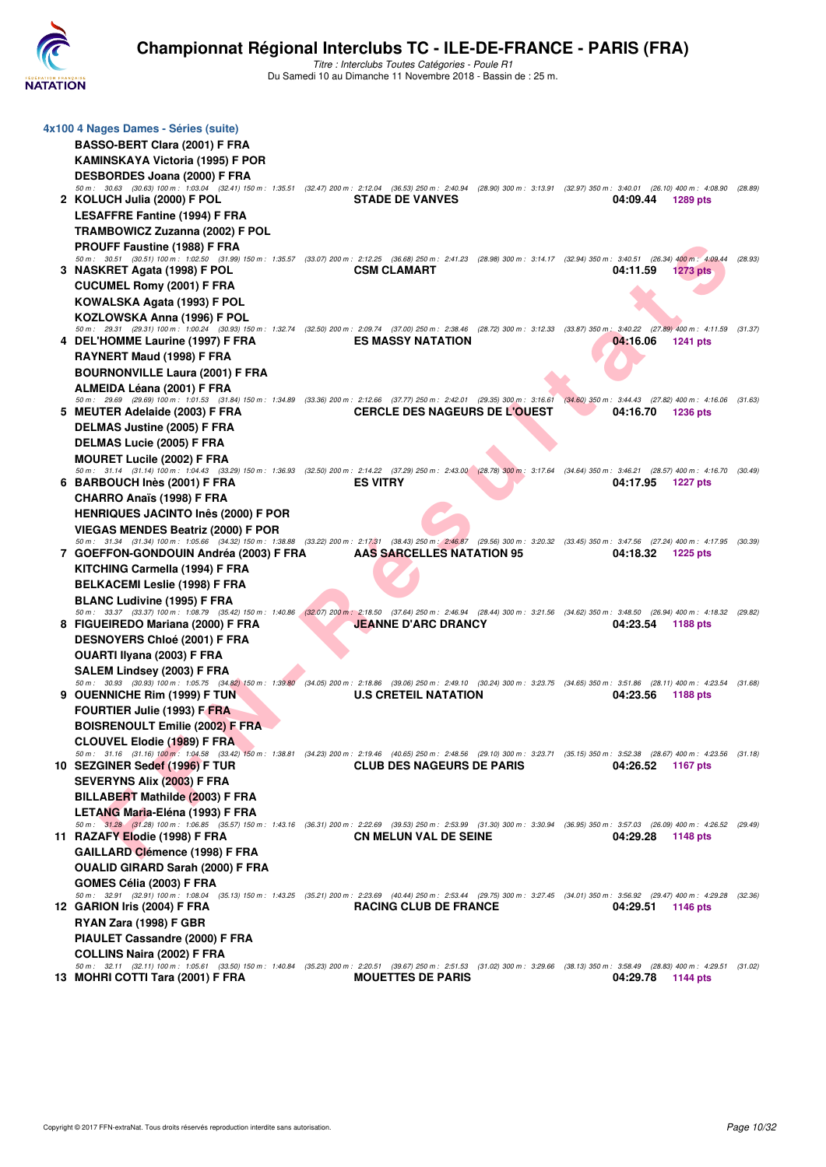

| 4x100 4 Nages Dames - Séries (suite)                                                                                                                                                                                      |  |                                      |          |                   |         |
|---------------------------------------------------------------------------------------------------------------------------------------------------------------------------------------------------------------------------|--|--------------------------------------|----------|-------------------|---------|
| <b>BASSO-BERT Clara (2001) F FRA</b>                                                                                                                                                                                      |  |                                      |          |                   |         |
| <b>KAMINSKAYA Victoria (1995) F POR</b>                                                                                                                                                                                   |  |                                      |          |                   |         |
| DESBORDES Joana (2000) F FRA                                                                                                                                                                                              |  |                                      |          |                   |         |
| 50 m: 30.63 (30.63) 100 m: 1:03.04 (32.41) 150 m: 1:35.51 (32.47) 200 m: 2:12.04 (36.53) 250 m: 2:40.94 (28.90) 300 m: 3:13.91 (32.97) 350 m: 3:40.01 (26.10) 400 m: 4:08.90 (28.89)<br>2 KOLUCH Julia (2000) F POL       |  | <b>STADE DE VANVES</b>               | 04:09.44 | 1289 pts          |         |
| <b>LESAFFRE Fantine (1994) F FRA</b>                                                                                                                                                                                      |  |                                      |          |                   |         |
|                                                                                                                                                                                                                           |  |                                      |          |                   |         |
| TRAMBOWICZ Zuzanna (2002) F POL                                                                                                                                                                                           |  |                                      |          |                   |         |
| <b>PROUFF Faustine (1988) F FRA</b><br>50 m: 30.51 (30.51) 100 m: 1:02.50 (31.99) 150 m: 1:35.57 (33.07) 200 m: 2:12.25 (36.68) 250 m: 2:41.23 (28.98) 300 m: 3:14.17 (32.94) 350 m: 3:40.51 (26.34) 400 m: 4:09.44       |  |                                      |          |                   | (28.93) |
| 3 NASKRET Agata (1998) F POL                                                                                                                                                                                              |  | <b>CSM CLAMART</b>                   | 04:11.59 | <b>1273 pts</b>   |         |
| <b>CUCUMEL Romy (2001) F FRA</b>                                                                                                                                                                                          |  |                                      |          |                   |         |
| KOWALSKA Agata (1993) F POL                                                                                                                                                                                               |  |                                      |          |                   |         |
| KOZLOWSKA Anna (1996) F POL                                                                                                                                                                                               |  |                                      |          |                   |         |
| 50 m: 29.31 (29.31) 100 m: 1:00.24 (30.93) 150 m: 1:32.74 (32.50) 200 m: 2:09.74 (37.00) 250 m: 2:38.46 (28.72) 300 m: 3:12.33 (33.87) 350 m: 3:40.22 (27.89) 400 m: 4:11.59 (31.37)                                      |  |                                      |          |                   |         |
| 4 DEL'HOMME Laurine (1997) F FRA                                                                                                                                                                                          |  | <b>ES MASSY NATATION</b>             | 04:16.06 | <b>1241 pts</b>   |         |
| RAYNERT Maud (1998) F FRA                                                                                                                                                                                                 |  |                                      |          |                   |         |
| <b>BOURNONVILLE Laura (2001) F FRA</b>                                                                                                                                                                                    |  |                                      |          |                   |         |
| ALMEIDA Léana (2001) F FRA                                                                                                                                                                                                |  |                                      |          |                   |         |
| 50 m: 29.69 (29.69) 100 m: 1:01.53 (31.84) 150 m: 1:34.89 (33.36) 200 m: 2:12.66 (37.77) 250 m: 2:42.01 (29.35) 300 m: 3:16.61 (34.60) 350 m: 3:44.43 (27.82) 400 m: 4:16.06 (31.63)                                      |  |                                      |          |                   |         |
| 5 MEUTER Adelaide (2003) F FRA                                                                                                                                                                                            |  | <b>CERCLE DES NAGEURS DE L'OUEST</b> | 04:16.70 | <b>1236 pts</b>   |         |
| <b>DELMAS Justine (2005) F FRA</b>                                                                                                                                                                                        |  |                                      |          |                   |         |
| <b>DELMAS Lucie (2005) F FRA</b>                                                                                                                                                                                          |  |                                      |          |                   |         |
| <b>MOURET Lucile (2002) F FRA</b><br>50 m: 31.14 (31.14) 100 m: 1:04.43 (33.29) 150 m: 1:36.93 (32.50) 200 m: 2:14.22 (37.29) 250 m: 2:43.00 (28.78) 300 m: 3:17.64 (34.64) 350 m: 3:46.21 (28.57) 400 m: 4:16.70 (30.49) |  |                                      |          |                   |         |
| 6 BARBOUCH Inès (2001) F FRA                                                                                                                                                                                              |  | <b>ES VITRY</b>                      | 04:17.95 | 1227 pts          |         |
| <b>CHARRO Anaïs (1998) F FRA</b>                                                                                                                                                                                          |  |                                      |          |                   |         |
| <b>HENRIQUES JACINTO Inês (2000) F POR</b>                                                                                                                                                                                |  |                                      |          |                   |         |
| <b>VIEGAS MENDES Beatriz (2000) F POR</b>                                                                                                                                                                                 |  |                                      |          |                   |         |
| 50 m: 31.34 (31.34) 100 m: 1:05.66 (34.32) 150 m: 1:38.88 (33.22) 200 m: 2:17.31 (38.43) 250 m: 2:46.87 (29.56) 300 m: 3:20.32 (33.45) 350 m: 3:47.56 (27.24) 400 m: 4:17.95 (30.39)                                      |  |                                      |          |                   |         |
| 7 GOEFFON-GONDOUIN Andréa (2003) F FRA                                                                                                                                                                                    |  | <b>AAS SARCELLES NATATION 95</b>     | 04:18.32 | <b>1225 pts</b>   |         |
| KITCHING Carmella (1994) F FRA                                                                                                                                                                                            |  |                                      |          |                   |         |
| <b>BELKACEMI Leslie (1998) F FRA</b>                                                                                                                                                                                      |  |                                      |          |                   |         |
| <b>BLANC Ludivine (1995) F FRA</b>                                                                                                                                                                                        |  |                                      |          |                   |         |
| 50 m: 33.37 (33.37) 100 m: 1:08.79 (35.42) 150 m: 1:40.86 (32,07) 200 m: 2:18.50 (37.64) 250 m: 2:46.94 (28.44) 300 m: 3:21.56 (34.62) 350 m: 3:48.50 (26.94) 400 m: 4:18.32 (29.82)                                      |  |                                      |          |                   |         |
| 8 FIGUEIREDO Mariana (2000) F FRA                                                                                                                                                                                         |  | <b>JEANNE D'ARC DRANCY</b>           | 04:23.54 | 1188 pts          |         |
| <b>DESNOYERS Chloé (2001) F FRA</b>                                                                                                                                                                                       |  |                                      |          |                   |         |
| OUARTI Ilyana (2003) F FRA                                                                                                                                                                                                |  |                                      |          |                   |         |
| SALEM Lindsey (2003) F FRA                                                                                                                                                                                                |  |                                      |          |                   |         |
| 50 m: 30.93 (30.93) 100 m: 1:05.75 (34.82) 150 m: 1:39.80 (34.05) 200 m: 2:18.86 (39.06) 250 m: 2:49.10 (30.24) 300 m: 3:23.75 (34.65) 350 m: 3:51.86 (28.11) 400 m: 4:23.54 (31.68)<br>9 OUENNICHE Rim (1999) F TUN      |  | <b>U.S CRETEIL NATATION</b>          | 04:23.56 | 1188 pts          |         |
| <b>FOURTIER Julie (1993) F FRA</b>                                                                                                                                                                                        |  |                                      |          |                   |         |
| <b>BOISRENOULT Emilie (2002) F FRA</b>                                                                                                                                                                                    |  |                                      |          |                   |         |
| <b>CLOUVEL Elodie (1989) F FRA</b>                                                                                                                                                                                        |  |                                      |          |                   |         |
| 50 m: 31.16 (31.16) 100 m: 1:04.58 (33.42) 150 m: 1:38.81 (34.23) 200 m: 2:19.46 (40.65) 250 m: 2:48.56 (29.10) 300 m: 3:23.71 (35.15) 350 m: 3:52.38 (28.67) 400 m: 4:23.56 (31.18)                                      |  |                                      |          |                   |         |
| 10 SEZGINER Sedef (1996) F TUR                                                                                                                                                                                            |  | <b>CLUB DES NAGEURS DE PARIS</b>     |          | 04:26.52 1167 pts |         |
| <b>SEVERYNS Alix (2003) F FRA</b>                                                                                                                                                                                         |  |                                      |          |                   |         |
|                                                                                                                                                                                                                           |  |                                      |          |                   |         |
|                                                                                                                                                                                                                           |  |                                      |          |                   |         |
| BILLABERT Mathilde (2003) F FRA                                                                                                                                                                                           |  |                                      |          |                   |         |
| LETANG Maria-Eléna (1993) F FRA<br>50 m: 31.28 (31.28) 100 m: 1:06.85 (35.57) 150 m: 1:43.16 (36.31) 200 m: 2:22.69 (39.53) 250 m: 2:53.99 (31.30) 300 m: 3:30.94 (36.95) 350 m: 3:57.03 (26.09) 400 m: 4:26.52 (29.49)   |  |                                      |          |                   |         |
| 11 RAZAFY Elodie (1998) F FRA                                                                                                                                                                                             |  | <b>CN MELUN VAL DE SEINE</b>         | 04:29.28 | 1148 pts          |         |
| GAILLARD Clémence (1998) F FRA                                                                                                                                                                                            |  |                                      |          |                   |         |
| <b>OUALID GIRARD Sarah (2000) F FRA</b>                                                                                                                                                                                   |  |                                      |          |                   |         |
| GOMES Célia (2003) F FRA                                                                                                                                                                                                  |  |                                      |          |                   |         |
| 50 m: 32.91 (32.91) 100 m: 1:08.04 (35.13) 150 m: 1:43.25 (35.21) 200 m: 2:23.69 (40.44) 250 m: 2:53.44 (29.75) 300 m: 3:27.45 (34.01) 350 m: 3:56.92 (29.47) 400 m: 4:29.28 (32.36)                                      |  |                                      |          |                   |         |
| 12 GARION Iris (2004) F FRA                                                                                                                                                                                               |  | <b>RACING CLUB DE FRANCE</b>         | 04:29.51 | 1146 pts          |         |
| RYAN Zara (1998) F GBR                                                                                                                                                                                                    |  |                                      |          |                   |         |
| PIAULET Cassandre (2000) F FRA                                                                                                                                                                                            |  |                                      |          |                   |         |
| <b>COLLINS Naira (2002) F FRA</b><br>50 m: 32.11 (32.11) 100 m: 1:05.61 (33.50) 150 m: 1:40.84 (35.23) 200 m: 2:20.51 (39.67) 250 m: 2:51.53 (31.02) 300 m: 3:29.66 (38.13) 350 m: 3:58.49 (28.83) 400 m: 4:29.51 (31.02) |  |                                      |          |                   |         |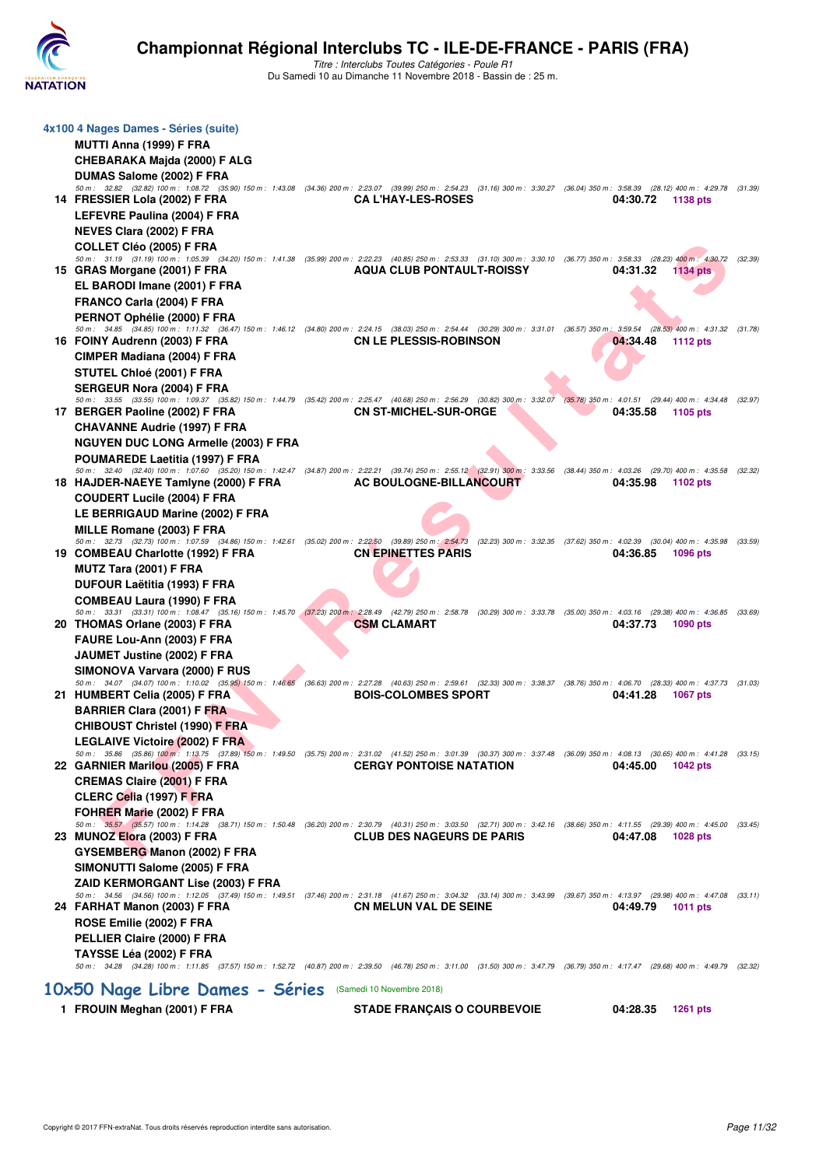

| 4x100 4 Nages Dames - Séries (suite)                                                                                                                                                                                              |                                    |                   |                                 |         |
|-----------------------------------------------------------------------------------------------------------------------------------------------------------------------------------------------------------------------------------|------------------------------------|-------------------|---------------------------------|---------|
| MUTTI Anna (1999) F FRA                                                                                                                                                                                                           |                                    |                   |                                 |         |
| CHEBARAKA Majda (2000) F ALG                                                                                                                                                                                                      |                                    |                   |                                 |         |
| DUMAS Salome (2002) F FRA                                                                                                                                                                                                         |                                    |                   |                                 |         |
| 50 m: 32.82 (32.82) 100 m: 1:08.72 (35.90) 150 m: 1:43.08 (34.36) 200 m: 2:23.07 (39.99) 250 m: 2:54.23 (31.16) 300 m: 3:30.27 (36.04) 350 m: 3:58.39 (28.12) 400 m: 4:29.78 (31.39)                                              |                                    |                   |                                 |         |
| 14 FRESSIER Lola (2002) F FRA                                                                                                                                                                                                     | <b>CA L'HAY-LES-ROSES</b>          | 04:30.72          | <b>1138 pts</b>                 |         |
| LEFEVRE Paulina (2004) F FRA                                                                                                                                                                                                      |                                    |                   |                                 |         |
| <b>NEVES Clara (2002) F FRA</b>                                                                                                                                                                                                   |                                    |                   |                                 |         |
| <b>COLLET Cléo (2005) F FRA</b><br>50 m: 31.19 (31.19) 100 m: 1:05.39 (34.20) 150 m: 1:41.38 (35.99) 200 m: 2:22.23 (40.85) 250 m: 2:53.33 (31.10) 300 m: 3:30.10 (36.77) 350 m: 3:58.33 (28.23) 400 m: 4:30.72                   |                                    |                   |                                 |         |
| 15 GRAS Morgane (2001) F FRA                                                                                                                                                                                                      | <b>AQUA CLUB PONTAULT-ROISSY</b>   | 04:31.32          | <b>1134 pts</b>                 | (32.39) |
| EL BARODI Imane (2001) F FRA                                                                                                                                                                                                      |                                    |                   |                                 |         |
| FRANCO Carla (2004) F FRA                                                                                                                                                                                                         |                                    |                   |                                 |         |
| PERNOT Ophélie (2000) F FRA                                                                                                                                                                                                       |                                    |                   |                                 |         |
| 50 m: 34.85 (34.85) 100 m: 1:11.32 (36.47) 150 m: 1:46.12 (34.80) 200 m: 2:24.15 (38.03) 250 m: 2:54.44 (30.29) 300 m: 3:31.01 (36.57) 350 m: 3:59.54 (28.53) 400 m: 4:31.32 (31.78)                                              |                                    |                   |                                 |         |
| 16 FOINY Audrenn (2003) F FRA                                                                                                                                                                                                     | <b>CN LE PLESSIS-ROBINSON</b>      | 04:34.48          | <b>1112 pts</b>                 |         |
| CIMPER Madiana (2004) F FRA                                                                                                                                                                                                       |                                    |                   |                                 |         |
| STUTEL Chloé (2001) F FRA                                                                                                                                                                                                         |                                    |                   |                                 |         |
| SERGEUR Nora (2004) F FRA                                                                                                                                                                                                         |                                    |                   |                                 |         |
| 50 m : 33.55 (33.55) 100 m : 1:09.37 (35.82) 150 m : 1:44.79 (35.42) 200 m : 2:25.47 (40.68) 250 m : 2:56.29 (30.82) 300 m : 3:32.07 (35.78) 350 m : 4:01.51<br>17 BERGER Paoline (2002) F FRA                                    | <b>CN ST-MICHEL-SUR-ORGE</b>       | 04:35.58          | (29.44) 400 m : 4:34.48 (32.97) |         |
|                                                                                                                                                                                                                                   |                                    |                   | 1105 pts                        |         |
| <b>CHAVANNE Audrie (1997) F FRA</b>                                                                                                                                                                                               |                                    |                   |                                 |         |
| <b>NGUYEN DUC LONG Armelle (2003) F FRA</b>                                                                                                                                                                                       |                                    |                   |                                 |         |
| POUMAREDE Laetitia (1997) F FRA<br>50 m: 32.40 (32.40) 100 m: 1:07.60 (35.20) 150 m: 1:42.47 (34.87) 200 m: 2:22.21 (39.74) 250 m: 2:55.12 (32.91) 300 m: 3:33.56 (38.44) 350 m: 4:03.26 (29.70) 400 m: 4:35.58 (32.32)           |                                    |                   |                                 |         |
| 18 HAJDER-NAEYE Tamiyne (2000) F FRA                                                                                                                                                                                              | AC BOULOGNE-BILLANCOURT            | 04:35.98          | 1102 pts                        |         |
| <b>COUDERT Lucile (2004) F FRA</b>                                                                                                                                                                                                |                                    |                   |                                 |         |
| LE BERRIGAUD Marine (2002) F FRA                                                                                                                                                                                                  |                                    |                   |                                 |         |
| MILLE Romane (2003) F FRA                                                                                                                                                                                                         |                                    |                   |                                 |         |
| 50 m : 32.73 (32.73) 100 m : 1:07.59 (34.86) 150 m : 1:42.61 (35.02) 200 m : 2:22.50 (39.89) 250 m : 2:54.73 (32.23) 300 m : 3:32.35 (37.62) 350 m : 4:02.39 (30.04) 400 m : 4:35.98 (33.59)                                      |                                    |                   |                                 |         |
| 19 COMBEAU Charlotte (1992) F FRA                                                                                                                                                                                                 | <b>CN EPINETTES PARIS</b>          | 04:36.85          | <b>1096 pts</b>                 |         |
| MUTZ Tara (2001) F FRA                                                                                                                                                                                                            |                                    |                   |                                 |         |
| DUFOUR Laëtitia (1993) F FRA                                                                                                                                                                                                      |                                    |                   |                                 |         |
| <b>COMBEAU Laura (1990) F FRA</b><br>50 m : 33.31 (33.31) 100 m : 1:08.47 (35.16) 150 m : 1:45.70 (37,23) 200 m : 2:28.49 (42.79) 250 m : 2:58.78 (30.29) 300 m : 3:33.78 (35.00) 350 m : 4:03.16 (29.38) 400 m : 4:36.85 (33.69) |                                    |                   |                                 |         |
| 20 THOMAS Orlane (2003) F FRA                                                                                                                                                                                                     | <b>CSM CLAMART</b>                 | 04:37.73          | 1090 pts                        |         |
| FAURE Lou-Ann (2003) F FRA                                                                                                                                                                                                        |                                    |                   |                                 |         |
| JAUMET Justine (2002) F FRA                                                                                                                                                                                                       |                                    |                   |                                 |         |
| SIMONOVA Varvara (2000) F RUS                                                                                                                                                                                                     |                                    |                   |                                 |         |
| 50 m : 34.07 (34.07) 100 m : 1:10.02 (35.95) 150 m : 1:46.65 (36.63) 200 m : 2:27.28 (40.63) 250 m : 2:59.61 (32.33) 300 m : 3:38.37 (38.76) 350 m : 4:06.70 (28.33) 400 m : 4:37.73 (31.03)                                      |                                    |                   |                                 |         |
| 21 HUMBERT Celia (2005) F FRA                                                                                                                                                                                                     | <b>BOIS-COLOMBES SPORT</b>         | 04:41.28          | <b>1067 pts</b>                 |         |
| <b>BARRIER Clara (2001) F FRA</b>                                                                                                                                                                                                 |                                    |                   |                                 |         |
| <b>CHIBOUST Christel (1990) F FRA</b>                                                                                                                                                                                             |                                    |                   |                                 |         |
| <b>LEGLAIVE Victoire (2002) F FRA</b>                                                                                                                                                                                             |                                    |                   |                                 |         |
| 50 m : 35.86 (35.86) 100 m : 1:13.75 (37.89) 150 m : 1:49.50 (35.75) 200 m : 2:31.02 (41.52) 250 m : 3:01.39 (30.37) 300 m : 3:37.48 (36.09) 350 m : 4:08.13 (30.65) 400 m : 4:41.28 (33.15)<br>22 GARNIER Marilou (2005) F FRA   | <b>CERGY PONTOISE NATATION</b>     | 04:45.00          | 1042 pts                        |         |
| <b>CREMAS Claire (2001) F FRA</b>                                                                                                                                                                                                 |                                    |                   |                                 |         |
| CLERC Celia (1997) F FRA                                                                                                                                                                                                          |                                    |                   |                                 |         |
| FOHRER Marie (2002) F FRA                                                                                                                                                                                                         |                                    |                   |                                 |         |
| 50 m: 35.57 (35.57) 100 m: 1:14.28 (38.71) 150 m: 1:50.48 (36.20) 200 m: 2:30.79 (40.31) 250 m: 3:03.50 (32.71) 300 m: 3:42.16 (38.66) 350 m: 4:11.55 (29.39) 400 m: 4:45.00 (33.45)                                              |                                    |                   |                                 |         |
| 23 MUNOZ Elora (2003) F FRA                                                                                                                                                                                                       | <b>CLUB DES NAGEURS DE PARIS</b>   | 04:47.08 1028 pts |                                 |         |
| GYSEMBERG Manon (2002) F FRA                                                                                                                                                                                                      |                                    |                   |                                 |         |
| SIMONUTTI Salome (2005) F FRA                                                                                                                                                                                                     |                                    |                   |                                 |         |
| ZAID KERMORGANT Lise (2003) F FRA                                                                                                                                                                                                 |                                    |                   |                                 |         |
| 50 m: 34.56 (34.56) 100 m: 1:12.05 (37.49) 150 m: 1:49.51 (37.46) 200 m: 2:31.18 (41.67) 250 m: 3:04.32 (33.14) 300 m: 3:43.99 (39.67) 350 m: 4:13.97 (29.98) 400 m: 4:47.08 (33.11)                                              |                                    | 04:49.79 1011 pts |                                 |         |
| 24 FARHAT Manon (2003) F FRA                                                                                                                                                                                                      | <b>CN MELUN VAL DE SEINE</b>       |                   |                                 |         |
| ROSE Emilie (2002) F FRA                                                                                                                                                                                                          |                                    |                   |                                 |         |
| PELLIER Claire (2000) F FRA                                                                                                                                                                                                       |                                    |                   |                                 |         |
| TAYSSE Léa (2002) F FRA<br>50 m: 34.28 (34.28) 100 m: 1:11.85 (37.57) 150 m: 1:52.72 (40.87) 200 m: 2:39.50 (46.78) 250 m: 3:11.00 (31.50) 300 m: 3:47.79 (36.79) 350 m: 4:17.47 (29.68) 400 m: 4:49.79 (32.32)                   |                                    |                   |                                 |         |
|                                                                                                                                                                                                                                   |                                    |                   |                                 |         |
| 10x50 Nage Libre Dames - Séries (Samedi 10 Novembre 2018)                                                                                                                                                                         |                                    |                   |                                 |         |
| 1 FROUIN Meghan (2001) F FRA                                                                                                                                                                                                      | <b>STADE FRANÇAIS O COURBEVOIE</b> | 04:28.35          | 1261 pts                        |         |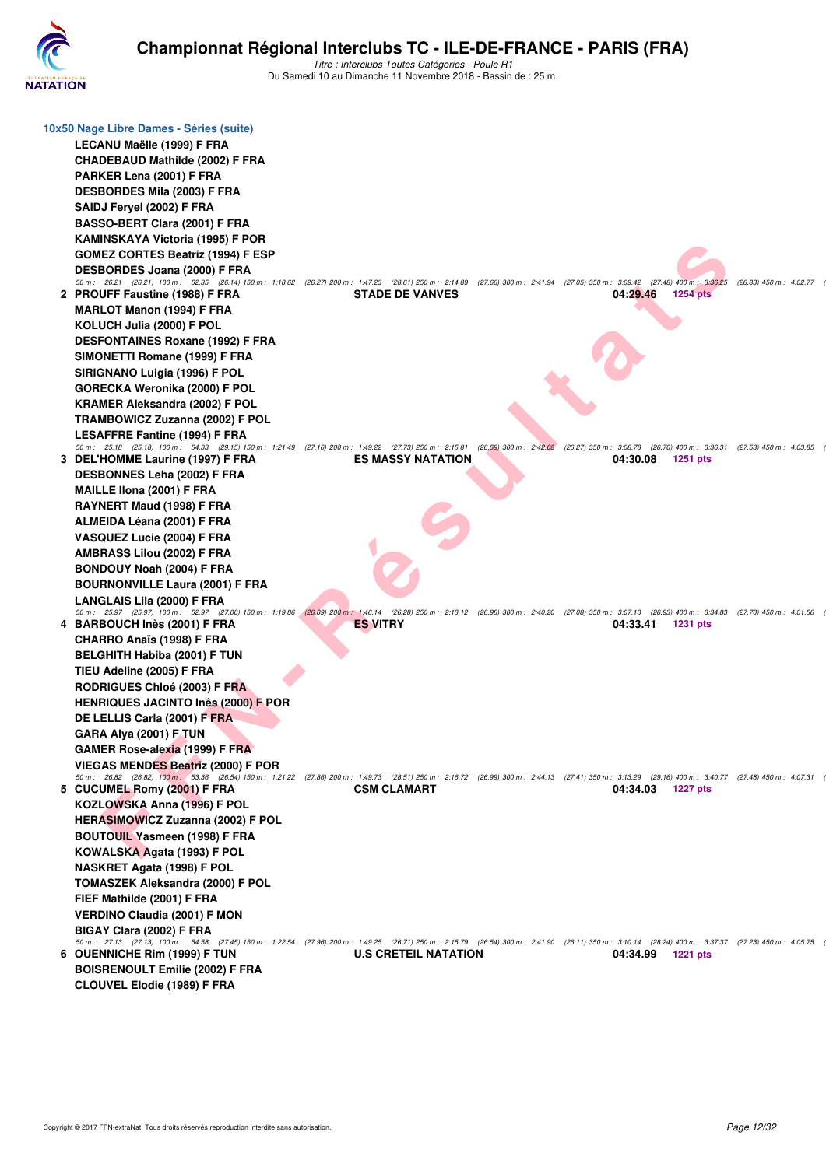

| 10x50 Nage Libre Dames - Séries (suite)                                                                                                                                                                                               |                             |                                                                                                                                                 |                           |
|---------------------------------------------------------------------------------------------------------------------------------------------------------------------------------------------------------------------------------------|-----------------------------|-------------------------------------------------------------------------------------------------------------------------------------------------|---------------------------|
| LECANU Maëlle (1999) F FRA                                                                                                                                                                                                            |                             |                                                                                                                                                 |                           |
| <b>CHADEBAUD Mathilde (2002) F FRA</b>                                                                                                                                                                                                |                             |                                                                                                                                                 |                           |
| PARKER Lena (2001) F FRA                                                                                                                                                                                                              |                             |                                                                                                                                                 |                           |
| <b>DESBORDES Mila (2003) F FRA</b>                                                                                                                                                                                                    |                             |                                                                                                                                                 |                           |
| SAIDJ Feryel (2002) F FRA                                                                                                                                                                                                             |                             |                                                                                                                                                 |                           |
| BASSO-BERT Clara (2001) F FRA                                                                                                                                                                                                         |                             |                                                                                                                                                 |                           |
| KAMINSKAYA Victoria (1995) F POR                                                                                                                                                                                                      |                             |                                                                                                                                                 |                           |
| <b>GOMEZ CORTES Beatriz (1994) F ESP</b>                                                                                                                                                                                              |                             |                                                                                                                                                 |                           |
| DESBORDES Joana (2000) F FRA                                                                                                                                                                                                          |                             |                                                                                                                                                 |                           |
| 50 m: 26.21 (26.21) 100 m: 52.35 (26.14) 150 m: 1:18.62 (26.27) 200 m: 1:47.23 (28.61) 250 m: 2:14.89 (27.66) 300 m: 2:41.94 (27.05) 350 m: 3:09.42                                                                                   |                             | $(27.48)$ 400 m : 3:36.25                                                                                                                       | $(26.83)$ 450 m : 4:02.77 |
| 2 PROUFF Faustine (1988) F FRA                                                                                                                                                                                                        | <b>STADE DE VANVES</b>      | 04:29.46<br>1254 pts                                                                                                                            |                           |
| <b>MARLOT Manon (1994) F FRA</b>                                                                                                                                                                                                      |                             |                                                                                                                                                 |                           |
| KOLUCH Julia (2000) F POL                                                                                                                                                                                                             |                             |                                                                                                                                                 |                           |
| <b>DESFONTAINES Roxane (1992) F FRA</b>                                                                                                                                                                                               |                             |                                                                                                                                                 |                           |
| SIMONETTI Romane (1999) F FRA                                                                                                                                                                                                         |                             |                                                                                                                                                 |                           |
| SIRIGNANO Luigia (1996) F POL                                                                                                                                                                                                         |                             |                                                                                                                                                 |                           |
| GORECKA Weronika (2000) F POL                                                                                                                                                                                                         |                             |                                                                                                                                                 |                           |
| <b>KRAMER Aleksandra (2002) F POL</b>                                                                                                                                                                                                 |                             |                                                                                                                                                 |                           |
| <b>TRAMBOWICZ Zuzanna (2002) F POL</b>                                                                                                                                                                                                |                             |                                                                                                                                                 |                           |
| <b>LESAFFRE Fantine (1994) F FRA</b>                                                                                                                                                                                                  |                             |                                                                                                                                                 |                           |
| 50 m: 25.18 (25.18) 100 m: 54.33 (29.15) 150 m: 1:21.49 (27.16) 200 m: 1:49.22 (27.73) 250 m: 2:15.81 (26.59) 300 m: 2:42.08 (26.27) 350 m: 3:08.78 (26.70) 400 m: 3:36.31 (27.53) 450 m: 4:03.85<br>3 DEL'HOMME Laurine (1997) F FRA | <b>ES MASSY NATATION</b>    | 04:30.08<br><b>1251 pts</b>                                                                                                                     |                           |
| <b>DESBONNES Leha (2002) F FRA</b>                                                                                                                                                                                                    |                             |                                                                                                                                                 |                           |
| MAILLE IIona (2001) F FRA                                                                                                                                                                                                             |                             |                                                                                                                                                 |                           |
| RAYNERT Maud (1998) F FRA                                                                                                                                                                                                             |                             |                                                                                                                                                 |                           |
| ALMEIDA Léana (2001) F FRA                                                                                                                                                                                                            |                             |                                                                                                                                                 |                           |
| VASQUEZ Lucie (2004) F FRA                                                                                                                                                                                                            |                             |                                                                                                                                                 |                           |
| AMBRASS Lilou (2002) F FRA                                                                                                                                                                                                            |                             |                                                                                                                                                 |                           |
| <b>BONDOUY Noah (2004) F FRA</b>                                                                                                                                                                                                      |                             |                                                                                                                                                 |                           |
| <b>BOURNONVILLE Laura (2001) F FRA</b>                                                                                                                                                                                                |                             |                                                                                                                                                 |                           |
| LANGLAIS Lila (2000) F FRA                                                                                                                                                                                                            |                             |                                                                                                                                                 |                           |
| 50 m: 25.97 (25.97) 100 m: 52.97 (27.00) 150 m: 1:19.86                                                                                                                                                                               |                             | (26.89) 200 m : 1:46.14 (26.28) 250 m : 2:13.12 (26.98) 300 m : 2:40.20 (27.08) 350 m : 3:07.13 (26.93) 400 m : 3:34.83 (27.70) 450 m : 4:01.56 |                           |
| 4 BARBOUCH Inès (2001) F FRA                                                                                                                                                                                                          | <b>ES VITRY</b>             | 04:33.41<br><b>1231 pts</b>                                                                                                                     |                           |
| <b>CHARRO Anaïs (1998) F FRA</b>                                                                                                                                                                                                      |                             |                                                                                                                                                 |                           |
| <b>BELGHITH Habiba (2001) F TUN</b>                                                                                                                                                                                                   |                             |                                                                                                                                                 |                           |
| TIEU Adeline (2005) F FRA                                                                                                                                                                                                             |                             |                                                                                                                                                 |                           |
| <b>RODRIGUES Chloé (2003) F FRA</b>                                                                                                                                                                                                   |                             |                                                                                                                                                 |                           |
| <b>HENRIQUES JACINTO Inês (2000) F POR</b>                                                                                                                                                                                            |                             |                                                                                                                                                 |                           |
| DE LELLIS Carla (2001) F FRA                                                                                                                                                                                                          |                             |                                                                                                                                                 |                           |
| GARA Alya (2001) F TUN                                                                                                                                                                                                                |                             |                                                                                                                                                 |                           |
| <b>GAMER Rose-alexia (1999) F FRA</b>                                                                                                                                                                                                 |                             |                                                                                                                                                 |                           |
| <b>VIEGAS MENDES Beatriz (2000) F POR</b>                                                                                                                                                                                             |                             |                                                                                                                                                 |                           |
| 50 m: 26.82 (26.82) 100 m: 53.36 (26.54) 150 m: 1:21.22 (27.86) 200 m: 1:49.73 (28.51) 250 m: 2:16.72 (26.99) 300 m: 2:44.13 (27.41) 350 m: 3:13.29 (29.16) 400 m: 3:40.77 (27.48) 450 m: 4:07.31                                     |                             |                                                                                                                                                 |                           |
| 5 CUCUMEL Romy (2001) F FRA                                                                                                                                                                                                           | <b>CSM CLAMART</b>          | 04:34.03<br>1227 pts                                                                                                                            |                           |
| KOZLOWSKA Anna (1996) F POL                                                                                                                                                                                                           |                             |                                                                                                                                                 |                           |
| <b>HERASIMOWICZ Zuzanna (2002) F POL</b>                                                                                                                                                                                              |                             |                                                                                                                                                 |                           |
| <b>BOUTOUIL Yasmeen (1998) F FRA</b>                                                                                                                                                                                                  |                             |                                                                                                                                                 |                           |
| KOWALSKA Agata (1993) F POL                                                                                                                                                                                                           |                             |                                                                                                                                                 |                           |
| <b>NASKRET Agata (1998) F POL</b>                                                                                                                                                                                                     |                             |                                                                                                                                                 |                           |
| <b>TOMASZEK Aleksandra (2000) F POL</b>                                                                                                                                                                                               |                             |                                                                                                                                                 |                           |
| FIEF Mathilde (2001) F FRA                                                                                                                                                                                                            |                             |                                                                                                                                                 |                           |
| <b>VERDINO Claudia (2001) F MON</b>                                                                                                                                                                                                   |                             |                                                                                                                                                 |                           |
| BIGAY Clara (2002) F FRA<br>50 m: 27.13 (27.13) 100 m: 54.58 (27.45) 150 m: 1:22.54 (27.96) 200 m: 1:49.25 (26.71) 250 m: 2:15.79 (26.54) 300 m: 2:41.90 (26.11) 350 m: 3:10.14 (28.24) 400 m: 3:37.37 (27.23) 450 m: 4:05.75         |                             |                                                                                                                                                 |                           |
| 6 OUENNICHE Rim (1999) F TUN                                                                                                                                                                                                          | <b>U.S CRETEIL NATATION</b> | 04:34.99<br><b>1221 pts</b>                                                                                                                     |                           |
| <b>BOISRENOULT Emilie (2002) F FRA</b>                                                                                                                                                                                                |                             |                                                                                                                                                 |                           |
| <b>CLOUVEL Elodie (1989) F FRA</b>                                                                                                                                                                                                    |                             |                                                                                                                                                 |                           |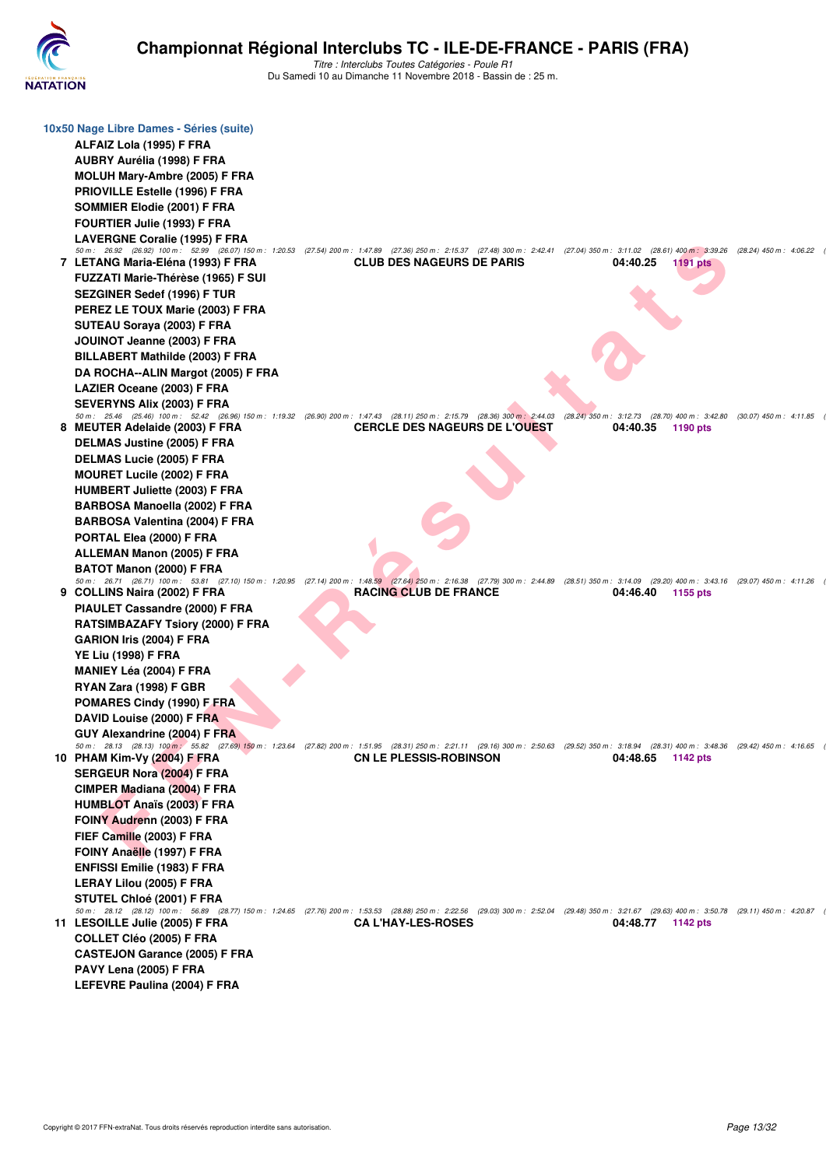

| 10x50 Nage Libre Dames - Séries (suite)                                                                            |                                                                                                                                                                                                                                   |                                                                                                                     |  |
|--------------------------------------------------------------------------------------------------------------------|-----------------------------------------------------------------------------------------------------------------------------------------------------------------------------------------------------------------------------------|---------------------------------------------------------------------------------------------------------------------|--|
| ALFAIZ Lola (1995) F FRA                                                                                           |                                                                                                                                                                                                                                   |                                                                                                                     |  |
| AUBRY Aurélia (1998) F FRA                                                                                         |                                                                                                                                                                                                                                   |                                                                                                                     |  |
| MOLUH Mary-Ambre (2005) F FRA                                                                                      |                                                                                                                                                                                                                                   |                                                                                                                     |  |
| <b>PRIOVILLE Estelle (1996) F FRA</b>                                                                              |                                                                                                                                                                                                                                   |                                                                                                                     |  |
| SOMMIER Elodie (2001) F FRA                                                                                        |                                                                                                                                                                                                                                   |                                                                                                                     |  |
| FOURTIER Julie (1993) F FRA                                                                                        |                                                                                                                                                                                                                                   |                                                                                                                     |  |
| LAVERGNE Coralie (1995) F FRA                                                                                      |                                                                                                                                                                                                                                   |                                                                                                                     |  |
|                                                                                                                    | 50 m: 26.92 (26.92) 100 m: 52.99 (26.07) 150 m: 1:20.53 (27.54) 200 m: 1:47.89 (27.36) 250 m: 2:15.37 (27.48) 300 m: 2:42.41 (27.04) 350 m: 3:11.02 (28.61) 400 m: 3:39.26 (28.24) 450 m: 4:06.22                                 |                                                                                                                     |  |
| 7 LETANG Maria-Eléna (1993) F FRA                                                                                  | <b>CLUB DES NAGEURS DE PARIS</b>                                                                                                                                                                                                  | 04:40.25<br><b>1191 pts</b>                                                                                         |  |
| FUZZATI Marie-Thérèse (1965) F SUI                                                                                 |                                                                                                                                                                                                                                   |                                                                                                                     |  |
| SEZGINER Sedef (1996) F TUR                                                                                        |                                                                                                                                                                                                                                   |                                                                                                                     |  |
| PEREZ LE TOUX Marie (2003) F FRA                                                                                   |                                                                                                                                                                                                                                   |                                                                                                                     |  |
| SUTEAU Soraya (2003) F FRA                                                                                         |                                                                                                                                                                                                                                   |                                                                                                                     |  |
| JOUINOT Jeanne (2003) F FRA                                                                                        |                                                                                                                                                                                                                                   |                                                                                                                     |  |
| <b>BILLABERT Mathilde (2003) F FRA</b>                                                                             |                                                                                                                                                                                                                                   |                                                                                                                     |  |
| DA ROCHA--ALIN Margot (2005) F FRA                                                                                 |                                                                                                                                                                                                                                   |                                                                                                                     |  |
| LAZIER Oceane (2003) F FRA                                                                                         |                                                                                                                                                                                                                                   |                                                                                                                     |  |
| <b>SEVERYNS Alix (2003) F FRA</b>                                                                                  |                                                                                                                                                                                                                                   |                                                                                                                     |  |
|                                                                                                                    | 50 m: 25.46 (25.46) 100 m: 52.42 (26.96) 150 m: 1:19.32 (26.90) 200 m: 1:47.43 (28.11) 250 m: 2:15.79 (28.36) 300 m: 2:44.03 (28.24) 350 m: 3:12.73 (28.70) 400 m: 3:42.80 (30.07) 450 m: 4:11.85                                 |                                                                                                                     |  |
| 8 MEUTER Adelaide (2003) F FRA                                                                                     | <b>CERCLE DES NAGEURS DE L'OUEST</b>                                                                                                                                                                                              | 04:40.35<br>1190 pts                                                                                                |  |
| DELMAS Justine (2005) F FRA                                                                                        |                                                                                                                                                                                                                                   |                                                                                                                     |  |
| DELMAS Lucie (2005) F FRA                                                                                          |                                                                                                                                                                                                                                   |                                                                                                                     |  |
| <b>MOURET Lucile (2002) F FRA</b>                                                                                  |                                                                                                                                                                                                                                   |                                                                                                                     |  |
| <b>HUMBERT Juliette (2003) F FRA</b>                                                                               |                                                                                                                                                                                                                                   |                                                                                                                     |  |
| BARBOSA Manoella (2002) F FRA                                                                                      |                                                                                                                                                                                                                                   |                                                                                                                     |  |
| BARBOSA Valentina (2004) F FRA                                                                                     |                                                                                                                                                                                                                                   |                                                                                                                     |  |
| PORTAL Elea (2000) F FRA                                                                                           |                                                                                                                                                                                                                                   |                                                                                                                     |  |
| <b>ALLEMAN Manon (2005) F FRA</b>                                                                                  |                                                                                                                                                                                                                                   |                                                                                                                     |  |
| BATOT Manon (2000) F FRA                                                                                           |                                                                                                                                                                                                                                   |                                                                                                                     |  |
| 9 COLLINS Naira (2002) F FRA                                                                                       | 50 m: 26.71 (26.71) 100 m: 53.81 (27.10) 150 m: 1:20.95 (27.14) 200 m: 1:48.59 (27.64) 250 m: 2:16.38 (27.79) 300 m: 2:44.89 (28.51) 350 m: 3:14.09 (29.20) 400 m: 3:43.16 (29.07) 450 m: 4:11.26<br><b>RACING CLUB DE FRANCE</b> | 04:46.40<br>1155 pts                                                                                                |  |
| PIAULET Cassandre (2000) F FRA                                                                                     |                                                                                                                                                                                                                                   |                                                                                                                     |  |
| <b>RATSIMBAZAFY Tsiory (2000) F FRA</b>                                                                            |                                                                                                                                                                                                                                   |                                                                                                                     |  |
| GARION Iris (2004) F FRA                                                                                           |                                                                                                                                                                                                                                   |                                                                                                                     |  |
| <b>YE Liu (1998) F FRA</b>                                                                                         |                                                                                                                                                                                                                                   |                                                                                                                     |  |
|                                                                                                                    |                                                                                                                                                                                                                                   |                                                                                                                     |  |
| <b>MANIEY Léa (2004) F FRA</b>                                                                                     |                                                                                                                                                                                                                                   |                                                                                                                     |  |
| RYAN Zara (1998) F GBR                                                                                             |                                                                                                                                                                                                                                   |                                                                                                                     |  |
| POMARES Cindy (1990) F FRA                                                                                         |                                                                                                                                                                                                                                   |                                                                                                                     |  |
| DAVID Louise (2000) F FRA                                                                                          |                                                                                                                                                                                                                                   |                                                                                                                     |  |
| GUY Alexandrine (2004) F FRA<br>50 m : 28.13 (28.13) 100 m : 55.82 (27.69) 150 m : 1:23.64 (27.82) 200 m : 1:51.95 |                                                                                                                                                                                                                                   | (28.31) 250 m :  2:21.11 (29.16) 300 m :  2:50.63 (29.52) 350 m :  3:18.94 (28.31) 400 m :  3:48.36 (29.42) 450 m : |  |
| 10 PHAM Kim-Vy (2004) F FRA                                                                                        | <b>CN LE PLESSIS-ROBINSON</b>                                                                                                                                                                                                     | 04:48.65 1142 pts                                                                                                   |  |
| <b>SERGEUR Nora (2004) F FRA</b>                                                                                   |                                                                                                                                                                                                                                   |                                                                                                                     |  |
| CIMPER Madiana (2004) F FRA                                                                                        |                                                                                                                                                                                                                                   |                                                                                                                     |  |
| <b>HUMBLOT Anaïs (2003) F FRA</b>                                                                                  |                                                                                                                                                                                                                                   |                                                                                                                     |  |
| FOINY Audrenn (2003) F FRA                                                                                         |                                                                                                                                                                                                                                   |                                                                                                                     |  |
| FIEF Camille (2003) F FRA                                                                                          |                                                                                                                                                                                                                                   |                                                                                                                     |  |
| FOINY Anaëlle (1997) F FRA                                                                                         |                                                                                                                                                                                                                                   |                                                                                                                     |  |
| <b>ENFISSI Emilie (1983) F FRA</b>                                                                                 |                                                                                                                                                                                                                                   |                                                                                                                     |  |
| LERAY Lilou (2005) F FRA                                                                                           |                                                                                                                                                                                                                                   |                                                                                                                     |  |
| STUTEL Chloé (2001) F FRA                                                                                          |                                                                                                                                                                                                                                   |                                                                                                                     |  |
|                                                                                                                    | 50 m: 28.12 (28.12) 100 m: 56.89 (28.77) 150 m: 1:24.65 (27.76) 200 m: 1:53.53 (28.88) 250 m: 2:22.56 (29.03) 300 m: 2:52.04 (29.48) 350 m: 3:21.67 (29.63) 400 m: 3:50.78 (29.11) 450 m: 4:20.87                                 |                                                                                                                     |  |
| 11 LESOILLE Julie (2005) F FRA                                                                                     | <b>CA L'HAY-LES-ROSES</b>                                                                                                                                                                                                         | 04:48.77 1142 pts                                                                                                   |  |
| COLLET Cléo (2005) F FRA                                                                                           |                                                                                                                                                                                                                                   |                                                                                                                     |  |
| <b>CASTEJON Garance (2005) F FRA</b>                                                                               |                                                                                                                                                                                                                                   |                                                                                                                     |  |
| PAVY Lena (2005) F FRA                                                                                             |                                                                                                                                                                                                                                   |                                                                                                                     |  |
| LEFEVRE Paulina (2004) F FRA                                                                                       |                                                                                                                                                                                                                                   |                                                                                                                     |  |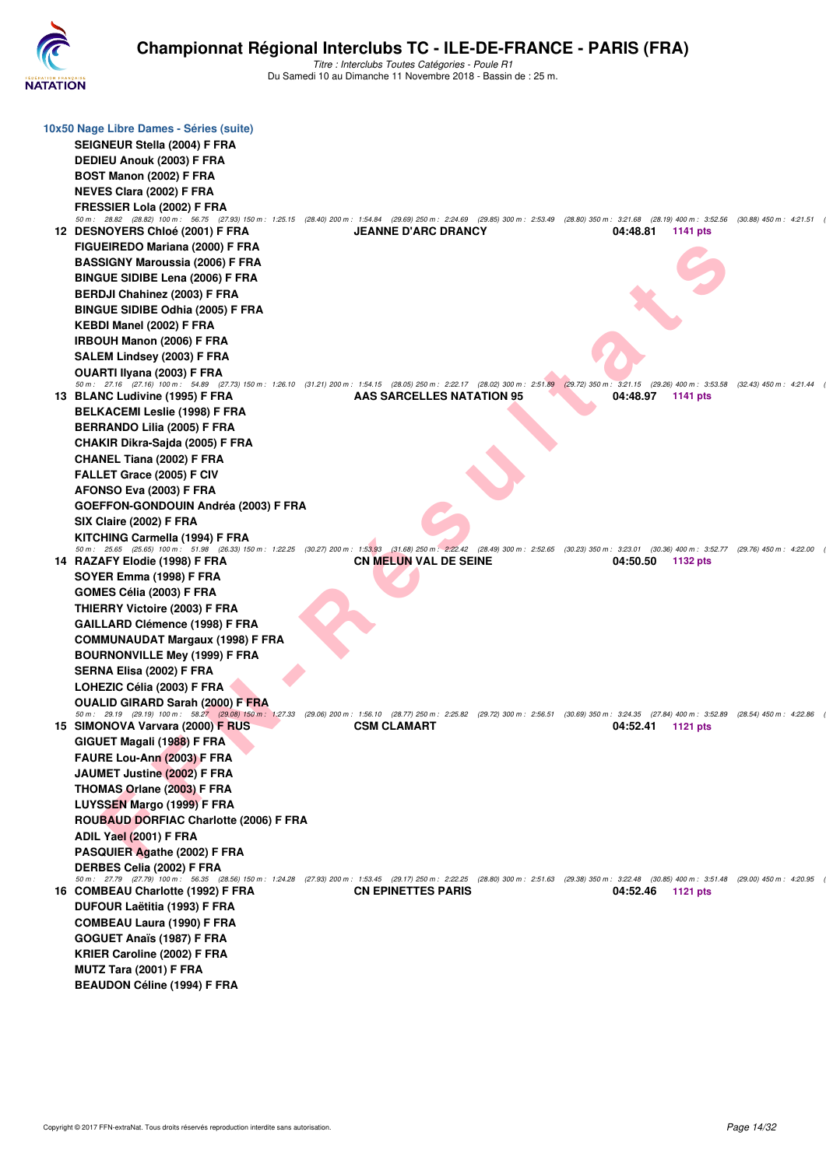

| 10x50 Nage Libre Dames - Séries (suite)<br>SEIGNEUR Stella (2004) F FRA<br>DEDIEU Anouk (2003) F FRA                                                                                                                                                                                          |                                                                                                                    |                      |                           |
|-----------------------------------------------------------------------------------------------------------------------------------------------------------------------------------------------------------------------------------------------------------------------------------------------|--------------------------------------------------------------------------------------------------------------------|----------------------|---------------------------|
| BOST Manon (2002) F FRA<br><b>NEVES Clara (2002) F FRA</b><br>FRESSIER Lola (2002) F FRA<br>50 m: 28.82 (28.82) 100 m: 56.75 (27.93) 150 m: 1:25.15 (28.40) 200 m: 1:54.84 (29.69) 250 m: 2:24.69 (29.85) 300 m: 2:53.49 (28.80) 350 m: 3:21.68 (28.19) 400 m: 3:52.56 (30.88) 450 m: 4:21.51 |                                                                                                                    |                      |                           |
| 12 DESNOYERS Chloé (2001) F FRA<br>FIGUEIREDO Mariana (2000) F FRA<br><b>BASSIGNY Maroussia (2006) F FRA</b><br><b>BINGUE SIDIBE Lena (2006) F FRA</b>                                                                                                                                        | <b>JEANNE D'ARC DRANCY</b>                                                                                         | 04:48.81<br>1141 pts |                           |
| <b>BERDJI Chahinez (2003) F FRA</b>                                                                                                                                                                                                                                                           |                                                                                                                    |                      |                           |
| <b>BINGUE SIDIBE Odhia (2005) F FRA</b>                                                                                                                                                                                                                                                       |                                                                                                                    |                      |                           |
| KEBDI Manel (2002) F FRA<br><b>IRBOUH Manon (2006) F FRA</b>                                                                                                                                                                                                                                  |                                                                                                                    |                      |                           |
| SALEM Lindsey (2003) F FRA                                                                                                                                                                                                                                                                    |                                                                                                                    |                      |                           |
| OUARTI Ilyana (2003) F FRA                                                                                                                                                                                                                                                                    |                                                                                                                    |                      |                           |
| 50 m: 27.16 (27.16) 100 m: 54.89 (27.73) 150 m: 1:26.10 (31.21) 200 m: 1:54.15 (28.05) 250 m: 2:22.17 (28.02) 300 m: 2:51.89 (29.72) 350 m: 3:21.15 (29.26) 400 m: 3:53.58 (32.43) 450 m: 4:21.44<br>13 BLANC Ludivine (1995) F FRA                                                           | AAS SARCELLES NATATION 95                                                                                          | 04:48.97<br>1141 pts |                           |
| <b>BELKACEMI Leslie (1998) F FRA</b>                                                                                                                                                                                                                                                          |                                                                                                                    |                      |                           |
| <b>BERRANDO Lilia (2005) F FRA</b>                                                                                                                                                                                                                                                            |                                                                                                                    |                      |                           |
| CHAKIR Dikra-Sajda (2005) F FRA                                                                                                                                                                                                                                                               |                                                                                                                    |                      |                           |
| <b>CHANEL Tiana (2002) F FRA</b>                                                                                                                                                                                                                                                              |                                                                                                                    |                      |                           |
| FALLET Grace (2005) F CIV                                                                                                                                                                                                                                                                     |                                                                                                                    |                      |                           |
| AFONSO Eva (2003) F FRA<br>GOEFFON-GONDOUIN Andréa (2003) F FRA                                                                                                                                                                                                                               |                                                                                                                    |                      |                           |
| SIX Claire (2002) F FRA                                                                                                                                                                                                                                                                       |                                                                                                                    |                      |                           |
| KITCHING Carmella (1994) F FRA                                                                                                                                                                                                                                                                |                                                                                                                    |                      |                           |
| 50 m: 25.65 (25.65) 100 m: 51.98 (26.33) 150 m: 1:22.25 (30.27) 200 m: 1:53.93 (31.68) 250 m: 2:22.42 (28.49) 300 m: 2:52.65 (30.23) 350 m: 3:23.01 (30.36) 400 m: 3:52.77 (29.76) 450 m: 4:22.00                                                                                             |                                                                                                                    |                      |                           |
| 14 RAZAFY Elodie (1998) F FRA                                                                                                                                                                                                                                                                 | <b>CN MELUN VAL DE SEINE</b>                                                                                       | 04:50.50<br>1132 pts |                           |
| SOYER Emma (1998) F FRA<br>GOMES Célia (2003) F FRA                                                                                                                                                                                                                                           |                                                                                                                    |                      |                           |
| THIERRY Victoire (2003) F FRA                                                                                                                                                                                                                                                                 |                                                                                                                    |                      |                           |
| <b>GAILLARD Clémence (1998) F FRA</b>                                                                                                                                                                                                                                                         |                                                                                                                    |                      |                           |
| <b>COMMUNAUDAT Margaux (1998) F FRA</b>                                                                                                                                                                                                                                                       |                                                                                                                    |                      |                           |
| <b>BOURNONVILLE Mey (1999) F FRA</b>                                                                                                                                                                                                                                                          |                                                                                                                    |                      |                           |
| SERNA Elisa (2002) F FRA                                                                                                                                                                                                                                                                      |                                                                                                                    |                      |                           |
| LOHEZIC Célia (2003) F FRA                                                                                                                                                                                                                                                                    |                                                                                                                    |                      |                           |
| OUALID GIRARD Sarah (2000) F FRA<br>50 m: 29.19 (29.19) 100 m: 58.27 (29.08) 150 m: 1:27.33                                                                                                                                                                                                   | (29.06) 200 m: 1:56.10 (28.77) 250 m: 2:25.82 (29.72) 300 m: 2:56.51 (30.69) 350 m: 3:24.35 (27.84) 400 m: 3:52.89 |                      |                           |
| 15 SIMONOVA Varvara (2000) F RUS                                                                                                                                                                                                                                                              | <b>CSM CLAMART</b>                                                                                                 | 04:52.41<br>1121 pts | $(28.54)$ 450 m : 4:22.86 |
| GIGUET Magali (1988) F FRA                                                                                                                                                                                                                                                                    |                                                                                                                    |                      |                           |
| FAURE Lou-Ann (2003) F FRA                                                                                                                                                                                                                                                                    |                                                                                                                    |                      |                           |
| JAUMET Justine (2002) F FRA                                                                                                                                                                                                                                                                   |                                                                                                                    |                      |                           |
| <b>THOMAS Orlane (2003) F FRA</b>                                                                                                                                                                                                                                                             |                                                                                                                    |                      |                           |
| LUYSSEN Margo (1999) F FRA                                                                                                                                                                                                                                                                    |                                                                                                                    |                      |                           |
| ROUBAUD DORFIAC Charlotte (2006) F FRA                                                                                                                                                                                                                                                        |                                                                                                                    |                      |                           |
| ADIL Yael (2001) F FRA<br>PASQUIER Agathe (2002) F FRA                                                                                                                                                                                                                                        |                                                                                                                    |                      |                           |
| <b>DERBES Celia (2002) F FRA</b>                                                                                                                                                                                                                                                              |                                                                                                                    |                      |                           |
| 50 m : 27.79 (27.79) 100 m : 56.35 (28.56) 150 m : 1:24.28 (27.93) 200 m : 1:53.45 (29.17) 250 m : 2:22.25 (28.80) 300 m : 2:51.63 (29.38) 350 m : 3:22.48 (30.85) 400 m : 3:51.48 (29.00) 450 m : 4:20.95                                                                                    |                                                                                                                    |                      |                           |
| 16 COMBEAU Charlotte (1992) F FRA                                                                                                                                                                                                                                                             | <b>CN EPINETTES PARIS</b>                                                                                          | 04:52.46<br>1121 pts |                           |
| DUFOUR Laëtitia (1993) F FRA                                                                                                                                                                                                                                                                  |                                                                                                                    |                      |                           |
| <b>COMBEAU Laura (1990) F FRA</b><br>GOGUET Anaïs (1987) F FRA                                                                                                                                                                                                                                |                                                                                                                    |                      |                           |
| KRIER Caroline (2002) F FRA                                                                                                                                                                                                                                                                   |                                                                                                                    |                      |                           |
| MUTZ Tara (2001) F FRA                                                                                                                                                                                                                                                                        |                                                                                                                    |                      |                           |
| <b>BEAUDON Céline (1994) F FRA</b>                                                                                                                                                                                                                                                            |                                                                                                                    |                      |                           |
|                                                                                                                                                                                                                                                                                               |                                                                                                                    |                      |                           |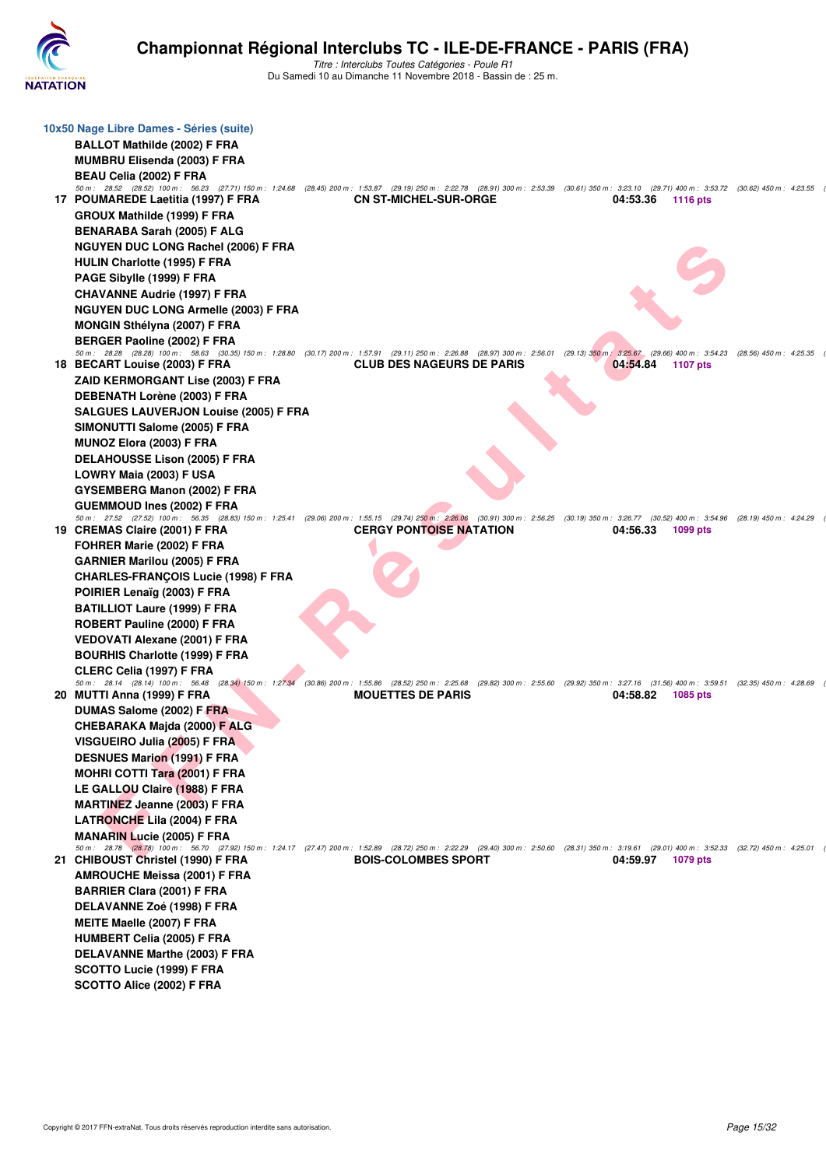

| 10x50 Nage Libre Dames - Séries (suite)                                                                                                                                                                                                 |                                  |  |                   |                 |  |
|-----------------------------------------------------------------------------------------------------------------------------------------------------------------------------------------------------------------------------------------|----------------------------------|--|-------------------|-----------------|--|
| <b>BALLOT Mathilde (2002) F FRA</b>                                                                                                                                                                                                     |                                  |  |                   |                 |  |
| MUMBRU Elisenda (2003) F FRA                                                                                                                                                                                                            |                                  |  |                   |                 |  |
| BEAU Celia (2002) F FRA                                                                                                                                                                                                                 |                                  |  |                   |                 |  |
| 50 m: 28.52 (28.52) 100 m: 56.23 (27.71) 150 m: 1:24.68 (28.45) 200 m: 1:53.87 (29.19) 250 m: 2:22.78 (28.91) 300 m: 2:53.39 (30.61) 350 m: 3:23.10 (29.71) 400 m: 3:53.72 (30.62) 450 m: 4:23.55                                       |                                  |  |                   |                 |  |
| 17 POUMAREDE Laetitia (1997) F FRA                                                                                                                                                                                                      | <b>CN ST-MICHEL-SUR-ORGE</b>     |  | 04:53.36          | <b>1116 pts</b> |  |
| <b>GROUX Mathilde (1999) F FRA</b>                                                                                                                                                                                                      |                                  |  |                   |                 |  |
| BENARABA Sarah (2005) F ALG                                                                                                                                                                                                             |                                  |  |                   |                 |  |
| NGUYEN DUC LONG Rachel (2006) F FRA                                                                                                                                                                                                     |                                  |  |                   |                 |  |
| HULIN Charlotte (1995) F FRA                                                                                                                                                                                                            |                                  |  |                   |                 |  |
| PAGE Sibylle (1999) F FRA                                                                                                                                                                                                               |                                  |  |                   |                 |  |
| <b>CHAVANNE Audrie (1997) F FRA</b>                                                                                                                                                                                                     |                                  |  |                   |                 |  |
| <b>NGUYEN DUC LONG Armelle (2003) F FRA</b>                                                                                                                                                                                             |                                  |  |                   |                 |  |
| <b>MONGIN Sthélyna (2007) F FRA</b>                                                                                                                                                                                                     |                                  |  |                   |                 |  |
| <b>BERGER Paoline (2002) F FRA</b><br>50 m: 28.28 (28.28) 100 m: 58.63 (30.35) 150 m: 1:28.80 (30.17) 200 m: 1:57.91 (29.11) 250 m: 2:26.88 (28.97) 300 m: 2:56.01 (29.13) 350 m: 3:25.67 (29.66) 400 m: 3:54.23 (28.56) 450 m: 4:25.35 |                                  |  |                   |                 |  |
| 18 BECART Louise (2003) F FRA                                                                                                                                                                                                           | <b>CLUB DES NAGEURS DE PARIS</b> |  | 04:54.84          | 1107 pts        |  |
| ZAID KERMORGANT Lise (2003) F FRA                                                                                                                                                                                                       |                                  |  |                   |                 |  |
| <b>DEBENATH Lorène (2003) F FRA</b>                                                                                                                                                                                                     |                                  |  |                   |                 |  |
| <b>SALGUES LAUVERJON Louise (2005) F FRA</b>                                                                                                                                                                                            |                                  |  |                   |                 |  |
| SIMONUTTI Salome (2005) F FRA                                                                                                                                                                                                           |                                  |  |                   |                 |  |
| MUNOZ Elora (2003) F FRA                                                                                                                                                                                                                |                                  |  |                   |                 |  |
| <b>DELAHOUSSE Lison (2005) F FRA</b>                                                                                                                                                                                                    |                                  |  |                   |                 |  |
| LOWRY Maia (2003) F USA                                                                                                                                                                                                                 |                                  |  |                   |                 |  |
| GYSEMBERG Manon (2002) F FRA                                                                                                                                                                                                            |                                  |  |                   |                 |  |
| <b>GUEMMOUD Ines (2002) F FRA</b>                                                                                                                                                                                                       |                                  |  |                   |                 |  |
| 50 m: 27.52 (27.52) 100 m: 56.35 (28.83) 150 m: 1:25.41 (29.06) 200 m: 1:55.15 (29.74) 250 m: 2:26.06 (30.91) 300 m: 2:56.25 (30.19) 350 m: 3:26.77 (30.52) 400 m: 3:54.96 (28.19) 450 m: 4:24.29                                       |                                  |  |                   |                 |  |
| 19 CREMAS Claire (2001) F FRA                                                                                                                                                                                                           | <b>CERGY PONTOISE NATATION</b>   |  | 04:56.33          | 1099 pts        |  |
| FOHRER Marie (2002) F FRA                                                                                                                                                                                                               |                                  |  |                   |                 |  |
| GARNIER Marilou (2005) F FRA<br>CHARLES-FRANÇOIS Lucie (1998) F FRA                                                                                                                                                                     |                                  |  |                   |                 |  |
| POIRIER Lenaïg (2003) F FRA                                                                                                                                                                                                             |                                  |  |                   |                 |  |
| <b>BATILLIOT Laure (1999) F FRA</b>                                                                                                                                                                                                     |                                  |  |                   |                 |  |
| ROBERT Pauline (2000) F FRA                                                                                                                                                                                                             |                                  |  |                   |                 |  |
| <b>VEDOVATI Alexane (2001) F FRA</b>                                                                                                                                                                                                    |                                  |  |                   |                 |  |
| <b>BOURHIS Charlotte (1999) F FRA</b>                                                                                                                                                                                                   |                                  |  |                   |                 |  |
| CLERC Celia (1997) F FRA                                                                                                                                                                                                                |                                  |  |                   |                 |  |
| 50 m: 28.14 (28.14) 100 m: 56.48 (28.34) 150 m: 1:27.34 (30.86) 200 m: 1:55.86 (28.52) 250 m: 2:25.68 (29.82) 300 m: 2:55.60 (29.92) 350 m: 3:27.16 (31.56) 400 m: 3:59.51 (32.35) 450 m: 4:28.69                                       |                                  |  |                   |                 |  |
| 20 MUTTI Anna (1999) F FRA                                                                                                                                                                                                              | <b>MOUETTES DE PARIS</b>         |  | 04:58.82          | 1085 pts        |  |
| DUMAS Salome (2002) F FRA                                                                                                                                                                                                               |                                  |  |                   |                 |  |
| CHEBARAKA Majda (2000) F ALG                                                                                                                                                                                                            |                                  |  |                   |                 |  |
| VISGUEIRO Julia (2005) F FRA                                                                                                                                                                                                            |                                  |  |                   |                 |  |
| <b>DESNUES Marion (1991) F FRA</b>                                                                                                                                                                                                      |                                  |  |                   |                 |  |
| <b>MOHRI COTTI Tara (2001) F FRA</b>                                                                                                                                                                                                    |                                  |  |                   |                 |  |
| LE GALLOU Claire (1988) F FRA                                                                                                                                                                                                           |                                  |  |                   |                 |  |
| <b>MARTINEZ Jeanne (2003) F FRA</b>                                                                                                                                                                                                     |                                  |  |                   |                 |  |
| <b>LATRONCHE Lila (2004) F FRA</b>                                                                                                                                                                                                      |                                  |  |                   |                 |  |
| MANARIN Lucie (2005) F FRA<br>50 m: 28.78 (28.78) 100 m: 56.70 (27.92) 150 m: 1:24.17 (27.47) 200 m: 1:52.89 (28.72) 250 m: 2:22.29 (29.40) 300 m: 2:50.60 (28.31) 350 m: 3:19.61 (29.01) 400 m: 3:52.33 (32.72) 450 m: 4:25.01         |                                  |  |                   |                 |  |
| 21 CHIBOUST Christel (1990) F FRA                                                                                                                                                                                                       | <b>BOIS-COLOMBES SPORT</b>       |  | 04:59.97 1079 pts |                 |  |
| <b>AMROUCHE Meissa (2001) F FRA</b>                                                                                                                                                                                                     |                                  |  |                   |                 |  |
| <b>BARRIER Clara (2001) F FRA</b>                                                                                                                                                                                                       |                                  |  |                   |                 |  |
| DELAVANNE Zoé (1998) F FRA                                                                                                                                                                                                              |                                  |  |                   |                 |  |
| MEITE Maelle (2007) F FRA                                                                                                                                                                                                               |                                  |  |                   |                 |  |
| <b>HUMBERT Celia (2005) F FRA</b>                                                                                                                                                                                                       |                                  |  |                   |                 |  |
| DELAVANNE Marthe (2003) F FRA                                                                                                                                                                                                           |                                  |  |                   |                 |  |
| SCOTTO Lucie (1999) F FRA                                                                                                                                                                                                               |                                  |  |                   |                 |  |
| SCOTTO Alice (2002) F FRA                                                                                                                                                                                                               |                                  |  |                   |                 |  |
|                                                                                                                                                                                                                                         |                                  |  |                   |                 |  |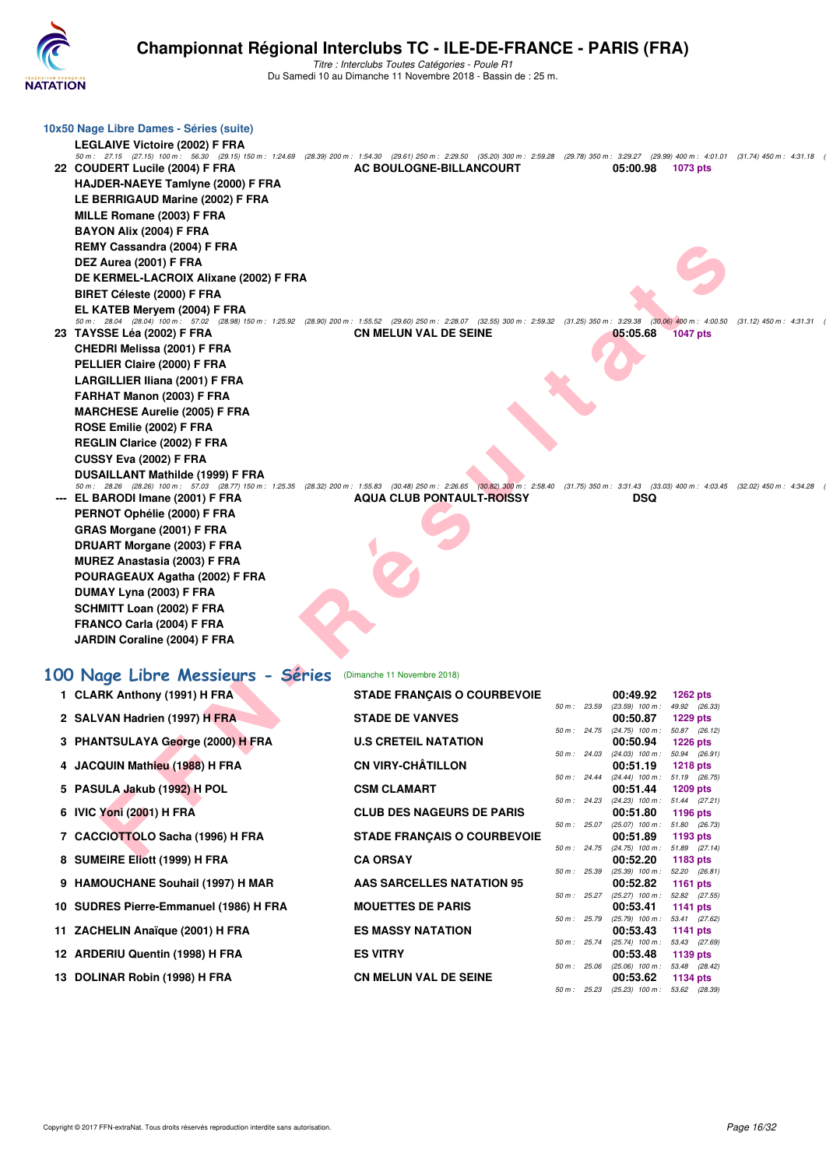

| 10x50 Nage Libre Dames - Séries (suite)                                                                                                                                                                                             |                                    |              |                                                        |                                               |                           |
|-------------------------------------------------------------------------------------------------------------------------------------------------------------------------------------------------------------------------------------|------------------------------------|--------------|--------------------------------------------------------|-----------------------------------------------|---------------------------|
| <b>LEGLAIVE Victoire (2002) F FRA</b>                                                                                                                                                                                               |                                    |              |                                                        |                                               |                           |
| 50 m: 27.15 (27.15) 100 m: 56.30 (29.15) 150 m: 1:24.69 (28.39) 200 m: 1:54.30 (29.61) 250 m: 2:29.50 (35.20) 300 m: 2:59.28 (29.78) 350 m: 3:29.27 (29.99) 400 m: 4:01.01 (31.74) 450 m: 4:31.18<br>22 COUDERT Lucile (2004) F FRA | AC BOULOGNE-BILLANCOURT            |              | 05:00.98                                               | 1073 pts                                      |                           |
| HAJDER-NAEYE Tamlyne (2000) F FRA                                                                                                                                                                                                   |                                    |              |                                                        |                                               |                           |
| LE BERRIGAUD Marine (2002) F FRA                                                                                                                                                                                                    |                                    |              |                                                        |                                               |                           |
| MILLE Romane (2003) F FRA                                                                                                                                                                                                           |                                    |              |                                                        |                                               |                           |
| BAYON Alix (2004) F FRA                                                                                                                                                                                                             |                                    |              |                                                        |                                               |                           |
| REMY Cassandra (2004) F FRA                                                                                                                                                                                                         |                                    |              |                                                        |                                               |                           |
| DEZ Aurea (2001) F FRA                                                                                                                                                                                                              |                                    |              |                                                        |                                               |                           |
| DE KERMEL-LACROIX Alixane (2002) F FRA                                                                                                                                                                                              |                                    |              |                                                        |                                               |                           |
| <b>BIRET Céleste (2000) F FRA</b>                                                                                                                                                                                                   |                                    |              |                                                        |                                               |                           |
| EL KATEB Meryem (2004) F FRA<br>50 m : 28.04 (28.04) 100 m : 57.02 (28.98) 150 m : 1:25.92 (28.90) 200 m : 1:55.52 (29.60) 250 m : 2:28.07 (32.55) 300 m : 2:59.32 (31.25) 350 m : 3:29.38                                          |                                    |              |                                                        | $(30.06)$ 400 m : 4:00.50                     | $(31.12)$ 450 m : 4:31.31 |
| 23 TAYSSE Léa (2002) F FRA                                                                                                                                                                                                          | <b>CN MELUN VAL DE SEINE</b>       |              | 05:05.68                                               | <b>1047 pts</b>                               |                           |
| <b>CHEDRI Melissa (2001) F FRA</b>                                                                                                                                                                                                  |                                    |              |                                                        |                                               |                           |
| PELLIER Claire (2000) F FRA                                                                                                                                                                                                         |                                    |              |                                                        |                                               |                           |
| LARGILLIER Iliana (2001) F FRA                                                                                                                                                                                                      |                                    |              |                                                        |                                               |                           |
| FARHAT Manon (2003) F FRA                                                                                                                                                                                                           |                                    |              |                                                        |                                               |                           |
| <b>MARCHESE Aurelie (2005) F FRA</b>                                                                                                                                                                                                |                                    |              |                                                        |                                               |                           |
| ROSE Emilie (2002) F FRA                                                                                                                                                                                                            |                                    |              |                                                        |                                               |                           |
| <b>REGLIN Clarice (2002) F FRA</b>                                                                                                                                                                                                  |                                    |              |                                                        |                                               |                           |
| CUSSY Eva (2002) F FRA<br><b>DUSAILLANT Mathilde (1999) F FRA</b>                                                                                                                                                                   |                                    |              |                                                        |                                               |                           |
| 50 m: 28.26 (28.26) 100 m: 57.03 (28.77) 150 m: 1:25.35 (28.32) 200 m: 1:55.83 (30.48) 250 m: 2:26.65 (30.02) 300 m: 2:58.40 (31.75) 350 m: 3:31.43 (33.03) 400 m: 4:03.45 (32.02) 450 m: 4:34.28                                   |                                    |              |                                                        |                                               |                           |
| --- EL BARODI Imane (2001) F FRA                                                                                                                                                                                                    | <b>AQUA CLUB PONTAULT-ROISSY</b>   |              | DSQ                                                    |                                               |                           |
| PERNOT Ophélie (2000) F FRA                                                                                                                                                                                                         |                                    |              |                                                        |                                               |                           |
| GRAS Morgane (2001) F FRA                                                                                                                                                                                                           |                                    |              |                                                        |                                               |                           |
| DRUART Morgane (2003) F FRA                                                                                                                                                                                                         |                                    |              |                                                        |                                               |                           |
| <b>MUREZ Anastasia (2003) F FRA</b><br>POURAGEAUX Agatha (2002) F FRA                                                                                                                                                               |                                    |              |                                                        |                                               |                           |
| DUMAY Lyna (2003) F FRA                                                                                                                                                                                                             |                                    |              |                                                        |                                               |                           |
| SCHMITT Loan (2002) F FRA                                                                                                                                                                                                           |                                    |              |                                                        |                                               |                           |
| FRANCO Carla (2004) F FRA                                                                                                                                                                                                           |                                    |              |                                                        |                                               |                           |
| JARDIN Coraline (2004) F FRA                                                                                                                                                                                                        |                                    |              |                                                        |                                               |                           |
|                                                                                                                                                                                                                                     |                                    |              |                                                        |                                               |                           |
| 100 Nage Libre Messieurs - Séries                                                                                                                                                                                                   | (Dimanche 11 Novembre 2018)        |              |                                                        |                                               |                           |
| 1 CLARK Anthony (1991) H FRA                                                                                                                                                                                                        | <b>STADE FRANÇAIS O COURBEVOIE</b> |              | 00:49.92                                               | <b>1262 pts</b>                               |                           |
| 2 SALVAN Hadrien (1997) H FRA                                                                                                                                                                                                       | <b>STADE DE VANVES</b>             |              | 50 m: 23.59 (23.59) 100 m: 49.92 (26.33)<br>00:50.87   | <b>1229 pts</b>                               |                           |
|                                                                                                                                                                                                                                     |                                    |              | 50 m: 24.75 (24.75) 100 m: 50.87 (26.12)               |                                               |                           |
| 3 PHANTSULAYA George (2000) H FRA                                                                                                                                                                                                   | <b>U.S CRETEIL NATATION</b>        |              | 50 m: 24.03 (24.03) 100 m: 50.94 (26.91)               | 00:50.94 1226 pts                             |                           |
| 4 JACQUIN Mathieu (1988) H FRA                                                                                                                                                                                                      | <b>CN VIRY-CHÂTILLON</b>           |              | 00:51.19                                               | 1218 pts                                      |                           |
| 5 PASULA Jakub (1992) H POL                                                                                                                                                                                                         | <b>CSM CLAMART</b>                 |              | 50 m: 24.44 (24.44) 100 m: 51.19 (26.75)<br>00:51.44   | 1209 pts                                      |                           |
| 6 IVIC Yoni (2001) H FRA                                                                                                                                                                                                            | <b>CLUB DES NAGEURS DE PARIS</b>   |              | 50 m: 24.23 (24.23) 100 m: 51.44 (27.21)<br>00:51.80   | 1196 pts                                      |                           |
|                                                                                                                                                                                                                                     |                                    |              | 50 m: 25.07 (25.07) 100 m: 51.80 (26.73)               |                                               |                           |
| 7 CACCIOTTOLO Sacha (1996) H FRA                                                                                                                                                                                                    | <b>STADE FRANÇAIS O COURBEVOIE</b> |              | 00:51.89<br>50 m: 24.75 (24.75) 100 m: 51.89 (27.14)   | 1193 pts                                      |                           |
| 8 SUMEIRE Eliott (1999) H FRA                                                                                                                                                                                                       | <b>CA ORSAY</b>                    |              | 00:52.20                                               | 1183 pts                                      |                           |
| 9 HAMOUCHANE Souhail (1997) H MAR                                                                                                                                                                                                   | AAS SARCELLES NATATION 95          |              | 50 m : 25.39 (25.39) 100 m : 52.20 (26.81)<br>00:52.82 | 1161 pts                                      |                           |
| 10 SUDRES Pierre-Emmanuel (1986) H FRA                                                                                                                                                                                              | <b>MOUETTES DE PARIS</b>           |              | 50 m: 25.27 (25.27) 100 m: 52.82 (27.55)<br>00:53.41   | 1141 pts                                      |                           |
|                                                                                                                                                                                                                                     |                                    |              | 50 m: 25.79 (25.79) 100 m: 53.41 (27.62)               |                                               |                           |
| 11 ZACHELIN Anaïque (2001) H FRA                                                                                                                                                                                                    | <b>ES MASSY NATATION</b>           | 50 m : 25.74 | 00:53.43                                               | 1141 pts<br>$(25.74)$ 100 m : 53.43 $(27.69)$ |                           |
| 12 ARDERIU Quentin (1998) H FRA                                                                                                                                                                                                     | <b>ES VITRY</b>                    |              | 00:53.48                                               | 1139 pts                                      |                           |
| 13 DOLINAR Robin (1998) H FRA                                                                                                                                                                                                       | <b>CN MELUN VAL DE SEINE</b>       |              | 50 m: 25.06 (25.06) 100 m: 53.48 (28.42)<br>00:53.62   | 1134 pts                                      |                           |
|                                                                                                                                                                                                                                     |                                    |              | 50 m: 25.23 (25.23) 100 m: 53.62 (28.39)               |                                               |                           |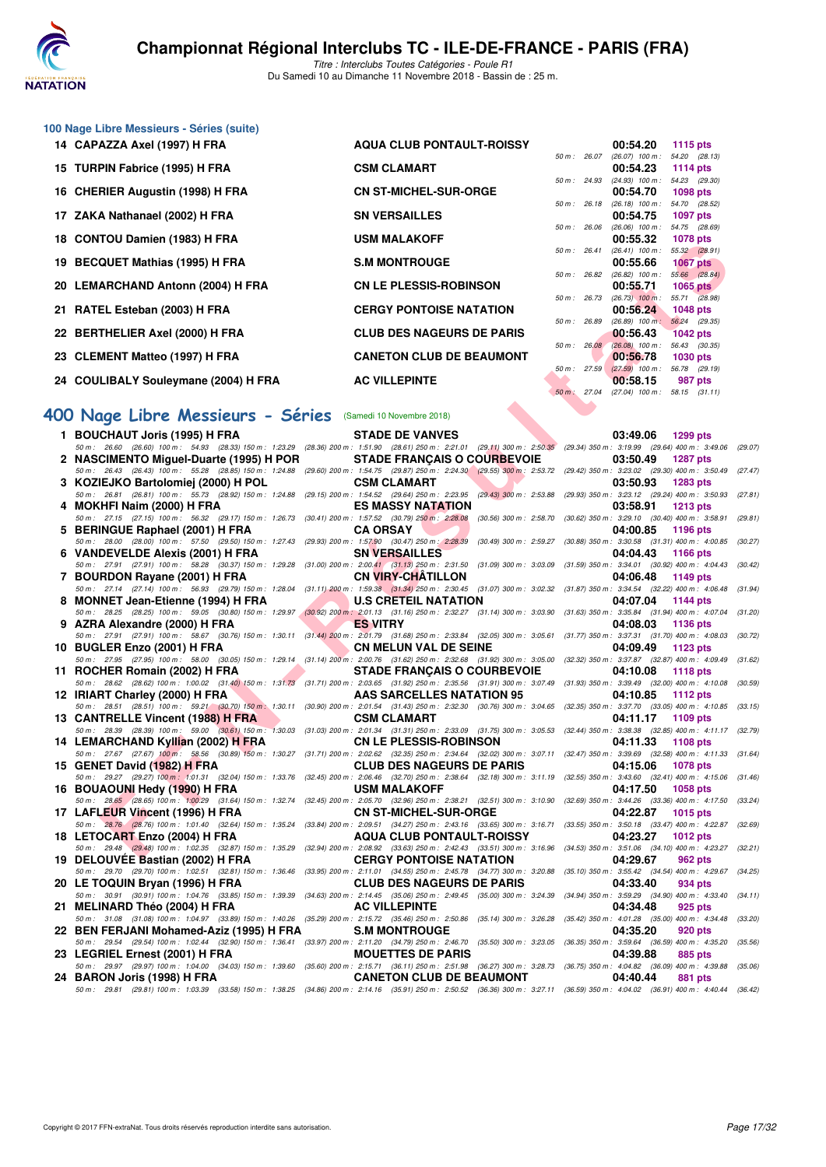

**100 Nage Libre Messieurs - Séries (suite)**

Titre : Interclubs Toutes Catégories - Poule R1 Du Samedi 10 au Dimanche 11 Novembre 2018 - Bassin de : 25 m.

| 14 CAPAZZA Axel (1997) H FRA         | <b>AQUA CLUB PONTAULT-ROISSY</b> |              | 00:54.20                                    | 1115 $pts$                  |         |
|--------------------------------------|----------------------------------|--------------|---------------------------------------------|-----------------------------|---------|
|                                      |                                  | 50 m: 26.07  | $(26.07)$ 100 m :                           | 54.20 (28.13)               |         |
| 15 TURPIN Fabrice (1995) H FRA       | <b>CSM CLAMART</b>               | 50 m: 24.93  | 00:54.23<br>$(24.93)$ 100 m :               | 1114 $pts$<br>54.23 (29.30) |         |
| 16 CHERIER Augustin (1998) H FRA     | <b>CN ST-MICHEL-SUR-ORGE</b>     |              | 00:54.70                                    | <b>1098 pts</b>             |         |
|                                      |                                  | 50 m: 26.18  | $(26.18)$ 100 m : 54.70 $(28.52)$           |                             |         |
| 17 ZAKA Nathanael (2002) H FRA       | <b>SN VERSAILLES</b>             |              | 00:54.75                                    | 1097 pts                    |         |
|                                      |                                  | 50 m : 26.06 | $(26.06)$ 100 m :                           | 54.75 (28.69)               |         |
| 18 CONTOU Damien (1983) H FRA        | <b>USM MALAKOFF</b>              |              | 00:55.32                                    | <b>1078 pts</b>             |         |
|                                      |                                  | 50 m: 26.41  | $(26.41)$ 100 m :                           | 55.32 (28.91)               |         |
| 19 BECQUET Mathias (1995) H FRA      | <b>S.M MONTROUGE</b>             |              | 00:55.66                                    | <b>1067 pts</b>             |         |
|                                      |                                  | 50 m : 26.82 | $(26.82)$ 100 m :                           | 55.66 (28.84)               |         |
| 20 LEMARCHAND Antonn (2004) H FRA    | <b>CN LE PLESSIS-ROBINSON</b>    |              | 00:55.71                                    | $1065$ pts                  |         |
|                                      |                                  | 50 m : 26.73 | $(26.73)$ 100 m :                           | 55.71 (28.98)               |         |
| 21 RATEL Esteban (2003) H FRA        | <b>CERGY PONTOISE NATATION</b>   |              | 00:56.24                                    | 1048 pts                    |         |
|                                      |                                  | 50 m: 26.89  | $(26.89)$ 100 m:                            | 56.24 (29.35)               |         |
| 22 BERTHELIER Axel (2000) H FRA      | <b>CLUB DES NAGEURS DE PARIS</b> |              | 00:56.43                                    | <b>1042 pts</b>             |         |
|                                      |                                  | 50 m: 26.08  | $(26.08)$ 100 m :                           | 56.43 (30.35)               |         |
| 23 CLEMENT Matteo (1997) H FRA       | <b>CANETON CLUB DE BEAUMONT</b>  |              | 00:56.78                                    | <b>1030 pts</b>             |         |
| 24 COULIBALY Souleymane (2004) H FRA | <b>AC VILLEPINTE</b>             | 50 m: 27.59  | $(27.59)$ 100 m : 56.78 (29.19)<br>00:58.15 |                             |         |
|                                      |                                  | 50 m: 27.04  | $(27.04)$ 100 m : 58.15 $(31.11)$           |                             | 987 pts |
|                                      |                                  |              |                                             |                             |         |

#### **[400 Nage Libre Messieurs - Séries](http://www.ffnatation.fr/webffn/resultats.php?idact=nat&go=epr&idcpt=56389&idepr=54)** (Samedi 10 Novembre 2018)

| 10 CONTOU DAIMEN (1903) IT FRA                                                                                                                                                                                                    | <b>UJIM MALANULI</b>                                                                                                                                |              | <b>UU.JJ.JZ</b>                                                 | <b>ULL</b> DIS  |         |
|-----------------------------------------------------------------------------------------------------------------------------------------------------------------------------------------------------------------------------------|-----------------------------------------------------------------------------------------------------------------------------------------------------|--------------|-----------------------------------------------------------------|-----------------|---------|
| 19 BECQUET Mathias (1995) H FRA                                                                                                                                                                                                   | <b>S.M MONTROUGE</b>                                                                                                                                |              | 50 m: 26.41 (26.41) 100 m: 55.32 (28.91)<br>00:55.66            | 1067 $pts$      |         |
|                                                                                                                                                                                                                                   | <b>CN LE PLESSIS-ROBINSON</b>                                                                                                                       |              | 50 m : 26.82 (26.82) 100 m : 55.66 (28.84)<br>00:55.71          | $1065$ pts      |         |
| 21 RATEL Esteban (2003) H FRA                                                                                                                                                                                                     | <b>CERGY PONTOISE NATATION</b>                                                                                                                      |              | 50 m : 26.73 (26.73) 100 m : 55.71 (28.98)<br>00:56.24          | 1048 pts        |         |
| 22   BERTHELIER Axel (2000) H FRA                                                                                                                                                                                                 | <b>CLUB DES NAGEURS DE PARIS</b>                                                                                                                    | 50 m : 26.89 | $(26.89)$ 100 m : 56.24 $(29.35)$<br>00:56.43                   | <b>1042 pts</b> |         |
| 23 CLEMENT Matteo (1997) H FRA                                                                                                                                                                                                    | <b>CANETON CLUB DE BEAUMONT</b>                                                                                                                     |              | 50 m : 26.08 (26.08) 100 m : 56.43 (30.35)<br>00:56.78          | 1030 pts        |         |
| 24 COULIBALY Souleymane (2004) H FRA                                                                                                                                                                                              | <b>AC VILLEPINTE</b>                                                                                                                                |              | 50 m : 27.59 (27.59) 100 m : 56.78 (29.19)<br>00:58.15          | 987 pts         |         |
|                                                                                                                                                                                                                                   |                                                                                                                                                     | 50 m: 27.04  | $(27.04)$ 100 m : 58.15 $(31.11)$                               |                 |         |
| 00 Nage Libre Messieurs - Séries (Samedi 10 Novembre 2018)                                                                                                                                                                        |                                                                                                                                                     |              |                                                                 |                 |         |
| 1 BOUCHAUT Joris (1995) H FRA<br>50 m: 26.60 (26.60) 100 m: 54.93 (28.33) 150 m: 1:23.29 (28.36) 200 m: 1:51.90 (28.61) 250 m: 2:21.01 (29.11) 300 m: 2:50.35 (29.34) 350 m: 3:19.99 (29.64) 400 m: 3:49.06 (29.07)               | <b>STADE DE VANVES</b>                                                                                                                              |              | 03:49.06                                                        | 1299 pts        |         |
| 2 NASCIMENTO Miguel-Duarte (1995) H POR                                                                                                                                                                                           | <b>STADE FRANÇAIS O COURBEVOIE</b>                                                                                                                  |              | 03:50.49                                                        | <b>1287 pts</b> |         |
| 50 m : 26.43 (26.43) 100 m : 55.28 (28.85) 150 m : 1:24.88 (29.60) 200 m : 1:54.75 (29.87) 250 m : 2:24.30 (29.55) 300 m : 2:53.72 (29.42) 350 m : 3:23.02 (29.30) 400 m : 3:50.49<br>3 KOZIEJKO Bartolomiej (2000) H POL         | <b>CSM CLAMART</b>                                                                                                                                  |              | 03:50.93                                                        | <b>1283 pts</b> | (27.47) |
| 50 m: 26.81 (26.81) 100 m: 55.73 (28.92) 150 m: 1:24.88 (29.15) 200 m: 1:54.52 (29.64) 250 m: 2:23.95 (29.43) 300 m: 2:53.88 (29.93) 350 m: 3:23.12 (29.24) 400 m: 3:50.93<br>4 MOKHFI Naim (2000) H FRA                          | <b>ES MASSY NATATION</b>                                                                                                                            |              | 03:58.91                                                        | <b>1213 pts</b> | (27.81) |
| 50 m : 27.15 (27.15) 100 m : 56.32 (29.17) 150 m : 1:26.73 (30.41) 200 m : 1:57.52 (30.79) 250 m : 2:28.08 (30.56) 300 m : 2:58.70 (30.62) 350 m : 3:29.10 (30.40) 400 m : 3:58.91<br>5 BERINGUE Raphael (2001) H FRA             | <b>CA ORSAY</b>                                                                                                                                     |              | 04:00.85                                                        | 1196 pts        | (29.81) |
| 50 m : 28.00 (28.00) 100 m : 57.50 (29.50) 150 m : 1:27.43 (29.93) 200 m : 1:57.90 (30.47) 250 m : 2:28.39 (30.49) 300 m : 2:59.27 (30.88) 350 m : 3:30.58 (31.31) 400 m : 4:00.85                                                | <b>SN VERSAILLES</b>                                                                                                                                |              | 04:04.43                                                        | 1166 pts        | (30.27) |
| 6 VANDEVELDE Alexis (2001) H FRA<br>50 m: 27.91 (27.91) 100 m: 58.28 (30.37) 150 m: 1:29.28 (31.00) 200 m: 2:00.41 (31.13) 250 m: 2:31.50 (31.09) 300 m: 3:03.09 (31.59) 350 m: 3:34.01 (30.92) 400 m: 4:04.43 (30.42)            |                                                                                                                                                     |              |                                                                 |                 |         |
| 7 BOURDON Rayane (2001) H FRA<br>50 m: 27.14 (27.14) 100 m: 56.93 (29.79) 150 m: 1:28.04 (31.11) 200 m: 1:59.38 (31.34) 250 m: 2:30.45 (31.07) 300 m: 3:02.32 (31.87) 350 m: 3:34.54 (32.22) 400 m: 4:06.48                       | <b>CN VIRY-CHATILLON</b>                                                                                                                            |              | 04:06.48                                                        | 1149 pts        | (31.94) |
| 8 MONNET Jean-Etienne (1994) H FRA<br>50 m: 28.25 (28.25) 100 m: 59.05 (30.80) 150 m: 1:29.97 (30.92) 200 m: 2:01.13 (31.16) 250 m: 2:32.27 (31.14) 300 m: 3:03.90 (31.63) 350 m: 3:35.84 (31.94) 400 m: 4:07.04                  | <b>U.S CRETEIL NATATION</b>                                                                                                                         |              | 04:07.04                                                        | <b>1144 pts</b> | (31.20) |
| 9 AZRA Alexandre (2000) H FRA<br>50 m: 27.91 (27.91) 100 m: 58.67 (30.76) 150 m: 1:30.11 (31.44) 200 m: 2:01.79 (31.68) 250 m: 2:33.84 (32.05) 300 m: 3:05.61 (31.77) 350 m: 3:37.31 (31.70) 400 m: 4:08.03                       | <b>ES VITRY</b>                                                                                                                                     |              | 04:08.03                                                        | <b>1136 pts</b> | (30.72) |
| 10 BUGLER Enzo (2001) H FRA<br>50 m : 27.95 (27.95) 100 m : 58.00 (30.05) 150 m : 1:29.14 (31.14) 200 m : 2:00.76 (31.62) 250 m : 2:32.68 (31.92) 300 m : 3:05.00 (32.32) 350 m : 3:37.87 (32.87) 400 m : 4:09.49 (31.62)         | <b>CN MELUN VAL DE SEINE</b>                                                                                                                        |              | 04:09.49                                                        | 1123 pts        |         |
| 11 ROCHER Romain (2002) H FRA<br>50 m: 28.62 (28.62) 100 m: 1:00.02 (31.40) 150 m: 1:31.73 (31.71) 200 m: 2:03.65 (31.92) 250 m: 2:35.56 (31.91) 300 m: 3:07.49 (31.93) 350 m: 3:39.49 (32.00) 400 m: 4:10.08 (30.59)             | <b>STADE FRANÇAIS O COURBEVOIE</b>                                                                                                                  |              | 04:10.08                                                        | <b>1118 pts</b> |         |
| 12 IRIART Charley (2000) H FRA                                                                                                                                                                                                    | AAS SARCELLES NATATION 95                                                                                                                           |              | 04:10.85                                                        | 1112 pts        |         |
| 50 m: 28.51 (28.51) 100 m: 59.21 (30.70) 150 m: 1:30.11 (30.90) 200 m: 2:01.54 (31.43) 250 m: 2:32.30 (30.76) 300 m: 3:04.65 (32.35) 350 m: 3:37.70 (33.05) 400 m: 4:10.85<br>13 CANTRELLE Vincent (1988) H FRA                   | <b>CSM CLAMART</b>                                                                                                                                  |              | 04:11.17                                                        | 1109 pts        | (33.15) |
| 50 m: 28.39 (28.39) 100 m: 59.00 (30.61) 150 m: 1:30.03 (31.03) 200 m: 2:01.34 (31.31) 250 m: 2:33.09 (31.75) 300 m: 3:05.53 (32.44) 350 m: 3:38.38 (32.85) 400 m: 4:11.17 (32.79)<br>14 LEMARCHAND Kyllian (2002) H FRA          | <b>CN LE PLESSIS-ROBINSON</b>                                                                                                                       |              | 04:11.33                                                        | 1108 pts        |         |
| 50 m: 27.67 (27.67) 100 m: 58.56 (30.89) 150 m: 1:30.27 (31.71) 200 m: 2:02.62 (32.35) 250 m: 2:34.64 (32.02) 300 m: 3:07.11 (32.47) 350 m: 3:39.69 (32.58) 400 m: 4:11.33<br>15 GENET David (1982) H FRA                         | <b>CLUB DES NAGEURS DE PARIS</b>                                                                                                                    |              | 04:15.06                                                        | <b>1078 pts</b> | (31.64) |
| 50 m: 29.27 (29.27) 100 m: 1:01.31 (32.04) 150 m: 1:33.76 (32.45) 200 m: 2:06.46 (32.70) 250 m: 2:38.64 (32.18) 300 m: 3:11.19 (32.55) 350 m: 3:43.60 (32.41) 400 m: 4:15.06 (31.46)<br>16 BOUAOUNI Hedy (1990) H FRA             | <b>USM MALAKOFF</b>                                                                                                                                 |              | 04:17.50                                                        | 1058 pts        |         |
| 50 m: 28,65 (28.65) 100 m: 1:00.29 (31.64) 150 m: 1:32.74 (32.45) 200 m: 2:05.70 (32.96) 250 m: 2:38.21 (32.51) 300 m: 3:10.90 (32.69) 350 m: 3:44.26 (33.36) 400 m: 4:17.50 (33.24)<br>17 LAFLEUR Vincent (1996) H FRA           | <b>CN ST-MICHEL-SUR-ORGE</b>                                                                                                                        |              | 04:22.87                                                        | 1015 pts        |         |
| 50 m: 28.76 (28.76) 100 m: 1:01.40 (32.64) 150 m: 1:35.24 (33.84) 200 m: 2:09.51 (34.27) 250 m: 2:43.16 (33.65) 300 m: 3:16.71 (33.55) 350 m: 3:50.18 (33.47) 400 m: 4:22.87 (32.69)<br>18 LETOCA <del>RT</del> Enzo (2004) H FRA | <b>AQUA CLUB PONTAULT-ROISSY</b>                                                                                                                    |              | 04:23.27                                                        | <b>1012 pts</b> |         |
| 50 m: 29.48 (29.48) 100 m: 1:02.35 (32.87) 150 m: 1:35.29 (32.94) 200 m: 2:08.92 (33.63) 250 m: 2:42.43 (33.51) 300 m: 3:16.96 (34.53) 350 m: 3:51.06 (34.10) 400 m: 4:23.27 (32.21)                                              | <b>CERGY PONTOISE NATATION</b>                                                                                                                      |              |                                                                 |                 |         |
| 19 DELOUVÉE Bastian (2002) H FRA<br>50 m: 29.70 (29.70) 100 m: 1:02.51 (32.81) 150 m: 1:36.46 (33.95) 200 m: 2:11.01 (34.55) 250 m: 2:45.78 (34.77) 300 m: 3:20.88 (35.10) 350 m: 3:55.42 (34.54) 400 m: 4:29.67 (34.25)          |                                                                                                                                                     |              | 04:29.67                                                        | 962 pts         |         |
| 20 LE TOQUIN Bryan (1996) H FRA<br>50 m : 30.91 (30.91) 100 m : 1:04.76 (33.85) 150 m : 1:39.39 (34.63) 200 m : 2:14.45 (35.06) 250 m : 2:49.45 (35.00) 300 m : 3:24.39                                                           | <b>CLUB DES NAGEURS DE PARIS</b>                                                                                                                    |              | 04:33.40<br>$(34.94)$ 350 m : 3:59.29 $(34.90)$ 400 m : 4:33.40 | 934 pts         | (34.11) |
| 21   MELINARD Théo (2004) H FRA<br>50 m : 31.08 (31.08) 100 m : 1:04.97 (33.89) 150 m : 1:40.26 (35.29) 200 m : 2:15.72 (35.46) 250 m : 2:50.86 (35.14) 300 m : 3:26.28                                                           | <b>AC VILLEPINTE</b>                                                                                                                                |              | 04:34.48<br>(35.42) 350 m: 4:01.28 (35.00) 400 m: 4:34.48       | 925 pts         | (33.20) |
| 22 BEN FERJANI Mohamed-Aziz (1995) H FRA<br>50 m : 29.54 (29.54) 100 m : 1:02.44 (32.90) 150 m : 1:36.41 (33.97) 200 m : 2:11.20 (34.79) 250 m : 2:46.70 (35.50) 300 m : 3:23.05 (36.35) 350 m : 3:59.64 (36.59) 400 m : 4:35.20  | <b>S.M MONTROUGE</b>                                                                                                                                |              | 04:35.20                                                        | 920 pts         | (35.56) |
| 23   LEGRIEL Ernest (2001) H FRA<br>50 m : 29.97 (29.97) 100 m : 1:04.00 (34.03) 150 m : 1:39.60                                                                                                                                  | <b>MOUETTES DE PARIS</b><br>(35.60) 200 m : 2:15.71 (36.11) 250 m : 2:51.98 (36.27) 300 m : 3:28.73 (36.75) 350 m : 4:04.82 (36.09) 400 m : 4:39.88 |              | 04:39.88                                                        | 885 pts         | (35.06) |
| 24   BARON Joris (1998) H FRA                                                                                                                                                                                                     | <b>CANETON CLUB DE BEAUMONT</b>                                                                                                                     |              | 04:40.44                                                        | <b>881 pts</b>  |         |
| 50 m: 29.81 (29.81) 100 m: 1:03.39 (33.58) 150 m: 1:38.25 (34.86) 200 m: 2:14.16 (35.91) 250 m: 2:50.52 (36.36) 300 m: 3:27.11 (36.59) 350 m: 4:04.02 (36.91) 400 m: 4:40.44 (36.42)                                              |                                                                                                                                                     |              |                                                                 |                 |         |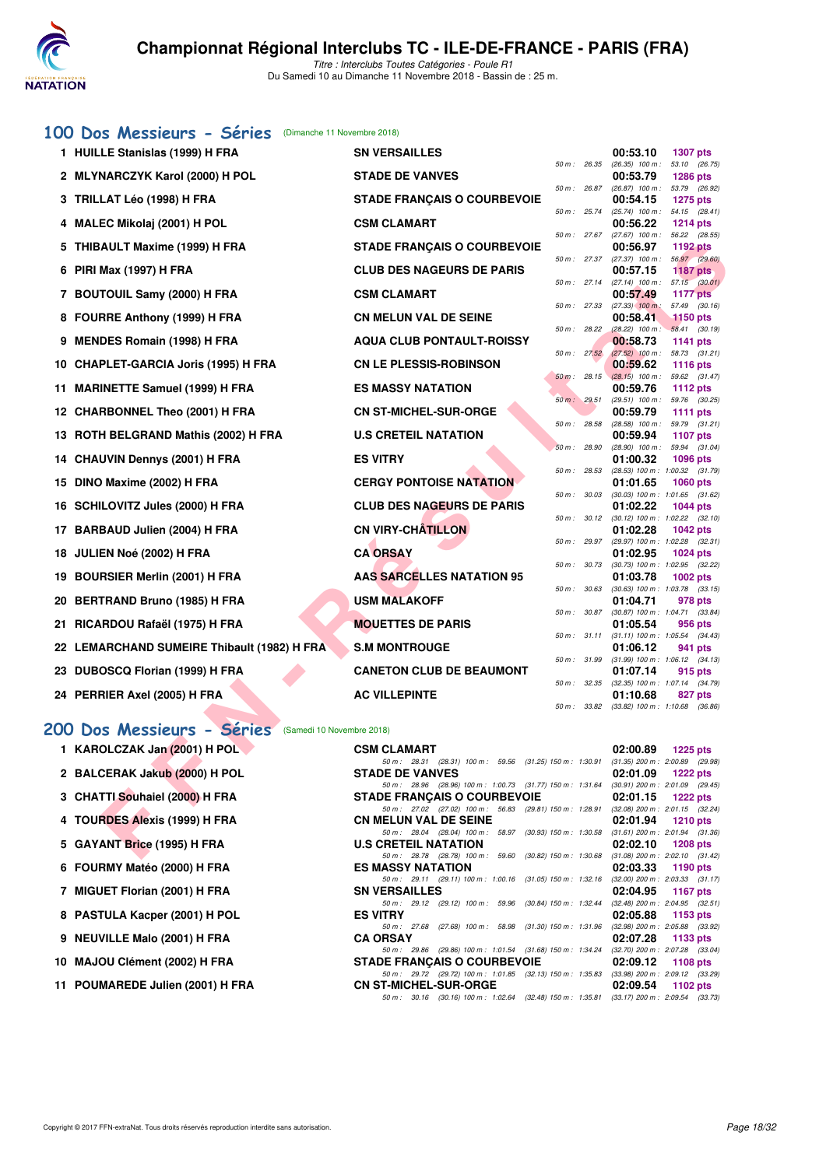

# **[100 Dos Messieurs - Séries](http://www.ffnatation.fr/webffn/resultats.php?idact=nat&go=epr&idcpt=56389&idepr=62)** (Dimanche 11 Novembre 2018)

| 1 HUILLE Stanislas (1999) H FRA                        | <b>SN VERSAILLES</b>                                                                                                         |                |             | 00:53.10                                        | <b>1307 pts</b>                  |         |
|--------------------------------------------------------|------------------------------------------------------------------------------------------------------------------------------|----------------|-------------|-------------------------------------------------|----------------------------------|---------|
| 2 MLYNARCZYK Karol (2000) H POL                        | <b>STADE DE VANVES</b>                                                                                                       | 50 m : 26.35   |             | $(26.35)$ 100 m : 53.10 $(26.75)$<br>00:53.79   | <b>1286 pts</b>                  |         |
| 3 TRILLAT Léo (1998) H FRA                             | <b>STADE FRANÇAIS O COURBEVOIE</b>                                                                                           | $50 m$ : 26.87 |             | (26.87) 100 m: 53.79 (26.92)<br>00:54.15        | <b>1275 pts</b>                  |         |
| 4 MALEC Mikolaj (2001) H POL                           | <b>CSM CLAMART</b>                                                                                                           | 50 m: 25.74    |             | $(25.74)$ 100 m : 54.15 $(28.41)$<br>00:56.22   | <b>1214 pts</b>                  |         |
|                                                        |                                                                                                                              | $50 m$ : 27.67 |             | $(27.67)$ 100 m :                               | 56.22 (28.55)                    |         |
| 5 THIBAULT Maxime (1999) H FRA                         | <b>STADE FRANÇAIS O COURBEVOIE</b>                                                                                           | 50 m: 27.37    |             | 00:56.97<br>$(27.37)$ 100 m :                   | <b>1192 pts</b><br>56.97 (29.60) |         |
| 6 PIRI Max (1997) H FRA                                | <b>CLUB DES NAGEURS DE PARIS</b>                                                                                             |                |             | 00:57.15                                        | <b>1187 pts</b>                  |         |
| 7 BOUTOUIL Samy (2000) H FRA                           | <b>CSM CLAMART</b>                                                                                                           | 50 m: 27.14    |             | $(27.14)$ 100 m : 57.15 $(30.01)$<br>00:57.49   | <b>1177 pts</b>                  |         |
| 8 FOURRE Anthony (1999) H FRA                          | <b>CN MELUN VAL DE SEINE</b>                                                                                                 | 50 m: 27.33    |             | $(27.33)$ 100 m:<br>00:58.41                    | 57.49 (30.16)<br><b>1150 pts</b> |         |
| 9 MENDES Romain (1998) H FRA                           | <b>AQUA CLUB PONTAULT-ROISSY</b>                                                                                             | 50 m : 28.22   |             | $(28.22)$ 100 m : 58.41 $(30.19)$<br>00:58.73   | <b>1141 pts</b>                  |         |
|                                                        |                                                                                                                              | 50 m: 27.52    |             | $(27.52)$ 100 m :                               | 58.73 (31.21)                    |         |
| 10 CHAPLET-GARCIA Joris (1995) H FRA                   | <b>CN LE PLESSIS-ROBINSON</b>                                                                                                | $50 m$ : 28.15 |             | 00:59.62<br>$(28.15)$ 100 m : 59.62 $(31.47)$   | <b>1116 pts</b>                  |         |
| 11 MARINETTE Samuel (1999) H FRA                       | <b>ES MASSY NATATION</b>                                                                                                     |                |             | 00:59.76                                        | <b>1112 pts</b>                  |         |
| 12 CHARBONNEL Theo (2001) H FRA                        | <b>CN ST-MICHEL-SUR-ORGE</b>                                                                                                 | 50 m: 29.51    |             | $(29.51)$ 100 m :<br>00:59.79                   | 59.76 (30.25)<br><b>1111 pts</b> |         |
|                                                        |                                                                                                                              | $50 m$ : 28.58 |             | $(28.58)$ 100 m :                               | 59.79                            | (31.21) |
| 13 ROTH BELGRAND Mathis (2002) H FRA                   | <b>U.S CRETEIL NATATION</b>                                                                                                  | 50 m : 28.90   |             | 00:59.94<br>$(28.90)$ 100 m :                   | 1107 pts<br>59.94                | (31.04) |
| 14 CHAUVIN Dennys (2001) H FRA                         | <b>ES VITRY</b>                                                                                                              |                |             | 01:00.32                                        | <b>1096 pts</b>                  |         |
| 15 DINO Maxime (2002) H FRA                            | <b>CERGY PONTOISE NATATION</b>                                                                                               | 50 m: 28.53    |             | $(28.53)$ 100 m : 1:00.32 $(31.79)$<br>01:01.65 | <b>1060 pts</b>                  |         |
| 16 SCHILOVITZ Jules (2000) H FRA                       | <b>CLUB DES NAGEURS DE PARIS</b>                                                                                             | 50 m: 30.03    |             | (30.03) 100 m: 1:01.65 (31.62)<br>01:02.22      | <b>1044 pts</b>                  |         |
|                                                        |                                                                                                                              | 50 m: 30.12    |             | $(30.12)$ 100 m : 1:02.22 $(32.10)$             |                                  |         |
| 17 BARBAUD Julien (2004) H FRA                         | <b>CN VIRY-CHATILLON</b>                                                                                                     | 50 m: 29.97    |             | 01:02.28<br>(29.97) 100 m: 1:02.28 (32.31)      | <b>1042 pts</b>                  |         |
| 18 JULIEN Noé (2002) H FRA                             | <b>CA ORSAY</b>                                                                                                              |                |             | 01:02.95                                        | <b>1024 pts</b>                  |         |
| 19 BOURSIER Merlin (2001) H FRA                        | <b>AAS SARCELLES NATATION 95</b>                                                                                             | 50 m : 30.73   |             | $(30.73)$ 100 m : 1:02.95 $(32.22)$<br>01:03.78 | <b>1002 pts</b>                  |         |
|                                                        |                                                                                                                              | 50 m: 30.63    |             | $(30.63)$ 100 m : 1:03.78 $(33.15)$             |                                  |         |
| 20 BERTRAND Bruno (1985) H FRA                         | <b>USM MALAKOFF</b>                                                                                                          | 50 m : 30.87   |             | 01:04.71<br>$(30.87)$ 100 m : 1:04.71 $(33.84)$ | 978 pts                          |         |
| 21 RICARDOU Rafaël (1975) H FRA                        | <b>MOUETTES DE PARIS</b>                                                                                                     |                |             | 01:05.54                                        | 956 pts                          |         |
| 22 LEMARCHAND SUMEIRE Thibault (1982) H FRA            | <b>S.M MONTROUGE</b>                                                                                                         |                | 50 m: 31.11 | $(31.11)$ 100 m : 1:05.54 $(34.43)$<br>01:06.12 | 941 pts                          |         |
|                                                        |                                                                                                                              | 50 m: 31.99    |             | $(31.99)$ 100 m : 1:06.12 $(34.13)$             |                                  |         |
| 23 DUBOSCQ Florian (1999) H FRA                        | <b>CANETON CLUB DE BEAUMONT</b>                                                                                              | 50 m: 32.35    |             | 01:07.14<br>(32.35) 100 m: 1:07.14 (34.79)      | 915 pts                          |         |
| 24 PERRIER Axel (2005) H FRA                           | <b>AC VILLEPINTE</b>                                                                                                         |                |             | 01:10.68                                        | 827 pts                          |         |
|                                                        |                                                                                                                              | 50 m: 33.82    |             | $(33.82)$ 100 m : 1:10.68 $(36.86)$             |                                  |         |
| 00 Dos Messieurs - Séries<br>(Samedi 10 Novembre 2018) |                                                                                                                              |                |             |                                                 |                                  |         |
| 1 KAROLCZAK Jan (2001) H POL                           | <b>CSM CLAMART</b>                                                                                                           |                |             | 02:00.89                                        | <b>1225 pts</b>                  |         |
| 2 BALCERAK Jakub (2000) H POL                          | 50 m: 28.31 (28.31) 100 m: 59.56 (31.25) 150 m: 1:30.91<br><b>STADE DE VANVES</b>                                            |                |             | $(31.35)$ 200 m : 2:00.89 (29.98)<br>02:01.09   | <b>1222 pts</b>                  |         |
|                                                        | 50 m: 28.96 (28.96) 100 m: 1:00.73 (31.77) 150 m: 1:31.64 (30.91) 200 m: 2:01.09 (29.45)                                     |                |             |                                                 |                                  |         |
| 3 CHATTI Souhaiel (2000) H FRA                         | <b>STADE FRANÇAIS O COURBEVOIE</b><br>50 m: 27.02 (27.02) 100 m: 56.83 (29.81) 150 m: 1:28.91 (32.08) 200 m: 2:01.15 (32.24) |                |             | 02:01.15                                        | <b>1222 pts</b>                  |         |
| 4 TOURDES Alexis (1999) H FRA                          | <b>CN MELUN VAL DE SEINE</b>                                                                                                 |                |             | 02:01.94                                        | <b>1210 pts</b>                  |         |
| 5 GAYANT Brice (1995) H FRA                            | 50 m : 28.04 (28.04) 100 m : 58.97 (30.93) 150 m : 1:30.58 (31.61) 200 m : 2:01.94 (31.36)<br><b>U.S CRETEIL NATATION</b>    |                |             | 02:02.10                                        | <b>1208 pts</b>                  |         |
|                                                        | 50 m : 28.78 (28.78) 100 m : 59.60 (30.82) 150 m : 1:30.68 (31.08) 200 m : 2:02.10 (31.42)                                   |                |             |                                                 |                                  |         |

# **[200 Dos Messieurs - Séries](http://www.ffnatation.fr/webffn/resultats.php?idact=nat&go=epr&idcpt=56389&idepr=63)** (Samedi 10 Novembre 2018)

| 1 KAROLCZAK Jan (2001) H POL   |
|--------------------------------|
| 2 BALCERAK Jakub (2000) H POL  |
| 3 CHATTI Souhaiel (2000) H FRA |
| 4 TOURDES Alexis (1999) H FRA  |
| 5 GAYANT Brice (1995) H FRA    |
| 6 FOURMY Matéo (2000) H FRA    |
| 7 MIGUET Florian (2001) H FRA  |
| 8 PASTULA Kacper (2001) H POL  |
| 9 NEUVILLE Malo (2001) H FRA   |
| 10 MAJOU Clément (2002) H FRA  |

| 1 KAROLCZAK Jan (2001) H POL     | <b>CSM CLAMART</b>                                                                                              |          | $02:00.89$ 1225 pts                 |
|----------------------------------|-----------------------------------------------------------------------------------------------------------------|----------|-------------------------------------|
|                                  | 50 m: 28.31 (28.31) 100 m: 59.56 (31.25) 150 m: 1:30.91                                                         |          | $(31.35)$ 200 m : 2:00.89 $(29.98)$ |
| 2 BALCERAK Jakub (2000) H POL    | <b>STADE DE VANVES</b>                                                                                          |          | $02:01.09$ 1222 pts                 |
|                                  | 50 m: 28.96 (28.96) 100 m: 1:00.73 (31.77) 150 m: 1:31.64 (30.91) 200 m: 2:01.09 (29.45)                        |          |                                     |
| 3 CHATTI Souhaiel (2000) H FRA   | <b>STADE FRANCAIS O COURBEVOIE</b>                                                                              |          | $02:01.15$ 1222 pts                 |
|                                  | 50 m: 27.02 (27.02) 100 m: 56.83 (29.81) 150 m: 1:28.91 (32.08) 200 m: 2:01.15 (32.24,                          |          |                                     |
| 4 TOURDES Alexis (1999) H FRA    | CN MELUN VAL DE SEINE                                                                                           |          | $02:01.94$ 1210 pts                 |
|                                  | 50 m: 28.04 (28.04) 100 m: 58.97 (30.93) 150 m: 1:30.58                                                         |          | $(31.61)$ 200 m : 2:01.94 $(31.36)$ |
| 5 GAYANT Brice (1995) H FRA      | <b>U.S CRETEIL NATATION</b>                                                                                     |          | $02:02.10$ 1208 pts                 |
|                                  | 50 m: 28.78 (28.78) 100 m: 59.60 (30.82) 150 m: 1:30.68 (31.08) 200 m: 2:02.10 (31.42)                          |          |                                     |
| 6 FOURMY Matéo (2000) H FRA      | ES MASSY NATATION                                                                                               |          | $02:03.33$ 1190 pts                 |
|                                  | 50 m: 29.11 (29.11) 100 m: 1:00.16 (31.05) 150 m: 1:32.16 (32.00) 200 m: 2:03.33 (31.17                         |          |                                     |
| 7 MIGUET Florian (2001) H FRA    | <b>SN VERSAILLES</b>                                                                                            |          | $02:04.95$ 1167 pts                 |
|                                  | 50 m: 29.12 (29.12) 100 m: 59.96 (30.84) 150 m: 1.32.44 (32.48) 200 m: 2.04.95 (32.51,                          |          |                                     |
| 8 PASTULA Kacper (2001) H POL    | <b>ES VITRY</b>                                                                                                 |          | $02:05.88$ 1153 pts                 |
|                                  | 50 m: 27.68 (27.68) 100 m: 58.98 (31.30) 150 m: 1:31.96 (32.98) 200 m: 2:05.88 (33.92                           |          |                                     |
| 9 NEUVILLE Malo (2001) H FRA     | <b>CA ORSAY</b>                                                                                                 | 02:07.28 | 1133 pts                            |
|                                  | 50 m: 29.86 (29.86) 100 m: 1:01.54 (31.68) 150 m: 1:34.24 (32.70) 200 m: 2:07.28 (33.04                         |          |                                     |
| 10 MAJOU Clément (2002) H FRA    | STADE FRANCAIS O COURBEVOIE 02:09.12 1108 pts                                                                   |          |                                     |
|                                  | 50 m: 29.72 (29.72) 100 m: 1:01.85 (32.13) 150 m: 1:35.83 (33.98) 200 m: 2:09.12 (33.29                         |          |                                     |
| 11 POUMAREDE Julien (2001) H FRA | CN ST-MICHEL-SUR-ORGE NAMEL AND THE STATE OF STATE OF STATE AND THE STATE OF STATE OF STATE OF STATE OF STATE O |          | $02:09.54$ 1102 pts                 |
|                                  | 50 m: 30.16 (30.16) 100 m: 1:02.64 (32.48) 150 m: 1:35.81 (33.17) 200 m: 2:09.54 (33.73,                        |          |                                     |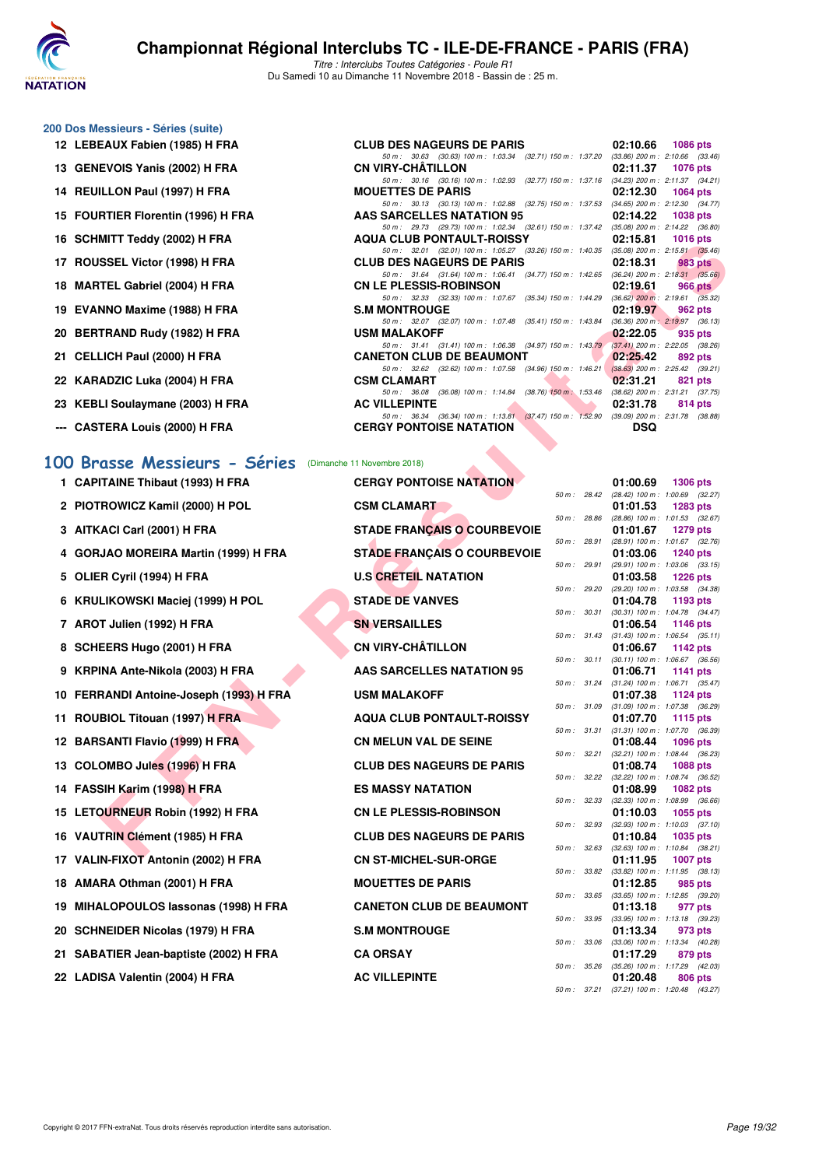

#### **200 Dos Messieurs - Séries (suite)**

- 12 LEBEAUX Fabien (1985) H FRA **CLUB DES NAGEWERS OF STARIS DESCRIPTION**
- 13 GENEVOIS Yanis (2002) H FRA **CONSIDENT**
- **14 REUILLON Paul (1997) H FRA MODEL PROPERTY**
- **15 FOURTIER Florentin (1996) H FRA**
- **16 SCHMITT Teddy (2002) H FRA**
- 17 **ROUSSEL Victor (1998) H FRA CLUB DESIGNATION**
- 18 **MARTEL Gabriel (2004) H FRA CONSIDERING OF STATE**
- 19 EVANNO Maxime (1988) H FRA **S.M A.M 2019**
- **20 BERTRAND Rudy (1982) H FRA**
- **21 CELLICH Paul (2000) H FRA CANETON CONTROL**
- **22 KARADZIC Luka (2004) H FRA COLAMART 02:31 PTS**
- 23 KEBLI Soulaymane (2003) H FRA
- 

#### **[100 Brasse Messieurs - Séries](http://www.ffnatation.fr/webffn/resultats.php?idact=nat&go=epr&idcpt=56389&idepr=72)** (Dimanche 11 Novembre 2018)

- **1 CAPITAINE Thibaut (1993) H FRA**
- 2 PIOTROWICZ Kamil (2000) H POL
- **3 AITKACI Carl (2001) H FRA**
- **4 GORJAO MOREIRA Martin (1999) H FRA**
- **5 OLIER Cyril (1994) H FRA**
- **6 KRULIKOWSKI Maciej (1999) H POL**
- **7 AROT Julien (1992) H FRA**
- **8 SCHEERS Hugo (2001) H FRA**
- **9 KRPINA Ante-Nikola (2003) H FRA**
- **10 FERRANDI Antoine-Joseph (1993) H FRA**
- **11 ROUBIOL Titouan (1997) H FRA**
- **12 BARSANTI Flavio (1999) H FRA**
- 13 COLOMBO Jules (1996) H FRA
- **14 FASSIH Karim (1998) H FRA**
- **15 LETOURNEUR Robin (1992) H FRA**
- **16 VAUTRIN Clément (1985) H FRA**
- **17 VALIN-FIXOT Antonin (2002) H FRA**
- **18 AMARA Othman (2001) H FRA**
- 19 MIHALOPOULOS lassonas (1998) H FRA
- 20 SCHNEIDER Nicolas (1979) H FRA
- 21 SABATIER Jean-baptiste (2002) H FRA
- 22 LADISA Valentin (2004) H FRA

| 12 LEBEAUX Fabien (1985) H FRA     | <b>CLUB DES NAGEURS DE PARIS</b>                                                                                                                                                                                                                           |            | 02:10.66 1086 pts   |
|------------------------------------|------------------------------------------------------------------------------------------------------------------------------------------------------------------------------------------------------------------------------------------------------------|------------|---------------------|
|                                    | 50 m: 30.63 (30.63) 100 m: 1:03.34 (32.71) 150 m: 1:37.20 (33.86) 200 m: 2:10.66 (33.46                                                                                                                                                                    |            |                     |
| 13 GENEVOIS Yanis (2002) H FRA     | CN VIRY-CHÂTILLON                                                                                                                                                                                                                                          |            | 02:11.37 1076 pts   |
|                                    | 50 m: 30.16 (30.16) 100 m: 1:02.93 (32.77) 150 m: 1:37.16 (34.23) 200 m: 2:11.37 (34.21                                                                                                                                                                    |            |                     |
| 14 REUILLON Paul (1997) H FRA      | <b>MOUETTES DE PARIS</b>                                                                                                                                                                                                                                   |            | $02:12.30$ 1064 pts |
|                                    | 50 m: 30.13 (30.13) 100 m: 1:02.88 (32.75) 150 m: 1:37.53 (34.65) 200 m: 2:12.30 (34.77                                                                                                                                                                    |            |                     |
| 15 FOURTIER Florentin (1996) H FRA | AAS SARCELLES NATATION 95                                                                                                                                                                                                                                  |            | 02:14.22 1038 pts   |
|                                    | 50 m: 29.73 (29.73) 100 m: 1:02.34 (32.61) 150 m: 1:37.42 (35.08) 200 m: 2:14.22 (36.80                                                                                                                                                                    |            |                     |
| 16 SCHMITT Teddy (2002) H FRA      | AQUA CLUB PONTAULT-ROISSY                                                                                                                                                                                                                                  |            | 02:15.81 1016 pts   |
|                                    | 50 m: 32.01 (32.01) 100 m: 1:05.27 (33.26) 150 m: 1:40.35 (35.08) 200 m: 2:15.81 (35.46                                                                                                                                                                    |            |                     |
| 17 ROUSSEL Victor (1998) H FRA     | <b>CLUB DES NAGEURS DE PARIS</b>                                                                                                                                                                                                                           |            | $02:18.31$ 983 pts  |
|                                    | 50 m: 31.64 (31.64) 100 m: 1:06.41 (34.77) 150 m: 1:42.65 (36.24) 200 m: 2:18.31 (35.66                                                                                                                                                                    |            |                     |
| 18 MARTEL Gabriel (2004) H FRA     | CN LE PLESSIS-ROBINSON                                                                                                                                                                                                                                     |            | $02:19.61$ 966 pts  |
|                                    | 50 m: 32.33 (32.33) 100 m: 1.07.67 (35.34) 150 m: 1.44.29 (36.62) 200 m: 2.19.61 (35.32)                                                                                                                                                                   |            |                     |
| 19 EVANNO Maxime (1988) H FRA      | <b>S.M MONTROUGE</b>                                                                                                                                                                                                                                       |            | 02:19.97 962 pts    |
|                                    | 50 m: 32.07 (32.07) 100 m: 1:07.48 (35.41) 150 m: 1:43.84 (36.36) 200 m: 2:19.97 (36.13                                                                                                                                                                    |            |                     |
| 20 BERTRAND Rudy (1982) H FRA      | USM MALAKOFF                                                                                                                                                                                                                                               | 02:22.05   | 935 pts             |
|                                    | 50 m: 31.41 (31.41) 100 m: 1:06.38 (34.97) 150 m: 1:43.79 (37.41) 200 m: 2:22.05 (38.26                                                                                                                                                                    |            |                     |
| 21 CELLICH Paul (2000) H FRA       | <b>CANETON CLUB DE BEAUMONT</b>                                                                                                                                                                                                                            |            | $02:25.42$ 892 pts  |
|                                    | 50 m: 32.62 (32.62) 100 m: 1:07.58 (34.96) 150 m: 1:46.21 (38.63) 200 m: 2:25.42 (39.21                                                                                                                                                                    |            |                     |
| 22 KARADZIC Luka (2004) H FRA      | <u>and the state of the state of the state of the state of the state of the state of the state of the state of the state of the state of the state of the state of the state of the state of the state of the state of the state</u><br><b>CSM CLAMART</b> |            | 02:31.21 821 pts    |
|                                    | 50 m: 36.08 (36.08) 100 m: 1:14.84 (38.76) 150 m: 1:53.46 (38.62) 200 m: 2:31.21 (37.75                                                                                                                                                                    |            |                     |
| 23 KEBLI Soulaymane (2003) H FRA   | <b>AC VILLEPINTE</b>                                                                                                                                                                                                                                       | 02:31.78   | 814 pts             |
|                                    | 50 m: 36.34 (36.34) 100 m: 1:13.81 (37.47) 150 m: 1:52.90 (39.09) 200 m: 2:31.78 (38.88                                                                                                                                                                    |            |                     |
| --- CASTERA Louis (2000) H FRA     | <b>CERGY PONTOISE NATATION</b>                                                                                                                                                                                                                             | <b>DSQ</b> |                     |
|                                    | $\sim$                                                                                                                                                                                                                                                     |            |                     |
|                                    |                                                                                                                                                                                                                                                            |            |                     |

| MIII I GUUY (2002) II FRA                           | AQUA CLUD FUNTAULT-NUISST                                                                                                    | <b>UZ.13.01</b> 1010 DIS |                                                                 |
|-----------------------------------------------------|------------------------------------------------------------------------------------------------------------------------------|--------------------------|-----------------------------------------------------------------|
| SSEL Victor (1998) H FRA                            | 50 m: 32.01 (32.01) 100 m: 1:05.27 (33.26) 150 m: 1:40.35 (35.08) 200 m: 2:15.81 (35.46)<br><b>CLUB DES NAGEURS DE PARIS</b> | 02:18.31                 | 983 pts                                                         |
|                                                     | 50 m: 31.64 (31.64) 100 m: 1:06.41 (34.77) 150 m: 1:42.65 (36.24) 200 m: 2:18.31 (35.66)                                     |                          |                                                                 |
| TEL Gabriel (2004) H FRA                            | <b>CN LE PLESSIS-ROBINSON</b><br>50 m: 32.33 (32.33) 100 m: 1:07.67 (35.34) 150 m: 1:44.29 (36.62) 200 m: 2:19.61 (35.32)    | 02:19.61                 | 966 pts                                                         |
| NNO Maxime (1988) H FRA                             | <b>S.M MONTROUGE</b>                                                                                                         | 02:19.97                 | 962 pts                                                         |
| TRAND Rudy (1982) H FRA                             | 50 m: 32.07 (32.07) 100 m: 1:07.48 (35.41) 150 m: 1:43.84 (36.36) 200 m: 2:19.97 (36.13)<br><b>USM MALAKOFF</b>              | 02:22.05                 | 935 pts                                                         |
|                                                     | 50 m: 31.41 (31.41) 100 m: 1:06.38 (34.97) 150 m: 1:43.79 (37.41) 200 m: 2:22.05 (38.26)                                     |                          |                                                                 |
| LICH Paul (2000) H FRA                              | <b>CANETON CLUB DE BEAUMONT</b>                                                                                              | 02:25.42                 | 892 pts                                                         |
| ADZIC Luka (2004) H FRA                             | 50 m: 32.62 (32.62) 100 m: 1:07.58 (34.96) 150 m: 1:46.21 (38.63) 200 m: 2:25.42 (39.21)<br><b>CSM CLAMART</b>               | 02:31.21                 | 821 pts                                                         |
|                                                     | 50 m: 36.08 (36.08) 100 m: 1:14.84 (38.76) 150 m: 1:53.46 (38.62) 200 m: 2:31.21 (37.75)                                     |                          |                                                                 |
| LI Soulaymane (2003) H FRA                          | <b>AC VILLEPINTE</b><br>50 m: 36.34 (36.34) 100 m: 1:13.81 (37.47) 150 m: 1:52.90 (39.09) 200 m: 2:31.78 (38.88)             | 02:31.78                 | 814 pts                                                         |
| TERA Louis (2000) H FRA                             | <b>CERGY PONTOISE NATATION</b>                                                                                               | <b>DSQ</b>               |                                                                 |
|                                                     |                                                                                                                              |                          |                                                                 |
| asse Messieurs - Séries (Dimanche 11 Novembre 2018) |                                                                                                                              |                          |                                                                 |
| ITAINE Thibaut (1993) H FRA                         | <b>CERGY PONTOISE NATATION</b>                                                                                               | 01:00.69                 | <b>1306 pts</b><br>50 m: 28.42 (28.42) 100 m: 1:00.69 (32.27)   |
| 'ROWICZ Kamil (2000) H POL                          | <b>CSM CLAMART</b>                                                                                                           | 01:01.53                 | 1283 pts                                                        |
|                                                     |                                                                                                                              |                          | 50 m: 28.86 (28.86) 100 m: 1:01.53 (32.67)                      |
| (ACI Carl (2001) H FRA                              | <b>STADE FRANÇAIS O COURBEVOIE</b>                                                                                           | 01:01.67                 | <b>1279 pts</b><br>50 m: 28.91 (28.91) 100 m: 1:01.67 (32.76)   |
| JAO MOREIRA Martin (1999) H FRA                     | <b>STADE FRANÇAIS O COURBEVOIE</b>                                                                                           | 01:03.06                 | 1240 pts                                                        |
| :R Cyril (1994) H FRA                               | <b>U.S CRETEIL NATATION</b>                                                                                                  | 01:03.58                 | 50 m : 29.91 (29.91) 100 m : 1:03.06 (33.15)<br><b>1226 pts</b> |
|                                                     |                                                                                                                              |                          | 50 m: 29.20 (29.20) 100 m: 1:03.58 (34.38)                      |
| LIKOWSKI Maciej (1999) H POL                        | <b>STADE DE VANVES</b>                                                                                                       | 01:04.78                 | 1193 $pts$                                                      |
| T Julien (1992) H FRA                               | <b>SN VERSAILLES</b>                                                                                                         | 01:06.54                 | 50 m: 30.31 (30.31) 100 m: 1:04.78 (34.47)<br>1146 pts          |
|                                                     |                                                                                                                              |                          | 50 m: 31.43 (31.43) 100 m: 1:06.54 (35.11)                      |
| EERS Hugo (2001) H FRA                              | <b>CN VIRY-CHÂTILLON</b>                                                                                                     | 01:06.67                 | 1142 pts<br>50 m : 30.11 (30.11) 100 m : 1:06.67 (36.56)        |
| INA Ante-Nikola (2003) H FRA                        | <b>AAS SARCELLES NATATION 95</b>                                                                                             | 01:06.71                 | 1141 $pts$                                                      |
| RANDI Antoine-Joseph (1993) H FRA                   | <b>USM MALAKOFF</b>                                                                                                          | 01:07.38                 | 50 m: 31.24 (31.24) 100 m: 1:06.71 (35.47)<br>1124 $pts$        |
|                                                     |                                                                                                                              |                          | 50 m : 31.09 (31.09) 100 m : 1:07.38 (36.29)                    |
| BIOL Titouan (1997) H FRA                           | <b>AQUA CLUB PONTAULT-ROISSY</b>                                                                                             | 01:07.70                 | 1115 $pts$                                                      |
| SANTI Flavio (1999) H FRA                           | <b>CN MELUN VAL DE SEINE</b>                                                                                                 | 01:08.44                 | 50 m: 31.31 (31.31) 100 m: 1:07.70 (36.39)<br>1096 $pts$        |
|                                                     |                                                                                                                              |                          | 50 m: 32.21 (32.21) 100 m: 1:08.44 (36.23)                      |
| OMBO Jules (1996) H FRA                             | <b>CLUB DES NAGEURS DE PARIS</b>                                                                                             | 01:08.74                 | 1088 pts<br>50 m : 32.22 (32.22) 100 m : 1:08.74 (36.52)        |
| SIH Karim (1998) H FRA                              | <b>ES MASSY NATATION</b>                                                                                                     | 01:08.99                 | 1082 pts                                                        |
| <b>OURNEUR Robin (1992) H FRA</b>                   | <b>CN LE PLESSIS-ROBINSON</b>                                                                                                | 01:10.03                 | 50 m : 32.33 (32.33) 100 m : 1:08.99 (36.66)<br>$1055$ pts      |
|                                                     |                                                                                                                              |                          | 50 m : 32.93 (32.93) 100 m : 1:10.03 (37.10)                    |
| TRIN Clément (1985) H FRA                           | <b>CLUB DES NAGEURS DE PARIS</b>                                                                                             | 01:10.84                 | 1035 pts<br>50 m : 32.63 (32.63) 100 m : 1:10.84 (38.21)        |
| N-FIXOT Antonin (2002) H FRA                        | <b>CN ST-MICHEL-SUR-ORGE</b>                                                                                                 |                          | 01:11.95 1007 pts                                               |
|                                                     |                                                                                                                              |                          | 50 m: 33.82 (33.82) 100 m: 1:11.95 (38.13)                      |
| RA Othman (2001) H FRA                              | <b>MOUETTES DE PARIS</b>                                                                                                     | 01:12.85                 | 985 pts<br>50 m: 33.65 (33.65) 100 m: 1:12.85 (39.20)           |
| <b>\LOPOULOS lassonas (1998) H FRA</b>              | <b>CANETON CLUB DE BEAUMONT</b>                                                                                              | 01:13.18                 | 977 pts                                                         |
| <b>NEIDER Nicolas (1979) H FRA</b>                  | <b>S.M MONTROUGE</b>                                                                                                         | 01:13.34                 | 50 m: 33.95 (33.95) 100 m: 1:13.18 (39.23)<br>973 pts           |
|                                                     |                                                                                                                              |                          | 50 m: 33.06 (33.06) 100 m: 1:13.34 (40.28)                      |
| ATIER Jean-baptiste (2002) H FRA                    | <b>CA ORSAY</b>                                                                                                              | 01:17.29                 | 879 pts                                                         |
| <b>ISA Valentin (2004) H FRA</b>                    | <b>AC VILLEPINTE</b>                                                                                                         | 01:20.48                 | 50 m : 35.26 (35.26) 100 m : 1:17.29 (42.03)<br>806 pts         |
|                                                     |                                                                                                                              |                          | $50 m \cdot 3721$ (3721) $100 m \cdot 120 48$ (4327)            |

|          |       | 01:00.69          | <b>1306 pts</b>     |         |
|----------|-------|-------------------|---------------------|---------|
| $50 m$ : | 28.42 | $(28.42)$ 100 m : | 1:00.69             | (32.27) |
|          |       | 01:01.53          | 1283 pts            |         |
| $50 m$ : | 28.86 | $(28.86) 100 m$ : | 1:01.53             | (32.67) |
|          |       | 01:01.67          | <b>1279 pts</b>     |         |
| $50 m$ : | 28.91 | $(28.91)$ 100 m : | 1:01.67             | (32.76) |
|          |       | 01:03.06          | <b>1240 pts</b>     |         |
| $50 m$ : | 29.91 | $(29.91)$ 100 m : | 1:03.06             | (33.15) |
|          |       | 01:03.58          | 1226 pts            |         |
| $50 m$ : | 29.20 | $(29.20)$ 100 m : | 1:03.58             | (34.38) |
|          |       | 01:04.78          | 1193 pts            |         |
| $50 m$ : | 30.31 | $(30.31)$ 100 m : | 1:04.78             | (34.47) |
|          |       | 01:06.54          | 1146 pts            |         |
| $50 m$ : | 31.43 | $(31.43) 100 m$ : | 1:06.54             | (35.11) |
|          |       | 01:06.67          | 1142 pts            |         |
| $50 m$ : | 30.11 | $(30.11)$ 100 m : | 1:06.67             | (36.56) |
|          |       | 01:06.71          | 1141 pts            |         |
| $50 m$ : | 31.24 | $(31.24) 100 m$ : | 1:06.71             | (35.47) |
|          |       | 01:07.38          | 1124 pts            |         |
| $50 m$ : | 31.09 | $(31.09) 100 m$ : | 1:07.38             | (36.29) |
|          |       | 01:07.70          | <b>1115 pts</b>     |         |
| $50 m$ : | 31.31 | $(31.31) 100 m$ : | 1:07.70             | (36.39) |
|          |       | 01:08.44          | 1096 pts            |         |
| $50 m$ : | 32.21 | $(32.21)$ 100 m : | 1:08.44             | (36.23) |
|          |       | 01:08.74          | 1088 pts            |         |
| $50 m$ : | 32.22 | $(32.22)$ 100 m : | 1:08.74             | (36.52) |
|          |       | 01:08.99          | 1082 pts            |         |
| $50 m$ : | 32.33 | $(32.33) 100 m$ : | 1:08.99             | (36.66) |
|          |       | 01:10.03          | 1055 pts            |         |
| $50 m$ : | 32.93 | $(32.93)$ 100 m : | 1:10.03             | (37.10) |
|          |       | 01:10.84          | 1035 pts            |         |
| $50 m$ : | 32.63 | $(32.63) 100 m$ : | 1:10.84             | (38.21) |
|          |       | 01:11.95          | <b>1007 pts</b>     |         |
| $50 m$ : | 33.82 | $(33.82)$ 100 m : | 1:11.95             | (38.13) |
|          |       | 01:12.85          | 985 pts             |         |
| $50 m$ : | 33.65 | $(33.65)$ 100 m : | 1:12.85             | (39.20) |
|          |       | 01:13.18          | 977 pts             |         |
| $50 m$ : | 33.95 | $(33.95)$ 100 m : | 1:13.18             | (39.23) |
|          |       | 01:13.34          | 973 pts             |         |
| $50 m$ : | 33.06 | $(33.06)$ 100 m : | 1:13.34             | (40.28) |
|          |       | 01:17.29          | 879 pts             |         |
| $50 m$ : | 35.26 | $(35.26) 100 m$ : | 1:17.29             | (42.03) |
|          |       | 01:20.48          | 806 pts             |         |
| 50 m:    | 37.21 | $(37.21)$ 100 m : | $1:20.48$ $(43.27)$ |         |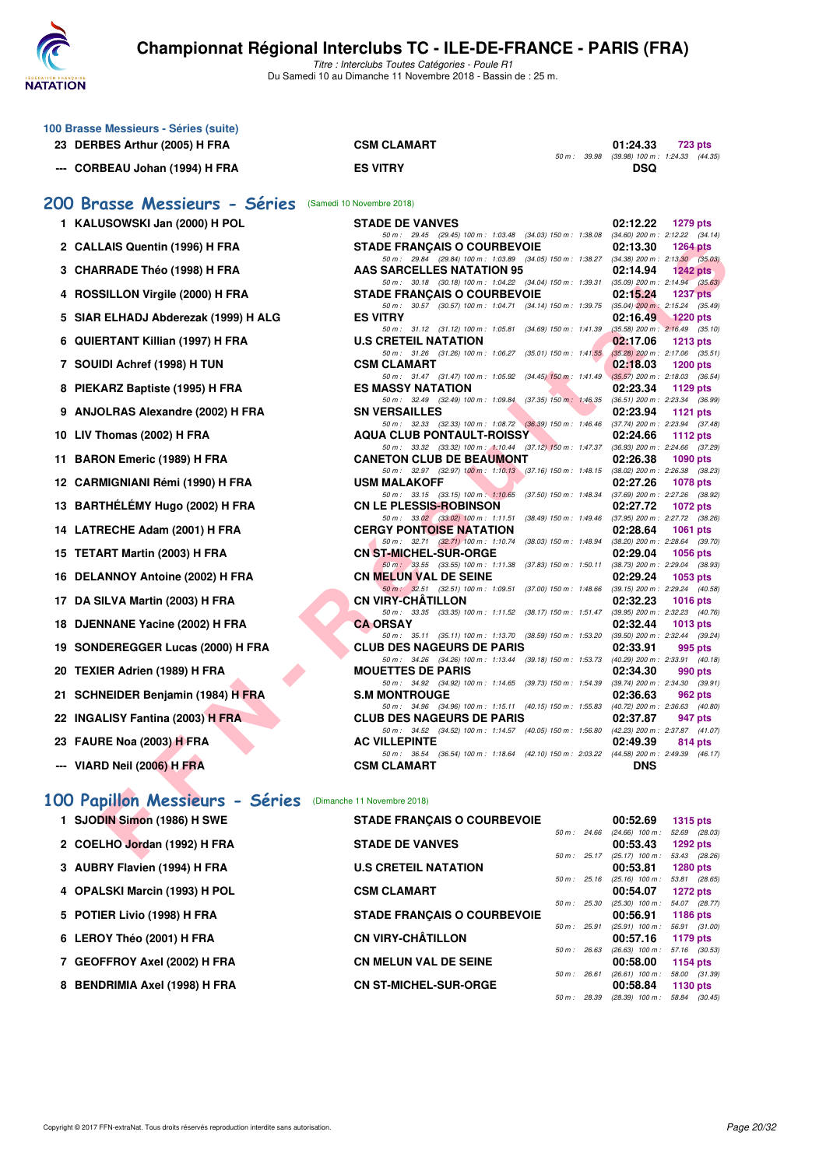

Titre : Interclubs Toutes Catégories - Poule R1 Du Samedi 10 au Dimanche 11 Novembre 2018 - Bassin de : 25 m.

|     | 100 Brasse Messieurs - Séries (suite)<br>23 DERBES Arthur (2005) H FRA | <b>CSM CLAMART</b>                                                                                                                 | 01:24.33<br>723 pts                                                |
|-----|------------------------------------------------------------------------|------------------------------------------------------------------------------------------------------------------------------------|--------------------------------------------------------------------|
|     | --- CORBEAU Johan (1994) H FRA                                         | 50 m : 39.98<br><b>ES VITRY</b>                                                                                                    | $(39.98)$ 100 m : 1:24.33 $(44.35)$<br>DSQ                         |
|     | 200 Brasse Messieurs - Séries (Samedi 10 Novembre 2018)                |                                                                                                                                    |                                                                    |
|     | 1 KALUSOWSKI Jan (2000) H POL                                          | <b>STADE DE VANVES</b>                                                                                                             | 02:12.22<br>1279 pts                                               |
|     | 2 CALLAIS Quentin (1996) H FRA                                         | 50 m : 29.45 (29.45) 100 m : 1:03.48 (34.03) 150 m : 1:38.08 (34.60) 200 m : 2:12.22 (34.14)<br><b>STADE FRANCAIS O COURBEVOIE</b> | 02:13.30<br><b>1264 pts</b>                                        |
|     | 3 CHARRADE Théo (1998) H FRA                                           | 50 m: 29.84 (29.84) 100 m: 1:03.89 (34.05) 150 m: 1:38.27 (34.38) 200 m: 2:13.30 (35.03)<br><b>AAS SARCELLES NATATION 95</b>       | 02:14.94<br>1242 pts                                               |
|     | 4 ROSSILLON Virgile (2000) H FRA                                       | 50 m: 30.18 (30.18) 100 m: 1:04.22 (34.04) 150 m: 1:39.31 (35.09) 200 m: 2:14.94 (35.63)<br><b>STADE FRANCAIS O COURBEVOIE</b>     | 02:15.24<br><b>1237 pts</b>                                        |
|     |                                                                        | 50 m: 30.57 (30.57) 100 m: 1:04.71 (34.14) 150 m: 1:39.75 (35.04) 200 m: 2:15.24 (35.49)                                           |                                                                    |
|     | 5 SIAR ELHADJ Abderezak (1999) H ALG                                   | <b>ES VITRY</b><br>50 m: 31.12 (31.12) 100 m: 1:05.81 (34.69) 150 m: 1:41.39                                                       | 02:16.49<br>1220 pts<br>$(35.58)$ 200 m : 2:16.49 $(35.10)$        |
|     | 6 QUIERTANT Killian (1997) H FRA                                       | <b>U.S CRETEIL NATATION</b><br>50 m: 31.26 (31.26) 100 m: 1:06.27 (35.01) 150 m: 1:41.55                                           | 02:17.06<br><b>1213 pts</b><br>$(35.28)$ 200 m : 2:17.06 $(35.51)$ |
|     | 7 SOUIDI Achref (1998) H TUN                                           | <b>CSM CLAMART</b><br>50 m: 31.47 (31.47) 100 m: 1:05.92 (34.45) 150 m: 1:41.49 (35.57) 200 m: 2:18.03 (36.54)                     | 02:18.03<br><b>1200 pts</b>                                        |
|     | 8 PIEKARZ Baptiste (1995) H FRA                                        | <b>ES MASSY NATATION</b><br>50 m: 32.49 (32.49) 100 m: 1:09.84 (37.35) 150 m: 1:46.35 (36.51) 200 m: 2:23.34 (36.99)               | 02:23.34<br>1129 pts                                               |
|     | 9 ANJOLRAS Alexandre (2002) H FRA                                      | <b>SN VERSAILLES</b>                                                                                                               | 02:23.94<br>1121 $pts$                                             |
|     | 10 LIV Thomas (2002) H FRA                                             | 50 m: 32.33 (32.33) 100 m: 1:08.72 (36.39) 150 m: 1:46.46 (37.74) 200 m: 2:23.94 (37.48)<br><b>AQUA CLUB PONTAULT-ROISSY</b>       | 02:24.66<br>1112 $pts$                                             |
| 11. | <b>BARON Emeric (1989) H FRA</b>                                       | 50 m: 33.32 (33.32) 100 m: 1:10.44 (37.12) 150 m: 1:47.37 (36.93) 200 m: 2:24.66 (37.29)<br><b>CANETON CLUB DE BEAUMONT</b>        | 02:26.38<br><b>1090 pts</b>                                        |
|     | 12 CARMIGNIANI Rémi (1990) H FRA                                       | 50 m: 32.97 (32.97) 100 m: 1:10.13 (37.16) 150 m: 1:48.15 (38.02) 200 m: 2:26.38 (38.23)<br><b>USM MALAKOFF</b>                    | 02:27.26<br><b>1078 pts</b>                                        |
|     | 13 BARTHÉLÉMY Hugo (2002) H FRA                                        | 50 m: 33.15 (33.15) 100 m: 1:10.65 (37.50) 150 m: 1:48.34 (37.69) 200 m: 2:27.26 (38.92)<br><b>CN LE PLESSIS-ROBINSON</b>          | 02:27.72<br><b>1072 pts</b>                                        |
|     | 14 LATRECHE Adam (2001) H FRA                                          | 50 m: 33.02 (33.02) 100 m: 1:11.51 (38.49) 150 m: 1:49.46 (37.95) 200 m: 2:27.72 (38.26)<br><b>CERGY PONTOISE NATATION</b>         | 02:28.64<br><b>1061 pts</b>                                        |
|     |                                                                        | 50 m : 32.71 (32.71) 100 m : 1:10.74 (38.03) 150 m : 1:48.94<br><b>CN ST-MICHEL-SUR-ORGE</b>                                       | $(38.20)$ 200 m : 2:28.64 $(39.70)$<br>02:29.04<br><b>1056 pts</b> |
|     | 15 TETART Martin (2003) H FRA                                          | 50 m : 33.55 (33.55) 100 m : 1:11.38 (37.83) 150 m : 1:50.11                                                                       | (38.73) 200 m : 2:29.04 (38.93)                                    |
|     | 16 DELANNOY Antoine (2002) H FRA                                       | <b>CN MELUN VAL DE SEINE</b><br>50 m: 32.51 (32.51) 100 m: 1.09.51 (37.00) 150 m: 1.48.66 (39.15) 200 m: 2.29.24 (40.58)           | 02:29.24<br>1053 pts                                               |
|     | 17 DA SILVA Martin (2003) H FRA                                        | <b>CN VIRY-CHATILLON</b><br>50 m: 33.35 (33.35) 100 m: 1:11.52 (38.17) 150 m: 1:51.47 (39.95) 200 m: 2:32.23 (40.76)               | 02:32.23<br><b>1016 pts</b>                                        |
|     | 18 DJENNANE Yacine (2002) H FRA                                        | <b>CA ORSAY</b><br>50 m: 35.11 (35.11) 100 m: 1:13.70 (38.59) 150 m: 1:53.20 (39.50) 200 m: 2:32.44 (39.24)                        | 02:32.44<br>1013 $pts$                                             |
|     | 19 SONDEREGGER Lucas (2000) H FRA                                      | <b>CLUB DES NAGEURS DE PARIS</b><br>50 m: 34.26 (34.26) 100 m: 1:13.44 (39.18) 150 m: 1:53.73 (40.29) 200 m: 2:33.91 (40.18)       | 02:33.91<br>995 pts                                                |
|     | 20 TEXIER Adrien (1989) H FRA                                          | <b>MOUETTES DE PARIS</b><br>50 m: 34.92 (34.92) 100 m: 1:14.65 (39.73) 150 m: 1:54.39 (39.74) 200 m: 2:34.30 (39.91)               | 02:34.30<br>990 pts                                                |
|     | 21 SCHNEIDER Benjamin (1984) H FRA                                     | <b>S.M MONTROUGE</b>                                                                                                               | 02:36.63<br>962 pts                                                |
|     | 22 INGALISY Fantina (2003) H FRA                                       | 50 m: 34.96 (34.96) 100 m: 1:15.11 (40.15) 150 m: 1:55.83 (40.72) 200 m: 2:36.63 (40.80)<br><b>CLUB DES NAGEURS DE PARIS</b>       | 02:37.87<br>947 pts                                                |
|     | 23 FAURE Noa (2003) H FRA                                              | 50 m: 34.52 (34.52) 100 m: 1:14.57 (40.05) 150 m: 1:56.80 (42.23) 200 m: 2:37.87 (41.07)<br><b>AC VILLEPINTE</b>                   | 02:49.39<br>814 pts                                                |
|     | --- VIARD Neil (2006) H FRA                                            | 50 m: 36.54 (36.54) 100 m: 1:18.64 (42.10) 150 m: 2:03.22 (44.58) 200 m: 2:49.39 (46.17)<br><b>CSM CLAMART</b>                     | <b>DNS</b>                                                         |
|     | 100 Papillon Messieurs - Séries                                        | (Dimanche 11 Novembre 2018)                                                                                                        |                                                                    |
|     | 1 SJODIN Simon (1986) H SWE                                            | <b>STADE FRANÇAIS O COURBEVOIE</b>                                                                                                 | 00:52.69<br><b>1315 pts</b>                                        |
|     | 2 COELHO Jordan (1992) H FRA                                           | <b>STADE DE VANVES</b>                                                                                                             | 50 m : 24.66 (24.66) 100 m : 52.69 (28.03)<br>00:53.43<br>1292 pts |
|     | 3 AUBRY Flavien (1994) H FRA                                           | 50 m : 25.17<br><b>U.S CRETEIL NATATION</b>                                                                                        | (25.17) 100 m: 53.43 (28.26)<br>00:53.81<br><b>1280 pts</b>        |
|     |                                                                        | 50 m : 25.16                                                                                                                       | $(25.16)$ 100 m : 53.81 $(28.65)$<br>00:54.07                      |
|     | 4 OPALSKI Marcin (1993) H POL                                          | <b>CSM CLAMART</b><br>50 m : 25.30                                                                                                 | <b>1272 pts</b><br>(25.30) 100 m: 54.07 (28.77)                    |
|     | 5 POTIER Livio (1998) H FRA                                            | <b>STADE FRANÇAIS O COURBEVOIE</b><br>50 m : 25.91                                                                                 | 00:56.91<br><b>1186 pts</b><br>$(25.91)$ 100 m : 56.91 $(31.00)$   |
|     | 6 LEROY Théo (2001) H FRA                                              | <b>CN VIRY-CHÂTILLON</b><br>50 m : 26.63                                                                                           | 00:57.16<br>1179 pts<br>(26.63) 100 m: 57.16 (30.53)               |
|     | 7 GEOFFROY Axel (2002) H FRA                                           | <b>CN MELUN VAL DE SEINE</b><br>50 m : 26.61                                                                                       | 00:58.00<br>1154 pts<br>$(26.61)$ 100 m : 58.00 $(31.39)$          |
|     | 8 BENDRIMIA Axel (1998) H FRA                                          | <b>CN ST-MICHEL-SUR-ORGE</b>                                                                                                       | 00:58.84<br>1130 pts                                               |

50 m : 28.39 (28.39) 100 m : 58.84 (30.45)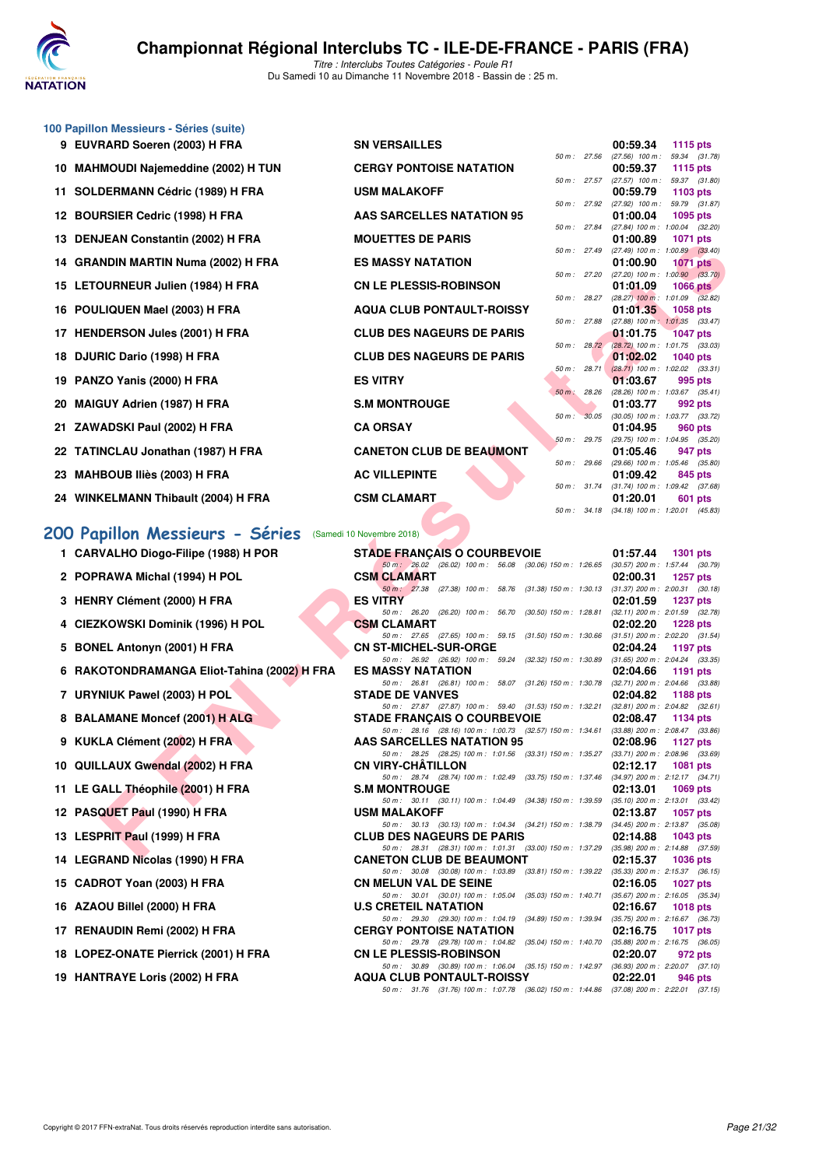

|    | 100 Papillon Messieurs - Séries (suite)     |                                                                                                                              |                                                                    |
|----|---------------------------------------------|------------------------------------------------------------------------------------------------------------------------------|--------------------------------------------------------------------|
|    | 9 EUVRARD Soeren (2003) H FRA               | <b>SN VERSAILLES</b>                                                                                                         | 00:59.34<br>1115 pts                                               |
|    | 10 MAHMOUDI Najemeddine (2002) H TUN        | 50 m : 27.56<br><b>CERGY PONTOISE NATATION</b>                                                                               | (27.56) 100 m: 59.34 (31.78)<br>00:59.37<br>1115 pts               |
| 11 | SOLDERMANN Cédric (1989) H FRA              | 50 m: 27.57<br><b>USM MALAKOFF</b>                                                                                           | (27.57) 100 m: 59.37 (31.80)<br>00:59.79<br>1103 pts               |
|    | 12 BOURSIER Cedric (1998) H FRA             | 50 m : 27.92<br>AAS SARCELLES NATATION 95                                                                                    | (27.92) 100 m: 59.79 (31.87)<br>01:00.04<br>1095 pts               |
|    |                                             | 50 m : 27.84<br><b>MOUETTES DE PARIS</b>                                                                                     | (27.84) 100 m : 1:00.04 (32.20)                                    |
|    | 13 DENJEAN Constantin (2002) H FRA          | 50 m : 27.49                                                                                                                 | 01:00.89<br>1071 pts<br>(27.49) 100 m : 1:00.89 (33.40)            |
|    | 14 GRANDIN MARTIN Numa (2002) H FRA         | <b>ES MASSY NATATION</b><br>50 m : 27.20                                                                                     | 01:00.90<br><b>1071 pts</b><br>$(27.20)$ 100 m : 1:00.90 $(33.70)$ |
|    | 15 LETOURNEUR Julien (1984) H FRA           | <b>CN LE PLESSIS-ROBINSON</b>                                                                                                | 01:01.09<br><b>1066 pts</b>                                        |
| 16 | POULIQUEN Mael (2003) H FRA                 | 50 m : 28.27<br><b>AQUA CLUB PONTAULT-ROISSY</b>                                                                             | $(28.27)$ 100 m : 1:01.09 $(32.82)$<br>01:01.35<br><b>1058 pts</b> |
|    | 17 HENDERSON Jules (2001) H FRA             | 50 m : 27.88<br><b>CLUB DES NAGEURS DE PARIS</b>                                                                             | (27.88) 100 m: 1:01.35 (33.47)<br>01:01.75<br><b>1047 pts</b>      |
|    | 18 DJURIC Dario (1998) H FRA                | 50 m: 28.72<br><b>CLUB DES NAGEURS DE PARIS</b>                                                                              | (28.72) 100 m : 1:01.75 (33.03)<br>01:02.02<br>1040 pts            |
| 19 | PANZO Yanis (2000) H FRA                    | 50 m: 28.71<br><b>ES VITRY</b>                                                                                               | $(28.71)$ 100 m : 1:02.02 $(33.31)$<br>01:03.67<br>995 pts         |
| 20 | <b>MAIGUY Adrien (1987) H FRA</b>           | $50 m$ :<br>28.26<br><b>S.M MONTROUGE</b>                                                                                    | $(28.26)$ 100 m : 1:03.67 $(35.41)$<br>01:03.77<br>992 pts         |
|    |                                             | 50 m: 30.05                                                                                                                  | (30.05) 100 m : 1:03.77 (33.72)                                    |
| 21 | ZAWADSKI Paul (2002) H FRA                  | <b>CA ORSAY</b><br>50 m: 29.75                                                                                               | 01:04.95<br>960 pts<br>(29.75) 100 m : 1:04.95 (35.20)             |
|    | 22 TATINCLAU Jonathan (1987) H FRA          | <b>CANETON CLUB DE BEAUMONT</b>                                                                                              | 01:05.46<br>947 pts                                                |
| 23 | <b>MAHBOUB Iliès (2003) H FRA</b>           | 50 m : 29.66<br><b>AC VILLEPINTE</b>                                                                                         | (29.66) 100 m: 1:05.46 (35.80)<br>01:09.42<br>845 pts              |
|    | 24 WINKELMANN Thibault (2004) H FRA         | 50 m : 31.74<br><b>CSM CLAMART</b>                                                                                           | (31.74) 100 m: 1:09.42 (37.68)<br>01:20.01<br>601 pts              |
|    |                                             | 50 m : 34.18                                                                                                                 | $(34.18)$ 100 m : 1:20.01 $(45.83)$                                |
|    | 200 Papillon Messieurs - Séries             | (Samedi 10 Novembre 2018)                                                                                                    |                                                                    |
|    | 1 CARVALHO Diogo-Filipe (1988) H POR        | <b>STADE FRANÇAIS O COURBEVOIE</b>                                                                                           | 01:57.44<br><b>1301 pts</b>                                        |
|    | 2 POPRAWA Michal (1994) H POL               | 50 m : 26.02 (26.02) 100 m : 56.08 (30.06) 150 m : 1:26.65<br><b>CSM CLAMART</b>                                             | $(30.57)$ 200 m : 1:57.44 $(30.79)$<br>02:00.31<br>1257 pts        |
|    | 3 HENRY Clément (2000) H FRA                | 50 m: 27.38 (27.38) 100 m: 58.76 (31.38) 150 m: 1:30.13<br><b>ES VITRY</b>                                                   | $(31.37)$ 200 m : 2:00.31 $(30.18)$<br>02:01.59<br>1237 pts        |
|    |                                             | 50 m: 26.20 (26.20) 100 m: 56.70 (30.50) 150 m: 1:28.81                                                                      | $(32.11)$ 200 m : 2:01.59 $(32.78)$                                |
|    | 4 CIEZKOWSKI Dominik (1996) H POL           | <b>CSM CLAMART</b><br>50 m: 27.65 (27.65) 100 m: 59.15 (31.50) 150 m: 1:30.66                                                | 02:02.20<br><b>1228 pts</b><br>$(31.51)$ 200 m : 2:02.20 $(31.54)$ |
|    | 5 BONEL Antonyn (2001) H FRA                | <b>CN ST-MICHEL-SUR-ORGE</b>                                                                                                 | 02:04.24<br>1197 pts                                               |
|    | 6 RAKOTONDRAMANGA Eliot-Tahina (2002) H FRA | 50 m : 26.92 (26.92) 100 m : 59.24 (32.32) 150 m : 1:30.89<br><b>ES MASSY NATATION</b>                                       | $(31.65)$ 200 m : 2:04.24 $(33.35)$<br>02:04.66<br>1191 pts        |
|    | 7 URYNIUK Pawel (2003) H POL                | 50 m: 26.81 (26.81) 100 m: 58.07 (31.26) 150 m: 1:30.78<br><b>STADE DE VANVES</b>                                            | $(32.71)$ 200 m : 2:04.66 $(33.88)$<br>02:04.82<br><b>1188 pts</b> |
|    | 8 BALAMANE Moncef (2001) H ALG              | 50 m: 27.87 (27.87) 100 m: 59.40 (31.53) 150 m: 1:32.21                                                                      | $(32.81)$ 200 m : 2:04.82 $(32.61)$                                |
|    |                                             | <b>STADE FRANÇAIS O COURBEVOIE</b><br>50 m: 28.16 (28.16) 100 m: 1:00.73 (32.57) 150 m: 1:34.61                              | 02:08.47<br>1134 pts<br>$(33.88)$ 200 m : 2:08.47 $(33.86)$        |
|    | 9 KUKLA Clément (2002) H FRA                | AAS SARCELLES NATATION 95<br>50 m: 28.25 (28.25) 100 m: 1:01.56 (33.31) 150 m: 1:35.27                                       | 02:08.96<br><b>1127 pts</b>                                        |
|    | 10 QUILLAUX Gwendal (2002) H FRA            | <b>CN VIRY-CHATILLON</b>                                                                                                     | $(33.71)$ 200 m : 2:08.96 $(33.69)$<br>02:12.17<br>1081 pts        |
|    | 11 LE GALL Théophile (2001) H FRA           | 50 m: 28.74 (28.74) 100 m: 1:02.49 (33.75) 150 m: 1:37.46 (34.97) 200 m: 2:12.17 (34.71)<br><b>S.M MONTROUGE</b>             | 02:13.01<br>1069 pts                                               |
|    | 12 PASQUET Paul (1990) H FRA                | 50 m: 30.11 (30.11) 100 m: 1:04.49 (34.38) 150 m: 1:39.59<br><b>USM MALAKOFF</b>                                             | (35.10) 200 m : 2:13.01 (33.42)<br>02:13.87<br>1057 pts            |
|    |                                             | 50 m: 30.13 (30.13) 100 m: 1:04.34 (34.21) 150 m: 1:38.79 (34.45) 200 m: 2:13.87 (35.08)                                     |                                                                    |
|    | 13 LESPRIT Paul (1999) H FRA                | <b>CLUB DES NAGEURS DE PARIS</b><br>50 m: 28.31 (28.31) 100 m: 1:01.31 (33.00) 150 m: 1:37.29 (35.98) 200 m: 2:14.88 (37.59) | 02:14.88<br>1043 pts                                               |
|    | <b>14. LECDAND Nicolas (1000) U EDA</b>     | CANCTON CLUB BE BEAUMONT                                                                                                     | 00.45.27<br>100 <sub>0</sub>                                       |

# **[200 Papillon Messieurs - Séries](http://www.ffnatation.fr/webffn/resultats.php?idact=nat&go=epr&idcpt=56389&idepr=83)** (Samedi 10 Novembre 2018)

| 1 CARVALHO DIOGO-FIIIPE (1988) H POR |  |
|--------------------------------------|--|
| 2 POPRAWA Michal (1994) H POL        |  |

- 
- 
- 
- 
- 
- 
- 
- 
- 
- 
- 
- 
- 
- 
- 
- 
- 

| <b>UU ruptituti Messieurs – Series</b> (Sallieu To Novembre 2010) |                                                                                                                              |          |                 |         |
|-------------------------------------------------------------------|------------------------------------------------------------------------------------------------------------------------------|----------|-----------------|---------|
| 1 CARVALHO Diogo-Filipe (1988) H POR                              | <b>STADE FRANÇAIS O COURBEVOIE</b>                                                                                           | 01:57.44 | 1301 pts        |         |
| 2 POPRAWA Michal (1994) H POL                                     | 50 m: 26.02 (26.02) 100 m: 56.08 (30.06) 150 m: 1:26.65 (30.57) 200 m: 1:57.44 (30.79)<br><b>CSM CLAMART</b>                 | 02:00.31 | <b>1257 pts</b> |         |
| 3 HENRY Clément (2000) H FRA                                      | 50 m: 27.38 (27.38) 100 m: 58.76 (31.38) 150 m: 1.30.13 (31.37) 200 m: 2.00.31 (30.18)<br><b>ES VITRY</b>                    | 02:01.59 | <b>1237 pts</b> |         |
| 4 CIEZKOWSKI Dominik (1996) H POL                                 | 50 m: 26.20 (26.20) 100 m: 56.70 (30.50) 150 m: 1:28.81 (32.11) 200 m: 2:01.59 (32.78)<br><b>CSM CLAMART</b>                 | 02:02.20 | 1228 pts        |         |
| 5 BONEL Antonyn (2001) H FRA                                      | 50 m: 27.65 (27.65) 100 m: 59.15 (31.50) 150 m: 1.30.66 (31.51) 200 m: 2.02.20 (31.54)<br><b>CN ST-MICHEL-SUR-ORGE</b>       | 02:04.24 | 1197 $pts$      |         |
| 6 RAKOTONDRAMANGA Eliot-Tahina (2002) H FRA                       | 50 m: 26.92 (26.92) 100 m: 59.24 (32.32) 150 m: 1.30.89 (31.65) 200 m: 2.04.24 (33.35)<br><b>ES MASSY NATATION</b>           | 02:04.66 | 1191 $pts$      |         |
| 7 URYNIUK Pawel (2003) H POL                                      | 50 m: 26.81 (26.81) 100 m: 58.07 (31.26) 150 m: 1.30.78 (32.71) 200 m: 2.04.66 (33.88)<br><b>STADE DE VANVES</b>             | 02:04.82 | 1188 pts        |         |
| 8 BALAMANE Moncef (2001) H ALG                                    | 50 m: 27.87 (27.87) 100 m: 59.40 (31.53) 150 m: 1:32.21 (32.81) 200 m: 2:04.82 (32.61)<br><b>STADE FRANCAIS O COURBEVOIE</b> | 02:08.47 | 1134 pts        |         |
| 9 KUKLA Clément (2002) H FRA                                      | 50 m: 28.16 (28.16) 100 m: 1:00.73 (32.57) 150 m: 1:34.61 (33.88) 200 m: 2:08.47 (33.86)<br>AAS SARCELLES NATATION 95        | 02:08.96 | 1127 pts        |         |
| 10 QUILLAUX Gwendal (2002) H FRA                                  | 50 m: 28.25 (28.25) 100 m: 1:01.56 (33.31) 150 m: 1:35.27 (33.71) 200 m: 2:08.96 (33.69)<br><b>CN VIRY-CHÂTILLON</b>         | 02:12.17 | <b>1081 pts</b> |         |
| 11 LE GALL Théophile (2001) H FRA                                 | 50 m: 28.74 (28.74) 100 m: 1:02.49 (33.75) 150 m: 1:37.46 (34.97) 200 m: 2:12.17 (34.71)<br><b>S.M MONTROUGE</b>             | 02:13.01 | $1069$ pts      |         |
| 12 PASQUET Paul (1990) H FRA                                      | 50 m: 30.11 (30.11) 100 m: 1:04.49 (34.38) 150 m: 1:39.59 (35.10) 200 m: 2:13.01 (33.42)<br><b>USM MALAKOFF</b>              | 02:13.87 | <b>1057 pts</b> |         |
| 13 LESPRIT Paul (1999) H FRA                                      | 50 m: 30.13 (30.13) 100 m: 1:04.34 (34.21) 150 m: 1:38.79 (34.45) 200 m: 2:13.87 (35.08)<br><b>CLUB DES NAGEURS DE PARIS</b> | 02:14.88 | 1043 pts        |         |
| 14 LEGRAND Nicolas (1990) H FRA                                   | 50 m: 28.31 (28.31) 100 m: 1:01.31 (33.00) 150 m: 1:37.29 (35.98) 200 m: 2:14.88 (37.59)<br><b>CANETON CLUB DE BEAUMONT</b>  | 02:15.37 | 1036 pts        |         |
| 15 CADROT Yoan (2003) H FRA                                       | 50 m: 30.08 (30.08) 100 m: 1:03.89 (33.81) 150 m: 1:39.22 (35.33) 200 m: 2:15.37 (36.15)<br><b>CN MELUN VAL DE SEINE</b>     | 02:16.05 | 1027 pts        |         |
| 16 AZAOU Billel (2000) H FRA                                      | 50 m: 30.01 (30.01) 100 m: 1:05.04 (35.03) 150 m: 1:40.71 (35.67) 200 m: 2:16.05 (35.34)<br><b>U.S CRETEIL NATATION</b>      | 02:16.67 | <b>1018 pts</b> |         |
| 17 RENAUDIN Remi (2002) H FRA                                     | 50 m: 29.30 (29.30) 100 m: 1:04.19 (34.89) 150 m: 1:39.94 (35.75) 200 m: 2:16.67 (36.73)<br><b>CERGY PONTOISE NATATION</b>   | 02:16.75 | 1017 $pts$      |         |
| 18 LOPEZ-ONATE Pierrick (2001) H FRA                              | 50 m: 29.78 (29.78) 100 m: 1:04.82 (35.04) 150 m: 1:40.70 (35.88) 200 m: 2:16.75 (36.05)<br><b>CN LE PLESSIS-ROBINSON</b>    | 02:20.07 |                 | 972 pts |
| 19 HANTRAYE Loris (2002) H FRA                                    | 50 m: 30.89 (30.89) 100 m: 1:06.04 (35.15) 150 m: 1:42.97 (36.93) 200 m: 2:20.07 (37.10)<br><b>AQUA CLUB PONTAULT-ROISSY</b> | 02:22.01 |                 | 946 pts |
|                                                                   | 50 m: 31.76 (31.76) 100 m: 1:07.78 (36.02) 150 m: 1:44.86 (37.08) 200 m: 2:22.01 (37.15)                                     |          |                 |         |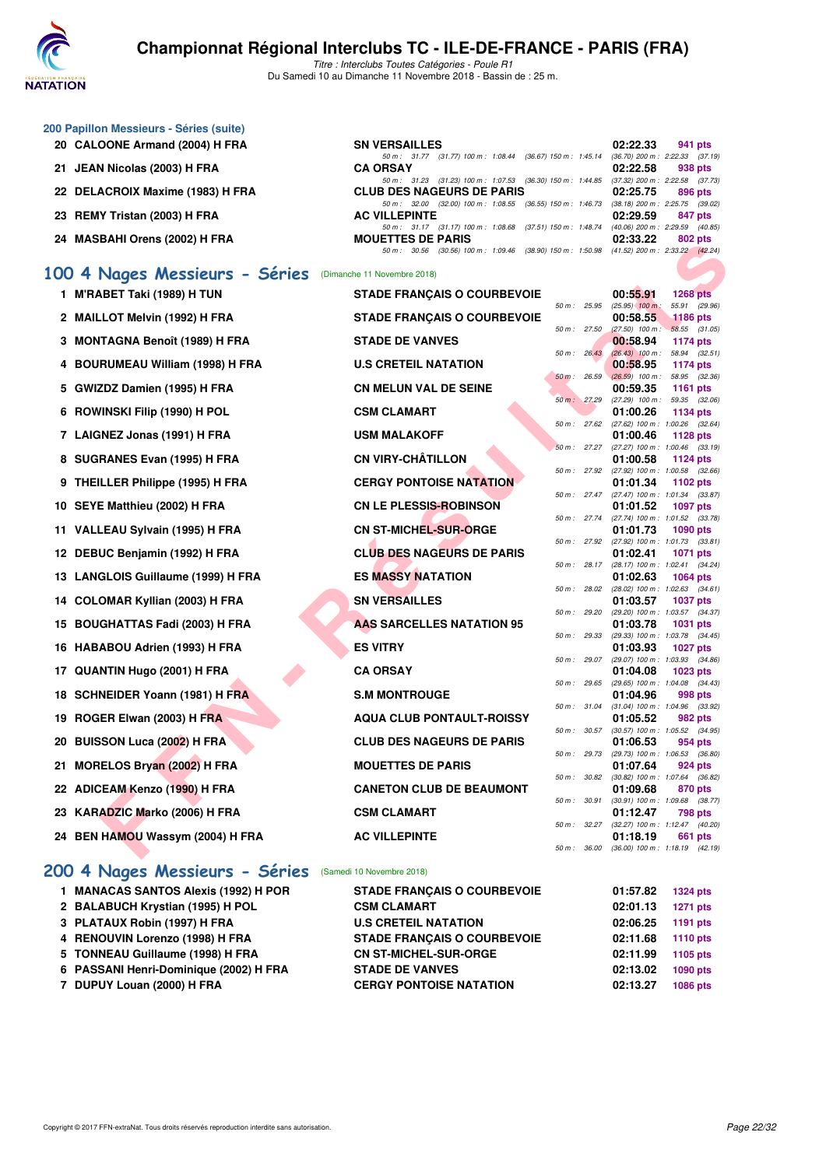

Titre : Interclubs Toutes Catégories - Poule R1 Du Samedi 10 au Dimanche 11 Novembre 2018 - Bassin de : 25 m.

| 200 Papillon Messieurs - Séries (suite) |                                                                                             |                                      |                 |
|-----------------------------------------|---------------------------------------------------------------------------------------------|--------------------------------------|-----------------|
| 20 CALOONE Armand (2004) H FRA          | <b>SN VERSAILLES</b>                                                                        | 02:22.33                             | 941 pts         |
|                                         | 50 m: 31.77 (31.77) 100 m: 1:08.44 (36.67) 150 m: 1:45.14                                   | $(36.70)$ 200 m : 2:22.33 $(37.19)$  |                 |
| 21 JEAN Nicolas (2003) H FRA            | <b>CA ORSAY</b>                                                                             | 02:22.58                             | 938 pts         |
|                                         | 50 m: 31.23 (31.23) 100 m: 1:07.53 (36.30) 150 m: 1:44.85                                   | (37.32) 200 m : 2:22.58 (37.73       |                 |
| 22 DELACROIX Maxime (1983) H FRA        | <b>CLUB DES NAGEURS DE PARIS</b>                                                            | 02:25.75                             | 896 pts         |
|                                         | 50 m: 32.00 (32.00) 100 m: 1:08.55 (36.55) 150 m: 1:46.73                                   | (38.18) 200 m : 2:25.75 (39.02)      |                 |
| 23 REMY Tristan (2003) H FRA            | <b>AC VILLEPINTE</b>                                                                        | 02:29.59                             | 847 pts         |
|                                         | 50 m: 31.17 (31.17) 100 m: 1:08.68 (37.51) 150 m: 1:48.74                                   | (40.06) 200 m : 2:29.59 (40.85       |                 |
| 24 MASBAHI Orens (2002) H FRA           | <b>MOUETTES DE PARIS</b>                                                                    | 02:33.22                             | 802 pts         |
|                                         | (30.56) 100 m: 1:09.46 (38.90) 150 m: 1:50.98 (41.52) 200 m: 2:33.22 (42.24<br>50 m : 30.56 |                                      |                 |
| 100 4 Nages Messieurs - Séries          | (Dimanche 11 Novembre 2018)                                                                 |                                      |                 |
| M'RABET Taki (1989) H TUN               | <b>STADE FRANCAIS O COURBEVOIE</b>                                                          | 00:55.91                             | <b>1268 pts</b> |
|                                         | $\sim$ $\sim$ $\sim$                                                                        | $(0.505)(100 - 5)$ $5501$ $(00.005)$ |                 |

| 49 MAJDAHI VICIIS (4004) II FRA    | MUULI I LJ DE FARIJ<br>50 m: 30.56 (30.56) 100 m: 1:09.46 (38.90) 150 m: 1:50.98 (41.52) 200 m: 2:33.22 (42.24) |              |              | UZ.JJ.ZZ                                        | ouz pis                   |         |
|------------------------------------|-----------------------------------------------------------------------------------------------------------------|--------------|--------------|-------------------------------------------------|---------------------------|---------|
|                                    |                                                                                                                 |              |              |                                                 |                           |         |
| 00 4 Nages Messieurs - Séries      | (Dimanche 11 Novembre 2018)                                                                                     |              |              |                                                 |                           |         |
| 1 M'RABET Taki (1989) H TUN        | <b>STADE FRANÇAIS O COURBEVOIE</b>                                                                              |              |              | 00:55.91                                        | <b>1268 pts</b>           |         |
| 2 MAILLOT Melvin (1992) H FRA      | <b>STADE FRANÇAIS O COURBEVOIE</b>                                                                              | 50 m: 25.95  |              | $(25.95)$ 100 m:<br>00:58.55                    | 55.91 (29.96)<br>1186 pts |         |
|                                    |                                                                                                                 | 50 m: 27.50  |              | $(27.50)$ 100 m :                               | 58.55 (31.05)             |         |
| 3 MONTAGNA Benoît (1989) H FRA     | <b>STADE DE VANVES</b>                                                                                          |              |              | 00:58.94                                        | <b>1174 pts</b>           |         |
| 4 BOURUMEAU William (1998) H FRA   | <b>U.S CRETEIL NATATION</b>                                                                                     | 50 m: 26.43  |              | $(26.43)$ 100 m :<br>00:58.95                   | 58.94 (32.51)<br>1174 pts |         |
|                                    |                                                                                                                 | 50 m : 26.59 |              | $(26.59)$ 100 m :                               | 58.95 (32.36)             |         |
| 5 GWIZDZ Damien (1995) H FRA       | <b>CN MELUN VAL DE SEINE</b>                                                                                    |              |              | 00:59.35                                        | <b>1161 pts</b>           |         |
|                                    |                                                                                                                 | 50 m: 27.29  |              | $(27.29)$ 100 m :                               | 59.35 (32.06)             |         |
| 6 ROWINSKI Filip (1990) H POL      | <b>CSM CLAMART</b>                                                                                              |              | 50 m : 27.62 | 01:00.26<br>$(27.62)$ 100 m : 1:00.26 $(32.64)$ | 1134 pts                  |         |
| 7 LAIGNEZ Jonas (1991) H FRA       | <b>USM MALAKOFF</b>                                                                                             |              |              | 01:00.46                                        | <b>1128 pts</b>           |         |
|                                    |                                                                                                                 | 50 m: 27.27  |              | $(27.27)$ 100 m : 1:00.46 $(33.19)$             |                           |         |
| 8 SUGRANES Evan (1995) H FRA       | <b>CN VIRY-CHÂTILLON</b>                                                                                        |              |              | 01:00.58                                        | 1124 pts                  |         |
| 9 THEILLER Philippe (1995) H FRA   | <b>CERGY PONTOISE NATATION</b>                                                                                  | 50 m: 27.92  |              | (27.92) 100 m: 1:00.58 (32.66)<br>01:01.34      | 1102 pts                  |         |
|                                    |                                                                                                                 | 50 m: 27.47  |              | (27.47) 100 m: 1:01.34 (33.87)                  |                           |         |
| 10 SEYE Matthieu (2002) H FRA      | <b>CN LE PLESSIS-ROBINSON</b>                                                                                   |              |              | 01:01.52                                        | <b>1097 pts</b>           |         |
|                                    |                                                                                                                 | 50 m: 27.74  |              | (27.74) 100 m : 1:01.52 (33.78)                 |                           |         |
| 11 VALLEAU Sylvain (1995) H FRA    | <b>CN ST-MICHEL-SUR-ORGE</b>                                                                                    |              | 50 m: 27.92  | 01:01.73<br>$(27.92)$ 100 m : 1:01.73 $(33.81)$ | 1090 pts                  |         |
| 12 DEBUC Benjamin (1992) H FRA     | <b>CLUB DES NAGEURS DE PARIS</b>                                                                                |              |              | 01:02.41                                        | <b>1071 pts</b>           |         |
|                                    |                                                                                                                 |              | 50 m : 28.17 | (28.17) 100 m: 1:02.41 (34.24)                  |                           |         |
| 13 LANGLOIS Guillaume (1999) H FRA | <b>ES MASSY NATATION</b>                                                                                        |              |              | 01:02.63                                        | <b>1064 pts</b>           |         |
| 14 COLOMAR Kyllian (2003) H FRA    | <b>SN VERSAILLES</b>                                                                                            | 50 m: 28.02  |              | (28.02) 100 m: 1:02.63 (34.61)<br>01:03.57      | <b>1037 pts</b>           |         |
|                                    |                                                                                                                 | 50 m : 29.20 |              | (29.20) 100 m: 1:03.57 (34.37)                  |                           |         |
| 15 BOUGHATTAS Fadi (2003) H FRA    | <b>AAS SARCELLES NATATION 95</b>                                                                                |              |              | 01:03.78                                        | 1031 pts                  |         |
|                                    | <b>ES VITRY</b>                                                                                                 | 50 m: 29.33  |              | (29.33) 100 m: 1:03.78 (34.45)                  |                           |         |
| 16 HABABOU Adrien (1993) H FRA     |                                                                                                                 | 50 m: 29.07  |              | 01:03.93<br>(29.07) 100 m : 1:03.93 (34.86)     | <b>1027 pts</b>           |         |
| 17 QUANTIN Hugo (2001) H FRA       | <b>CA ORSAY</b>                                                                                                 |              |              | 01:04.08                                        | 1023 pts                  |         |
|                                    |                                                                                                                 | 50 m : 29.65 |              | (29.65) 100 m: 1:04.08 (34.43)                  |                           |         |
| 18 SCHNEIDER Yoann (1981) H FRA    | <b>S.M MONTROUGE</b>                                                                                            | 50 m : 31.04 |              | 01:04.96<br>(31.04) 100 m: 1:04.96 (33.92)      |                           | 998 pts |
| 19 ROGER Elwan (2003) H FRA        | <b>AQUA CLUB PONTAULT-ROISSY</b>                                                                                |              |              | 01:05.52                                        |                           | 982 pts |
|                                    |                                                                                                                 |              | 50 m : 30.57 | (30.57) 100 m: 1:05.52 (34.95)                  |                           |         |
| 20 BUISSON Luca (2002) H FRA       | <b>CLUB DES NAGEURS DE PARIS</b>                                                                                |              |              | 01:06.53                                        |                           | 954 pts |
| 21 MORELOS Bryan (2002) H FRA      | <b>MOUETTES DE PARIS</b>                                                                                        | 50 m : 29.73 |              | $(29.73)$ 100 m : 1:06.53 $(36.80)$<br>01:07.64 |                           | 924 pts |
|                                    |                                                                                                                 | 50 m : 30.82 |              | $(30.82)$ 100 m : 1:07.64 $(36.82)$             |                           |         |
| 22 ADICEAM Kenzo (1990) H FRA      | <b>CANETON CLUB DE BEAUMONT</b>                                                                                 |              |              | 01:09.68                                        |                           | 870 pts |
|                                    |                                                                                                                 | 50 m : 30.91 |              | $(30.91)$ 100 m : 1:09.68                       |                           | (38.77) |
| 23 KARADZIC Marko (2006) H FRA     | <b>CSM CLAMART</b>                                                                                              | 50 m: 32.27  |              | 01:12.47<br>(32.27) 100 m: 1:12.47 (40.20)      |                           | 798 pts |
| 24 BEN HAMOU Wassym (2004) H FRA   | <b>AC VILLEPINTE</b>                                                                                            |              |              | 01:18.19                                        |                           | 661 pts |
|                                    |                                                                                                                 | 50 m : 36.00 |              | $(36.00)$ 100 m : 1:18.19 $(42.19)$             |                           |         |
|                                    |                                                                                                                 |              |              |                                                 |                           |         |

# **[200 4 Nages Messieurs - Séries](http://www.ffnatation.fr/webffn/resultats.php?idact=nat&go=epr&idcpt=56389&idepr=91)** (Samedi 10 Novembre 2018)

| <b>MANACAS SANTOS Alexis (1992) H POR</b> | <b>STADE FRANCAIS O COURBEVOIE</b> | 01:57.82 | 1324 pts |
|-------------------------------------------|------------------------------------|----------|----------|
| 2 BALABUCH Krystian (1995) H POL          | <b>CSM CLAMART</b>                 | 02:01.13 | 1271 pts |
| 3 PLATAUX Robin (1997) H FRA              | <b>U.S CRETEIL NATATION</b>        | 02:06.25 | 1191 pts |
| 4 RENOUVIN Lorenzo (1998) H FRA           | <b>STADE FRANCAIS O COURBEVOIE</b> | 02:11.68 | 1110 pts |
| 5 TONNEAU Guillaume (1998) H FRA          | <b>CN ST-MICHEL-SUR-ORGE</b>       | 02:11.99 | 1105 pts |
| 6 PASSANI Henri-Dominique (2002) H FRA    | <b>STADE DE VANVES</b>             | 02:13.02 | 1090 pts |
| 7 DUPUY Louan (2000) H FRA                | <b>CERGY PONTOISE NATATION</b>     | 02:13.27 | 1086 pts |
|                                           |                                    |          |          |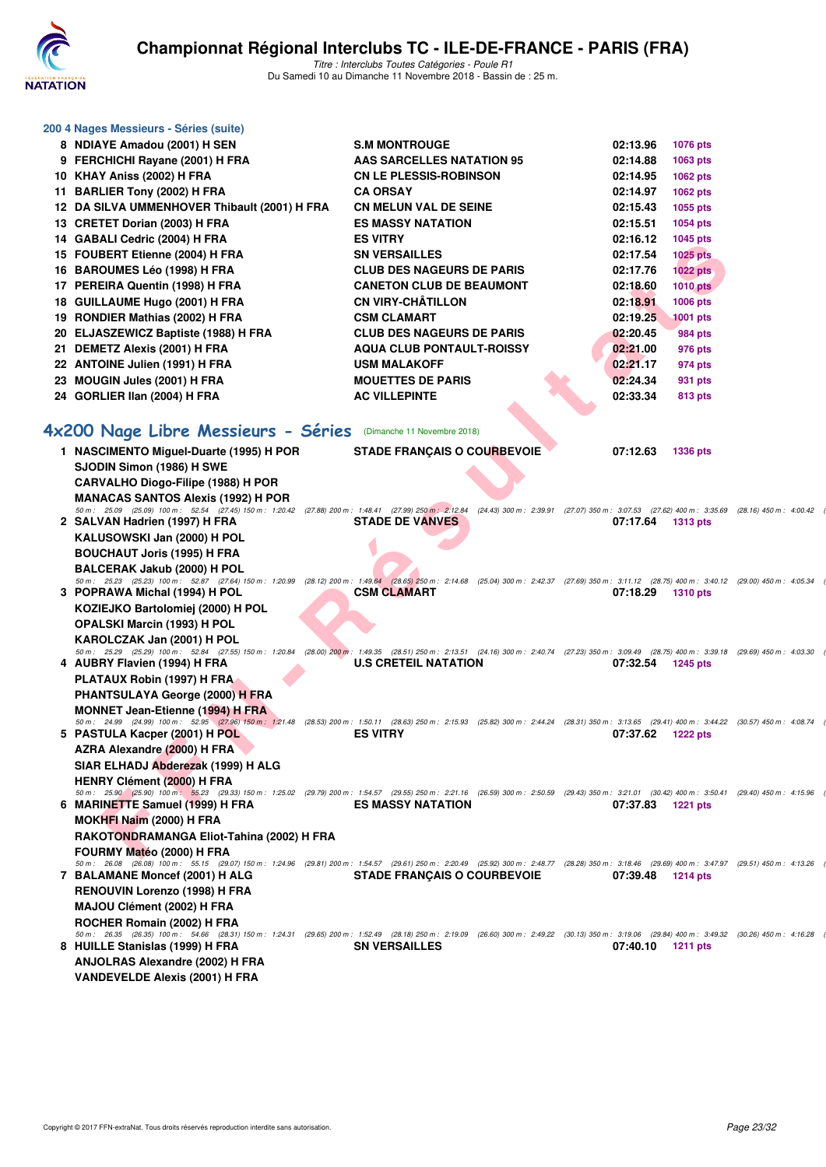

| 200 4 Nages Messieurs - Séries (suite)                                                                                                                                                                                             |                                    |                             |  |
|------------------------------------------------------------------------------------------------------------------------------------------------------------------------------------------------------------------------------------|------------------------------------|-----------------------------|--|
| 8 NDIAYE Amadou (2001) H SEN                                                                                                                                                                                                       | <b>S.M MONTROUGE</b>               | 02:13.96<br><b>1076 pts</b> |  |
| 9 FERCHICHI Rayane (2001) H FRA                                                                                                                                                                                                    | AAS SARCELLES NATATION 95          | 02:14.88<br>1063 pts        |  |
| 10 KHAY Aniss (2002) H FRA                                                                                                                                                                                                         | <b>CN LE PLESSIS-ROBINSON</b>      | 02:14.95<br>1062 pts        |  |
| 11 BARLIER Tony (2002) H FRA                                                                                                                                                                                                       | <b>CA ORSAY</b>                    | 02:14.97<br><b>1062 pts</b> |  |
| 12 DA SILVA UMMENHOVER Thibault (2001) H FRA                                                                                                                                                                                       | <b>CN MELUN VAL DE SEINE</b>       | 02:15.43<br>1055 pts        |  |
| 13 CRETET Dorian (2003) H FRA                                                                                                                                                                                                      | <b>ES MASSY NATATION</b>           | 02:15.51<br>1054 pts        |  |
| 14 GABALI Cedric (2004) H FRA                                                                                                                                                                                                      | <b>ES VITRY</b>                    | 02:16.12<br>1045 pts        |  |
| 15 FOUBERT Etienne (2004) H FRA                                                                                                                                                                                                    | <b>SN VERSAILLES</b>               | 02:17.54<br><b>1025 pts</b> |  |
| 16 BAROUMES Léo (1998) H FRA                                                                                                                                                                                                       | <b>CLUB DES NAGEURS DE PARIS</b>   | 02:17.76<br>$1022$ pts      |  |
| 17 PEREIRA Quentin (1998) H FRA                                                                                                                                                                                                    | <b>CANETON CLUB DE BEAUMONT</b>    | 02:18.60<br><b>1010 pts</b> |  |
| 18 GUILLAUME Hugo (2001) H FRA                                                                                                                                                                                                     | <b>CN VIRY-CHÂTILLON</b>           | 02:18.91<br>1006 pts        |  |
| 19 RONDIER Mathias (2002) H FRA                                                                                                                                                                                                    | <b>CSM CLAMART</b>                 | 02:19.25<br><b>1001 pts</b> |  |
| 20 ELJASZEWICZ Baptiste (1988) H FRA                                                                                                                                                                                               | <b>CLUB DES NAGEURS DE PARIS</b>   | 02:20.45<br>984 pts         |  |
| 21 DEMETZ Alexis (2001) H FRA                                                                                                                                                                                                      | <b>AQUA CLUB PONTAULT-ROISSY</b>   | 02:21.00<br>976 pts         |  |
| 22 ANTOINE Julien (1991) H FRA                                                                                                                                                                                                     | <b>USM MALAKOFF</b>                | 02:21.17<br>974 pts         |  |
| 23 MOUGIN Jules (2001) H FRA                                                                                                                                                                                                       | <b>MOUETTES DE PARIS</b>           | 02:24.34<br>931 pts         |  |
| 24 GORLIER IIan (2004) H FRA                                                                                                                                                                                                       | <b>AC VILLEPINTE</b>               | 02:33.34<br>813 pts         |  |
|                                                                                                                                                                                                                                    |                                    |                             |  |
| 4x200 Nage Libre Messieurs - Séries (Dimanche 11 Novembre 2018)                                                                                                                                                                    |                                    |                             |  |
| 1 NASCIMENTO Miquel-Duarte (1995) H POR                                                                                                                                                                                            | <b>STADE FRANÇAIS O COURBEVOIE</b> | 07:12.63<br><b>1336 pts</b> |  |
| SJODIN Simon (1986) H SWE                                                                                                                                                                                                          |                                    |                             |  |
| CARVALHO Diogo-Filipe (1988) H POR                                                                                                                                                                                                 |                                    |                             |  |
| <b>MANACAS SANTOS Alexis (1992) H POR</b>                                                                                                                                                                                          |                                    |                             |  |
| 50 m: 25.09 (25.09) 100 m: 52.54 (27.45) 150 m: 1:20.42 (27.88) 200 m: 1:48.41 (27.99) 250 m: 2:12.84 (24.43) 300 m: 2:39.91 (27.07) 350 m: 3:07.53 (27.62) 400 m: 3:35.69 (28.16) 450 m: 4:00.42                                  |                                    |                             |  |
| 2 SALVAN Hadrien (1997) H FRA                                                                                                                                                                                                      | <b>STADE DE VANVES</b>             | 07:17.64<br><b>1313 pts</b> |  |
| KALUSOWSKI Jan (2000) H POL                                                                                                                                                                                                        |                                    |                             |  |
| <b>BOUCHAUT Joris (1995) H FRA</b>                                                                                                                                                                                                 |                                    |                             |  |
| <b>BALCERAK Jakub (2000) H POL</b>                                                                                                                                                                                                 |                                    |                             |  |
| 50 m: 25.23 (25.23) 100 m: 52.87 (27.64) 150 m: 1:20.99 (28.12) 200 m: 1:49.64 (28.65) 250 m: 2:14.68 (25.04) 300 m: 2:42.37 (27.69) 350 m: 3:11.12 (28.75) 400 m: 3:40.12 (29.76) 460 m: 4:05.34<br>3 POPRAWA Michal (1994) H POL | <b>CSM CLAMART</b>                 | 07:18.29<br><b>1310 pts</b> |  |
| KOZIEJKO Bartolomiej (2000) H POL                                                                                                                                                                                                  |                                    |                             |  |
| <b>OPALSKI Marcin (1993) H POL</b>                                                                                                                                                                                                 |                                    |                             |  |
| KAROLCZAK Jan (2001) H POL                                                                                                                                                                                                         |                                    |                             |  |
| 50 m: 25.29 (25.29) 100 m: 52.84 (27.55) 150 m: 1:20.84 (28.00) 200 m: 1:49.35 (28.51) 250 m: 2:13.51 (24.16) 300 m: 2:40.74 (27.23) 350 m: 3:09.49 (28.75) 400 m: 3:39.18 (29.69) 450 m: 4:03.30                                  |                                    |                             |  |
| 4 AUBRY Flavien (1994) H FRA                                                                                                                                                                                                       | <b>U.S CRETEIL NATATION</b>        | 07:32.54<br><b>1245 pts</b> |  |
| PLATAUX Robin (1997) H FRA                                                                                                                                                                                                         |                                    |                             |  |
| PHANTSULAYA George (2000) H FRA                                                                                                                                                                                                    |                                    |                             |  |
| <b>MONNET Jean-Etienne (1994) H FRA</b>                                                                                                                                                                                            |                                    |                             |  |
| 50 m: 24.99 (24.99) 100 m: 52.95 (27.96) 150 m: 1:21.48 (28.53) 200 m: 1:50.11 (28.63) 250 m: 2:15.93 (25.82) 300 m: 2:44.24 (28.31) 350 m: 3:13.65 (29.41) 400 m: 3:44.22 (30.57) 450 m: 4:08.74<br>5 PASTULA Kacper (2001) H POL | <b>ES VITRY</b>                    | 07:37.62<br><b>1222 pts</b> |  |
| AZRA Alexandre (2000) H FRA                                                                                                                                                                                                        |                                    |                             |  |
| SIAR ELHADJ Abderezak (1999) H ALG                                                                                                                                                                                                 |                                    |                             |  |
| <b>HENRY Clément (2000) H FRA</b>                                                                                                                                                                                                  |                                    |                             |  |
| 50 m: 25.90 (25.90) 100 m: 55.23 (29.33) 150 m: 1:25.02 (29.79) 200 m: 1:54.57 (29.55) 250 m: 2:21.16 (26.59) 300 m: 2:50.59 (29.43) 350 m: 3:21.01 (30.42) 400 m: 3:50.41 (29.40) 450 m: 4:15.96                                  |                                    |                             |  |
| 6 MARINETTE Samuel (1999) H FRA                                                                                                                                                                                                    | <b>ES MASSY NATATION</b>           | 07:37.83 1221 pts           |  |
| MOKHFI Naim (2000) H FRA                                                                                                                                                                                                           |                                    |                             |  |
| RAKOTONDRAMANGA Eliot-Tahina (2002) H FRA                                                                                                                                                                                          |                                    |                             |  |
| FOURMY Matéo (2000) H FRA                                                                                                                                                                                                          |                                    |                             |  |

**MOKHFI Naim (2000) H FRA RAKOTONDRAMANGA Eliot-Tahina (2002) H FRA FOURMY Matéo (2000) H FRA** 50 m: 26.08 (26.08) 100 m: 55.15 (29.01) 150 m: 1:24.96 (29.81) 200 m: 1:54.57 (29.61) 250 m: 2:20.49 (25.92) 300 m: 2:48.77 (28.28) 350 m: 3:18.46 (29.69) 400 m: 3:47.97 (29.51) 450 m: 4:13.26 (<br>7 BALAMANE Moncef (2001) **RENOUVIN Lorenzo (1998) H FRA MAJOU Clément (2002) H FRA ROCHER Romain (2002) H FRA**

50 m : 26.35 (26.35) 100 m : 54.66 (28.31) 150 m : 1:24.31 (29.65) 200 m : 1:52.49 (28.18) 250 m : 2:49.22 (30.13) 350 m : 3:19.06 (29.84) 400 m : 3:49.32 (30.26) 450 m : 4:16.28 (<br>8 HUILLE Stanislas (1999) H FRA **ANJOLRAS Alexandre (2002) H FRA VANDEVELDE Alexis (2001) H FRA**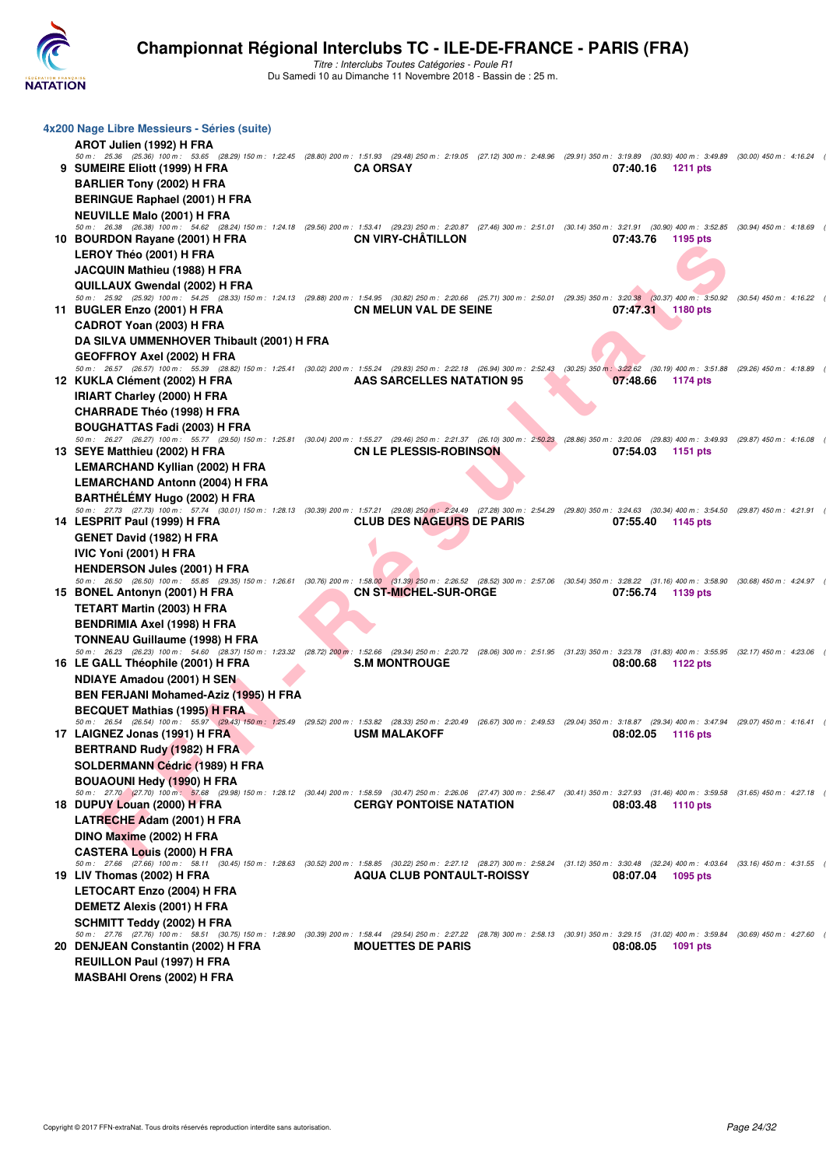

| 4x200 Nage Libre Messieurs - Séries (suite)                                                                                                                                                                                                      |                                  |          |                   |  |
|--------------------------------------------------------------------------------------------------------------------------------------------------------------------------------------------------------------------------------------------------|----------------------------------|----------|-------------------|--|
| AROT Julien (1992) H FRA                                                                                                                                                                                                                         |                                  |          |                   |  |
| 50 m: 25.36 (25.36) 100 m: 53.65 (28.29) 150 m: 1:22.45 (28.80) 200 m: 1:51.93 (29.48) 250 m: 2:19.05 (27.12) 300 m: 2:49.96 (29.91) 350 m: 3:19.89 (30.93) 400 m: 3:49.89 (30.00) 450 m: 4:16.24                                                |                                  |          |                   |  |
| 9 SUMEIRE Eliott (1999) H FRA                                                                                                                                                                                                                    | <b>CA ORSAY</b>                  | 07:40.16 | 1211 pts          |  |
| <b>BARLIER Tony (2002) H FRA</b>                                                                                                                                                                                                                 |                                  |          |                   |  |
| <b>BERINGUE Raphael (2001) H FRA</b>                                                                                                                                                                                                             |                                  |          |                   |  |
| <b>NEUVILLE Malo (2001) H FRA</b><br>50 m: 26.38 (26.38) 100 m: 54.62 (28.24) 150 m: 1:24.18 (29.56) 200 m: 1:53.41 (29.23) 250 m: 2:20.87 (27.46) 300 m: 2:51.01 (30.14) 350 m: 3:21.91 (30.90) 400 m: 3:52.85 (30.94) 450 m: 4:18.69           |                                  |          |                   |  |
| 10 BOURDON Rayane (2001) H FRA                                                                                                                                                                                                                   | <b>CN VIRY-CHATILLON</b>         | 07:43.76 | 1195 pts          |  |
| LEROY Théo (2001) H FRA                                                                                                                                                                                                                          |                                  |          |                   |  |
| JACQUIN Mathieu (1988) H FRA                                                                                                                                                                                                                     |                                  |          |                   |  |
| QUILLAUX Gwendal (2002) H FRA                                                                                                                                                                                                                    |                                  |          |                   |  |
| 50 m: 25.92 (25.92) 100 m: 54.25 (28.33) 150 m: 1:24.13 (29.88) 200 m: 1:54.95 (30.82) 250 m: 2:20.66 (25.71) 300 m: 2:50.01 (29.35) 350 m: 3:20.38 (30.37) 400 m: 3:50.92 (30.54) 450 m: 4:16.22                                                |                                  |          |                   |  |
| 11 BUGLER Enzo (2001) H FRA                                                                                                                                                                                                                      | <b>CN MELUN VAL DE SEINE</b>     |          | 07:47.31 1180 pts |  |
| CADROT Yoan (2003) H FRA                                                                                                                                                                                                                         |                                  |          |                   |  |
| DA SILVA UMMENHOVER Thibault (2001) H FRA                                                                                                                                                                                                        |                                  |          |                   |  |
| <b>GEOFFROY Axel (2002) H FRA</b><br>50 m: 26.57 (26.57) 100 m: 55.39 (28.82) 150 m: 1:25.41 (30.02) 200 m: 1:55.24 (29.83) 250 m: 2:22.18 (26.94) 300 m: 2:52.43 (30.25) 350 m: 3:22.62 (30.19) 400 m: 3:51.88 (29.26) 450 m: 4:18.89           |                                  |          |                   |  |
| 12 KUKLA Clément (2002) H FRA                                                                                                                                                                                                                    | AAS SARCELLES NATATION 95        | 07:48.66 | 1174 pts          |  |
| <b>IRIART Charley (2000) H FRA</b>                                                                                                                                                                                                               |                                  |          |                   |  |
| <b>CHARRADE Théo (1998) H FRA</b>                                                                                                                                                                                                                |                                  |          |                   |  |
| BOUGHATTAS Fadi (2003) H FRA                                                                                                                                                                                                                     |                                  |          |                   |  |
| 50 m: 26.27 (26.27) 100 m: 55.77 (29.50) 150 m: 1:25.81 (30.04) 200 m: 1:55.27 (29.46) 250 m: 2:21.37 (26.10) 300 m: 2:50.23 (28.86) 350 m: 3:20.06 (29.83) 400 m: 3:49.93 (29.87) 450 m: 4:16.08                                                |                                  |          |                   |  |
| 13 SEYE Matthieu (2002) H FRA                                                                                                                                                                                                                    | <b>CN LE PLESSIS-ROBINSON</b>    | 07:54.03 | 1151 pts          |  |
| <b>LEMARCHAND Kyllian (2002) H FRA</b>                                                                                                                                                                                                           |                                  |          |                   |  |
| <b>LEMARCHAND Antonn (2004) H FRA</b>                                                                                                                                                                                                            |                                  |          |                   |  |
| BARTHÉLÉMY Hugo (2002) H FRA<br>50 m: 27.73 (27.73) 100 m: 57.74 (30.01) 150 m: 1:28.13 (30.39) 200 m: 1:57.21 (29.08) 250 m: 2:24.49 (27.28) 300 m: 2:54.29 (29.80) 350 m: 3:24.63 (30.34) 400 m: 3:54.50 (29.87) 450 m: 4:21.91                |                                  |          |                   |  |
| 14 LESPRIT Paul (1999) H FRA                                                                                                                                                                                                                     | <b>CLUB DES NAGEURS DE PARIS</b> | 07:55.40 | 1145 pts          |  |
| <b>GENET David (1982) H FRA</b>                                                                                                                                                                                                                  |                                  |          |                   |  |
| IVIC Yoni (2001) H FRA                                                                                                                                                                                                                           |                                  |          |                   |  |
| <b>HENDERSON Jules (2001) H FRA</b>                                                                                                                                                                                                              |                                  |          |                   |  |
| 50 m: 26.50 (26.50) 100 m: 55.85 (29.35) 150 m: 1:26.61 (30.76) 200 m: 1:58.00 (31.39) 250 m: 2:26.52 (28.52) 300 m: 2:57.06 (30.54) 350 m: 3:28.22 (31.16) 400 m: 3:58.90 (30.68) 450 m: 4:24.97                                                |                                  |          |                   |  |
| 15 BONEL Antonyn (2001) H FRA                                                                                                                                                                                                                    | <b>CN ST-MICHEL-SUR-ORGE</b>     | 07:56.74 | 1139 pts          |  |
| <b>TETART Martin (2003) H FRA</b>                                                                                                                                                                                                                |                                  |          |                   |  |
| BENDRIMIA Axel (1998) H FRA                                                                                                                                                                                                                      |                                  |          |                   |  |
| TONNEAU Guillaume (1998) H FRA<br>50 m: 26.23 (26.23) 100 m: 54.60 (28.37) 150 m: 1:23.32 (28.72) 200 m: 1:52.66 (29.34) 250 m: 2:20.72 (28.06) 300 m: 2:51.95 (31.23) 350 m: 3:23.78 (31.83) 400 m: 3:55.95 (32.17) 450 m: 4:23.06              |                                  |          |                   |  |
| 16 LE GALL Théophile (2001) H FRA                                                                                                                                                                                                                | <b>S.M MONTROUGE</b>             | 08:00.68 | 1122 pts          |  |
| <b>NDIAYE Amadou (2001) H SEN</b>                                                                                                                                                                                                                |                                  |          |                   |  |
| BEN FERJANI Mohamed-Aziz (1995) H FRA                                                                                                                                                                                                            |                                  |          |                   |  |
| <b>BECQUET Mathias (1995) H FRA</b>                                                                                                                                                                                                              |                                  |          |                   |  |
| 50 m: 26.54 (26.54) 100 m: 55.97 (29.43) 150 m: 1:25.49 (29.52) 200 m: 1:53.82 (28.33) 250 m: 2:20.49 (26.67) 300 m: 2:49.53 (29.04) 350 m: 3:18.87 (29.34) 400 m: 3:47.94 (29.07) 450 m: 4:16.41                                                |                                  |          |                   |  |
| 17 LAIGNEZ Jonas (1991) H FRA                                                                                                                                                                                                                    | <b>USM MALAKOFF</b>              | 08:02.05 | 1116 pts          |  |
| BERTRAND Rudy (1982) H FRA                                                                                                                                                                                                                       |                                  |          |                   |  |
| SOLDERMANN Cédric (1989) H FRA                                                                                                                                                                                                                   |                                  |          |                   |  |
| <b>BOUAOUNI Hedy (1990) H FRA</b><br>50 m: 27.70 (27.70) 100 m: 57.68 (29.98) 150 m: 1:28.12 (30.44) 200 m: 1:58.59 (30.47) 250 m: 2:26.06 (27.47) 300 m: 2:56.47 (30.41) 350 m: 3:27.93 (31.46) 400 m: 3:59.58 (31.65) 450 m: 4:27.18           |                                  |          |                   |  |
| 18 DUPUY Louan (2000) H FRA                                                                                                                                                                                                                      | <b>CERGY PONTOISE NATATION</b>   | 08:03.48 | 1110 pts          |  |
| LATRECHE Adam (2001) H FRA                                                                                                                                                                                                                       |                                  |          |                   |  |
| DINO Maxime (2002) H FRA                                                                                                                                                                                                                         |                                  |          |                   |  |
| <b>CASTERA Louis (2000) H FRA</b>                                                                                                                                                                                                                |                                  |          |                   |  |
| 50 m: 27.66 (27.66) 100 m: 58.11 (30.45) 150 m: 1:28.63 (30.52) 200 m: 1:58.85 (30.22) 250 m: 2:27.12 (28.27) 300 m: 2:58.24 (31.12) 350 m: 3:30.48 (32.24) 400 m: 4:03.64 (33.16) 450 m: 4:31.55                                                |                                  |          |                   |  |
| 19 LIV Thomas (2002) H FRA                                                                                                                                                                                                                       | <b>AQUA CLUB PONTAULT-ROISSY</b> | 08:07.04 | 1095 pts          |  |
| <b>LETOCART Enzo (2004) H FRA</b>                                                                                                                                                                                                                |                                  |          |                   |  |
| <b>DEMETZ Alexis (2001) H FRA</b>                                                                                                                                                                                                                |                                  |          |                   |  |
| SCHMITT Teddy (2002) H FRA                                                                                                                                                                                                                       |                                  |          |                   |  |
| 50 m : 27.76 (27.76) 100 m : 58.51 (30.75) 150 m : 1:28.90 (30.39) 200 m : 1:58.44 (29.54) 250 m : 2:27.22 (28.78) 300 m : 2:58.13 (30.91) 350 m : 3:29.15 (31.02) 400 m : 3:58.84 (30.69) 450 m : 4:27.60<br>20 DENJEAN Constantin (2002) H FRA | <b>MOUETTES DE PARIS</b>         | 08:08.05 | 1091 pts          |  |
| REUILLON Paul (1997) H FRA                                                                                                                                                                                                                       |                                  |          |                   |  |
| <b>MASBAHI Orens (2002) H FRA</b>                                                                                                                                                                                                                |                                  |          |                   |  |
|                                                                                                                                                                                                                                                  |                                  |          |                   |  |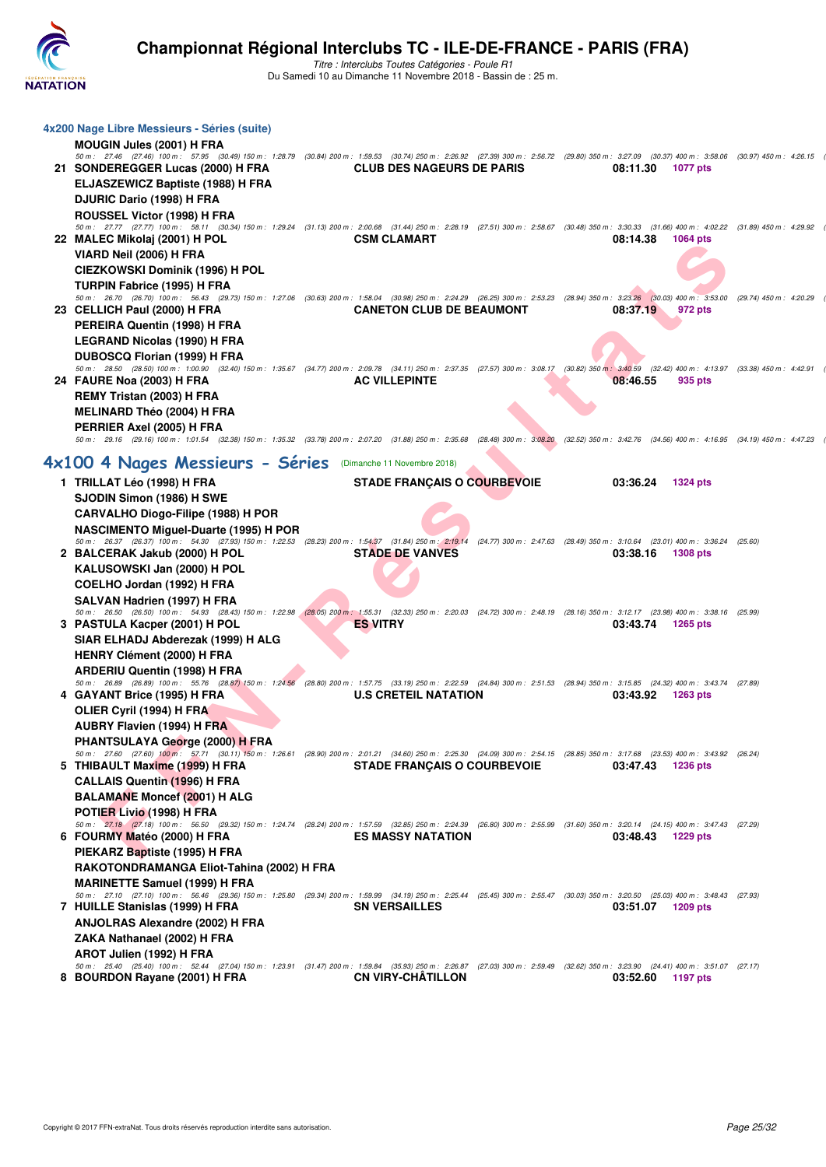

| 4x200 Nage Libre Messieurs - Séries (suite)                                                                                                                                                                                         |                                                                                                                            |  |          |                 |  |
|-------------------------------------------------------------------------------------------------------------------------------------------------------------------------------------------------------------------------------------|----------------------------------------------------------------------------------------------------------------------------|--|----------|-----------------|--|
| <b>MOUGIN Jules (2001) H FRA</b>                                                                                                                                                                                                    |                                                                                                                            |  |          |                 |  |
| 50 m: 27.46 (27.46) 100 m: 57.95 (30.49) 150 m: 1:28.79 (30.84) 200 m: 1:59.53 (30.74) 250 m: 2:26.92 (27.39) 300 m: 2:56.72 (29.80) 350 m: 3:27.09 (30.37) 400 m: 3:58.06 (30.97) 450 m: 4:26.15                                   |                                                                                                                            |  |          |                 |  |
| 21 SONDEREGGER Lucas (2000) H FRA                                                                                                                                                                                                   | <b>CLUB DES NAGEURS DE PARIS</b>                                                                                           |  | 08:11.30 | 1077 pts        |  |
| ELJASZEWICZ Baptiste (1988) H FRA                                                                                                                                                                                                   |                                                                                                                            |  |          |                 |  |
| DJURIC Dario (1998) H FRA                                                                                                                                                                                                           |                                                                                                                            |  |          |                 |  |
| ROUSSEL Victor (1998) H FRA                                                                                                                                                                                                         |                                                                                                                            |  |          |                 |  |
| 50 m: 27.77 (27.77) 100 m: 58.11 (30.34) 150 m: 1:29.24 (31.13) 200 m: 2:00.68 (31.44) 250 m: 2:28.19 (27.51) 300 m: 2:58.67 (30.48) 350 m: 3:30.33 (31.66) 400 m: 4:02.22 (31.89) 450 m: 4:29.92                                   |                                                                                                                            |  |          |                 |  |
| 22 MALEC Mikolaj (2001) H POL                                                                                                                                                                                                       | <b>CSM CLAMART</b>                                                                                                         |  | 08:14.38 | 1064 pts        |  |
| VIARD Neil (2006) H FRA                                                                                                                                                                                                             |                                                                                                                            |  |          |                 |  |
| CIEZKOWSKI Dominik (1996) H POL                                                                                                                                                                                                     |                                                                                                                            |  |          |                 |  |
| TURPIN Fabrice (1995) H FRA<br>50 m: 26.70 (26.70) 100 m: 56.43 (29.73) 150 m: 1:27.06 (30.63) 200 m: 1:58.04 (30.98) 250 m: 2:24.29 (26.25) 300 m: 2:53.23 (28.94) 350 m: 3:23.26 (30.03) 400 m: 3:53.00 (29.74) 450 m: 4:20.29    |                                                                                                                            |  |          |                 |  |
| 23 CELLICH Paul (2000) H FRA                                                                                                                                                                                                        | <b>CANETON CLUB DE BEAUMONT</b>                                                                                            |  | 08:37.19 | 972 pts         |  |
| PEREIRA Quentin (1998) H FRA                                                                                                                                                                                                        |                                                                                                                            |  |          |                 |  |
| LEGRAND Nicolas (1990) H FRA                                                                                                                                                                                                        |                                                                                                                            |  |          |                 |  |
|                                                                                                                                                                                                                                     |                                                                                                                            |  |          |                 |  |
| DUBOSCQ Florian (1999) H FRA<br>50 m: 28.50 (28.50) 100 m: 1:00.90 (32.40) 150 m: 1:35.67 (34.77) 200 m: 2:09.78 (34.11) 250 m: 2:37.35 (27.57) 300 m: 3:08.17 (30.82) 350 m: 3:40.59 (32.42) 400 m: 4:13.97 (33.38) 450 m: 4:42.91 |                                                                                                                            |  |          |                 |  |
| 24 FAURE Noa (2003) H FRA                                                                                                                                                                                                           | <b>AC VILLEPINTE</b>                                                                                                       |  | 08:46.55 | 935 pts         |  |
| REMY Tristan (2003) H FRA                                                                                                                                                                                                           |                                                                                                                            |  |          |                 |  |
| <b>MELINARD Théo (2004) H FRA</b>                                                                                                                                                                                                   |                                                                                                                            |  |          |                 |  |
| PERRIER Axel (2005) H FRA                                                                                                                                                                                                           |                                                                                                                            |  |          |                 |  |
| 50 m: 29.16 (29.16) 100 m: 1:01.54 (32.38) 150 m: 1:35.32 (33.78) 200 m: 2:07.20 (31.88) 250 m: 2:35.68 (28.48) 300 m: 3:08.20 (32.52) 350 m: 3:42.76 (34.56) 400 m: 4:16.95 (34.19) 450 m: 4:47.23                                 |                                                                                                                            |  |          |                 |  |
|                                                                                                                                                                                                                                     |                                                                                                                            |  |          |                 |  |
| 4x100 4 Nages Messieurs - Séries                                                                                                                                                                                                    | (Dimanche 11 Novembre 2018)                                                                                                |  |          |                 |  |
| 1 TRILLAT Léo (1998) H FRA                                                                                                                                                                                                          | <b>STADE FRANÇAIS O COURBEVOIE</b>                                                                                         |  | 03:36.24 | <b>1324 pts</b> |  |
| SJODIN Simon (1986) H SWE                                                                                                                                                                                                           |                                                                                                                            |  |          |                 |  |
| CARVALHO Diogo-Filipe (1988) H POR                                                                                                                                                                                                  |                                                                                                                            |  |          |                 |  |
| <b>NASCIMENTO Miguel-Duarte (1995) H POR</b>                                                                                                                                                                                        |                                                                                                                            |  |          |                 |  |
| 50 m: 26.37 (26.37) 100 m: 54.30 (27.93) 150 m: 1:22.53 (28.23) 200 m: 1:54.37 (31.84) 250 m: 2:19.14 (24.77) 300 m: 2:47.63 (28.49) 350 m: 3:10.64 (23.01) 400 m: 3:36.24 (25.60)                                                  |                                                                                                                            |  |          |                 |  |
| 2 BALCERAK Jakub (2000) H POL                                                                                                                                                                                                       | <b>STADE DE VANVES</b>                                                                                                     |  | 03:38.16 | 1308 pts        |  |
| KALUSOWSKI Jan (2000) H POL                                                                                                                                                                                                         |                                                                                                                            |  |          |                 |  |
| COELHO Jordan (1992) H FRA                                                                                                                                                                                                          |                                                                                                                            |  |          |                 |  |
| SALVAN Hadrien (1997) H FRA<br>50 m: 26.50 (26.50) 100 m: 54.93 (28.43) 150 m: 1:22.98                                                                                                                                              | (28.05) 200 m: 1:55.31 (32.33) 250 m: 2:20.03 (24.72) 300 m: 2:48.19 (28.16) 350 m: 3:12.17 (23.98) 400 m: 3:38.16 (25.99) |  |          |                 |  |
| 3 PASTULA Kacper (2001) H POL                                                                                                                                                                                                       | <b>ES VITRY</b>                                                                                                            |  | 03:43.74 | 1265 pts        |  |
| SIAR ELHADJ Abderezak (1999) H ALG                                                                                                                                                                                                  |                                                                                                                            |  |          |                 |  |
| <b>HENRY Clément (2000) H FRA</b>                                                                                                                                                                                                   |                                                                                                                            |  |          |                 |  |
| <b>ARDERIU Quentin (1998) H FRA</b>                                                                                                                                                                                                 |                                                                                                                            |  |          |                 |  |
| 50 m: 26.89 (26.89) 100 m: 55.76 (28.87) 150 m: 1:24.56 (28.80) 200 m: 1:57.75 (33.19) 250 m: 2:22.59 (24.84) 300 m: 2:51.53 (28.94) 350 m: 3:15.85 (24.32) 400 m: 3:43.74 (27.89)                                                  |                                                                                                                            |  |          |                 |  |
| 4 GAYANT Brice (1995) H FRA                                                                                                                                                                                                         | <b>U.S CRETEIL NATATION</b>                                                                                                |  | 03:43.92 | 1263 pts        |  |
| OLIER Cyril (1994) H FRA                                                                                                                                                                                                            |                                                                                                                            |  |          |                 |  |
| <b>AUBRY Flavien (1994) H FRA</b>                                                                                                                                                                                                   |                                                                                                                            |  |          |                 |  |
| <b>PHANTSULAYA George (2000) H FRA</b>                                                                                                                                                                                              |                                                                                                                            |  |          |                 |  |
| 50 m: 27.60 (27.60) 100 m: 57.71 (30.11) 150 m: 1:26.61 (28.90) 200 m: 2:01.21 (34.60) 250 m: 2:25.30 (24.09) 300 m: 2:54.15 (28.85) 350 m: 3:17.68 (23.53) 400 m: 3:43.92 (26.24)                                                  |                                                                                                                            |  |          |                 |  |
| 5 THIBAULT Maxime (1999) H FRA                                                                                                                                                                                                      | <b>STADE FRANÇAIS O COURBEVOIE</b>                                                                                         |  | 03:47.43 | <b>1236 pts</b> |  |
| <b>CALLAIS Quentin (1996) H FRA</b>                                                                                                                                                                                                 |                                                                                                                            |  |          |                 |  |
| <b>BALAMANE Moncef (2001) H ALG</b>                                                                                                                                                                                                 |                                                                                                                            |  |          |                 |  |
| POTIER Livio (1998) H FRA                                                                                                                                                                                                           |                                                                                                                            |  |          |                 |  |
| 50 m: 27.18 (27.18) 100 m: 56.50 (29.32) 150 m: 1:24.74 (28.24) 200 m: 1:57.59 (32.85) 250 m: 2:24.39 (26.80) 300 m: 2:55.99 (31.60) 350 m: 3:20.14 (24.15) 400 m: 3:47.43 (27.29)<br>6 FOURMY Matéo (2000) H FRA                   | <b>ES MASSY NATATION</b>                                                                                                   |  | 03:48.43 | 1229 pts        |  |
| PIEKARZ Baptiste (1995) H FRA                                                                                                                                                                                                       |                                                                                                                            |  |          |                 |  |
| RAKOTONDRAMANGA Eliot-Tahina (2002) H FRA                                                                                                                                                                                           |                                                                                                                            |  |          |                 |  |
|                                                                                                                                                                                                                                     |                                                                                                                            |  |          |                 |  |
| <b>MARINETTE Samuel (1999) H FRA</b><br>50 m: 27.10 (27.10) 100 m: 56.46 (29.36) 150 m: 1:25.80 (29.34) 200 m: 1:59.99 (34.19) 250 m: 2:25.44 (25.45) 300 m: 2:55.47 (30.03) 350 m: 3:20.50 (25.03) 400 m: 3:48.43 (27.93)          |                                                                                                                            |  |          |                 |  |
| 7 HUILLE Stanislas (1999) H FRA                                                                                                                                                                                                     | <b>SN VERSAILLES</b>                                                                                                       |  | 03:51.07 | 1209 pts        |  |
| <b>ANJOLRAS Alexandre (2002) H FRA</b>                                                                                                                                                                                              |                                                                                                                            |  |          |                 |  |
| ZAKA Nathanael (2002) H FRA                                                                                                                                                                                                         |                                                                                                                            |  |          |                 |  |
| AROT Julien (1992) H FRA                                                                                                                                                                                                            |                                                                                                                            |  |          |                 |  |
| 50 m: 25.40 (25.40) 100 m: 52.44 (27.04) 150 m: 1:23.91 (31.47) 200 m: 1:59.84 (35.93) 250 m: 2:26.87 (27.03) 300 m: 2:59.49 (32.62) 350 m: 3:23.90 (24.41) 400 m: 3:51.07 (27.17)                                                  |                                                                                                                            |  |          |                 |  |
| 8 BOURDON Rayane (2001) H FRA                                                                                                                                                                                                       | <b>CN VIRY-CHÂTILLON</b>                                                                                                   |  | 03:52.60 | 1197 pts        |  |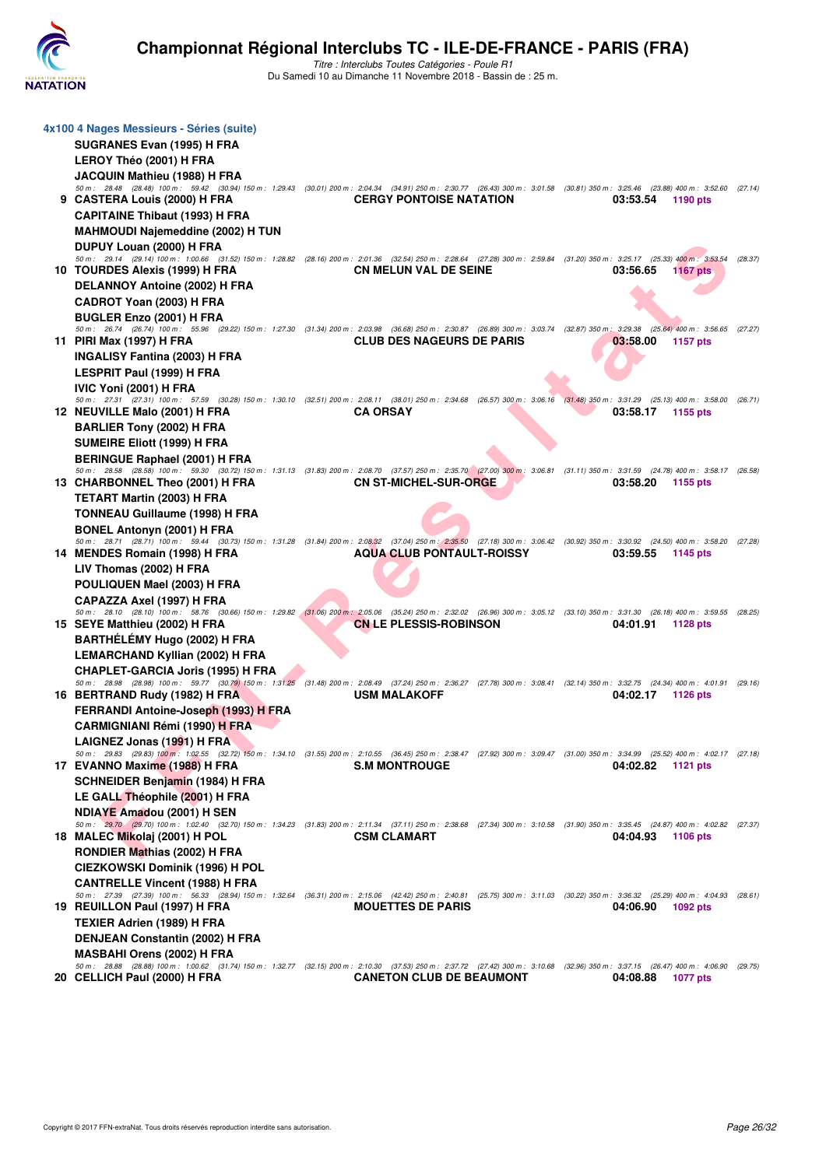

| 4x100 4 Nages Messieurs - Séries (suite)                                                                                                                                                                                    |                                  |                             |         |
|-----------------------------------------------------------------------------------------------------------------------------------------------------------------------------------------------------------------------------|----------------------------------|-----------------------------|---------|
| SUGRANES Evan (1995) H FRA                                                                                                                                                                                                  |                                  |                             |         |
| <b>LEROY Théo (2001) H FRA</b>                                                                                                                                                                                              |                                  |                             |         |
| JACQUIN Mathieu (1988) H FRA                                                                                                                                                                                                |                                  |                             |         |
| 50 m: 28.48 (28.48) 100 m: 59.42 (30.94) 150 m: 1:29.43 (30.01) 200 m: 2:04.34 (34.91) 250 m: 2:30.77 (26.43) 300 m: 3:01.58 (30.81) 350 m: 3:25.46 (23.88) 400 m: 3:52.60 (27.14)<br>9 CASTERA Louis (2000) H FRA          | <b>CERGY PONTOISE NATATION</b>   | 03:53.54<br>1190 pts        |         |
| <b>CAPITAINE Thibaut (1993) H FRA</b>                                                                                                                                                                                       |                                  |                             |         |
| <b>MAHMOUDI Najemeddine (2002) H TUN</b>                                                                                                                                                                                    |                                  |                             |         |
| DUPUY Louan (2000) H FRA                                                                                                                                                                                                    |                                  |                             |         |
| 50 m: 29.14 (29.14) 100 m: 1:00.66 (31.52) 150 m: 1:28.82 (28.16) 200 m: 2:01.36 (32.54) 250 m: 2:28.64 (27.28) 300 m: 2:59.84 (31.20) 350 m: 3:25.17 (25.33) 400 m: 3:53.54                                                |                                  |                             | (28.37) |
| 10 TOURDES Alexis (1999) H FRA                                                                                                                                                                                              | <b>CN MELUN VAL DE SEINE</b>     | 03:56.65<br><b>1167 pts</b> |         |
| DELANNOY Antoine (2002) H FRA                                                                                                                                                                                               |                                  |                             |         |
| CADROT Yoan (2003) H FRA                                                                                                                                                                                                    |                                  |                             |         |
| <b>BUGLER Enzo (2001) H FRA</b><br>50 m: 26.74 (26.74) 100 m: 55.96 (29.22) 150 m: 1:27.30 (31.34) 200 m: 2:03.98 (36.68) 250 m: 2:30.87 (26.89) 300 m: 3:03.74 (32.87) 350 m: 3:29.38 (25.64) 400 m: 3:56.65 (27.27)       |                                  |                             |         |
| 11 PIRI Max (1997) H FRA                                                                                                                                                                                                    | <b>CLUB DES NAGEURS DE PARIS</b> | 03:58.00<br>1157 pts        |         |
| INGALISY Fantina (2003) H FRA                                                                                                                                                                                               |                                  |                             |         |
| LESPRIT Paul (1999) H FRA                                                                                                                                                                                                   |                                  |                             |         |
| IVIC Yoni (2001) H FRA                                                                                                                                                                                                      |                                  |                             |         |
| 50 m: 27.31 (27.31) 100 m: 57.59 (30.28) 150 m: 1:30.10 (32.51) 200 m: 2:08.11 (38.01) 250 m: 2:34.68 (26.57) 300 m: 3:06.16 (31.48) 350 m: 3:31.29 (25.13) 400 m: 3:58.00 (26.71)<br>12 NEUVILLE Malo (2001) H FRA         | <b>CA ORSAY</b>                  | 03:58.17<br>1155 pts        |         |
| <b>BARLIER Tony (2002) H FRA</b>                                                                                                                                                                                            |                                  |                             |         |
| <b>SUMEIRE Eliott (1999) H FRA</b>                                                                                                                                                                                          |                                  |                             |         |
| <b>BERINGUE Raphael (2001) H FRA</b>                                                                                                                                                                                        |                                  |                             |         |
| 50 m: 28.58 (28.58) 100 m: 59.30 (30.72) 150 m: 1:31.13 (31.83) 200 m: 2:08.70 (37.57) 250 m: 2:35.70 (27.00) 300 m: 3:06.81 (31.11) 350 m: 3:31.59 (24.78) 400 m: 3:58.17 (26.58)                                          |                                  |                             |         |
| 13 CHARBONNEL Theo (2001) H FRA                                                                                                                                                                                             | <b>CN ST-MICHEL-SUR-ORGE</b>     | 03:58.20<br>1155 pts        |         |
| <b>TETART Martin (2003) H FRA</b>                                                                                                                                                                                           |                                  |                             |         |
| TONNEAU Guillaume (1998) H FRA                                                                                                                                                                                              |                                  |                             |         |
| <b>BONEL Antonyn (2001) H FRA</b><br>50 m: 28.71 (28.71) 100 m: 59.44 (30.73) 150 m: 1:31.28 (31.84) 200 m: 2:08.32 (37.04) 250 m: 2:35.50 (27.18) 300 m: 3:06.42 (30.92) 350 m: 3:30.92 (24.50) 400 m: 3:58.20 (27.28)     |                                  |                             |         |
| 14 MENDES Romain (1998) H FRA                                                                                                                                                                                               | <b>AQUA CLUB PONTAULT-ROISSY</b> | 03:59.55<br>1145 pts        |         |
| LIV Thomas (2002) H FRA                                                                                                                                                                                                     |                                  |                             |         |
| POULIQUEN Mael (2003) H FRA                                                                                                                                                                                                 |                                  |                             |         |
| CAPAZZA Axel (1997) H FRA                                                                                                                                                                                                   |                                  |                             |         |
| 50 m: 28.10 (28.10) 100 m: 58.76 (30.66) 150 m: 1:29.82 (31.06) 200 m: 2:05.06 (35.24) 250 m: 2:32.02 (26.96) 300 m: 3:05.12 (33.10) 350 m: 3:31.30 (26.18) 400 m: 3:59.55 (28.25)<br>15 SEYE Matthieu (2002) H FRA         | <b>CN LE PLESSIS-ROBINSON</b>    | 04:01.91<br>1128 pts        |         |
| BARTHÉLÉMY Hugo (2002) H FRA                                                                                                                                                                                                |                                  |                             |         |
| <b>LEMARCHAND Kyllian (2002) H FRA</b>                                                                                                                                                                                      |                                  |                             |         |
| <b>CHAPLET-GARCIA Joris (1995) H FRA</b>                                                                                                                                                                                    |                                  |                             |         |
| 50 m: 28.98 (28.98) 100 m: 59.77 (30.79) 150 m: 1:31.25 (31.48) 200 m: 2:08.49 (37.24) 250 m: 2:36.27 (27.78) 300 m: 3:08.41 (32.14) 350 m: 3:32.75 (24.34) 400 m: 4:01.91 (29.16)                                          |                                  |                             |         |
| 16 BERTRAND Rudy (1982) H FRA                                                                                                                                                                                               | <b>USM MALAKOFF</b>              | 04:02.17<br>1126 pts        |         |
| FERRANDI Antoine-Joseph (1993) H FRA<br><b>CARMIGNIANI Rémi (1990) H FRA</b>                                                                                                                                                |                                  |                             |         |
| LAIGNEZ Jonas (1991) H FRA                                                                                                                                                                                                  |                                  |                             |         |
| 50 m: 29.83 (29.83) 100 m: 1:02.55 (32.72) 150 m: 1:34.10 (31.55) 200 m: 2:10.55 (36.45) 250 m: 2:38.47 (27.92) 300 m: 3:09.47 (31.00) 350 m: 3:34.99 (25.52) 400 m: 4:02.17 (27.18)                                        |                                  |                             |         |
| 17 EVANNO Maxime (1988) H FRA                                                                                                                                                                                               | <b>S.M MONTROUGE</b>             | 04:02.82<br>1121 pts        |         |
| <b>SCHNEIDER Benjamin (1984) H FRA</b>                                                                                                                                                                                      |                                  |                             |         |
| LE GALL Théophile (2001) H FRA                                                                                                                                                                                              |                                  |                             |         |
| <b>NDIAYE Amadou (2001) H SEN</b><br>50 m: 29.70 (29.70) 100 m: 1:02.40 (32.70) 150 m: 1:34.23 (31.83) 200 m: 2:11.34 (37.11) 250 m: 2:38.68 (27.34) 300 m: 3:10.58 (31.90) 350 m: 3:35.45 (24.87) 400 m: 4:02.82 (27.37)   |                                  |                             |         |
| 18 MALEC Mikolaj (2001) H POL                                                                                                                                                                                               | <b>CSM CLAMART</b>               | 04:04.93<br>1106 pts        |         |
| RONDIER Mathias (2002) H FRA                                                                                                                                                                                                |                                  |                             |         |
| <b>CIEZKOWSKI Dominik (1996) H POL</b>                                                                                                                                                                                      |                                  |                             |         |
| <b>CANTRELLE Vincent (1988) H FRA</b>                                                                                                                                                                                       |                                  |                             |         |
| 50 m : 27.39 (27.39) 100 m : 56.33 (28.94) 150 m : 1:32.64 (36.31) 200 m : 2:15.06 (42.42) 250 m : 2:40.81 (25.75) 300 m : 3:11.03 (30.22) 350 m : 3:36.32 (25.29) 400 m : 4:04.93 (28.61)<br>19 REUILLON Paul (1997) H FRA | <b>MOUETTES DE PARIS</b>         | 04:06.90<br>1092 pts        |         |
| <b>TEXIER Adrien (1989) H FRA</b>                                                                                                                                                                                           |                                  |                             |         |
| DENJEAN Constantin (2002) H FRA                                                                                                                                                                                             |                                  |                             |         |
| <b>MASBAHI Orens (2002) H FRA</b>                                                                                                                                                                                           |                                  |                             |         |
| 50 m: 28.88 (28.88) 100 m: 1:00.62 (31.74) 150 m: 1:32.77 (32.15) 200 m: 2:10.30 (37.53) 250 m: 2:37.72 (27.42) 300 m: 3:10.68 (32.96) 350 m: 3:37.15 (26.47) 400 m: 4:06.90 (29.75)                                        |                                  |                             |         |
| 20 CELLICH Paul (2000) H FRA                                                                                                                                                                                                | <b>CANETON CLUB DE BEAUMONT</b>  | 04:08.88<br><b>1077 pts</b> |         |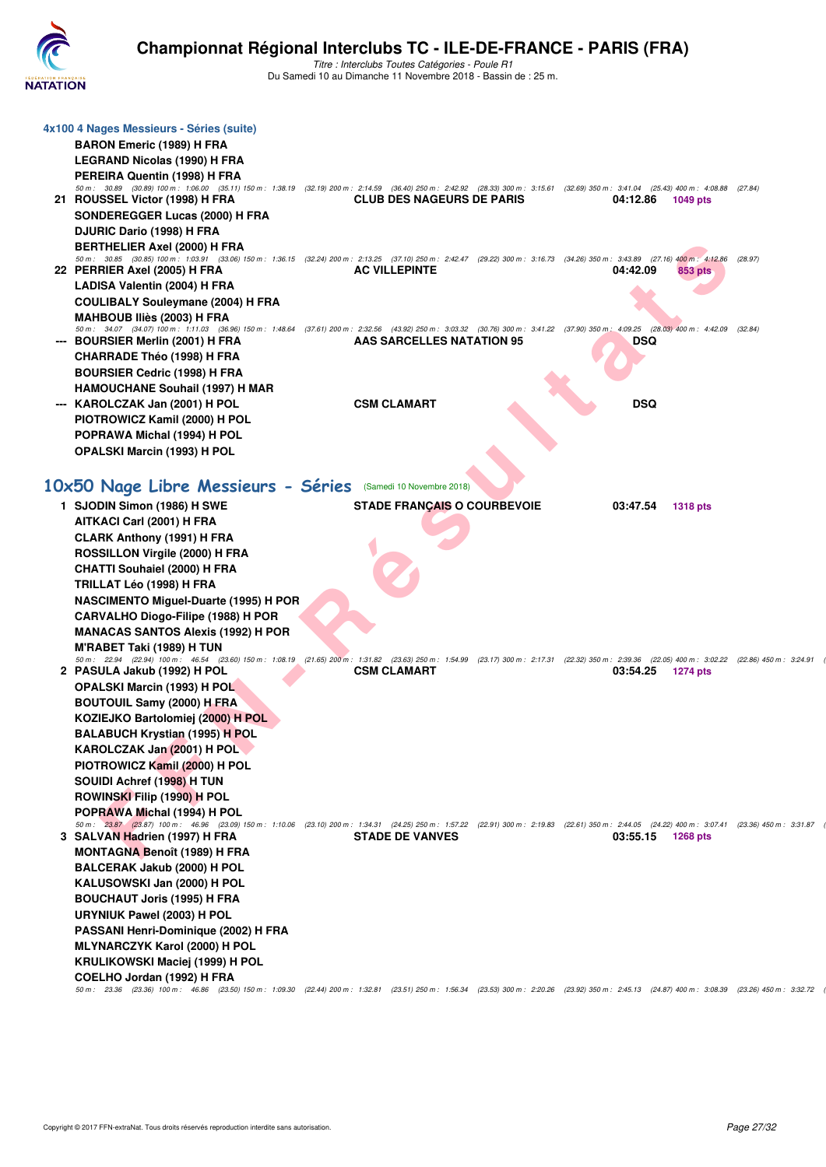

| 4x100 4 Nages Messieurs - Séries (suite)                                                                                                                                                                                         |                                    |            |                 |         |
|----------------------------------------------------------------------------------------------------------------------------------------------------------------------------------------------------------------------------------|------------------------------------|------------|-----------------|---------|
| <b>BARON Emeric (1989) H FRA</b>                                                                                                                                                                                                 |                                    |            |                 |         |
| LEGRAND Nicolas (1990) H FRA                                                                                                                                                                                                     |                                    |            |                 |         |
| PEREIRA Quentin (1998) H FRA                                                                                                                                                                                                     |                                    |            |                 |         |
| 50 m: 30.89 (30.89) 100 m: 1:06.00 (35.11) 150 m: 1:38.19 (32.19) 200 m: 2:14.59 (36.40) 250 m: 2:42.92 (28.33) 300 m: 3:15.61 (32.69) 350 m: 3:41.04 (25.43) 400 m: 4:08.88 (27.84)                                             |                                    |            |                 |         |
| 21 ROUSSEL Victor (1998) H FRA                                                                                                                                                                                                   | <b>CLUB DES NAGEURS DE PARIS</b>   | 04:12.86   | 1049 pts        |         |
| SONDEREGGER Lucas (2000) H FRA                                                                                                                                                                                                   |                                    |            |                 |         |
| DJURIC Dario (1998) H FRA                                                                                                                                                                                                        |                                    |            |                 |         |
| <b>BERTHELIER Axel (2000) H FRA</b>                                                                                                                                                                                              |                                    |            |                 |         |
| 50 m: 30.85 (30.85) 100 m: 1:03.91 (33.06) 150 m: 1:36.15 (32.24) 200 m: 2:13.25 (37.10) 250 m: 2:42.47 (29.22) 300 m: 3:16.73 (34.26) 350 m: 3:43.89 (27.16) 400 m: 4:12.86<br>22 PERRIER Axel (2005) H FRA                     | <b>AC VILLEPINTE</b>               | 04:42.09   | 853 pts         | (28.97) |
| LADISA Valentin (2004) H FRA                                                                                                                                                                                                     |                                    |            |                 |         |
| <b>COULIBALY Souleymane (2004) H FRA</b>                                                                                                                                                                                         |                                    |            |                 |         |
| MAHBOUB Iliès (2003) H FRA                                                                                                                                                                                                       |                                    |            |                 |         |
| 50 m: 34.07 (34.07) 100 m: 1:11.03 (36.96) 150 m: 1:48.64 (37.61) 200 m: 2:32.56 (43.92) 250 m: 3:03.32 (30.76) 300 m: 3:41.22 (37.90) 350 m: 4:09.25 (28.03) 400 m: 4:42.09                                                     |                                    |            |                 | (32.84) |
| --- BOURSIER Merlin (2001) H FRA                                                                                                                                                                                                 | AAS SARCELLES NATATION 95          | <b>DSQ</b> |                 |         |
| <b>CHARRADE Théo (1998) H FRA</b>                                                                                                                                                                                                |                                    |            |                 |         |
| <b>BOURSIER Cedric (1998) H FRA</b>                                                                                                                                                                                              |                                    |            |                 |         |
| <b>HAMOUCHANE Souhail (1997) H MAR</b>                                                                                                                                                                                           |                                    |            |                 |         |
| --- KAROLCZAK Jan (2001) H POL                                                                                                                                                                                                   | <b>CSM CLAMART</b>                 | <b>DSQ</b> |                 |         |
| PIOTROWICZ Kamil (2000) H POL                                                                                                                                                                                                    |                                    |            |                 |         |
| POPRAWA Michal (1994) H POL                                                                                                                                                                                                      |                                    |            |                 |         |
| <b>OPALSKI Marcin (1993) H POL</b>                                                                                                                                                                                               |                                    |            |                 |         |
|                                                                                                                                                                                                                                  |                                    |            |                 |         |
| 10x50 Nage Libre Messieurs - Séries                                                                                                                                                                                              | (Samedi 10 Novembre 2018)          |            |                 |         |
| 1 SJODIN Simon (1986) H SWE                                                                                                                                                                                                      | <b>STADE FRANÇAIS O COURBEVOIE</b> | 03:47.54   | <b>1318 pts</b> |         |
| AITKACI Carl (2001) H FRA                                                                                                                                                                                                        |                                    |            |                 |         |
| <b>CLARK Anthony (1991) H FRA</b>                                                                                                                                                                                                |                                    |            |                 |         |
| ROSSILLON Virgile (2000) H FRA                                                                                                                                                                                                   |                                    |            |                 |         |
| <b>CHATTI Souhaiel (2000) H FRA</b>                                                                                                                                                                                              |                                    |            |                 |         |
| TRILLAT Léo (1998) H FRA                                                                                                                                                                                                         |                                    |            |                 |         |
| <b>NASCIMENTO Miguel-Duarte (1995) H POR</b>                                                                                                                                                                                     |                                    |            |                 |         |
| CARVALHO Diogo-Filipe (1988) H POR                                                                                                                                                                                               |                                    |            |                 |         |
| <b>MANACAS SANTOS Alexis (1992) H POR</b>                                                                                                                                                                                        |                                    |            |                 |         |
| M'RABET Taki (1989) H TUN                                                                                                                                                                                                        |                                    |            |                 |         |
| 50 m: 22.94 (22.94) 100 m: 46.54 (23.60) 150 m: 1:08.19 (21.65) 200 m: 1:31.82 (23.63) 250 m: 1:54.99 (23.17) 300 m: 2:17.31 (22.32) 350 m: 2:39.36 (22.05) 400 m: 3:02.22 (22.86) 450 m: 3:24.91<br>2 PASULA Jakub (1992) H POL | <b>CSM CLAMART</b>                 | 03:54.25   | 1274 pts        |         |
| <b>OPALSKI Marcin (1993) H POL</b>                                                                                                                                                                                               |                                    |            |                 |         |
| <b>BOUTOUIL Samy (2000) H FRA</b>                                                                                                                                                                                                |                                    |            |                 |         |
| KOZIEJKO Bartolomiej (2000) H POL                                                                                                                                                                                                |                                    |            |                 |         |
| <b>BALABUCH Krystian (1995) H POL</b>                                                                                                                                                                                            |                                    |            |                 |         |
| KAROLCZAK Jan (2001) H POL                                                                                                                                                                                                       |                                    |            |                 |         |
| PIOTROWICZ Kamil (2000) H POL                                                                                                                                                                                                    |                                    |            |                 |         |
| SOUIDI Achref (1998) H TUN                                                                                                                                                                                                       |                                    |            |                 |         |
| ROWINSKI Filip (1990) H POL                                                                                                                                                                                                      |                                    |            |                 |         |
| POPRAWA Michal (1994) H POL                                                                                                                                                                                                      |                                    |            |                 |         |
| 50 m: 23.87 (23.87) 100 m: 46.96 (23.09) 150 m: 1:10.06 (23.10) 200 m: 1:34.31 (24.25) 250 m: 1:57.22 (22.91) 300 m: 2:19.83 (22.61) 350 m: 2:44.05 (24.22) 400 m: 3:07.41 (23.36) 450 m: 3:31.87                                |                                    |            |                 |         |
| 3 SALVAN Hadrien (1997) H FRA                                                                                                                                                                                                    | <b>STADE DE VANVES</b>             | 03:55.15   | 1268 pts        |         |
| <b>MONTAGNA Benoît (1989) H FRA</b>                                                                                                                                                                                              |                                    |            |                 |         |
| BALCERAK Jakub (2000) H POL                                                                                                                                                                                                      |                                    |            |                 |         |
| KALUSOWSKI Jan (2000) H POL                                                                                                                                                                                                      |                                    |            |                 |         |
| <b>BOUCHAUT Joris (1995) H FRA</b>                                                                                                                                                                                               |                                    |            |                 |         |
| URYNIUK Pawel (2003) H POL                                                                                                                                                                                                       |                                    |            |                 |         |
| PASSANI Henri-Dominique (2002) H FRA                                                                                                                                                                                             |                                    |            |                 |         |
| <b>MLYNARCZYK Karol (2000) H POL</b>                                                                                                                                                                                             |                                    |            |                 |         |
| KRULIKOWSKI Maciej (1999) H POL                                                                                                                                                                                                  |                                    |            |                 |         |
| COELHO Jordan (1992) H FRA<br>50 m: 23.36 (23.36) 100 m: 46.86 (23.50) 150 m: 1:09.30 (22.44) 200 m: 1:32.81 (23.51) 250 m: 1:56.34 (23.53) 300 m: 2:20.26 (23.92) 350 m: 2:45.13 (24.87) 400 m: 3:08.39 (23.26) 450 m: 3:02.72  |                                    |            |                 |         |
|                                                                                                                                                                                                                                  |                                    |            |                 |         |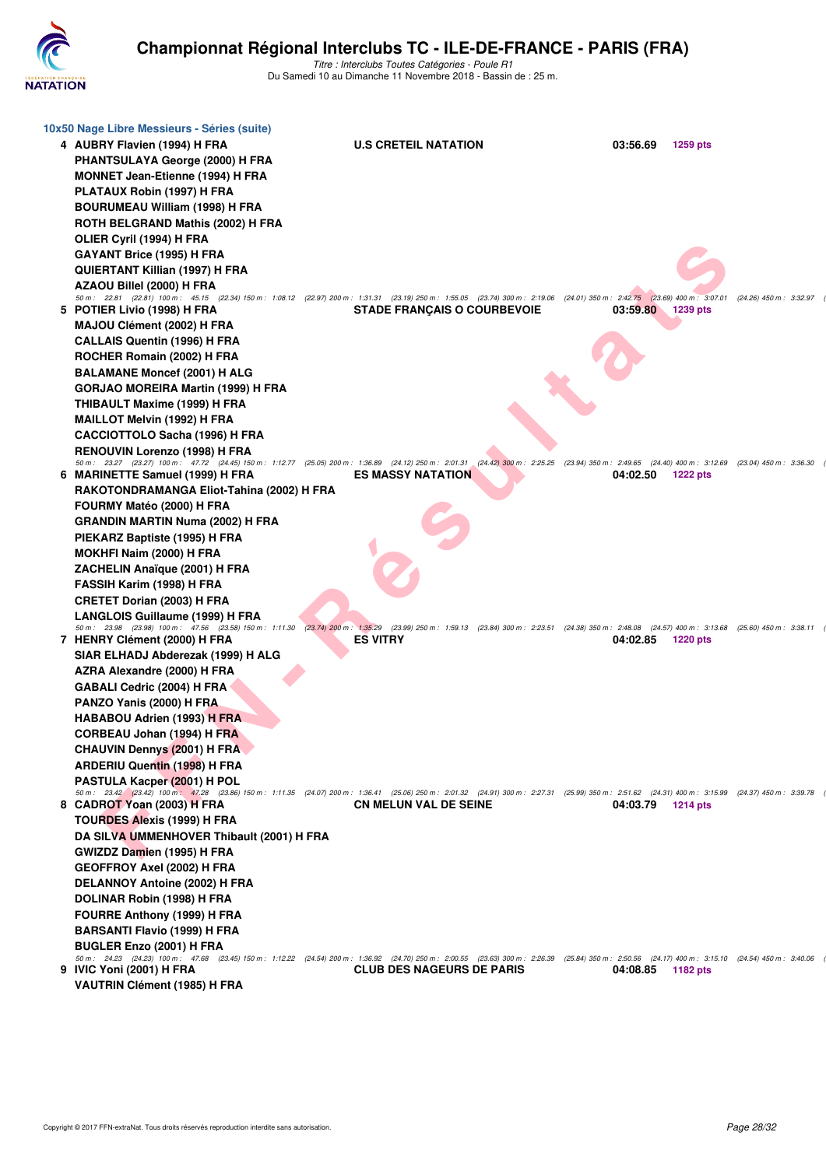

| 10x50 Nage Libre Messieurs - Séries (suite)<br>4 AUBRY Flavien (1994) H FRA<br>PHANTSULAYA George (2000) H FRA<br><b>MONNET Jean-Etienne (1994) H FRA</b><br>PLATAUX Robin (1997) H FRA<br><b>BOURUMEAU William (1998) H FRA</b><br>ROTH BELGRAND Mathis (2002) H FRA<br>OLIER Cyril (1994) H FRA<br>GAYANT Brice (1995) H FRA<br>QUIERTANT Killian (1997) H FRA | <b>U.S CRETEIL NATATION</b>                                                                                                               | 03:56.69          | 1259 pts |                           |
|------------------------------------------------------------------------------------------------------------------------------------------------------------------------------------------------------------------------------------------------------------------------------------------------------------------------------------------------------------------|-------------------------------------------------------------------------------------------------------------------------------------------|-------------------|----------|---------------------------|
| AZAOU Billel (2000) H FRA<br>50 m: 22.81 (22.81) 100 m: 45.15 (22.34) 150 m: 1:08.12 (22.97) 200 m: 1:31.31 (23.19) 250 m: 1:55.05 (23.74) 300 m: 2:19.06 (24.01) 350 m: 2:42.75 (23.69) 400 m: 3:07.01                                                                                                                                                          |                                                                                                                                           |                   |          | $(24.26)$ 450 m : 3:32.97 |
| 5 POTIER Livio (1998) H FRA                                                                                                                                                                                                                                                                                                                                      | <b>STADE FRANCAIS O COURBEVOIE</b>                                                                                                        | 03:59.80 1239 pts |          |                           |
| MAJOU Clément (2002) H FRA                                                                                                                                                                                                                                                                                                                                       |                                                                                                                                           |                   |          |                           |
| <b>CALLAIS Quentin (1996) H FRA</b>                                                                                                                                                                                                                                                                                                                              |                                                                                                                                           |                   |          |                           |
| ROCHER Romain (2002) H FRA                                                                                                                                                                                                                                                                                                                                       |                                                                                                                                           |                   |          |                           |
| <b>BALAMANE Moncef (2001) H ALG</b>                                                                                                                                                                                                                                                                                                                              |                                                                                                                                           |                   |          |                           |
| GORJAO MOREIRA Martin (1999) H FRA<br>THIBAULT Maxime (1999) H FRA                                                                                                                                                                                                                                                                                               |                                                                                                                                           |                   |          |                           |
| <b>MAILLOT Melvin (1992) H FRA</b>                                                                                                                                                                                                                                                                                                                               |                                                                                                                                           |                   |          |                           |
| <b>CACCIOTTOLO Sacha (1996) H FRA</b>                                                                                                                                                                                                                                                                                                                            |                                                                                                                                           |                   |          |                           |
| RENOUVIN Lorenzo (1998) H FRA                                                                                                                                                                                                                                                                                                                                    |                                                                                                                                           |                   |          |                           |
| 50 m: 23.27 (23.27) 100 m: 47.72 (24.45) 150 m: 1:12.77 (25.05) 200 m: 1:36.89 (24.12) 250 m: 2:01.31 (24.42) 300 m: 2:25.25 (23.94) 350 m: 2:49.65 (24.40) 400 m: 3:12.69 (23.04) 450 m: 2:25.25                                                                                                                                                                |                                                                                                                                           |                   |          |                           |
| 6 MARINETTE Samuel (1999) H FRA                                                                                                                                                                                                                                                                                                                                  | <b>ES MASSY NATATION</b>                                                                                                                  | 04:02.50          | 1222 pts |                           |
| RAKOTONDRAMANGA Eliot-Tahina (2002) H FRA                                                                                                                                                                                                                                                                                                                        |                                                                                                                                           |                   |          |                           |
| FOURMY Matéo (2000) H FRA<br><b>GRANDIN MARTIN Numa (2002) H FRA</b>                                                                                                                                                                                                                                                                                             |                                                                                                                                           |                   |          |                           |
| PIEKARZ Baptiste (1995) H FRA                                                                                                                                                                                                                                                                                                                                    |                                                                                                                                           |                   |          |                           |
| MOKHFI Naim (2000) H FRA                                                                                                                                                                                                                                                                                                                                         |                                                                                                                                           |                   |          |                           |
| ZACHELIN Anaïque (2001) H FRA                                                                                                                                                                                                                                                                                                                                    |                                                                                                                                           |                   |          |                           |
| FASSIH Karim (1998) H FRA                                                                                                                                                                                                                                                                                                                                        |                                                                                                                                           |                   |          |                           |
| <b>CRETET Dorian (2003) H FRA</b>                                                                                                                                                                                                                                                                                                                                |                                                                                                                                           |                   |          |                           |
| <b>LANGLOIS Guillaume (1999) H FRA</b>                                                                                                                                                                                                                                                                                                                           |                                                                                                                                           |                   |          |                           |
| 50 m: 23.98 (23.98) 100 m: 47.56 (23.58) 150 m: 1:11.30                                                                                                                                                                                                                                                                                                          | (23.74) 200 m: 1:35.29 (23.99) 250 m: 1:59.13 (23.84) 300 m: 2:23.51 (24.38) 350 m: 2:48.08 (24.57) 400 m: 3:13.68 (25.60) 450 m: 3:38.11 |                   |          |                           |
| 7 HENRY Clément (2000) H FRA<br>SIAR ELHADJ Abderezak (1999) H ALG                                                                                                                                                                                                                                                                                               | <b>ES VITRY</b>                                                                                                                           | 04:02.85          | 1220 pts |                           |
| AZRA Alexandre (2000) H FRA                                                                                                                                                                                                                                                                                                                                      |                                                                                                                                           |                   |          |                           |
| GABALI Cedric (2004) H FRA                                                                                                                                                                                                                                                                                                                                       |                                                                                                                                           |                   |          |                           |
| PANZO Yanis (2000) H FRA                                                                                                                                                                                                                                                                                                                                         |                                                                                                                                           |                   |          |                           |
| <b>HABABOU Adrien (1993) H FRA</b>                                                                                                                                                                                                                                                                                                                               |                                                                                                                                           |                   |          |                           |
| CORBEAU Johan (1994) H FRA                                                                                                                                                                                                                                                                                                                                       |                                                                                                                                           |                   |          |                           |
| <b>CHAUVIN Dennys (2001) H FRA</b>                                                                                                                                                                                                                                                                                                                               |                                                                                                                                           |                   |          |                           |
| <b>ARDERIU Quentin (1998) H FRA</b>                                                                                                                                                                                                                                                                                                                              |                                                                                                                                           |                   |          |                           |
| <b>PASTULA Kacper (2001) H POL</b>                                                                                                                                                                                                                                                                                                                               |                                                                                                                                           |                   |          |                           |
| 50 m: 23.42 (23.42) 100 m: 47.28 (23.86) 150 m: 1:11.35 (24.07) 200 m: 1:36.41 (25.06) 250 m: 2:01.32 (24.91) 300 m: 2:27.31 (25.99) 350 m: 2:51.62 (24.31) 400 m: 3:15.99 (24.37) 450 m: 3:39<br>8 CADROT Yoan (2003) H FRA                                                                                                                                     | <b>CN MELUN VAL DE SEINE</b>                                                                                                              | 04:03.79          | 1214 pts |                           |
| <b>TOURDES Alexis (1999) H FRA</b>                                                                                                                                                                                                                                                                                                                               |                                                                                                                                           |                   |          |                           |
| DA SILVA UMMENHOVER Thibault (2001) H FRA                                                                                                                                                                                                                                                                                                                        |                                                                                                                                           |                   |          |                           |
| GWIZDZ Damien (1995) H FRA                                                                                                                                                                                                                                                                                                                                       |                                                                                                                                           |                   |          |                           |
| <b>GEOFFROY Axel (2002) H FRA</b>                                                                                                                                                                                                                                                                                                                                |                                                                                                                                           |                   |          |                           |
| DELANNOY Antoine (2002) H FRA                                                                                                                                                                                                                                                                                                                                    |                                                                                                                                           |                   |          |                           |
| DOLINAR Robin (1998) H FRA                                                                                                                                                                                                                                                                                                                                       |                                                                                                                                           |                   |          |                           |
| <b>FOURRE Anthony (1999) H FRA</b>                                                                                                                                                                                                                                                                                                                               |                                                                                                                                           |                   |          |                           |
| <b>BARSANTI Flavio (1999) H FRA</b>                                                                                                                                                                                                                                                                                                                              |                                                                                                                                           |                   |          |                           |
| BUGLER Enzo (2001) H FRA                                                                                                                                                                                                                                                                                                                                         |                                                                                                                                           |                   |          |                           |
| 50 m: 24.23 (24.23) 100 m: 47.68 (23.45) 150 m: 1:12.22 (24.54) 200 m: 1:36.92 (24.70) 250 m: 2:00.55 (23.63) 300 m: 2:26.39 (25.84) 350 m: 2:50.56 (24.17) 400 m: 3:15.10 (24.54) 450 m: 2:40.06<br>9 IVIC Yoni (2001) H FRA                                                                                                                                    | <b>CLUB DES NAGEURS DE PARIS</b>                                                                                                          | 04:08.85          | 1182 pts |                           |
| VAUTRIN Clément (1985) H FRA                                                                                                                                                                                                                                                                                                                                     |                                                                                                                                           |                   |          |                           |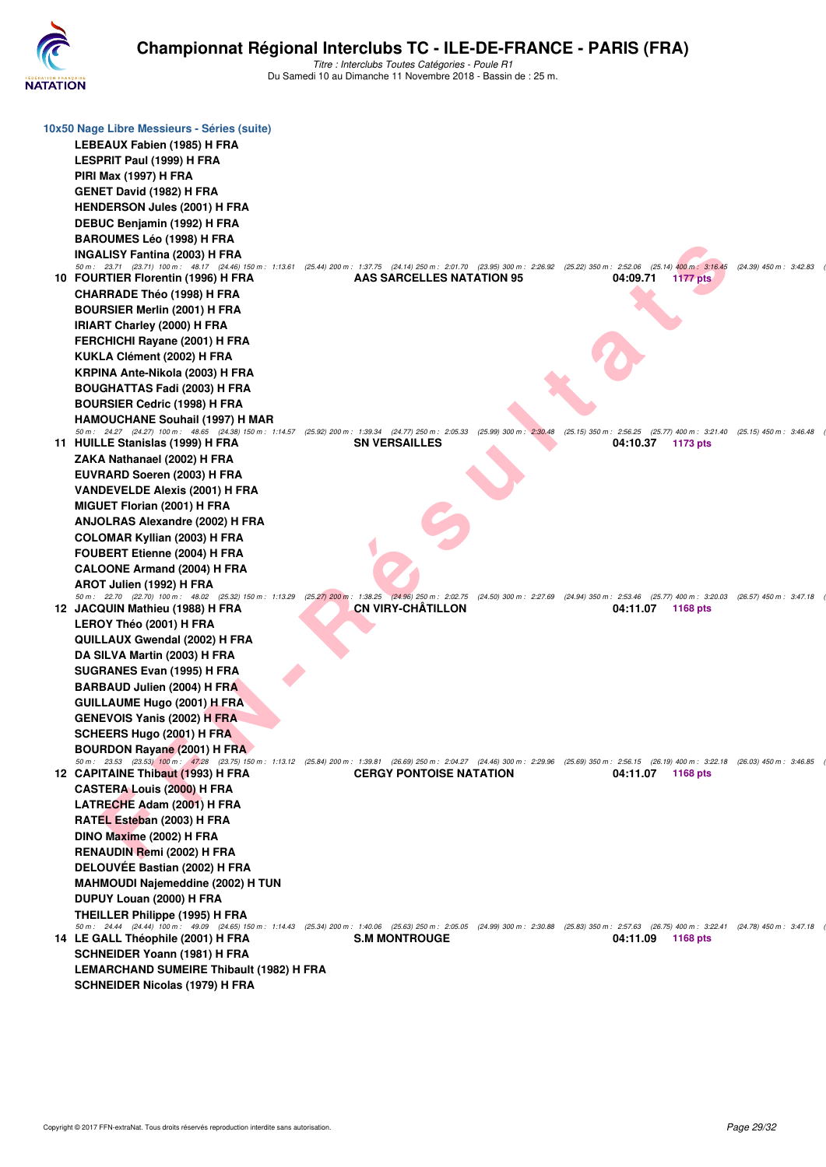

| 10x50 Nage Libre Messieurs - Séries (suite)                                                                                                                                                                                                                                                      |
|--------------------------------------------------------------------------------------------------------------------------------------------------------------------------------------------------------------------------------------------------------------------------------------------------|
| LEBEAUX Fabien (1985) H FRA                                                                                                                                                                                                                                                                      |
| LESPRIT Paul (1999) H FRA                                                                                                                                                                                                                                                                        |
| <b>PIRI Max (1997) H FRA</b>                                                                                                                                                                                                                                                                     |
| <b>GENET David (1982) H FRA</b>                                                                                                                                                                                                                                                                  |
| <b>HENDERSON Jules (2001) H FRA</b>                                                                                                                                                                                                                                                              |
|                                                                                                                                                                                                                                                                                                  |
| DEBUC Benjamin (1992) H FRA                                                                                                                                                                                                                                                                      |
| <b>BAROUMES Léo (1998) H FRA</b>                                                                                                                                                                                                                                                                 |
| INGALISY Fantina (2003) H FRA<br>50 m: 23.71 (23.71) 100 m: 48.17 (24.46) 150 m: 1:13.61 (25.44) 200 m: 1:37.75 (24.14) 250 m: 2:01.70 (23.95) 300 m: 2:26.92 (25.22) 350 m: 2:52.06 (25.14) 400 m: 3:16.45<br>$(24.39)$ 450 m : 3:42.83                                                         |
| 10 FOURTIER Florentin (1996) H FRA<br>AAS SARCELLES NATATION 95<br>04:09.71<br>1177 pts                                                                                                                                                                                                          |
| <b>CHARRADE Théo (1998) H FRA</b>                                                                                                                                                                                                                                                                |
| <b>BOURSIER Merlin (2001) H FRA</b>                                                                                                                                                                                                                                                              |
| <b>IRIART Charley (2000) H FRA</b>                                                                                                                                                                                                                                                               |
| FERCHICHI Rayane (2001) H FRA                                                                                                                                                                                                                                                                    |
| KUKLA Clément (2002) H FRA                                                                                                                                                                                                                                                                       |
| KRPINA Ante-Nikola (2003) H FRA                                                                                                                                                                                                                                                                  |
| <b>BOUGHATTAS Fadi (2003) H FRA</b>                                                                                                                                                                                                                                                              |
| <b>BOURSIER Cedric (1998) H FRA</b>                                                                                                                                                                                                                                                              |
| <b>HAMOUCHANE Souhail (1997) H MAR</b>                                                                                                                                                                                                                                                           |
| 50 m: 24.27 (24.27) 100 m: 48.65 (24.38) 150 m: 1:14.57 (25.92) 200 m: 1:39.34 (24.77) 250 m: 2:05.33<br>(25.99) 300 m: 2:30.48 (25.15) 350 m: 2:56.25 (25.77) 400 m: 3:21.40 (25.15) 450 m: 3:46.48                                                                                             |
| 11 HUILLE Stanislas (1999) H FRA<br><b>SN VERSAILLES</b><br>04:10.37<br>1173 pts                                                                                                                                                                                                                 |
| ZAKA Nathanael (2002) H FRA                                                                                                                                                                                                                                                                      |
| EUVRARD Soeren (2003) H FRA                                                                                                                                                                                                                                                                      |
| <b>VANDEVELDE Alexis (2001) H FRA</b>                                                                                                                                                                                                                                                            |
| MIGUET Florian (2001) H FRA                                                                                                                                                                                                                                                                      |
| ANJOLRAS Alexandre (2002) H FRA                                                                                                                                                                                                                                                                  |
| <b>COLOMAR Kyllian (2003) H FRA</b>                                                                                                                                                                                                                                                              |
| FOUBERT Etienne (2004) H FRA                                                                                                                                                                                                                                                                     |
| <b>CALOONE Armand (2004) H FRA</b>                                                                                                                                                                                                                                                               |
| AROT Julien (1992) H FRA                                                                                                                                                                                                                                                                         |
| 50 m : 22.70 (22.70) 100 m : 48.02 (25.32) 150 m : 1:13.29 (25.27) 200 m : 1:38.25 (24.96) 250 m : 2:02.75<br>(24.50) 300 m: 2:27.69 (24.94) 350 m: 2:53.46 (25.77) 400 m: 3:20.03 (26.57) 450 m: 3:47.18<br><b>CN VIRY-CHÂTILLON</b><br>12 JACQUIN Mathieu (1988) H FRA<br>04:11.07<br>1168 pts |
| LEROY Théo (2001) H FRA                                                                                                                                                                                                                                                                          |
| QUILLAUX Gwendal (2002) H FRA                                                                                                                                                                                                                                                                    |
| DA SILVA Martin (2003) H FRA                                                                                                                                                                                                                                                                     |
| SUGRANES Evan (1995) H FRA                                                                                                                                                                                                                                                                       |
| <b>BARBAUD Julien (2004) H FRA</b>                                                                                                                                                                                                                                                               |
| <b>GUILLAUME Hugo (2001) H FRA</b>                                                                                                                                                                                                                                                               |
| <b>GENEVOIS Yanis (2002) H FRA</b>                                                                                                                                                                                                                                                               |
| SCHEERS Hugo (2001) H FRA                                                                                                                                                                                                                                                                        |
| <b>BOURDON Rayane (2001) H FRA</b>                                                                                                                                                                                                                                                               |
| 50 m: 23.53 (23.53) 100 m: 47,28 (23.75) 150 m: 1:13.12 (25.84) 200 m: 1:39.81 (26.69) 250 m: 2:04.27 (24.46) 300 m: 2:29.96 (25.69) 350 m: 2:56.15 (26.19) 400 m: 3:22.18 (26.03) 450 m: 3:46.85                                                                                                |
| <b>CERGY PONTOISE NATATION</b><br>12 CAPITAINE Thibaut (1993) H FRA<br>04:11.07<br>1168 pts                                                                                                                                                                                                      |
| <b>CASTERA Louis (2000) H FRA</b>                                                                                                                                                                                                                                                                |
| LATRECHE Adam (2001) H FRA                                                                                                                                                                                                                                                                       |
| RATEL Esteban (2003) H FRA                                                                                                                                                                                                                                                                       |
| DINO Maxime (2002) H FRA                                                                                                                                                                                                                                                                         |
| <b>RENAUDIN Remi (2002) H FRA</b>                                                                                                                                                                                                                                                                |
| DELOUVÉE Bastian (2002) H FRA                                                                                                                                                                                                                                                                    |
| MAHMOUDI Najemeddine (2002) H TUN                                                                                                                                                                                                                                                                |
| DUPUY Louan (2000) H FRA                                                                                                                                                                                                                                                                         |
| THEILLER Philippe (1995) H FRA                                                                                                                                                                                                                                                                   |
| 50 m: 24.44 (24.44) 100 m: 49.09 (24.65) 150 m: 1:14.43 (25.34) 200 m: 1:40.06 (25.63) 250 m: 2:05.05 (24.99) 300 m: 2:30.88 (25.83) 350 m: 2:57.63 (26.75) 400 m: 3:22.41 (24.78) 450 m: 3:47.18<br>14 LE GALL Théophile (2001) H FRA<br><b>S.M MONTROUGE</b><br>04:11.09<br>1168 pts           |
| SCHNEIDER Yoann (1981) H FRA                                                                                                                                                                                                                                                                     |
| <b>LEMARCHAND SUMEIRE Thibault (1982) H FRA</b>                                                                                                                                                                                                                                                  |
| <b>SCHNEIDER Nicolas (1979) H FRA</b>                                                                                                                                                                                                                                                            |
|                                                                                                                                                                                                                                                                                                  |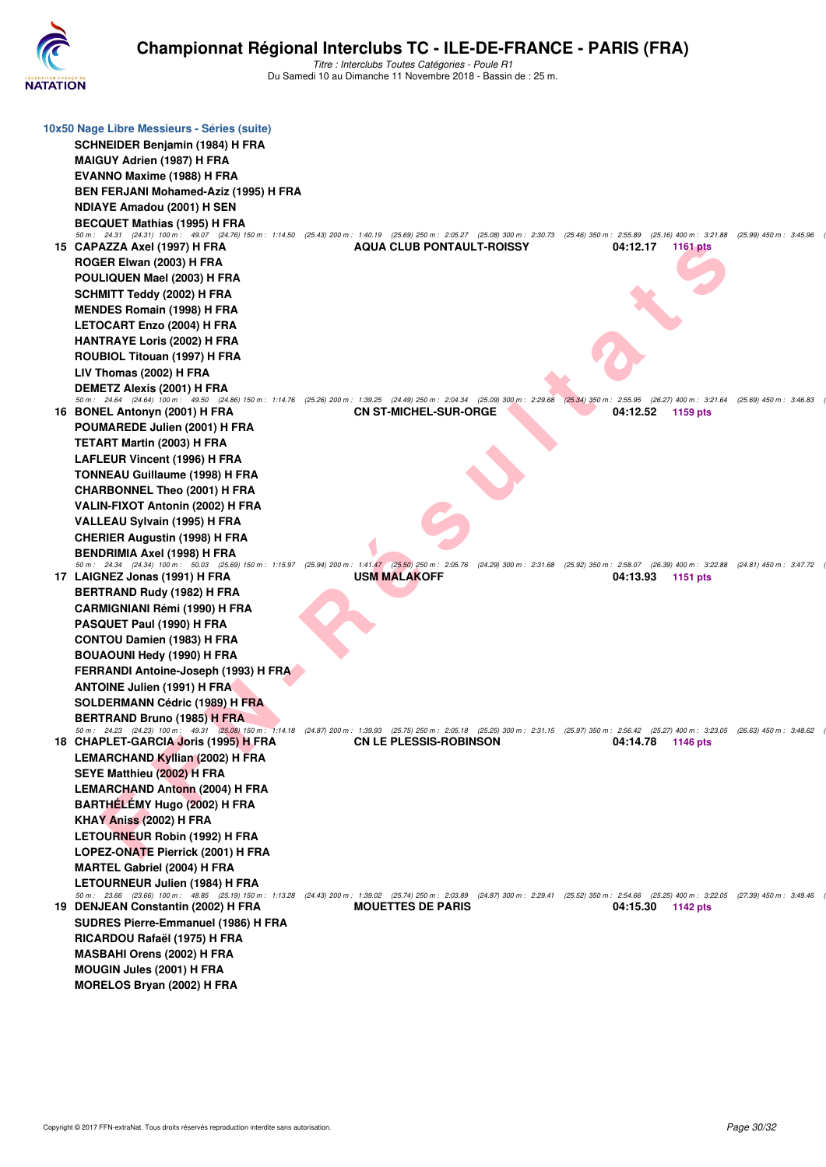

| 10x50 Nage Libre Messieurs - Séries (suite)<br>SCHNEIDER Benjamin (1984) H FRA<br><b>MAIGUY Adrien (1987) H FRA</b><br><b>EVANNO Maxime (1988) H FRA</b><br><b>BEN FERJANI Mohamed-Aziz (1995) H FRA</b><br><b>NDIAYE Amadou (2001) H SEN</b>  |                                                                                                                                                                                                                                       |                                                                                                                                                                                                                           |
|------------------------------------------------------------------------------------------------------------------------------------------------------------------------------------------------------------------------------------------------|---------------------------------------------------------------------------------------------------------------------------------------------------------------------------------------------------------------------------------------|---------------------------------------------------------------------------------------------------------------------------------------------------------------------------------------------------------------------------|
| <b>BECQUET Mathias (1995) H FRA</b><br>15 CAPAZZA Axel (1997) H FRA<br>ROGER Elwan (2003) H FRA<br>POULIQUEN Mael (2003) H FRA<br><b>SCHMITT Teddy (2002) H FRA</b><br><b>MENDES Romain (1998) H FRA</b>                                       | 50 m: 24.31 (24.31) 100 m: 49.07 (24.76) 150 m: 1:14.50 (25.43) 200 m: 1:40.19 (25.69) 250 m: 2:05.27 (25.08) 300 m: 2:30.73 (25.46) 350 m: 2:55.89 (25.16) 400 m: 3:21.88 (25.99) 450 m: 3:45.96<br><b>AQUA CLUB PONTAULT-ROISSY</b> | 04:12.17<br><b>1161 pts</b>                                                                                                                                                                                               |
| LETOCART Enzo (2004) H FRA<br><b>HANTRAYE Loris (2002) H FRA</b><br>ROUBIOL Titouan (1997) H FRA<br>LIV Thomas (2002) H FRA<br><b>DEMETZ Alexis (2001) H FRA</b>                                                                               |                                                                                                                                                                                                                                       |                                                                                                                                                                                                                           |
| 16 BONEL Antonyn (2001) H FRA<br>POUMAREDE Julien (2001) H FRA<br><b>TETART Martin (2003) H FRA</b><br>LAFLEUR Vincent (1996) H FRA<br><b>TONNEAU Guillaume (1998) H FRA</b>                                                                   | 50 m: 24.64 (24.64) 100 m: 49.50 (24.86) 150 m: 1:14.76 (25.26) 200 m: 1:39.25 (24.49) 250 m: 2:04.34 (25.09) 300 m: 2:29.68 (25.34) 350 m: 2:55.95 (26.27) 400 m: 3:21.64 (25.69) 450 m: 2:255.95<br><b>CN ST-MICHEL-SUR-ORGE</b>    | 04:12.52<br>1159 pts                                                                                                                                                                                                      |
| <b>CHARBONNEL Theo (2001) H FRA</b><br>VALIN-FIXOT Antonin (2002) H FRA<br>VALLEAU Sylvain (1995) H FRA<br><b>CHERIER Augustin (1998) H FRA</b><br>BENDRIMIA Axel (1998) H FRA<br>17 LAIGNEZ Jonas (1991) H FRA                                | <b>USM MALAKOFF</b>                                                                                                                                                                                                                   | 50 m: 24.34 (24.34) 100 m: 50.03 (25.69) 150 m: 1:15.97 (25.94) 200 m: 1:41.47 (25.50) 250 m: 2:05.76 (24.29) 300 m: 2:31.68 (25.92) 350 m: 2:58.07 (26.39) 400 m: 3:22.88 (24.81) 450 m: 3:47.72<br>04:13.93<br>1151 pts |
| BERTRAND Rudy (1982) H FRA<br><b>CARMIGNIANI Rémi (1990) H FRA</b><br>PASQUET Paul (1990) H FRA<br><b>CONTOU Damien (1983) H FRA</b><br>BOUAOUNI Hedy (1990) H FRA<br>FERRANDI Antoine-Joseph (1993) H FRA                                     |                                                                                                                                                                                                                                       |                                                                                                                                                                                                                           |
| <b>ANTOINE Julien (1991) H FRA</b><br><b>SOLDERMANN Cédric (1989) H FRA</b><br><b>BERTRAND Bruno (1985) H FRA</b><br>18 CHAPLET-GARCIA Joris (1995) H FRA<br><b>LEMARCHAND Kyllian (2002) H FRA</b><br>SEYE Matthieu (2002) H FRA              | 50 m: 24.23 (24.23) 100 m: 49.31 (25.08) 150 m: 1:14.18 (24.87) 200 m: 1:39.93 (25.75) 250 m: 2:05.18 (25.25) 300 m: 2:31.15 (25.97) 350 m: 2:56.42 (25.27) 400 m: 3:23.05 (26.63) 450 m: 3:48.62<br><b>CN LE PLESSIS-ROBINSON</b>    | 04:14.78<br>1146 pts                                                                                                                                                                                                      |
| <b>LEMARCHAND Antonn (2004) H FRA</b><br>BARTHÉLÉMY Hugo (2002) H FRA<br>KHAY Aniss (2002) H FRA<br>LETOURNEUR Robin (1992) H FRA<br>LOPEZ-ONATE Pierrick (2001) H FRA<br><b>MARTEL Gabriel (2004) H FRA</b><br>LETOURNEUR Julien (1984) H FRA |                                                                                                                                                                                                                                       |                                                                                                                                                                                                                           |
| 19 DENJEAN Constantin (2002) H FRA<br>SUDRES Pierre-Emmanuel (1986) H FRA<br>RICARDOU Rafaël (1975) H FRA<br><b>MASBAHI Orens (2002) H FRA</b><br><b>MOUGIN Jules (2001) H FRA</b><br>MORELOS Bryan (2002) H FRA                               | <b>MOUETTES DE PARIS</b>                                                                                                                                                                                                              | 50 m: 23.66 (23.66) 100 m: 48.85 (25.19) 150 m: 1:13.28 (24.43) 200 m: 1:39.02 (25.74) 250 m: 2:03.89 (24.87) 300 m: 2:29.41 (25.52) 350 m: 2:54.66 (25.25) 400 m: 3:22.05 (27.39) 450 m: 3:49.46<br>04:15.30<br>1142 pts |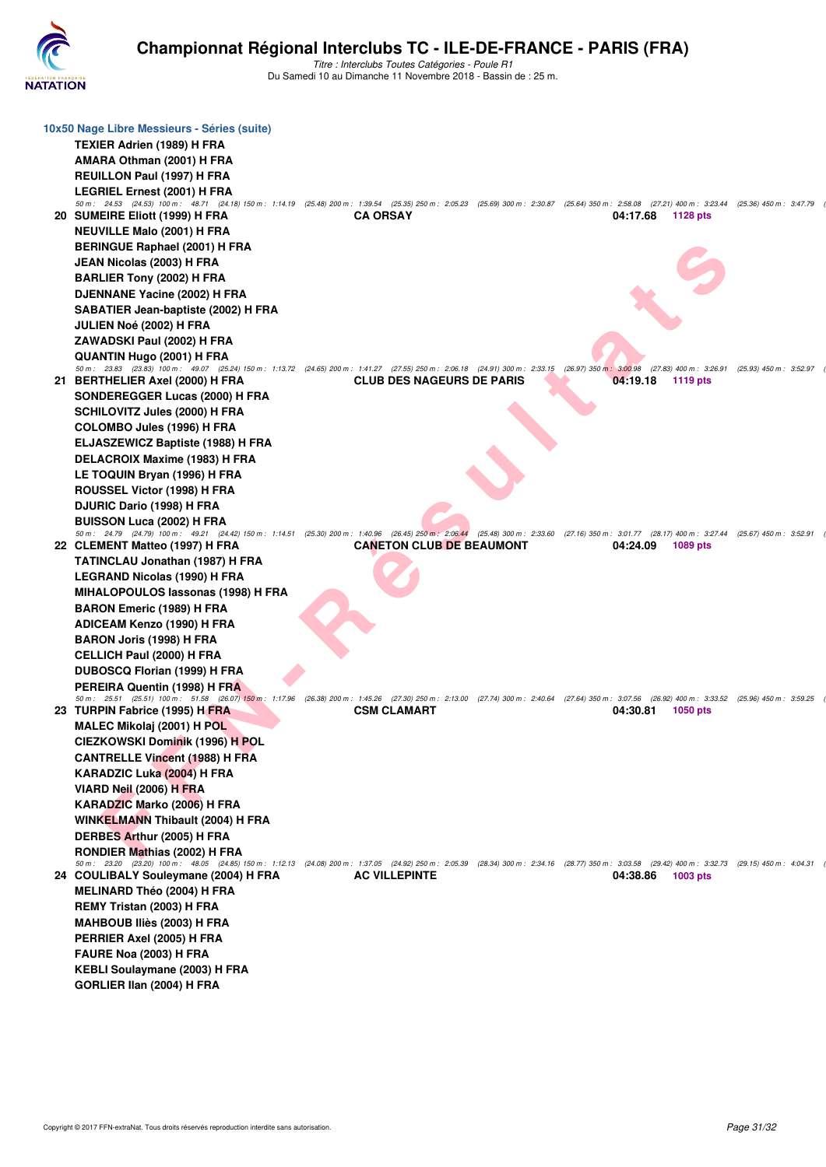

|  | 10x50 Nage Libre Messieurs - Séries (suite)<br>TEXIER Adrien (1989) H FRA                                                                                                                                                             |                                                                                                                                                                                                                           |                                                                                                                                                                                                                                  |                             |  |
|--|---------------------------------------------------------------------------------------------------------------------------------------------------------------------------------------------------------------------------------------|---------------------------------------------------------------------------------------------------------------------------------------------------------------------------------------------------------------------------|----------------------------------------------------------------------------------------------------------------------------------------------------------------------------------------------------------------------------------|-----------------------------|--|
|  | AMARA Othman (2001) H FRA                                                                                                                                                                                                             |                                                                                                                                                                                                                           |                                                                                                                                                                                                                                  |                             |  |
|  | <b>REUILLON Paul (1997) H FRA</b>                                                                                                                                                                                                     |                                                                                                                                                                                                                           |                                                                                                                                                                                                                                  |                             |  |
|  | <b>LEGRIEL Ernest (2001) H FRA</b>                                                                                                                                                                                                    |                                                                                                                                                                                                                           |                                                                                                                                                                                                                                  |                             |  |
|  | 50 m: 24.53 (24.53) 100 m: 48.71 (24.18) 150 m: 1:14.19 (25.48) 200 m: 1:39.54 (25.35) 250 m: 2:05.23 (25.69) 300 m: 2:30.87 (25.64) 350 m: 2:58.08 (27.21) 400 m: 3:23.44 (25.36) 450 m: 3:47.79<br>20 SUMEIRE Eliott (1999) H FRA   | <b>CA ORSAY</b>                                                                                                                                                                                                           |                                                                                                                                                                                                                                  | 04:17.68<br>1128 pts        |  |
|  | <b>NEUVILLE Malo (2001) H FRA</b>                                                                                                                                                                                                     |                                                                                                                                                                                                                           |                                                                                                                                                                                                                                  |                             |  |
|  | <b>BERINGUE Raphael (2001) H FRA</b>                                                                                                                                                                                                  |                                                                                                                                                                                                                           |                                                                                                                                                                                                                                  |                             |  |
|  | JEAN Nicolas (2003) H FRA                                                                                                                                                                                                             |                                                                                                                                                                                                                           |                                                                                                                                                                                                                                  |                             |  |
|  | <b>BARLIER Tony (2002) H FRA</b>                                                                                                                                                                                                      |                                                                                                                                                                                                                           |                                                                                                                                                                                                                                  |                             |  |
|  |                                                                                                                                                                                                                                       |                                                                                                                                                                                                                           |                                                                                                                                                                                                                                  |                             |  |
|  | DJENNANE Yacine (2002) H FRA                                                                                                                                                                                                          |                                                                                                                                                                                                                           |                                                                                                                                                                                                                                  |                             |  |
|  | SABATIER Jean-baptiste (2002) H FRA                                                                                                                                                                                                   |                                                                                                                                                                                                                           |                                                                                                                                                                                                                                  |                             |  |
|  | JULIEN Noé (2002) H FRA                                                                                                                                                                                                               |                                                                                                                                                                                                                           | 50 m: 23.83 (23.83) 100 m: 49.07 (25.24) 150 m: 1:13.72 (24.65) 200 m: 1:41.27 (27.55) 250 m: 2:06.18 (24.91) 300 m: 2:33.15 (26.97) 350 m: 3:00.98 (27.83) 400 m: 3:26.91 (25.93) 450 m: 3:26.91<br>04:19.18<br><b>1119 pts</b> |                             |  |
|  | ZAWADSKI Paul (2002) H FRA                                                                                                                                                                                                            | <b>CLUB DES NAGEURS DE PARIS</b>                                                                                                                                                                                          |                                                                                                                                                                                                                                  |                             |  |
|  | QUANTIN Hugo (2001) H FRA                                                                                                                                                                                                             |                                                                                                                                                                                                                           |                                                                                                                                                                                                                                  |                             |  |
|  | 21 BERTHELIER Axel (2000) H FRA                                                                                                                                                                                                       |                                                                                                                                                                                                                           |                                                                                                                                                                                                                                  |                             |  |
|  | SONDEREGGER Lucas (2000) H FRA                                                                                                                                                                                                        |                                                                                                                                                                                                                           |                                                                                                                                                                                                                                  |                             |  |
|  | <b>SCHILOVITZ Jules (2000) H FRA</b>                                                                                                                                                                                                  |                                                                                                                                                                                                                           |                                                                                                                                                                                                                                  |                             |  |
|  |                                                                                                                                                                                                                                       |                                                                                                                                                                                                                           |                                                                                                                                                                                                                                  |                             |  |
|  | <b>COLOMBO Jules (1996) H FRA</b>                                                                                                                                                                                                     |                                                                                                                                                                                                                           |                                                                                                                                                                                                                                  |                             |  |
|  | <b>ELJASZEWICZ Baptiste (1988) H FRA</b><br><b>DELACROIX Maxime (1983) H FRA</b>                                                                                                                                                      |                                                                                                                                                                                                                           |                                                                                                                                                                                                                                  |                             |  |
|  |                                                                                                                                                                                                                                       |                                                                                                                                                                                                                           |                                                                                                                                                                                                                                  |                             |  |
|  | LE TOQUIN Bryan (1996) H FRA                                                                                                                                                                                                          |                                                                                                                                                                                                                           |                                                                                                                                                                                                                                  |                             |  |
|  | ROUSSEL Victor (1998) H FRA                                                                                                                                                                                                           |                                                                                                                                                                                                                           |                                                                                                                                                                                                                                  |                             |  |
|  | DJURIC Dario (1998) H FRA                                                                                                                                                                                                             |                                                                                                                                                                                                                           |                                                                                                                                                                                                                                  |                             |  |
|  | <b>BUISSON Luca (2002) H FRA</b><br>50 m: 24.79 (24.79) 100 m: 49.21 (24.42) 150 m: 1:14.51 (25.30) 200 m: 1:40.96 (26.45) 250 m: 2:06.44 (25.48) 300 m: 2:33.60 (27.16) 350 m: 3:01.77 (28.17) 400 m: 3:27.44 (25.67) 450 m: 3:27.44 |                                                                                                                                                                                                                           |                                                                                                                                                                                                                                  |                             |  |
|  | 22 CLEMENT Matteo (1997) H FRA                                                                                                                                                                                                        | <b>CANETON CLUB DE BEAUMONT</b>                                                                                                                                                                                           |                                                                                                                                                                                                                                  | 04:24.09<br>1089 pts        |  |
|  | <b>TATINCLAU Jonathan (1987) H FRA</b>                                                                                                                                                                                                |                                                                                                                                                                                                                           |                                                                                                                                                                                                                                  |                             |  |
|  | LEGRAND Nicolas (1990) H FRA                                                                                                                                                                                                          |                                                                                                                                                                                                                           |                                                                                                                                                                                                                                  |                             |  |
|  | MIHALOPOULOS lassonas (1998) H FRA                                                                                                                                                                                                    |                                                                                                                                                                                                                           |                                                                                                                                                                                                                                  |                             |  |
|  | <b>BARON Emeric (1989) H FRA</b>                                                                                                                                                                                                      |                                                                                                                                                                                                                           |                                                                                                                                                                                                                                  |                             |  |
|  | ADICEAM Kenzo (1990) H FRA                                                                                                                                                                                                            |                                                                                                                                                                                                                           |                                                                                                                                                                                                                                  |                             |  |
|  | <b>BARON Joris (1998) H FRA</b>                                                                                                                                                                                                       |                                                                                                                                                                                                                           |                                                                                                                                                                                                                                  |                             |  |
|  | <b>CELLICH Paul (2000) H FRA</b>                                                                                                                                                                                                      |                                                                                                                                                                                                                           |                                                                                                                                                                                                                                  |                             |  |
|  | DUBOSCQ Florian (1999) H FRA                                                                                                                                                                                                          |                                                                                                                                                                                                                           |                                                                                                                                                                                                                                  |                             |  |
|  | PEREIRA Quentin (1998) H FRA                                                                                                                                                                                                          |                                                                                                                                                                                                                           |                                                                                                                                                                                                                                  |                             |  |
|  | 50 m: 25.51 (25.51) 100 m: 51.58 (26.07) 150 m: 1:17.96 (26.38) 200 m: 1:45.26 (27.30) 250 m: 2:13.00 (27.74) 300 m: 2:40.64 (27.64) 350 m: 3:07.56 (26.92) 400 m: 3:33.52 (25.96) 450 m: 3:33.52                                     | <b>CSM CLAMART</b>                                                                                                                                                                                                        |                                                                                                                                                                                                                                  |                             |  |
|  | 23 TURPIN Fabrice (1995) H FRA                                                                                                                                                                                                        |                                                                                                                                                                                                                           |                                                                                                                                                                                                                                  | 04:30.81<br><b>1050 pts</b> |  |
|  | MALEC Mikolaj (2001) H POL                                                                                                                                                                                                            |                                                                                                                                                                                                                           |                                                                                                                                                                                                                                  |                             |  |
|  | CIEZKOWSKI Dominik (1996) H POL                                                                                                                                                                                                       |                                                                                                                                                                                                                           |                                                                                                                                                                                                                                  |                             |  |
|  | <b>CANTRELLE Vincent (1988) H FRA</b>                                                                                                                                                                                                 |                                                                                                                                                                                                                           |                                                                                                                                                                                                                                  |                             |  |
|  | KARADZIC Luka (2004) H FRA                                                                                                                                                                                                            |                                                                                                                                                                                                                           |                                                                                                                                                                                                                                  |                             |  |
|  | VIARD Neil (2006) H FRA                                                                                                                                                                                                               |                                                                                                                                                                                                                           |                                                                                                                                                                                                                                  |                             |  |
|  | KARADZIC Marko (2006) H FRA                                                                                                                                                                                                           |                                                                                                                                                                                                                           |                                                                                                                                                                                                                                  |                             |  |
|  | <b>WINKELMANN Thibault (2004) H FRA</b>                                                                                                                                                                                               |                                                                                                                                                                                                                           |                                                                                                                                                                                                                                  |                             |  |
|  | DERBES Arthur (2005) H FRA                                                                                                                                                                                                            | 50 m: 23.20 (23.20) 100 m: 48.05 (24.85) 150 m: 1:12.13 (24.08) 200 m: 1:37.05 (24.92) 250 m: 2:05.39 (28.34) 300 m: 2:34.16 (28.77) 350 m: 3:03.58 (29.42) 400 m: 3:32.73 (29.15) 450 m: 4:04.31<br><b>AC VILLEPINTE</b> |                                                                                                                                                                                                                                  |                             |  |
|  | RONDIER Mathias (2002) H FRA                                                                                                                                                                                                          |                                                                                                                                                                                                                           |                                                                                                                                                                                                                                  |                             |  |
|  | 24 COULIBALY Souleymane (2004) H FRA                                                                                                                                                                                                  |                                                                                                                                                                                                                           |                                                                                                                                                                                                                                  | 04:38.86<br>1003 pts        |  |
|  | <b>MELINARD Théo (2004) H FRA</b>                                                                                                                                                                                                     |                                                                                                                                                                                                                           |                                                                                                                                                                                                                                  |                             |  |
|  | REMY Tristan (2003) H FRA                                                                                                                                                                                                             |                                                                                                                                                                                                                           |                                                                                                                                                                                                                                  |                             |  |
|  | MAHBOUB Iliès (2003) H FRA                                                                                                                                                                                                            |                                                                                                                                                                                                                           |                                                                                                                                                                                                                                  |                             |  |
|  |                                                                                                                                                                                                                                       |                                                                                                                                                                                                                           |                                                                                                                                                                                                                                  |                             |  |
|  | PERRIER Axel (2005) H FRA<br>FAURE Noa (2003) H FRA                                                                                                                                                                                   |                                                                                                                                                                                                                           |                                                                                                                                                                                                                                  |                             |  |
|  |                                                                                                                                                                                                                                       |                                                                                                                                                                                                                           |                                                                                                                                                                                                                                  |                             |  |
|  | <b>KEBLI Soulaymane (2003) H FRA</b>                                                                                                                                                                                                  |                                                                                                                                                                                                                           |                                                                                                                                                                                                                                  |                             |  |
|  | GORLIER IIan (2004) H FRA                                                                                                                                                                                                             |                                                                                                                                                                                                                           |                                                                                                                                                                                                                                  |                             |  |